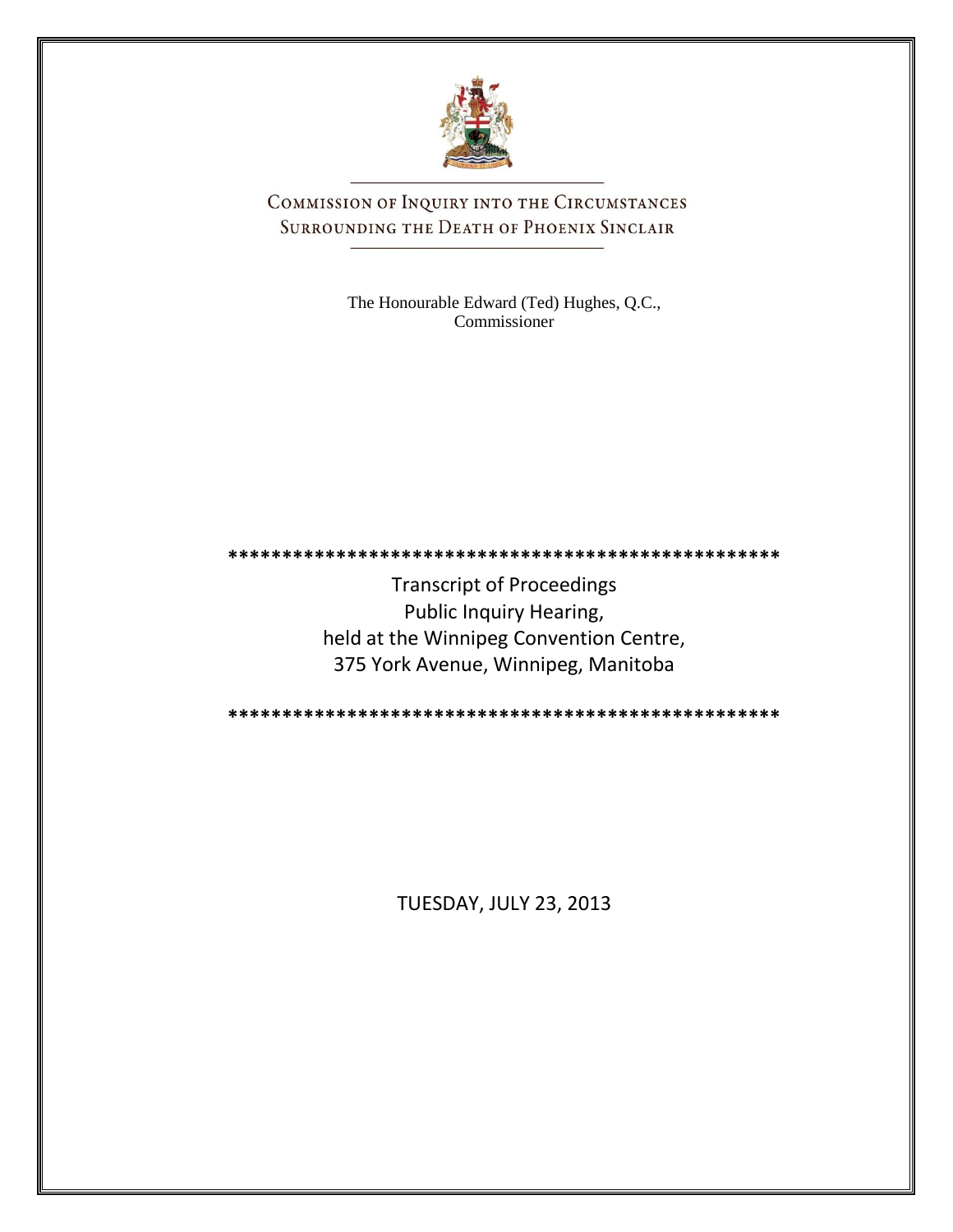

COMMISSION OF INQUIRY INTO THE CIRCUMSTANCES SURROUNDING THE DEATH OF PHOENIX SINCLAIR

> The Honourable Edward (Ted) Hughes, Q.C., Commissioner

**\*\*\*\*\*\*\*\*\*\*\*\*\*\*\*\*\*\*\*\*\*\*\*\*\*\*\*\*\*\*\*\*\*\*\*\*\*\*\*\*\*\*\*\*\*\*\*\*\*\*\***

Transcript of Proceedings Public Inquiry Hearing, held at the Winnipeg Convention Centre, 375 York Avenue, Winnipeg, Manitoba

**\*\*\*\*\*\*\*\*\*\*\*\*\*\*\*\*\*\*\*\*\*\*\*\*\*\*\*\*\*\*\*\*\*\*\*\*\*\*\*\*\*\*\*\*\*\*\*\*\*\*\***

TUESDAY, JULY 23, 2013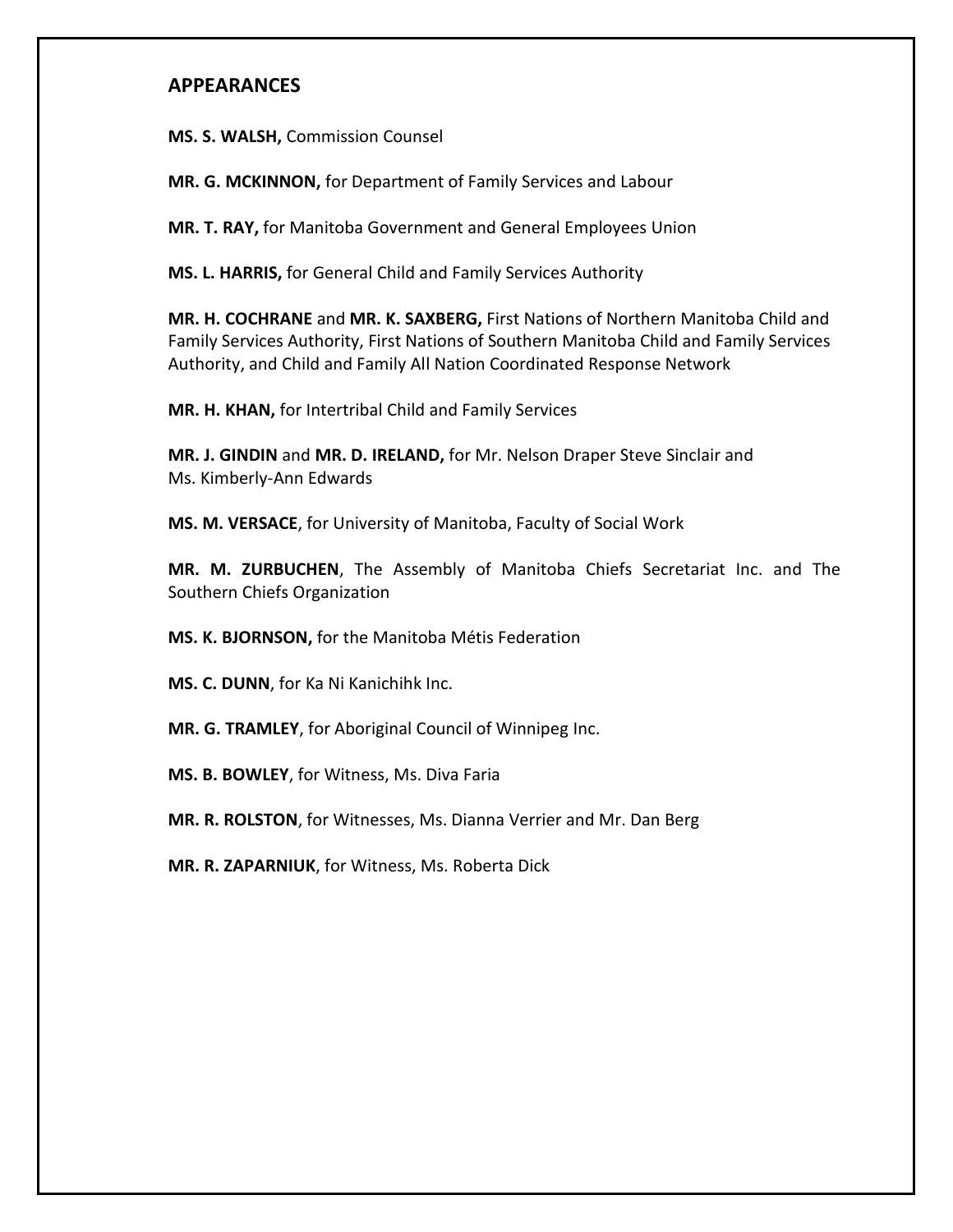## **APPEARANCES**

**MS. S. WALSH,** Commission Counsel

**MR. G. MCKINNON,** for Department of Family Services and Labour

**MR. T. RAY,** for Manitoba Government and General Employees Union

**MS. L. HARRIS,** for General Child and Family Services Authority

**MR. H. COCHRANE** and **MR. K. SAXBERG,** First Nations of Northern Manitoba Child and Family Services Authority, First Nations of Southern Manitoba Child and Family Services Authority, and Child and Family All Nation Coordinated Response Network

**MR. H. KHAN,** for Intertribal Child and Family Services

**MR. J. GINDIN** and **MR. D. IRELAND,** for Mr. Nelson Draper Steve Sinclair and Ms. Kimberly-Ann Edwards

**MS. M. VERSACE**, for University of Manitoba, Faculty of Social Work

**MR. M. ZURBUCHEN**, The Assembly of Manitoba Chiefs Secretariat Inc. and The Southern Chiefs Organization

**MS. K. BJORNSON,** for the Manitoba Métis Federation

**MS. C. DUNN**, for Ka Ni Kanichihk Inc.

**MR. G. TRAMLEY**, for Aboriginal Council of Winnipeg Inc.

**MS. B. BOWLEY**, for Witness, Ms. Diva Faria

**MR. R. ROLSTON**, for Witnesses, Ms. Dianna Verrier and Mr. Dan Berg

**MR. R. ZAPARNIUK**, for Witness, Ms. Roberta Dick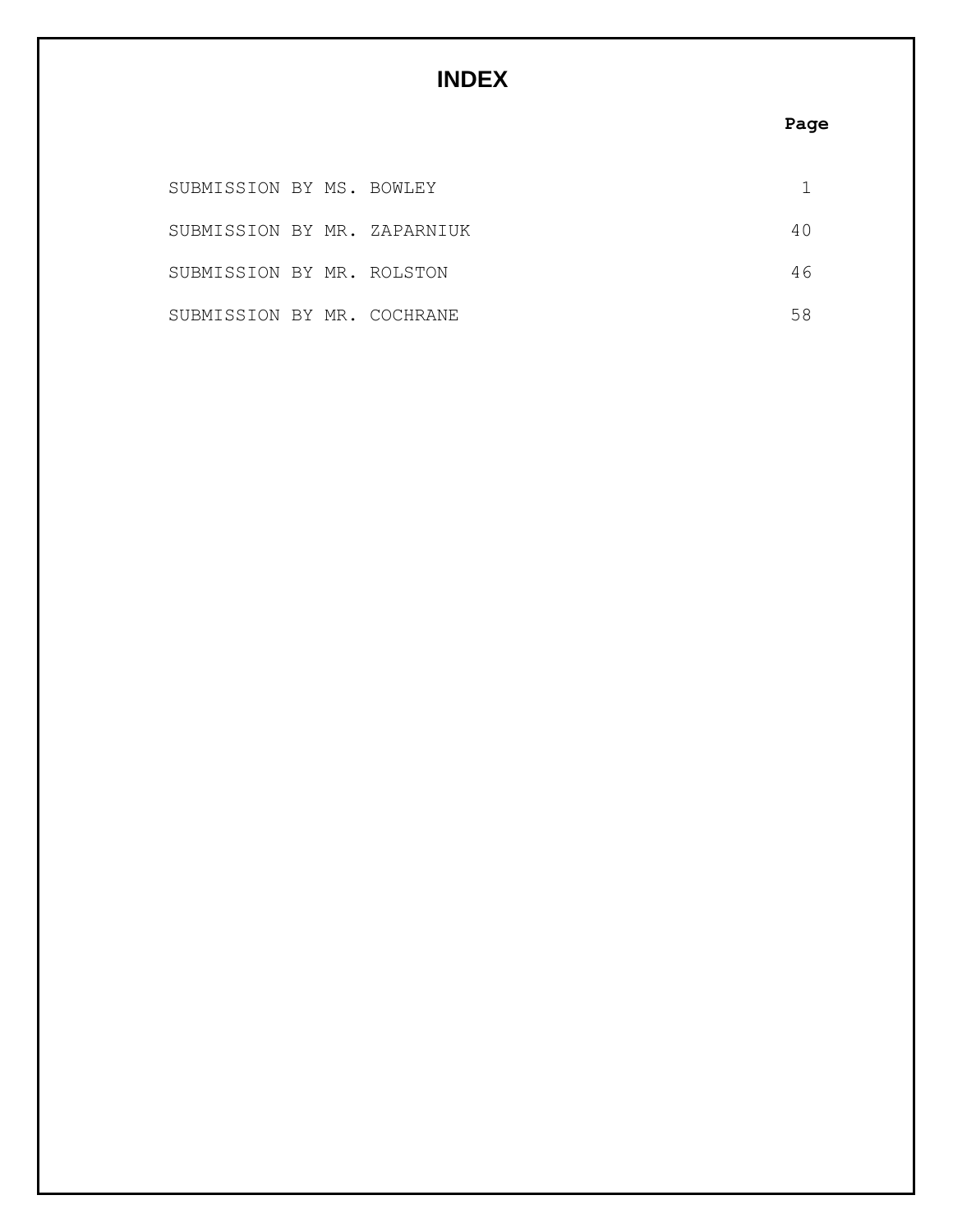# **INDEX**

# **Page**

| SUBMISSION BY MS. BOWLEY    |  |    |
|-----------------------------|--|----|
| SUBMISSION BY MR. ZAPARNIUK |  |    |
| SUBMISSION BY MR. ROLSTON   |  | 46 |
| SUBMISSION BY MR. COCHRANE  |  |    |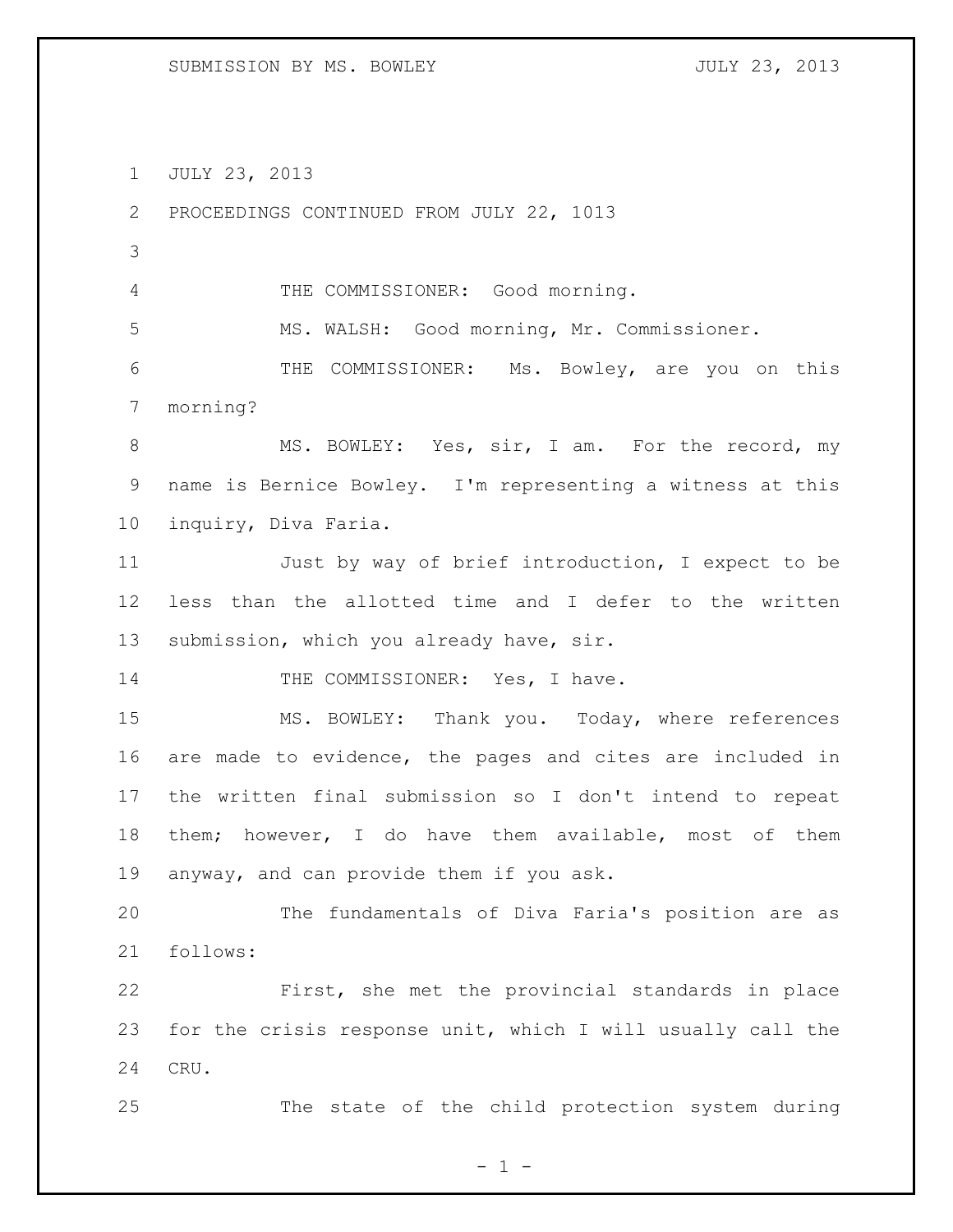JULY 23, 2013

 PROCEEDINGS CONTINUED FROM JULY 22, 1013 THE COMMISSIONER: Good morning. MS. WALSH: Good morning, Mr. Commissioner. THE COMMISSIONER: Ms. Bowley, are you on this morning? 8 MS. BOWLEY: Yes, sir, I am. For the record, my name is Bernice Bowley. I'm representing a witness at this inquiry, Diva Faria. Just by way of brief introduction, I expect to be less than the allotted time and I defer to the written 13 submission, which you already have, sir. 14 THE COMMISSIONER: Yes, I have. MS. BOWLEY: Thank you. Today, where references are made to evidence, the pages and cites are included in the written final submission so I don't intend to repeat them; however, I do have them available, most of them anyway, and can provide them if you ask. The fundamentals of Diva Faria's position are as follows: First, she met the provincial standards in place for the crisis response unit, which I will usually call the CRU. The state of the child protection system during

 $- 1 -$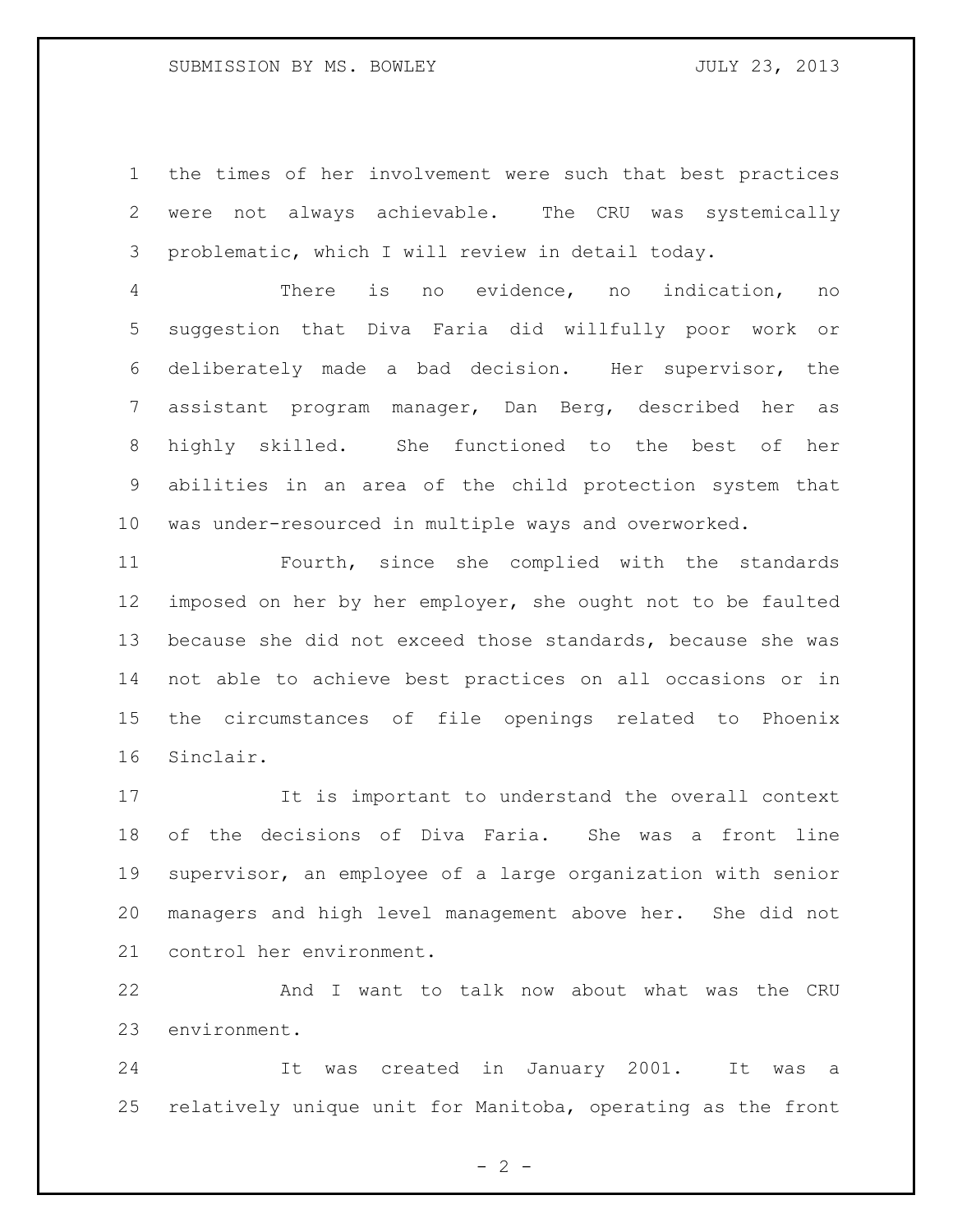### SUBMISSION BY MS. BOWLEY **SUBMISSION BY MS. BOWLEY**

 the times of her involvement were such that best practices were not always achievable. The CRU was systemically problematic, which I will review in detail today.

 There is no evidence, no indication, no suggestion that Diva Faria did willfully poor work or deliberately made a bad decision. Her supervisor, the assistant program manager, Dan Berg, described her as highly skilled. She functioned to the best of her abilities in an area of the child protection system that was under-resourced in multiple ways and overworked.

 Fourth, since she complied with the standards imposed on her by her employer, she ought not to be faulted because she did not exceed those standards, because she was not able to achieve best practices on all occasions or in the circumstances of file openings related to Phoenix Sinclair.

 It is important to understand the overall context of the decisions of Diva Faria. She was a front line supervisor, an employee of a large organization with senior managers and high level management above her. She did not control her environment.

 And I want to talk now about what was the CRU environment.

 It was created in January 2001. It was a relatively unique unit for Manitoba, operating as the front

 $- 2 -$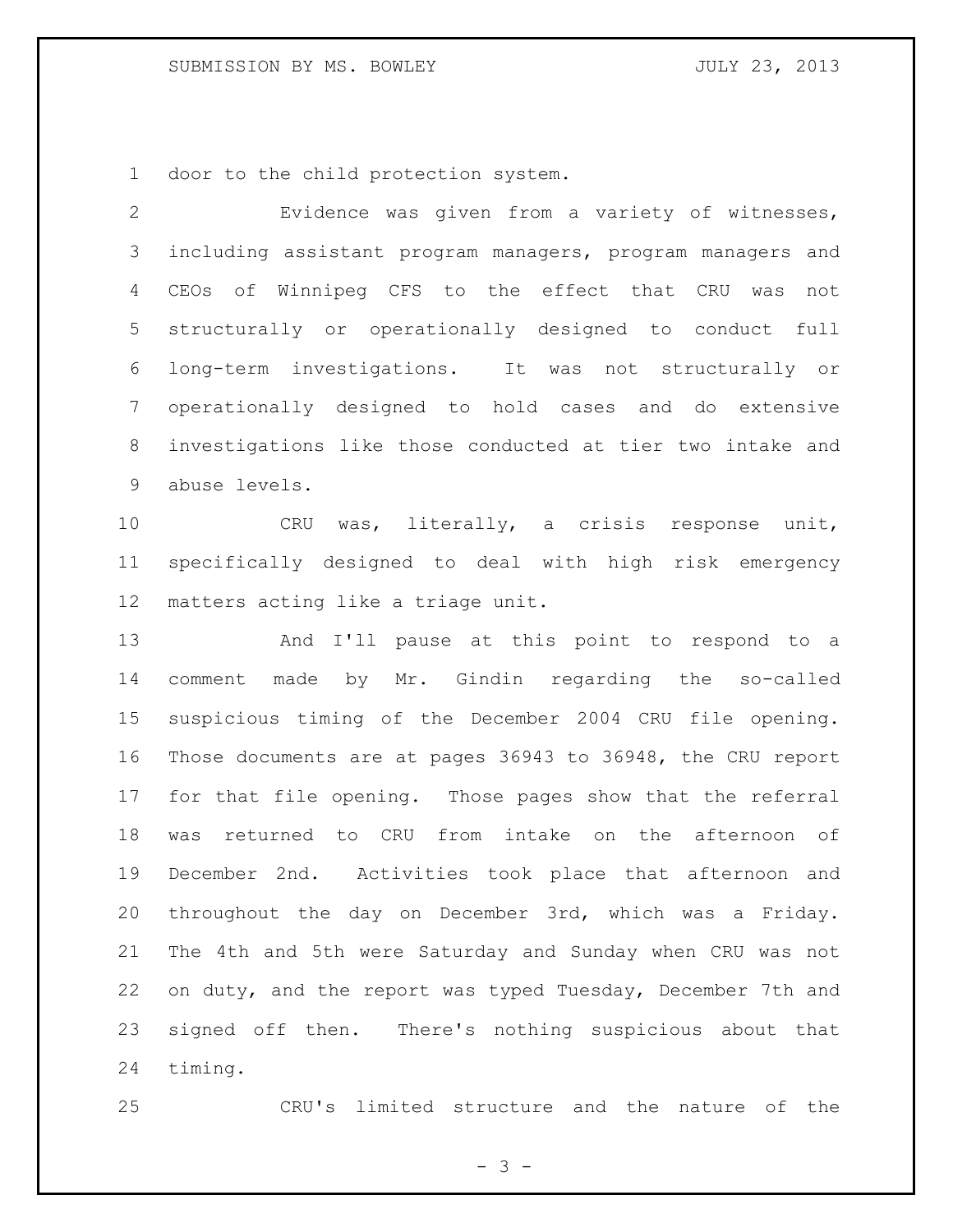door to the child protection system.

 Evidence was given from a variety of witnesses, including assistant program managers, program managers and CEOs of Winnipeg CFS to the effect that CRU was not structurally or operationally designed to conduct full long-term investigations. It was not structurally or operationally designed to hold cases and do extensive investigations like those conducted at tier two intake and abuse levels.

 CRU was, literally, a crisis response unit, specifically designed to deal with high risk emergency matters acting like a triage unit.

 And I'll pause at this point to respond to a comment made by Mr. Gindin regarding the so-called suspicious timing of the December 2004 CRU file opening. Those documents are at pages 36943 to 36948, the CRU report for that file opening. Those pages show that the referral was returned to CRU from intake on the afternoon of December 2nd. Activities took place that afternoon and throughout the day on December 3rd, which was a Friday. The 4th and 5th were Saturday and Sunday when CRU was not on duty, and the report was typed Tuesday, December 7th and signed off then. There's nothing suspicious about that timing.

CRU's limited structure and the nature of the

- 3 -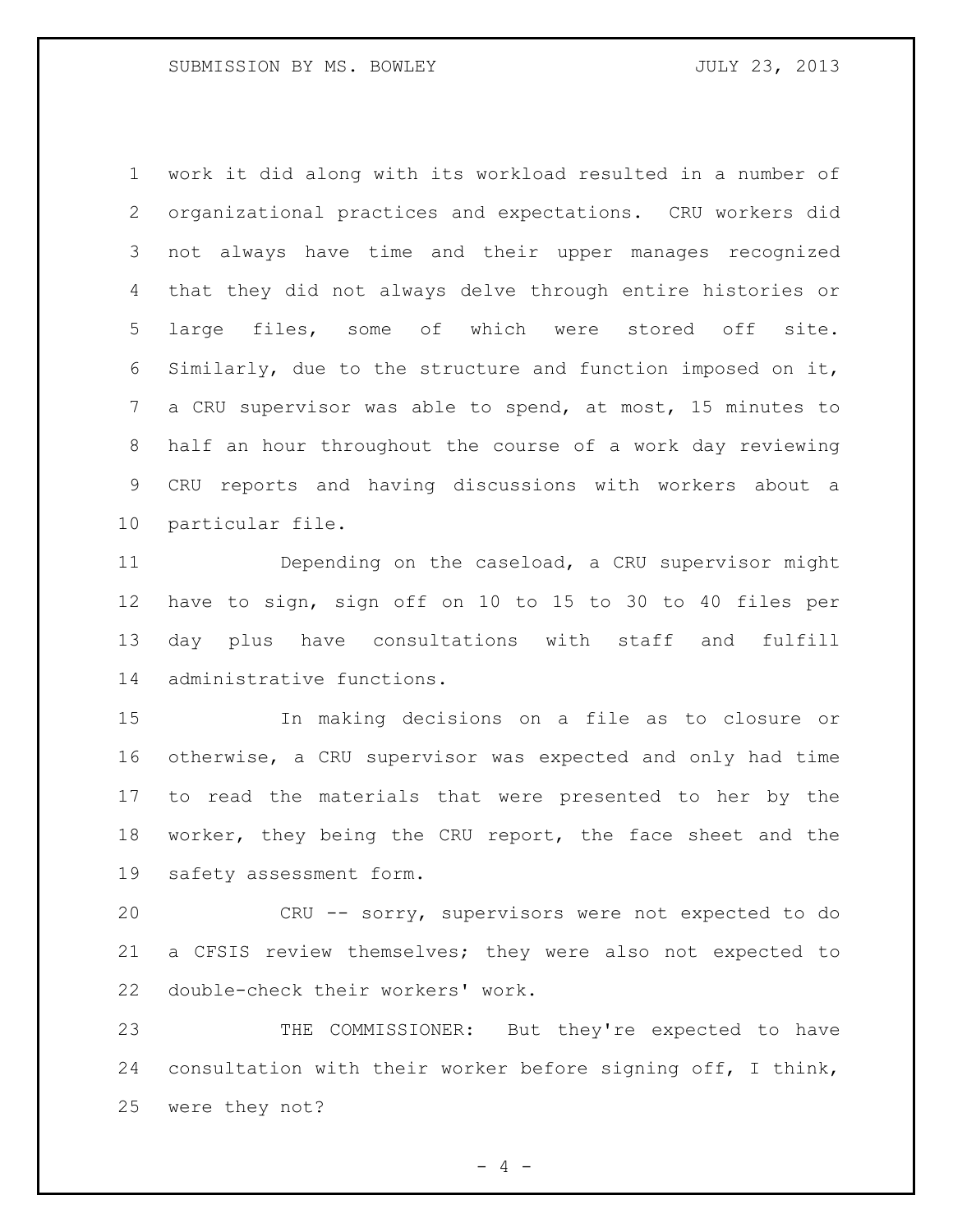work it did along with its workload resulted in a number of organizational practices and expectations. CRU workers did not always have time and their upper manages recognized that they did not always delve through entire histories or large files, some of which were stored off site. Similarly, due to the structure and function imposed on it, a CRU supervisor was able to spend, at most, 15 minutes to half an hour throughout the course of a work day reviewing CRU reports and having discussions with workers about a particular file.

 Depending on the caseload, a CRU supervisor might have to sign, sign off on 10 to 15 to 30 to 40 files per day plus have consultations with staff and fulfill administrative functions.

 In making decisions on a file as to closure or otherwise, a CRU supervisor was expected and only had time to read the materials that were presented to her by the worker, they being the CRU report, the face sheet and the safety assessment form.

 CRU -- sorry, supervisors were not expected to do a CFSIS review themselves; they were also not expected to double-check their workers' work.

 THE COMMISSIONER: But they're expected to have consultation with their worker before signing off, I think, were they not?

 $- 4 -$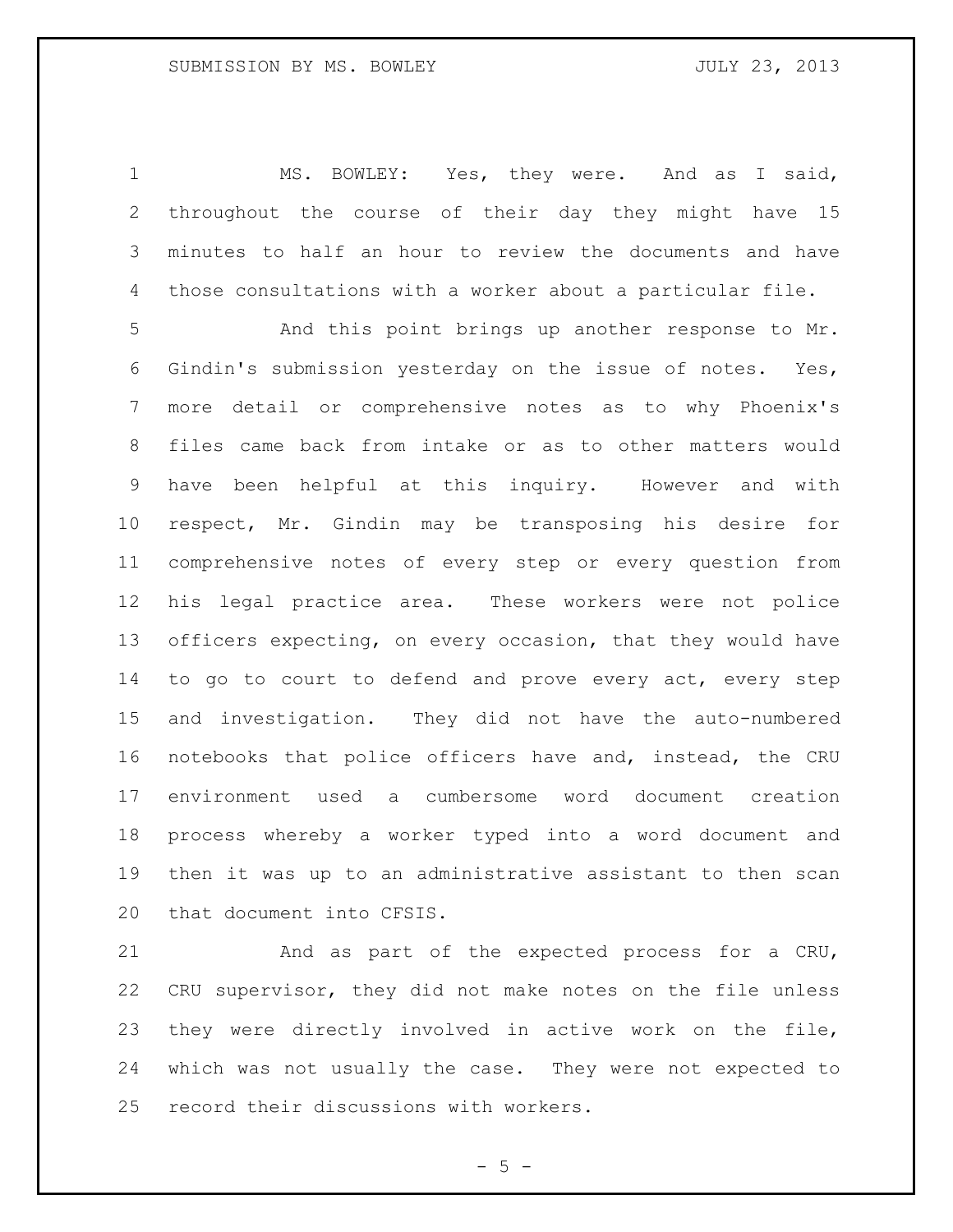MS. BOWLEY: Yes, they were. And as I said, throughout the course of their day they might have 15 minutes to half an hour to review the documents and have those consultations with a worker about a particular file.

 And this point brings up another response to Mr. Gindin's submission yesterday on the issue of notes. Yes, more detail or comprehensive notes as to why Phoenix's files came back from intake or as to other matters would have been helpful at this inquiry. However and with respect, Mr. Gindin may be transposing his desire for comprehensive notes of every step or every question from his legal practice area. These workers were not police officers expecting, on every occasion, that they would have 14 to go to court to defend and prove every act, every step and investigation. They did not have the auto-numbered notebooks that police officers have and, instead, the CRU environment used a cumbersome word document creation process whereby a worker typed into a word document and then it was up to an administrative assistant to then scan that document into CFSIS.

 And as part of the expected process for a CRU, CRU supervisor, they did not make notes on the file unless they were directly involved in active work on the file, which was not usually the case. They were not expected to record their discussions with workers.

 $- 5 -$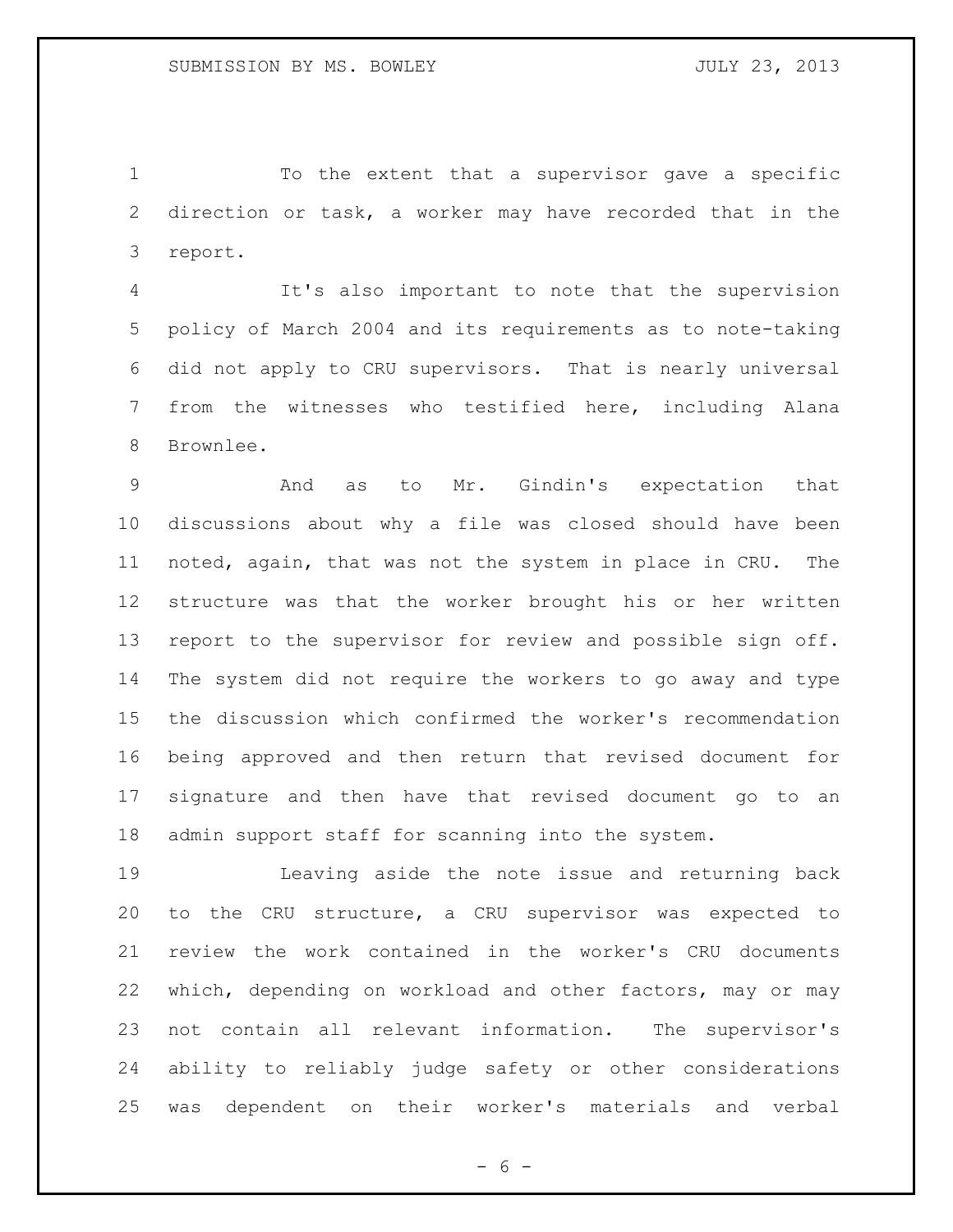To the extent that a supervisor gave a specific direction or task, a worker may have recorded that in the report.

 It's also important to note that the supervision policy of March 2004 and its requirements as to note-taking did not apply to CRU supervisors. That is nearly universal from the witnesses who testified here, including Alana Brownlee.

 And as to Mr. Gindin's expectation that discussions about why a file was closed should have been noted, again, that was not the system in place in CRU. The structure was that the worker brought his or her written report to the supervisor for review and possible sign off. The system did not require the workers to go away and type the discussion which confirmed the worker's recommendation being approved and then return that revised document for signature and then have that revised document go to an admin support staff for scanning into the system.

 Leaving aside the note issue and returning back to the CRU structure, a CRU supervisor was expected to review the work contained in the worker's CRU documents which, depending on workload and other factors, may or may not contain all relevant information. The supervisor's ability to reliably judge safety or other considerations was dependent on their worker's materials and verbal

 $- 6 -$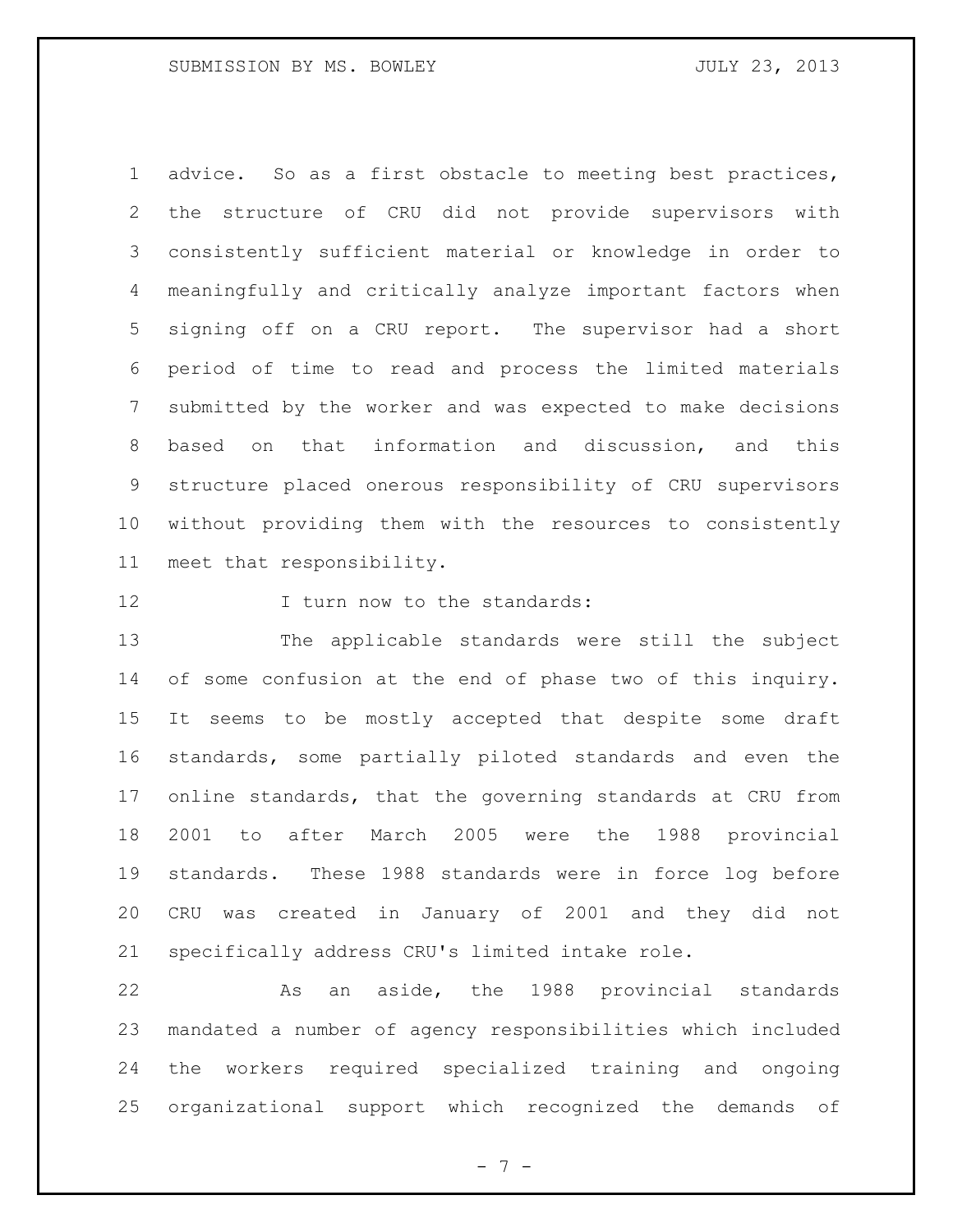advice. So as a first obstacle to meeting best practices, the structure of CRU did not provide supervisors with consistently sufficient material or knowledge in order to meaningfully and critically analyze important factors when signing off on a CRU report. The supervisor had a short period of time to read and process the limited materials submitted by the worker and was expected to make decisions based on that information and discussion, and this structure placed onerous responsibility of CRU supervisors without providing them with the resources to consistently meet that responsibility.

**I** turn now to the standards:

 The applicable standards were still the subject of some confusion at the end of phase two of this inquiry. It seems to be mostly accepted that despite some draft standards, some partially piloted standards and even the online standards, that the governing standards at CRU from 2001 to after March 2005 were the 1988 provincial standards. These 1988 standards were in force log before CRU was created in January of 2001 and they did not specifically address CRU's limited intake role.

 As an aside, the 1988 provincial standards mandated a number of agency responsibilities which included the workers required specialized training and ongoing organizational support which recognized the demands of

- 7 -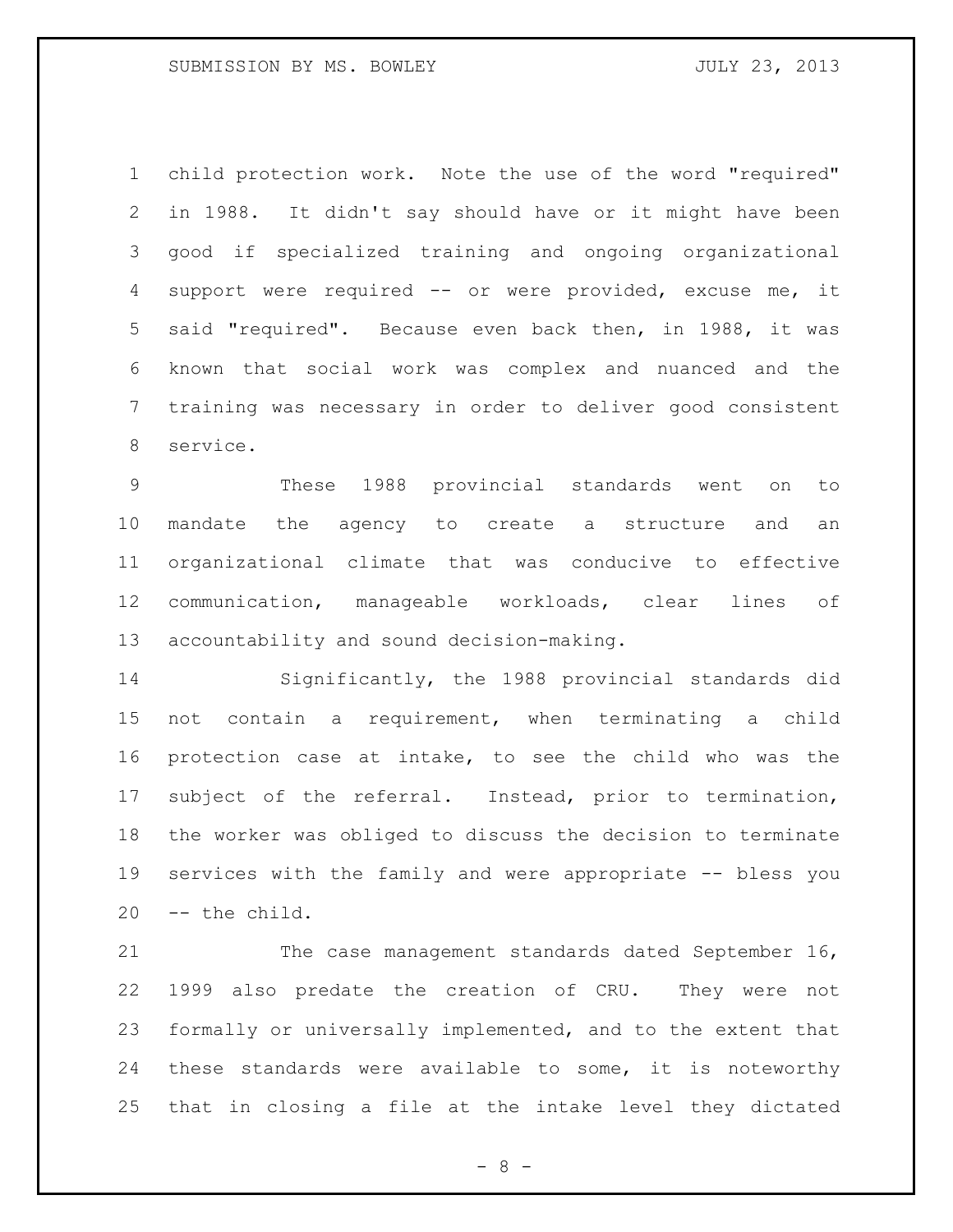child protection work. Note the use of the word "required" in 1988. It didn't say should have or it might have been good if specialized training and ongoing organizational support were required -- or were provided, excuse me, it said "required". Because even back then, in 1988, it was known that social work was complex and nuanced and the training was necessary in order to deliver good consistent service.

 These 1988 provincial standards went on to mandate the agency to create a structure and an organizational climate that was conducive to effective communication, manageable workloads, clear lines of accountability and sound decision-making.

 Significantly, the 1988 provincial standards did not contain a requirement, when terminating a child protection case at intake, to see the child who was the subject of the referral. Instead, prior to termination, the worker was obliged to discuss the decision to terminate services with the family and were appropriate -- bless you -- the child.

21 The case management standards dated September 16, 1999 also predate the creation of CRU. They were not formally or universally implemented, and to the extent that these standards were available to some, it is noteworthy that in closing a file at the intake level they dictated

- 8 -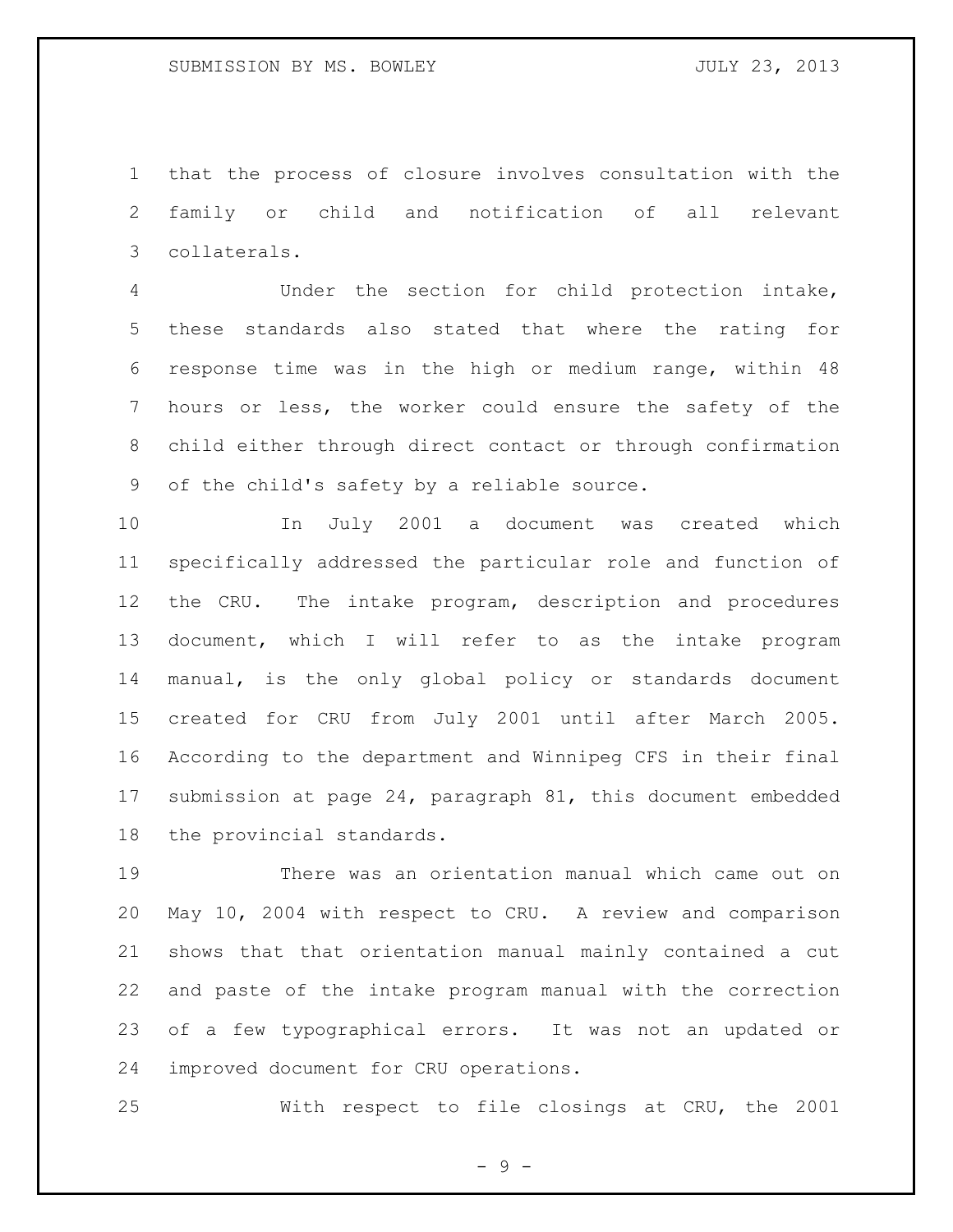that the process of closure involves consultation with the family or child and notification of all relevant collaterals.

 Under the section for child protection intake, these standards also stated that where the rating for response time was in the high or medium range, within 48 hours or less, the worker could ensure the safety of the child either through direct contact or through confirmation of the child's safety by a reliable source.

 In July 2001 a document was created which specifically addressed the particular role and function of the CRU. The intake program, description and procedures document, which I will refer to as the intake program manual, is the only global policy or standards document created for CRU from July 2001 until after March 2005. According to the department and Winnipeg CFS in their final submission at page 24, paragraph 81, this document embedded the provincial standards.

 There was an orientation manual which came out on May 10, 2004 with respect to CRU. A review and comparison shows that that orientation manual mainly contained a cut and paste of the intake program manual with the correction of a few typographical errors. It was not an updated or improved document for CRU operations.

With respect to file closings at CRU, the 2001

- 9 -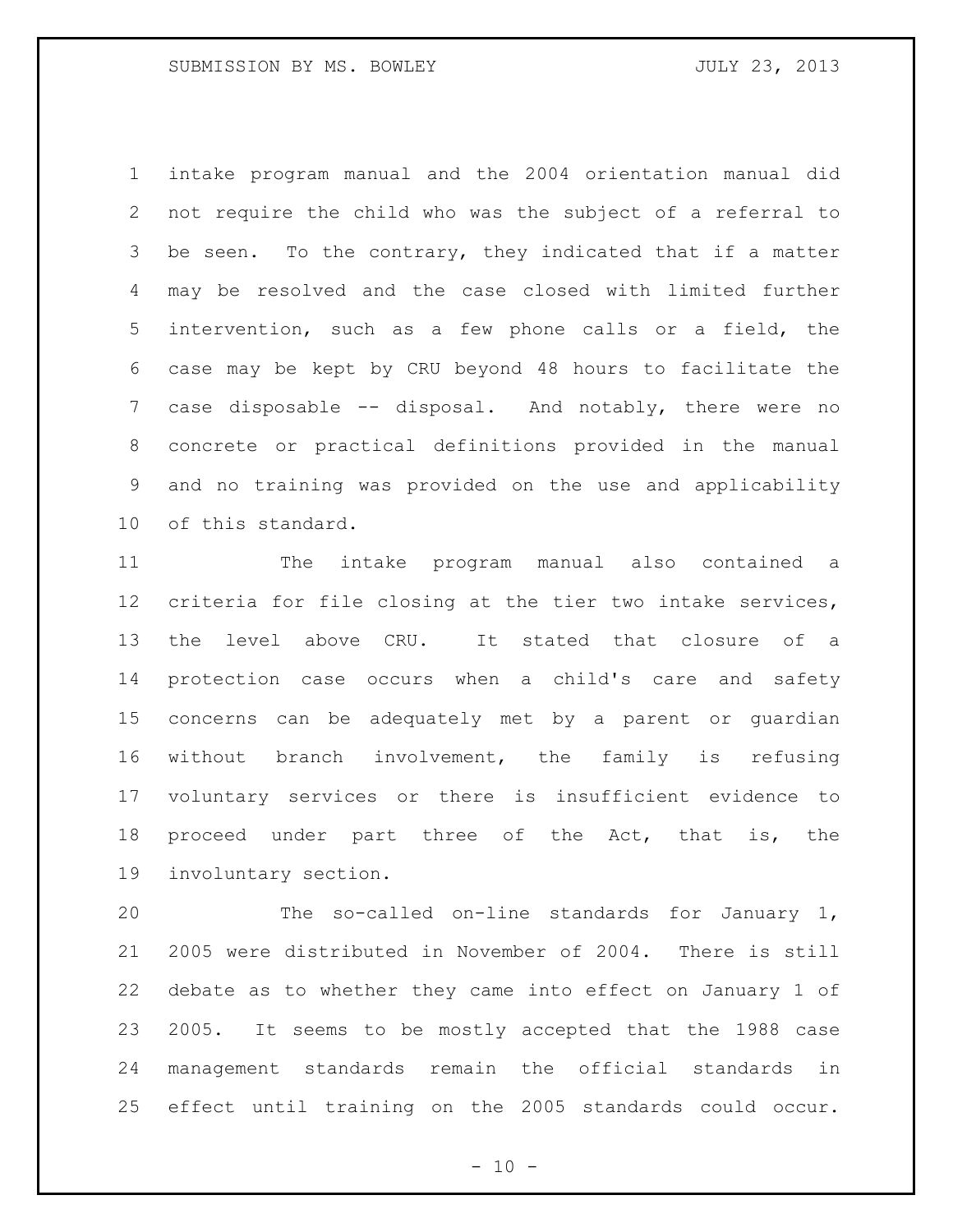intake program manual and the 2004 orientation manual did not require the child who was the subject of a referral to be seen. To the contrary, they indicated that if a matter may be resolved and the case closed with limited further intervention, such as a few phone calls or a field, the case may be kept by CRU beyond 48 hours to facilitate the case disposable -- disposal. And notably, there were no concrete or practical definitions provided in the manual and no training was provided on the use and applicability of this standard.

 The intake program manual also contained a criteria for file closing at the tier two intake services, the level above CRU. It stated that closure of a protection case occurs when a child's care and safety concerns can be adequately met by a parent or guardian without branch involvement, the family is refusing voluntary services or there is insufficient evidence to proceed under part three of the Act, that is, the involuntary section.

 The so-called on-line standards for January 1, 2005 were distributed in November of 2004. There is still debate as to whether they came into effect on January 1 of 2005. It seems to be mostly accepted that the 1988 case management standards remain the official standards in effect until training on the 2005 standards could occur.

 $- 10 -$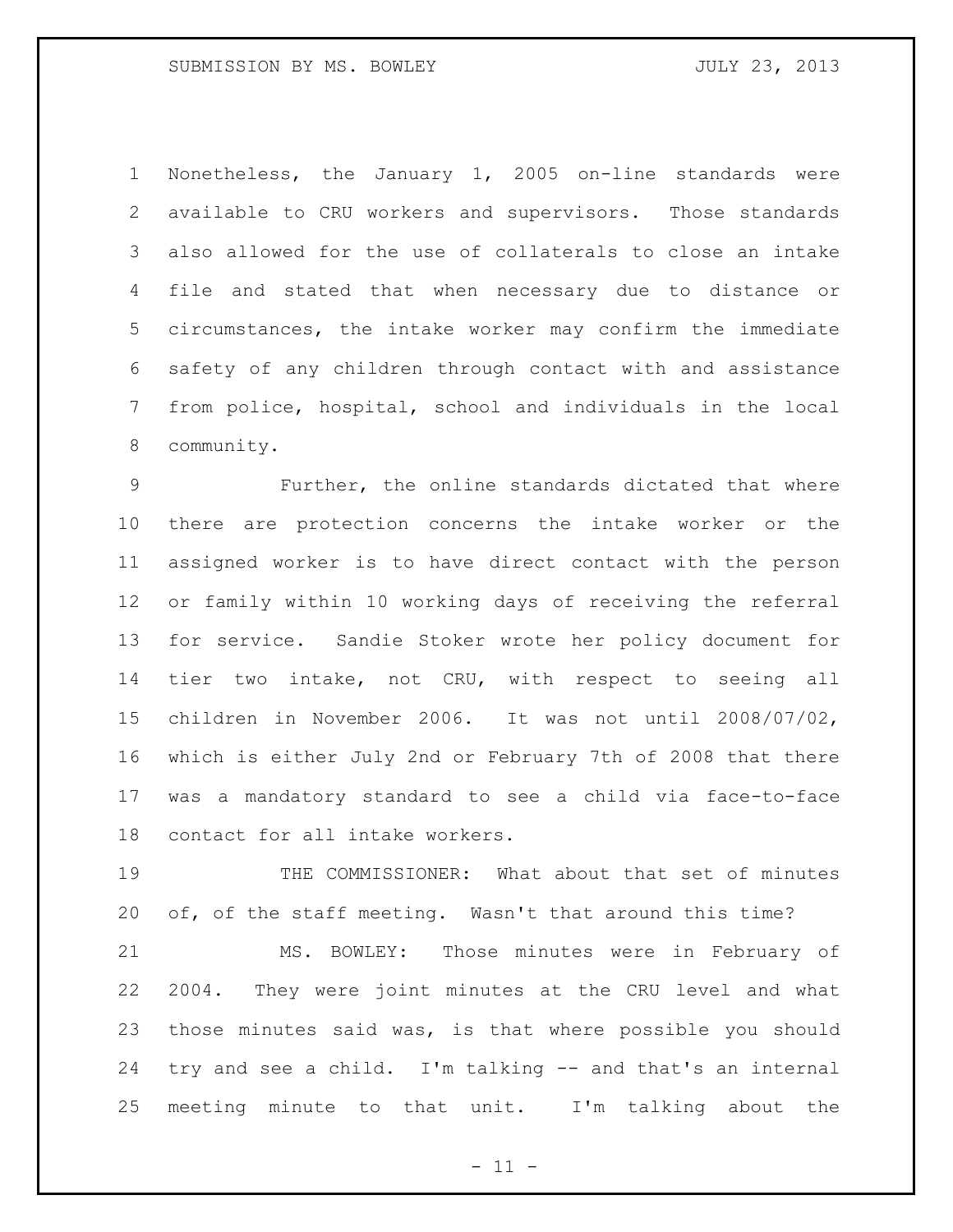Nonetheless, the January 1, 2005 on-line standards were available to CRU workers and supervisors. Those standards also allowed for the use of collaterals to close an intake file and stated that when necessary due to distance or circumstances, the intake worker may confirm the immediate safety of any children through contact with and assistance from police, hospital, school and individuals in the local community.

 Further, the online standards dictated that where there are protection concerns the intake worker or the assigned worker is to have direct contact with the person or family within 10 working days of receiving the referral for service. Sandie Stoker wrote her policy document for tier two intake, not CRU, with respect to seeing all children in November 2006. It was not until 2008/07/02, which is either July 2nd or February 7th of 2008 that there was a mandatory standard to see a child via face-to-face contact for all intake workers.

 THE COMMISSIONER: What about that set of minutes of, of the staff meeting. Wasn't that around this time?

 MS. BOWLEY: Those minutes were in February of 2004. They were joint minutes at the CRU level and what those minutes said was, is that where possible you should try and see a child. I'm talking -- and that's an internal meeting minute to that unit. I'm talking about the

 $-11 -$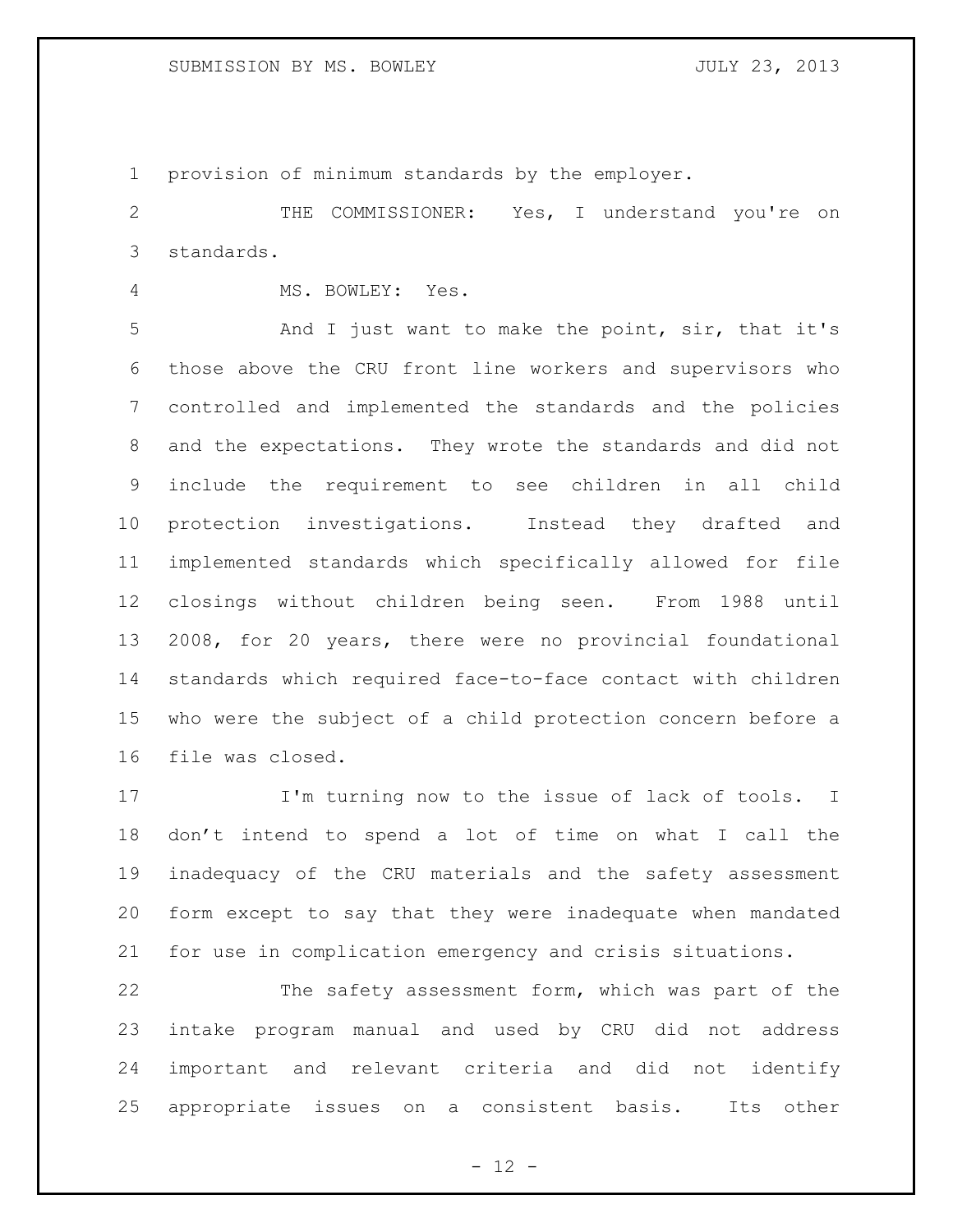provision of minimum standards by the employer.

 THE COMMISSIONER: Yes, I understand you're on standards.

MS. BOWLEY: Yes.

 And I just want to make the point, sir, that it's those above the CRU front line workers and supervisors who controlled and implemented the standards and the policies and the expectations. They wrote the standards and did not include the requirement to see children in all child protection investigations. Instead they drafted and implemented standards which specifically allowed for file closings without children being seen. From 1988 until 2008, for 20 years, there were no provincial foundational standards which required face-to-face contact with children who were the subject of a child protection concern before a file was closed.

 I'm turning now to the issue of lack of tools. I don't intend to spend a lot of time on what I call the inadequacy of the CRU materials and the safety assessment form except to say that they were inadequate when mandated for use in complication emergency and crisis situations.

 The safety assessment form, which was part of the intake program manual and used by CRU did not address important and relevant criteria and did not identify appropriate issues on a consistent basis. Its other

 $- 12 -$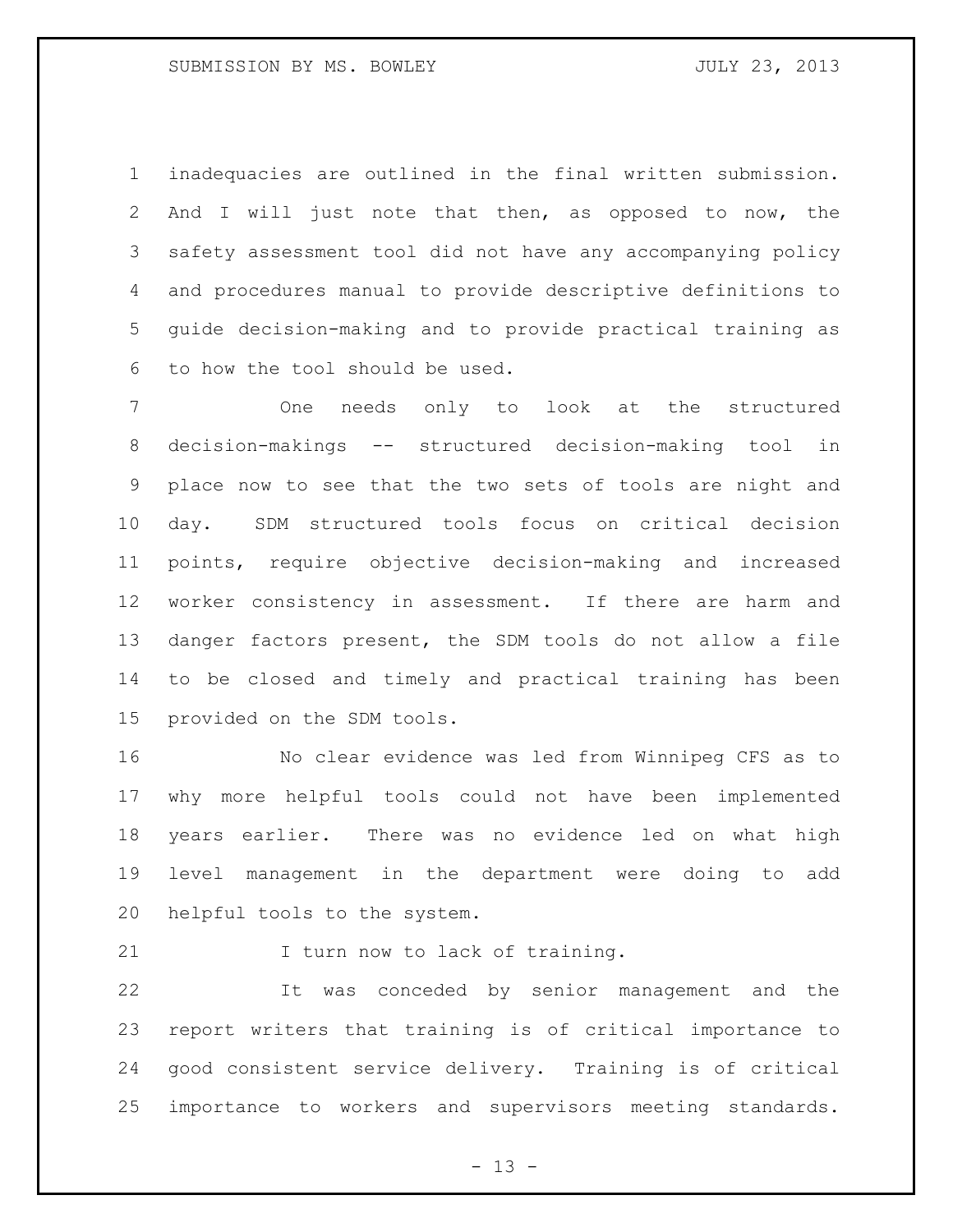inadequacies are outlined in the final written submission. And I will just note that then, as opposed to now, the safety assessment tool did not have any accompanying policy and procedures manual to provide descriptive definitions to guide decision-making and to provide practical training as to how the tool should be used.

 One needs only to look at the structured decision-makings -- structured decision-making tool in place now to see that the two sets of tools are night and day. SDM structured tools focus on critical decision points, require objective decision-making and increased worker consistency in assessment. If there are harm and danger factors present, the SDM tools do not allow a file to be closed and timely and practical training has been provided on the SDM tools.

 No clear evidence was led from Winnipeg CFS as to why more helpful tools could not have been implemented years earlier. There was no evidence led on what high level management in the department were doing to add helpful tools to the system.

21 I turn now to lack of training.

 It was conceded by senior management and the report writers that training is of critical importance to good consistent service delivery. Training is of critical importance to workers and supervisors meeting standards.

 $- 13 -$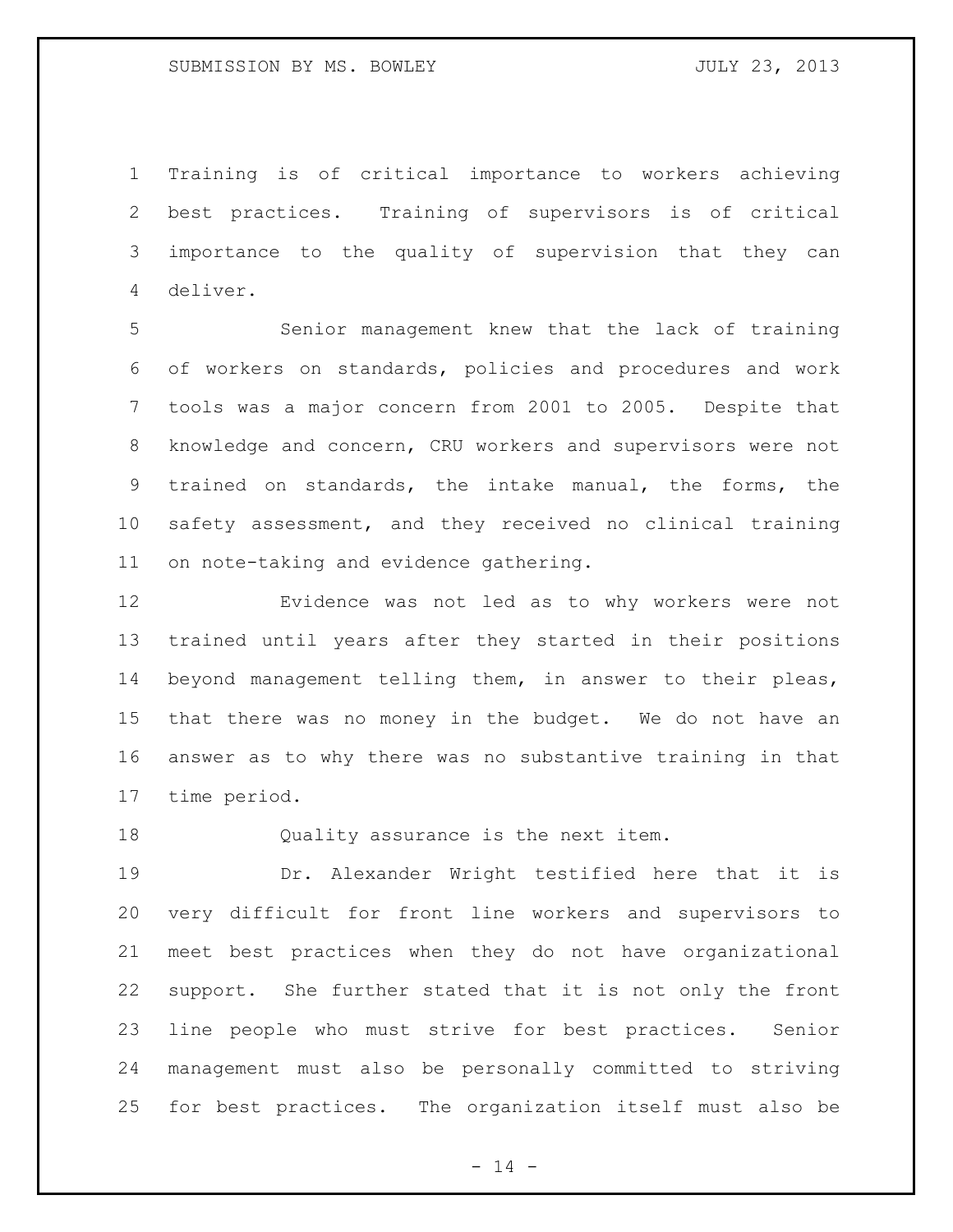Training is of critical importance to workers achieving best practices. Training of supervisors is of critical importance to the quality of supervision that they can deliver.

 Senior management knew that the lack of training of workers on standards, policies and procedures and work tools was a major concern from 2001 to 2005. Despite that knowledge and concern, CRU workers and supervisors were not trained on standards, the intake manual, the forms, the safety assessment, and they received no clinical training on note-taking and evidence gathering.

 Evidence was not led as to why workers were not trained until years after they started in their positions beyond management telling them, in answer to their pleas, that there was no money in the budget. We do not have an answer as to why there was no substantive training in that time period.

Quality assurance is the next item.

 Dr. Alexander Wright testified here that it is very difficult for front line workers and supervisors to meet best practices when they do not have organizational support. She further stated that it is not only the front line people who must strive for best practices. Senior management must also be personally committed to striving for best practices. The organization itself must also be

 $- 14 -$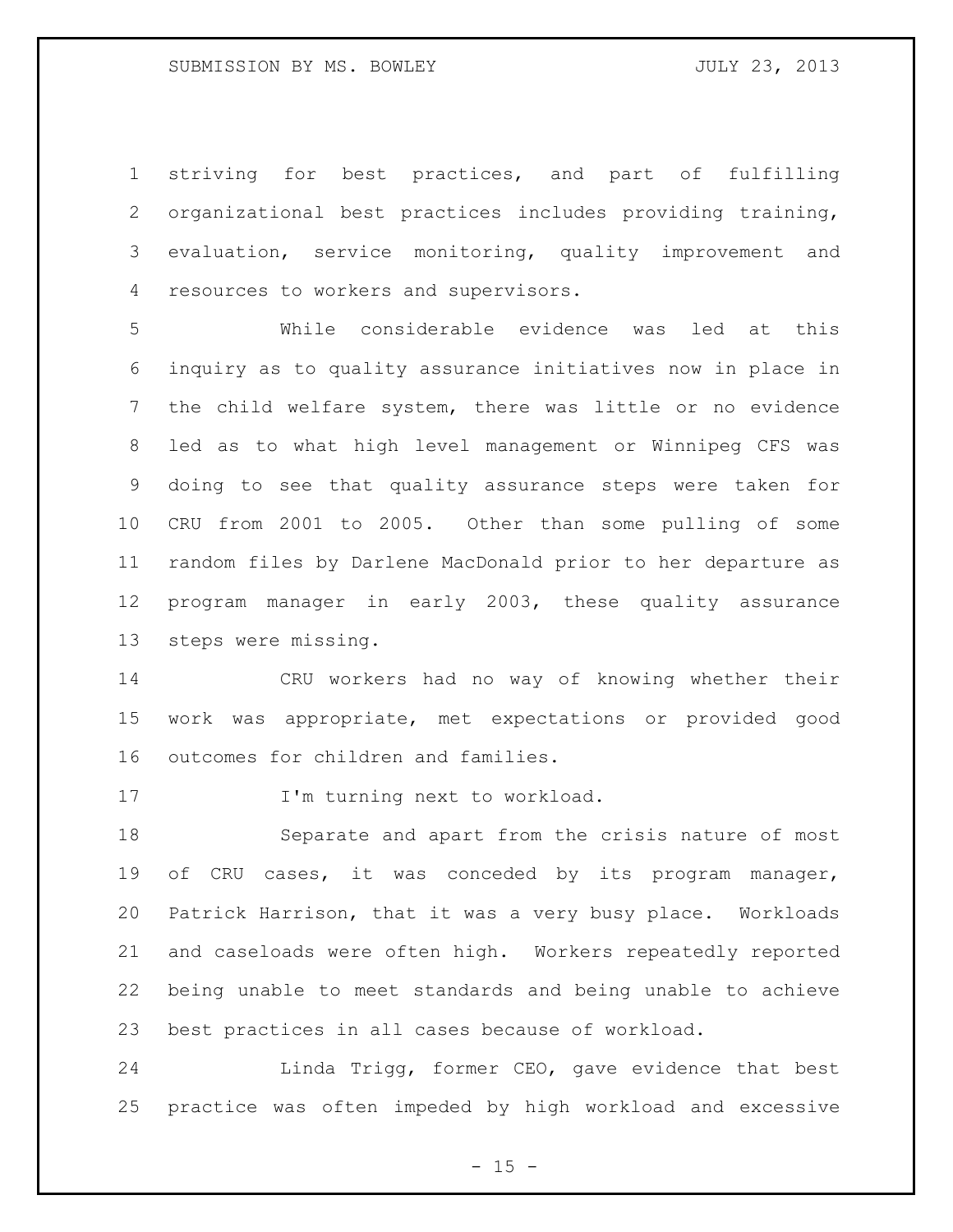striving for best practices, and part of fulfilling organizational best practices includes providing training, evaluation, service monitoring, quality improvement and resources to workers and supervisors.

 While considerable evidence was led at this inquiry as to quality assurance initiatives now in place in the child welfare system, there was little or no evidence led as to what high level management or Winnipeg CFS was doing to see that quality assurance steps were taken for CRU from 2001 to 2005. Other than some pulling of some random files by Darlene MacDonald prior to her departure as program manager in early 2003, these quality assurance steps were missing.

 CRU workers had no way of knowing whether their work was appropriate, met expectations or provided good outcomes for children and families.

17 I'm turning next to workload.

 Separate and apart from the crisis nature of most of CRU cases, it was conceded by its program manager, Patrick Harrison, that it was a very busy place. Workloads and caseloads were often high. Workers repeatedly reported being unable to meet standards and being unable to achieve best practices in all cases because of workload.

 Linda Trigg, former CEO, gave evidence that best practice was often impeded by high workload and excessive

 $- 15 -$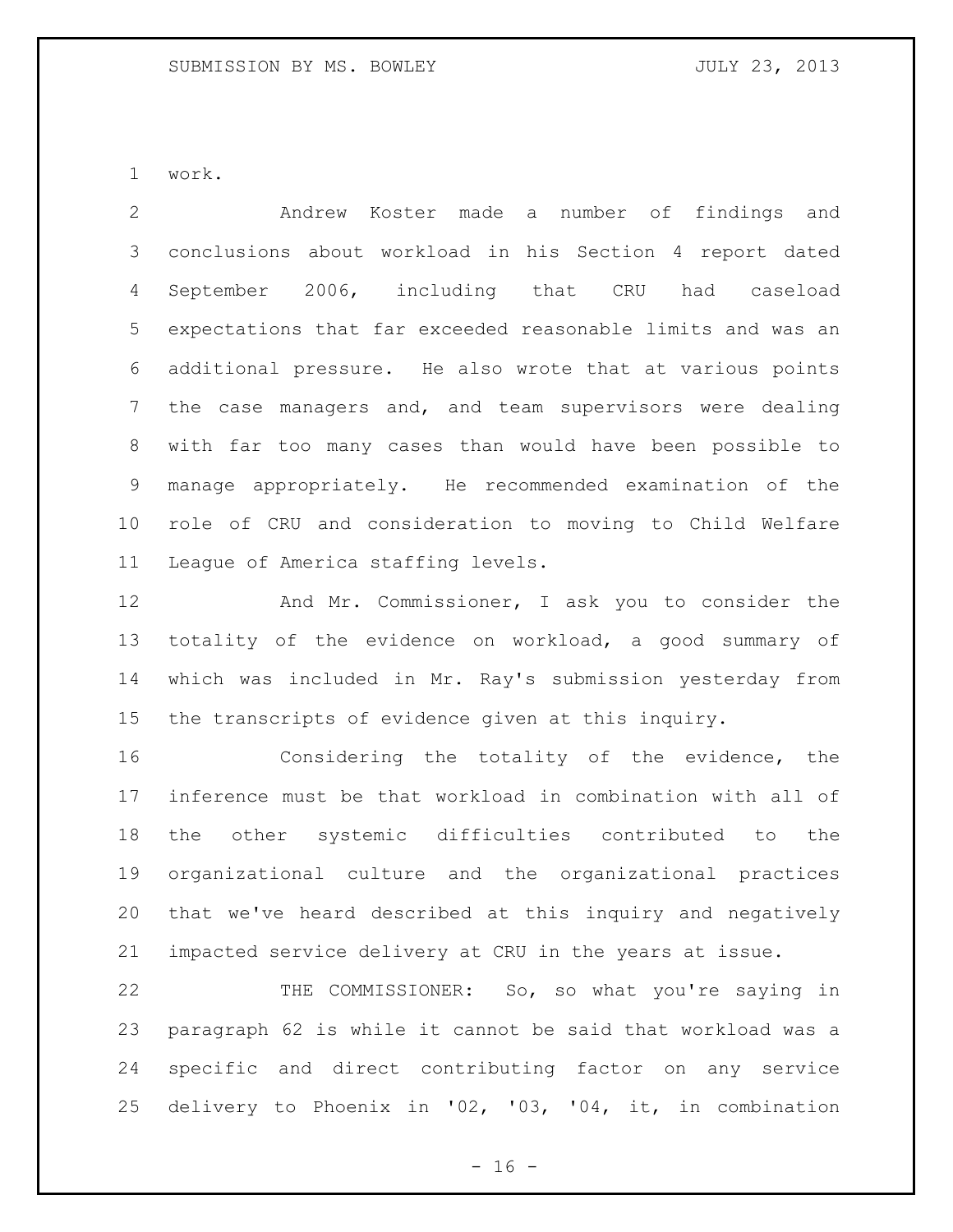work.

 Andrew Koster made a number of findings and conclusions about workload in his Section 4 report dated September 2006, including that CRU had caseload expectations that far exceeded reasonable limits and was an additional pressure. He also wrote that at various points the case managers and, and team supervisors were dealing with far too many cases than would have been possible to manage appropriately. He recommended examination of the role of CRU and consideration to moving to Child Welfare League of America staffing levels.

 And Mr. Commissioner, I ask you to consider the totality of the evidence on workload, a good summary of which was included in Mr. Ray's submission yesterday from the transcripts of evidence given at this inquiry.

 Considering the totality of the evidence, the inference must be that workload in combination with all of the other systemic difficulties contributed to the organizational culture and the organizational practices that we've heard described at this inquiry and negatively impacted service delivery at CRU in the years at issue.

 THE COMMISSIONER: So, so what you're saying in paragraph 62 is while it cannot be said that workload was a specific and direct contributing factor on any service delivery to Phoenix in '02, '03, '04, it, in combination

 $- 16 -$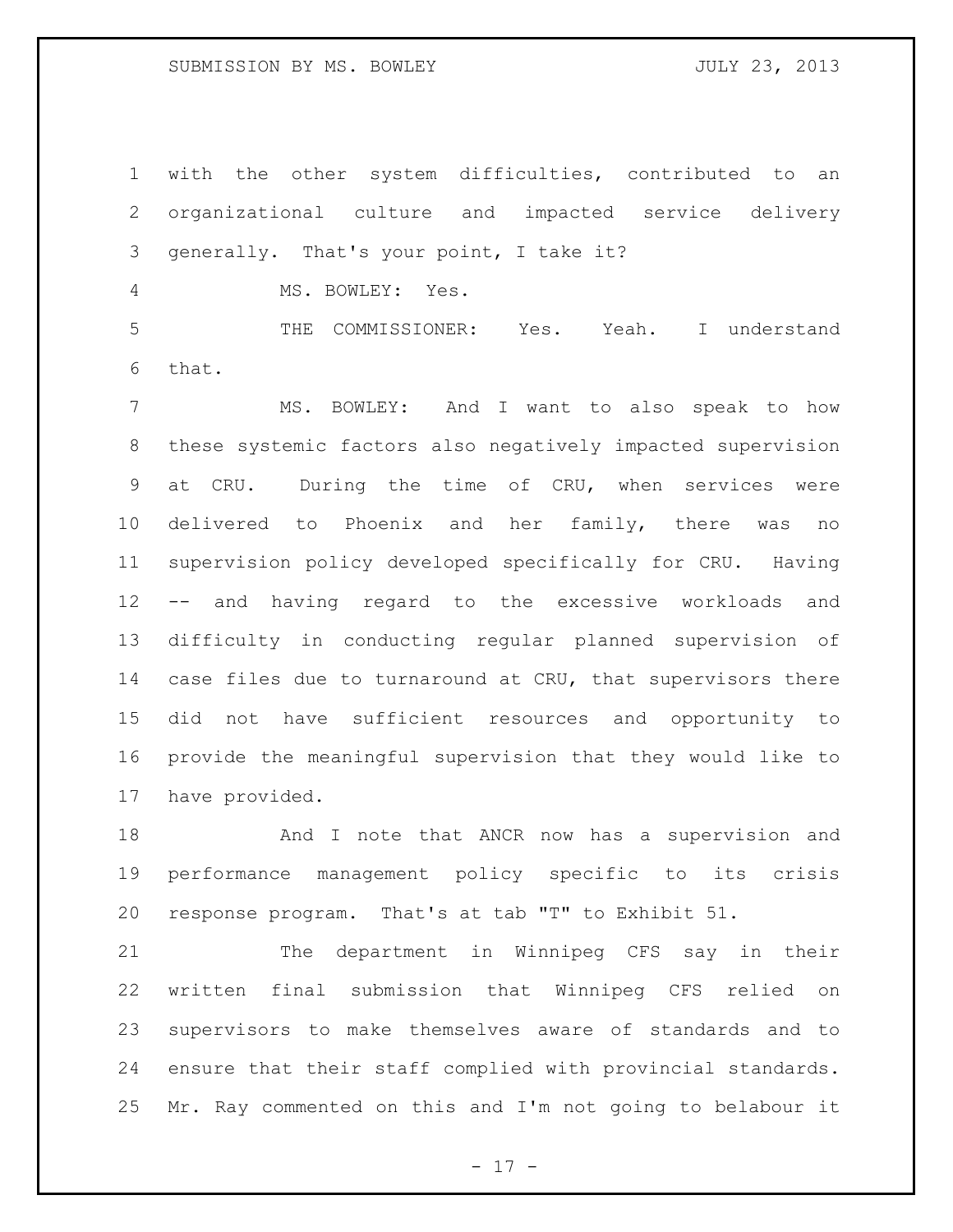### SUBMISSION BY MS. BOWLEY **SUBMISSION** BY MS. AND MULT 23, 2013

 with the other system difficulties, contributed to an organizational culture and impacted service delivery generally. That's your point, I take it?

MS. BOWLEY: Yes.

 THE COMMISSIONER: Yes. Yeah. I understand that.

 MS. BOWLEY: And I want to also speak to how these systemic factors also negatively impacted supervision at CRU. During the time of CRU, when services were delivered to Phoenix and her family, there was no supervision policy developed specifically for CRU. Having -- and having regard to the excessive workloads and difficulty in conducting regular planned supervision of 14 case files due to turnaround at CRU, that supervisors there did not have sufficient resources and opportunity to provide the meaningful supervision that they would like to have provided.

18 And I note that ANCR now has a supervision and performance management policy specific to its crisis response program. That's at tab "T" to Exhibit 51.

 The department in Winnipeg CFS say in their written final submission that Winnipeg CFS relied on supervisors to make themselves aware of standards and to ensure that their staff complied with provincial standards. Mr. Ray commented on this and I'm not going to belabour it

 $- 17 -$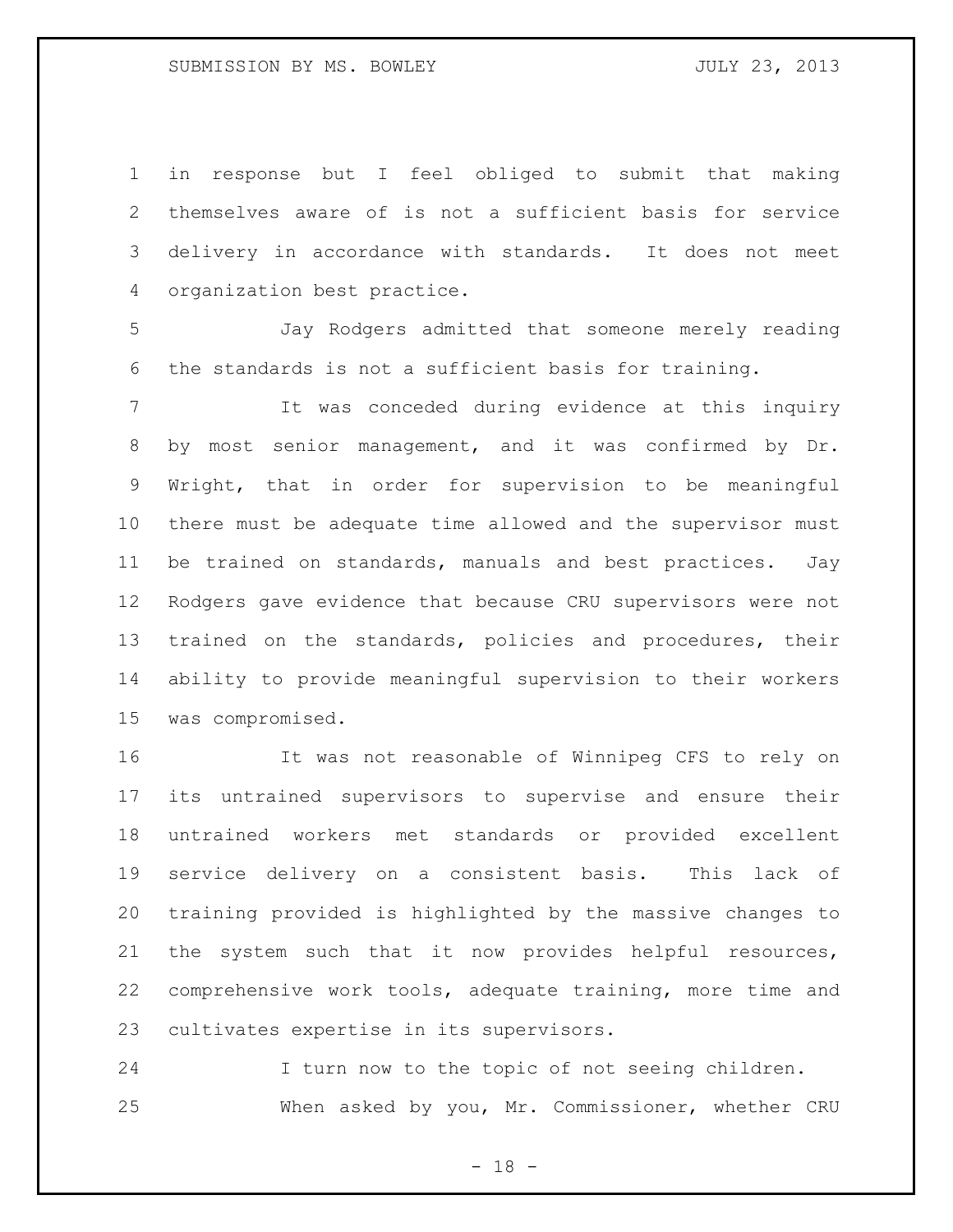in response but I feel obliged to submit that making themselves aware of is not a sufficient basis for service delivery in accordance with standards. It does not meet organization best practice.

 Jay Rodgers admitted that someone merely reading the standards is not a sufficient basis for training.

 It was conceded during evidence at this inquiry by most senior management, and it was confirmed by Dr. Wright, that in order for supervision to be meaningful there must be adequate time allowed and the supervisor must be trained on standards, manuals and best practices. Jay Rodgers gave evidence that because CRU supervisors were not trained on the standards, policies and procedures, their ability to provide meaningful supervision to their workers was compromised.

 It was not reasonable of Winnipeg CFS to rely on its untrained supervisors to supervise and ensure their untrained workers met standards or provided excellent service delivery on a consistent basis. This lack of training provided is highlighted by the massive changes to the system such that it now provides helpful resources, comprehensive work tools, adequate training, more time and cultivates expertise in its supervisors.

 I turn now to the topic of not seeing children. When asked by you, Mr. Commissioner, whether CRU

 $- 18 -$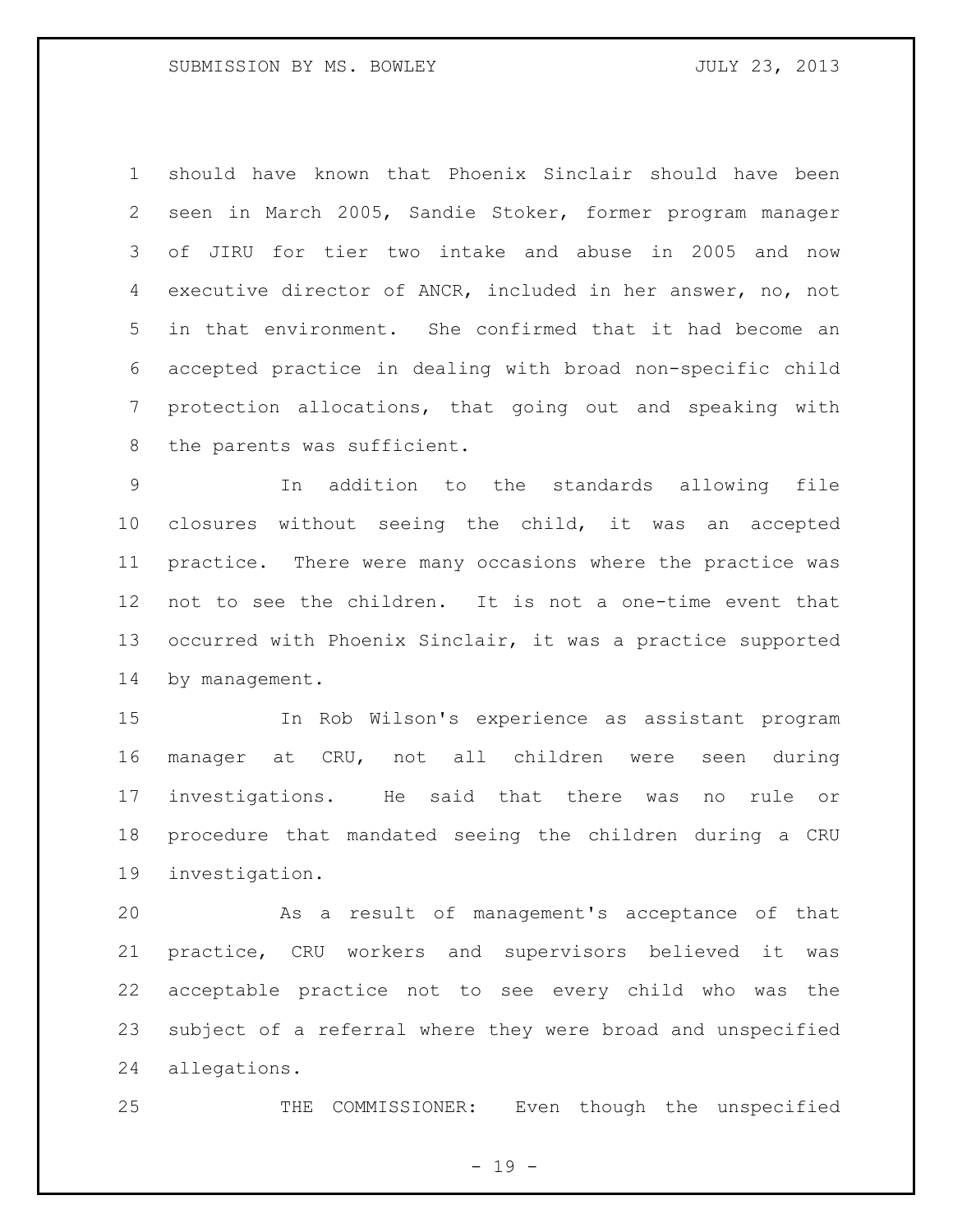should have known that Phoenix Sinclair should have been seen in March 2005, Sandie Stoker, former program manager of JIRU for tier two intake and abuse in 2005 and now executive director of ANCR, included in her answer, no, not in that environment. She confirmed that it had become an accepted practice in dealing with broad non-specific child protection allocations, that going out and speaking with 8 the parents was sufficient.

 In addition to the standards allowing file closures without seeing the child, it was an accepted practice. There were many occasions where the practice was not to see the children. It is not a one-time event that occurred with Phoenix Sinclair, it was a practice supported 14 by management.

 In Rob Wilson's experience as assistant program manager at CRU, not all children were seen during investigations. He said that there was no rule or procedure that mandated seeing the children during a CRU investigation.

 As a result of management's acceptance of that practice, CRU workers and supervisors believed it was acceptable practice not to see every child who was the subject of a referral where they were broad and unspecified allegations.

THE COMMISSIONER: Even though the unspecified

- 19 -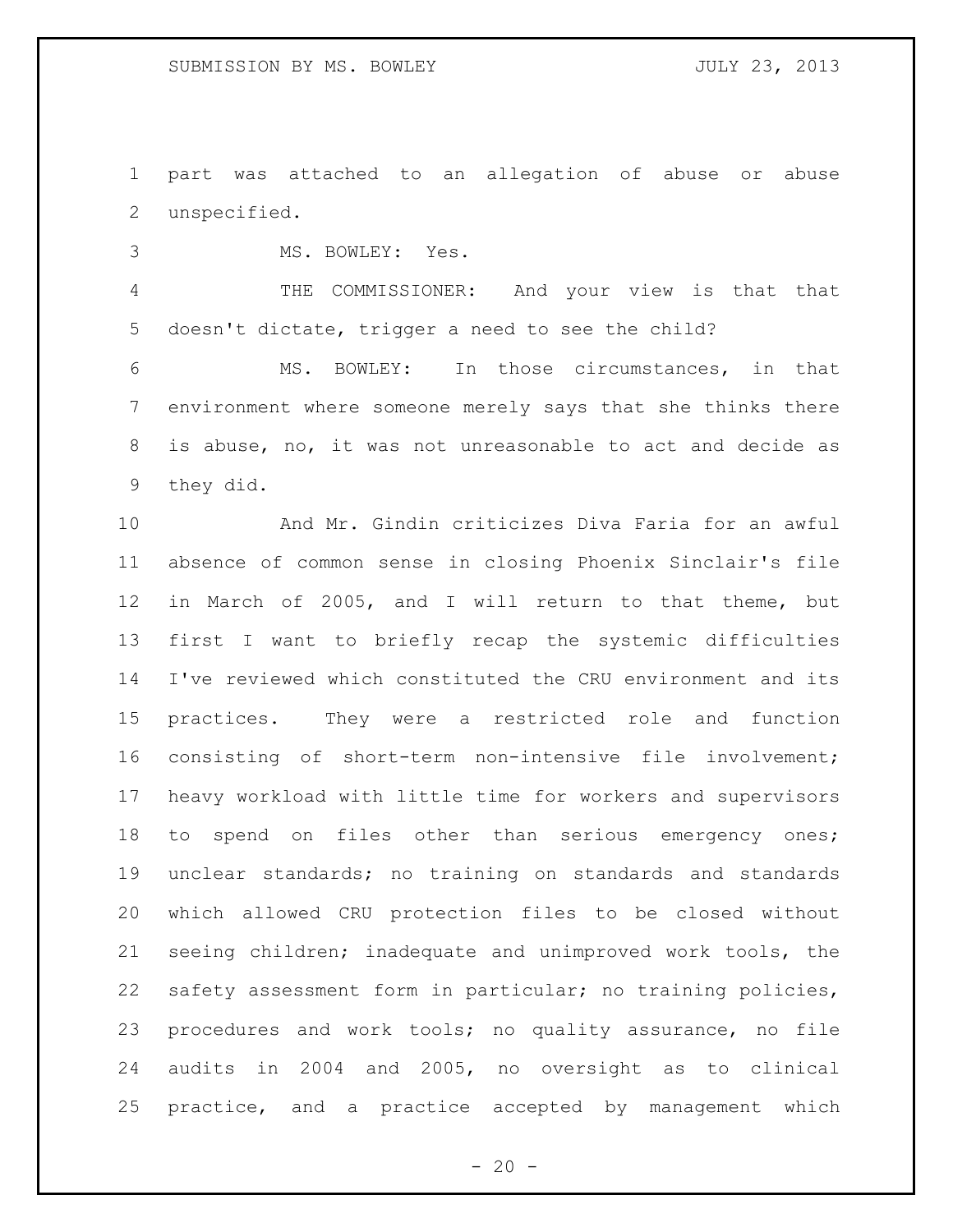part was attached to an allegation of abuse or abuse unspecified.

MS. BOWLEY: Yes.

 THE COMMISSIONER: And your view is that that doesn't dictate, trigger a need to see the child?

 MS. BOWLEY: In those circumstances, in that environment where someone merely says that she thinks there is abuse, no, it was not unreasonable to act and decide as they did.

 And Mr. Gindin criticizes Diva Faria for an awful absence of common sense in closing Phoenix Sinclair's file in March of 2005, and I will return to that theme, but first I want to briefly recap the systemic difficulties I've reviewed which constituted the CRU environment and its practices. They were a restricted role and function consisting of short-term non-intensive file involvement; heavy workload with little time for workers and supervisors 18 to spend on files other than serious emergency ones; unclear standards; no training on standards and standards which allowed CRU protection files to be closed without seeing children; inadequate and unimproved work tools, the safety assessment form in particular; no training policies, procedures and work tools; no quality assurance, no file audits in 2004 and 2005, no oversight as to clinical practice, and a practice accepted by management which

 $- 20 -$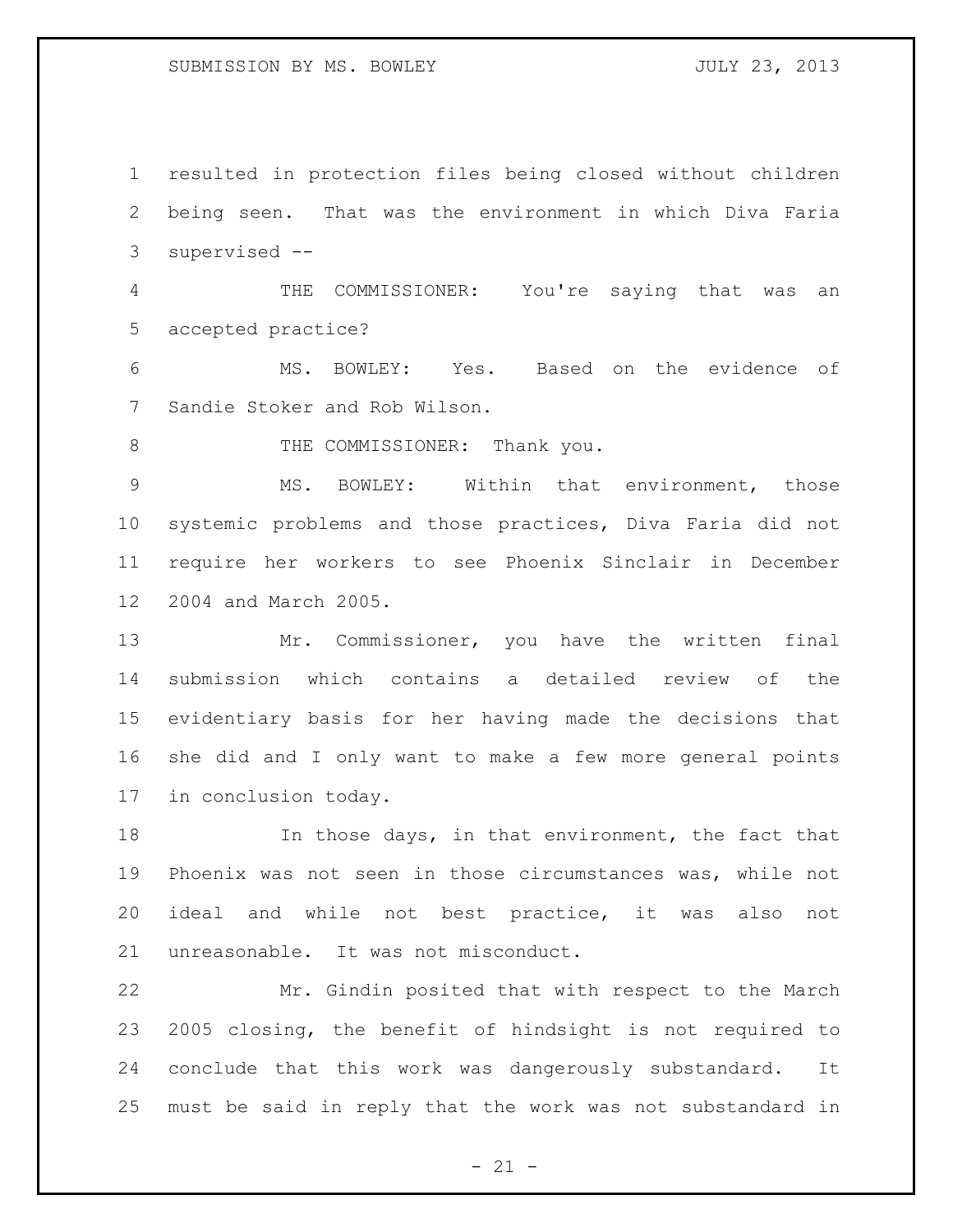### SUBMISSION BY MS. BOWLEY **SUBMISSION** BY MS. AND MULT 23, 2013

 resulted in protection files being closed without children being seen. That was the environment in which Diva Faria supervised -- THE COMMISSIONER: You're saying that was an accepted practice? MS. BOWLEY: Yes. Based on the evidence of Sandie Stoker and Rob Wilson. 8 THE COMMISSIONER: Thank you. MS. BOWLEY: Within that environment, those systemic problems and those practices, Diva Faria did not require her workers to see Phoenix Sinclair in December 2004 and March 2005. Mr. Commissioner, you have the written final

 submission which contains a detailed review of the evidentiary basis for her having made the decisions that she did and I only want to make a few more general points in conclusion today.

 In those days, in that environment, the fact that Phoenix was not seen in those circumstances was, while not ideal and while not best practice, it was also not unreasonable. It was not misconduct.

 Mr. Gindin posited that with respect to the March 2005 closing, the benefit of hindsight is not required to conclude that this work was dangerously substandard. It must be said in reply that the work was not substandard in

 $- 21 -$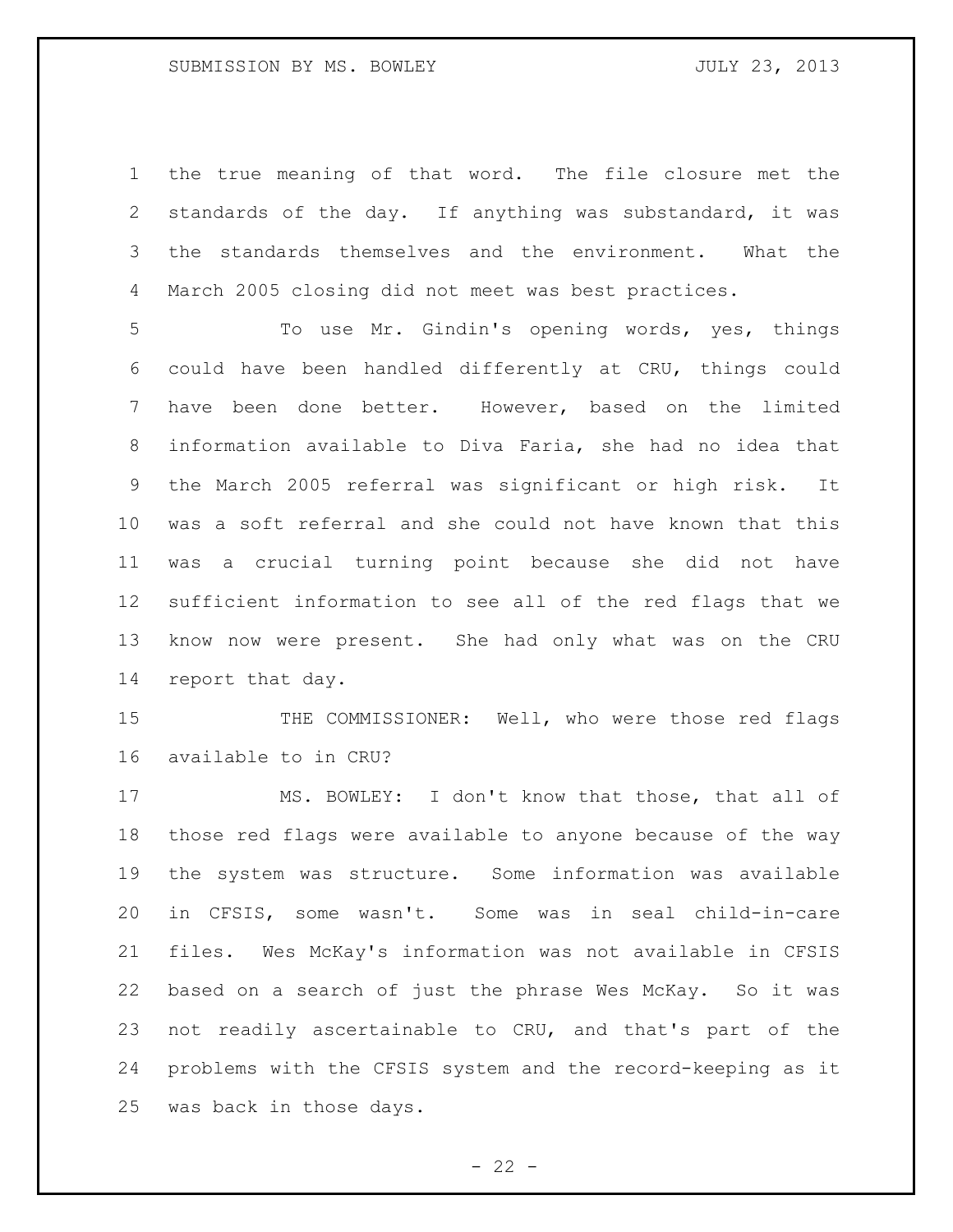the true meaning of that word. The file closure met the standards of the day. If anything was substandard, it was the standards themselves and the environment. What the March 2005 closing did not meet was best practices.

 To use Mr. Gindin's opening words, yes, things could have been handled differently at CRU, things could have been done better. However, based on the limited information available to Diva Faria, she had no idea that the March 2005 referral was significant or high risk. It was a soft referral and she could not have known that this was a crucial turning point because she did not have sufficient information to see all of the red flags that we know now were present. She had only what was on the CRU report that day.

 THE COMMISSIONER: Well, who were those red flags available to in CRU?

 MS. BOWLEY: I don't know that those, that all of those red flags were available to anyone because of the way the system was structure. Some information was available in CFSIS, some wasn't. Some was in seal child-in-care files. Wes McKay's information was not available in CFSIS based on a search of just the phrase Wes McKay. So it was not readily ascertainable to CRU, and that's part of the problems with the CFSIS system and the record-keeping as it was back in those days.

 $- 22 -$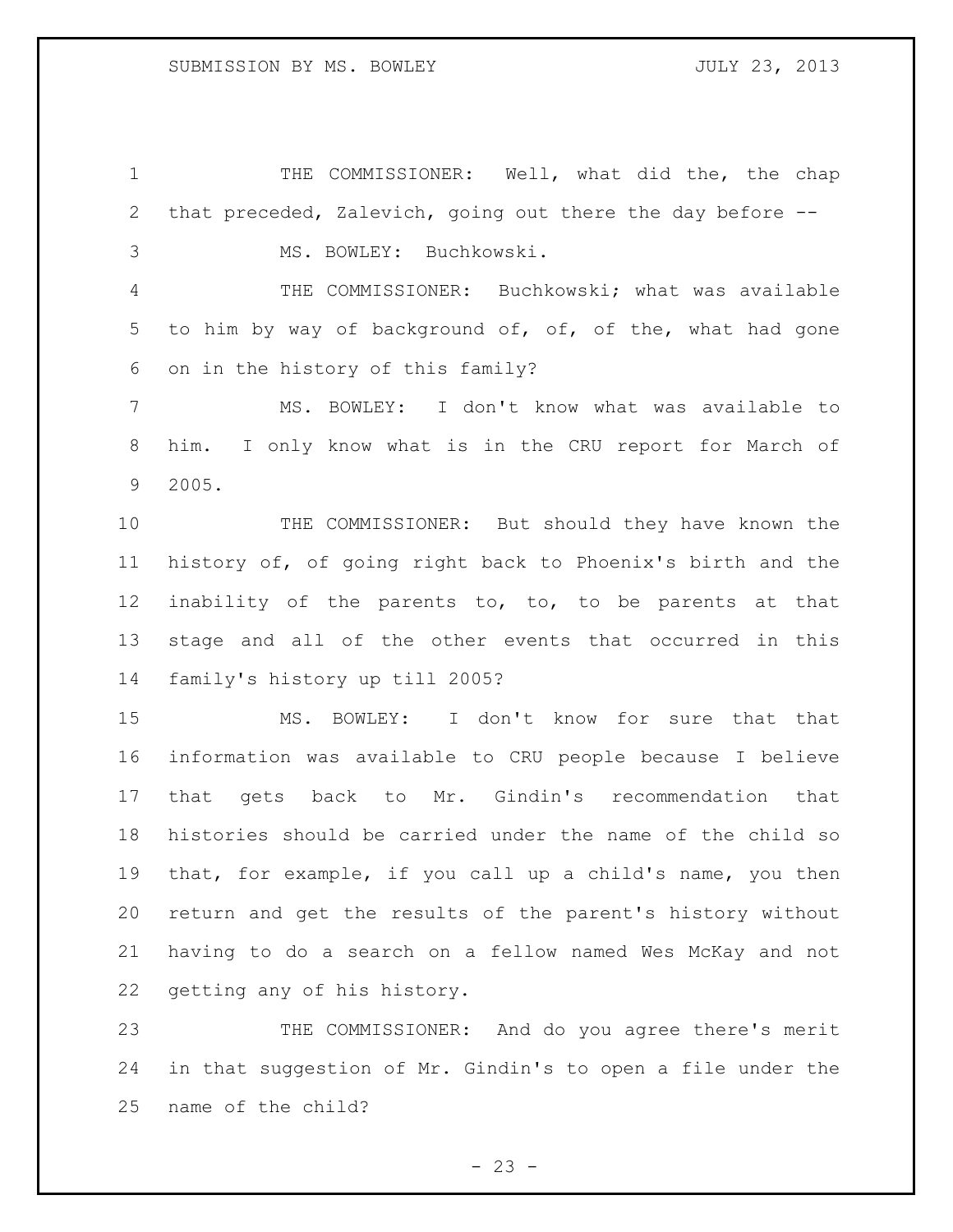THE COMMISSIONER: Well, what did the, the chap that preceded, Zalevich, going out there the day before -- MS. BOWLEY: Buchkowski. THE COMMISSIONER: Buchkowski; what was available 5 to him by way of background of, of, of the, what had gone on in the history of this family? MS. BOWLEY: I don't know what was available to him. I only know what is in the CRU report for March of 2005. THE COMMISSIONER: But should they have known the history of, of going right back to Phoenix's birth and the inability of the parents to, to, to be parents at that stage and all of the other events that occurred in this family's history up till 2005? MS. BOWLEY: I don't know for sure that that

 information was available to CRU people because I believe that gets back to Mr. Gindin's recommendation that histories should be carried under the name of the child so that, for example, if you call up a child's name, you then return and get the results of the parent's history without having to do a search on a fellow named Wes McKay and not getting any of his history.

 THE COMMISSIONER: And do you agree there's merit in that suggestion of Mr. Gindin's to open a file under the name of the child?

 $- 23 -$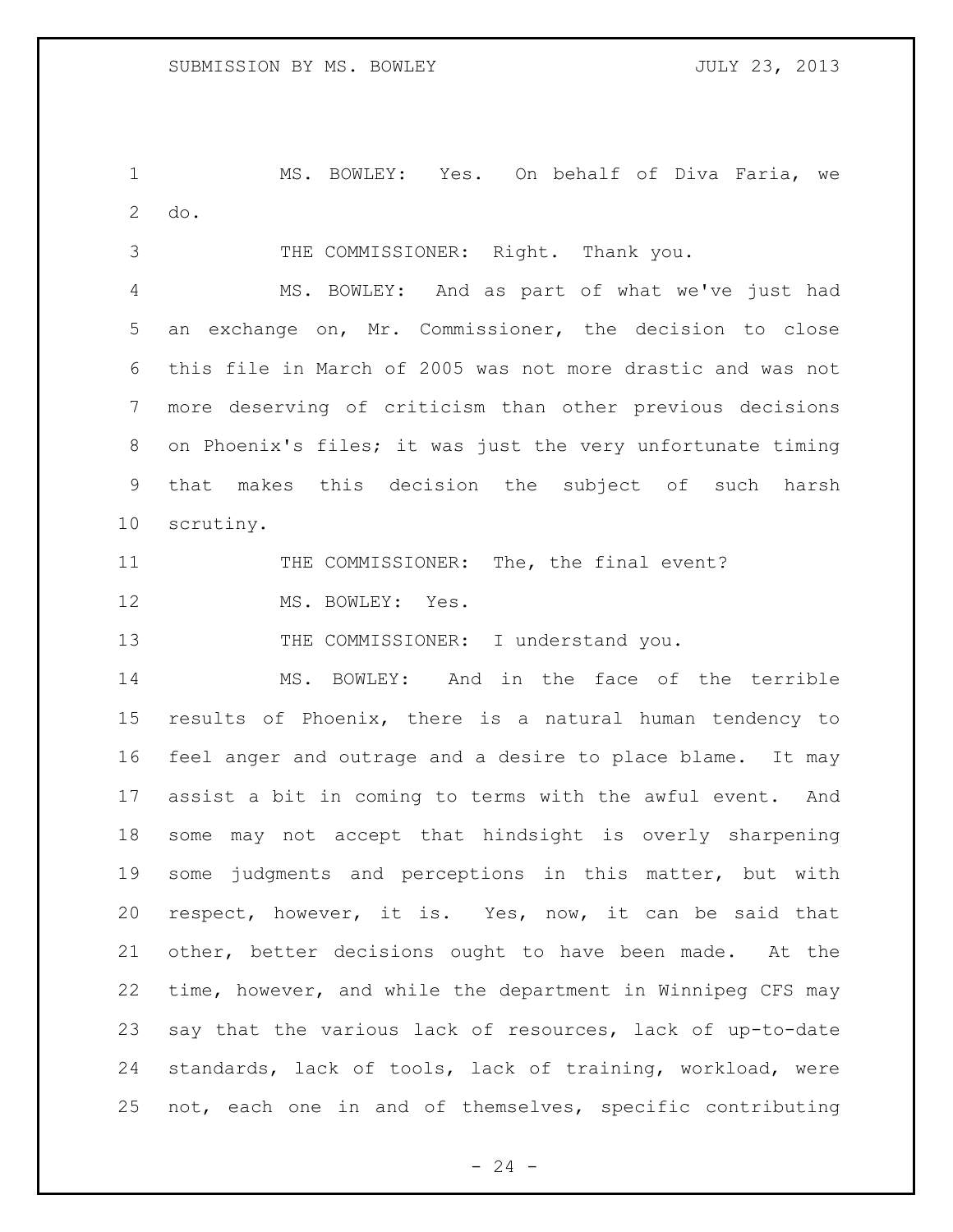MS. BOWLEY: Yes. On behalf of Diva Faria, we do.

THE COMMISSIONER: Right. Thank you.

 MS. BOWLEY: And as part of what we've just had an exchange on, Mr. Commissioner, the decision to close this file in March of 2005 was not more drastic and was not more deserving of criticism than other previous decisions on Phoenix's files; it was just the very unfortunate timing that makes this decision the subject of such harsh scrutiny.

11 THE COMMISSIONER: The, the final event?

12 MS. BOWLEY: Yes.

13 THE COMMISSIONER: I understand you.

 MS. BOWLEY: And in the face of the terrible results of Phoenix, there is a natural human tendency to feel anger and outrage and a desire to place blame. It may assist a bit in coming to terms with the awful event. And some may not accept that hindsight is overly sharpening some judgments and perceptions in this matter, but with respect, however, it is. Yes, now, it can be said that other, better decisions ought to have been made. At the time, however, and while the department in Winnipeg CFS may say that the various lack of resources, lack of up-to-date standards, lack of tools, lack of training, workload, were not, each one in and of themselves, specific contributing

 $- 24 -$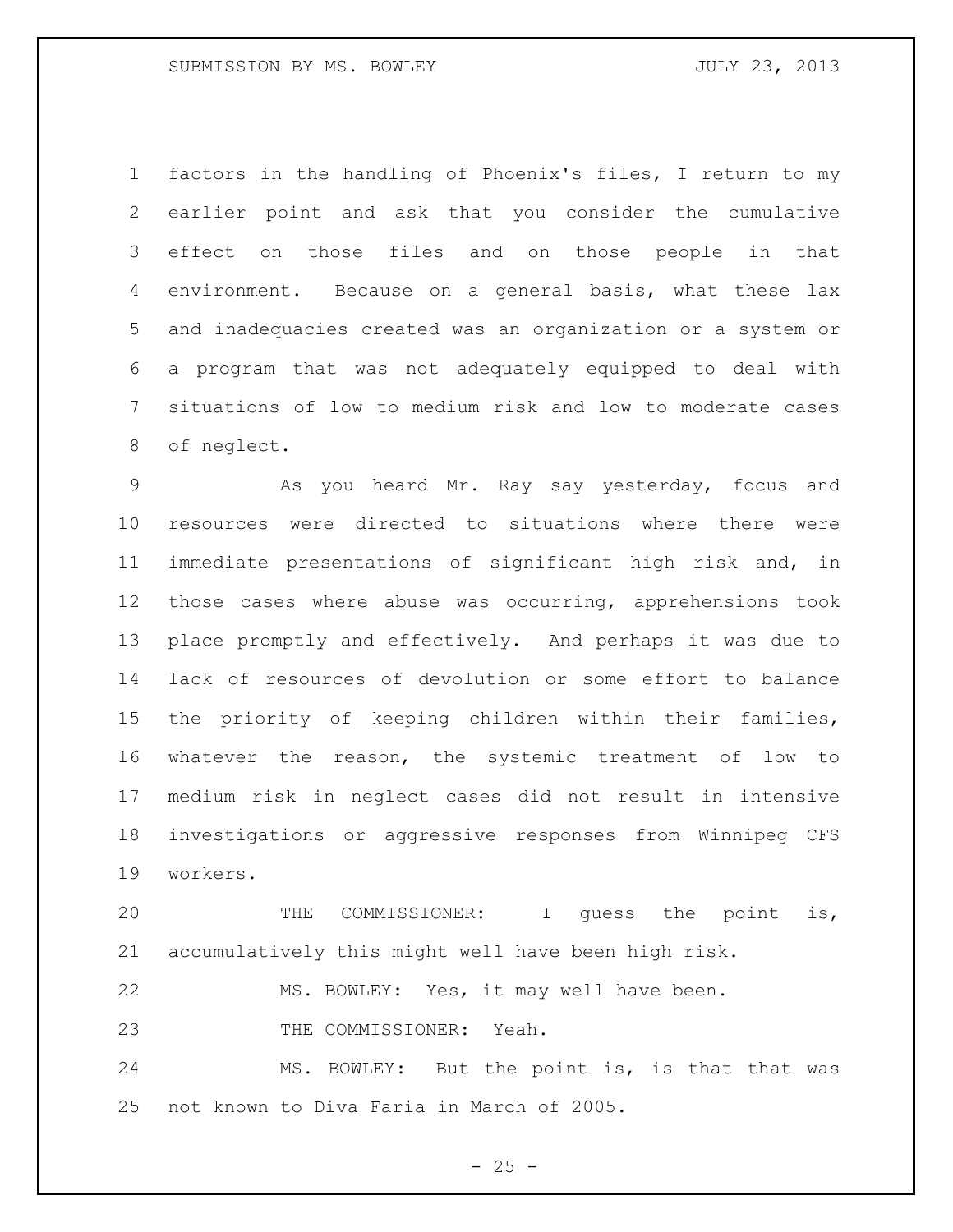factors in the handling of Phoenix's files, I return to my earlier point and ask that you consider the cumulative effect on those files and on those people in that environment. Because on a general basis, what these lax and inadequacies created was an organization or a system or a program that was not adequately equipped to deal with situations of low to medium risk and low to moderate cases of neglect.

 As you heard Mr. Ray say yesterday, focus and resources were directed to situations where there were immediate presentations of significant high risk and, in those cases where abuse was occurring, apprehensions took place promptly and effectively. And perhaps it was due to lack of resources of devolution or some effort to balance the priority of keeping children within their families, whatever the reason, the systemic treatment of low to medium risk in neglect cases did not result in intensive investigations or aggressive responses from Winnipeg CFS workers.

 THE COMMISSIONER: I guess the point is, accumulatively this might well have been high risk.

MS. BOWLEY: Yes, it may well have been.

THE COMMISSIONER: Yeah.

 MS. BOWLEY: But the point is, is that that was not known to Diva Faria in March of 2005.

 $- 25 -$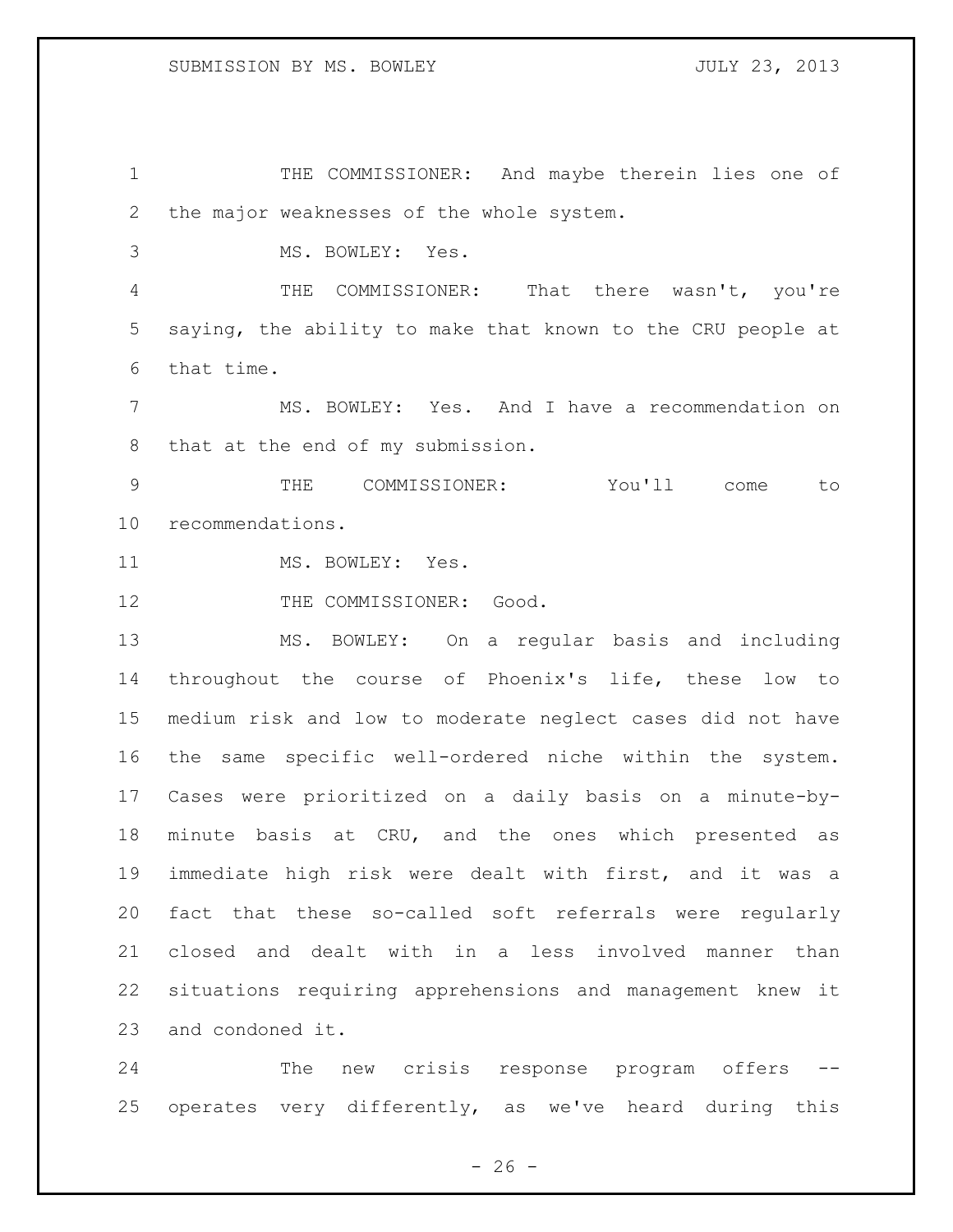THE COMMISSIONER: And maybe therein lies one of the major weaknesses of the whole system.

MS. BOWLEY: Yes.

 THE COMMISSIONER: That there wasn't, you're saying, the ability to make that known to the CRU people at that time.

 MS. BOWLEY: Yes. And I have a recommendation on that at the end of my submission.

 THE COMMISSIONER: You'll come to recommendations.

11 MS. BOWLEY: Yes.

12 THE COMMISSIONER: Good.

 MS. BOWLEY: On a regular basis and including throughout the course of Phoenix's life, these low to medium risk and low to moderate neglect cases did not have the same specific well-ordered niche within the system. Cases were prioritized on a daily basis on a minute-by- minute basis at CRU, and the ones which presented as immediate high risk were dealt with first, and it was a fact that these so-called soft referrals were regularly closed and dealt with in a less involved manner than situations requiring apprehensions and management knew it and condoned it.

24 The new crisis response program offers operates very differently, as we've heard during this

 $- 26 -$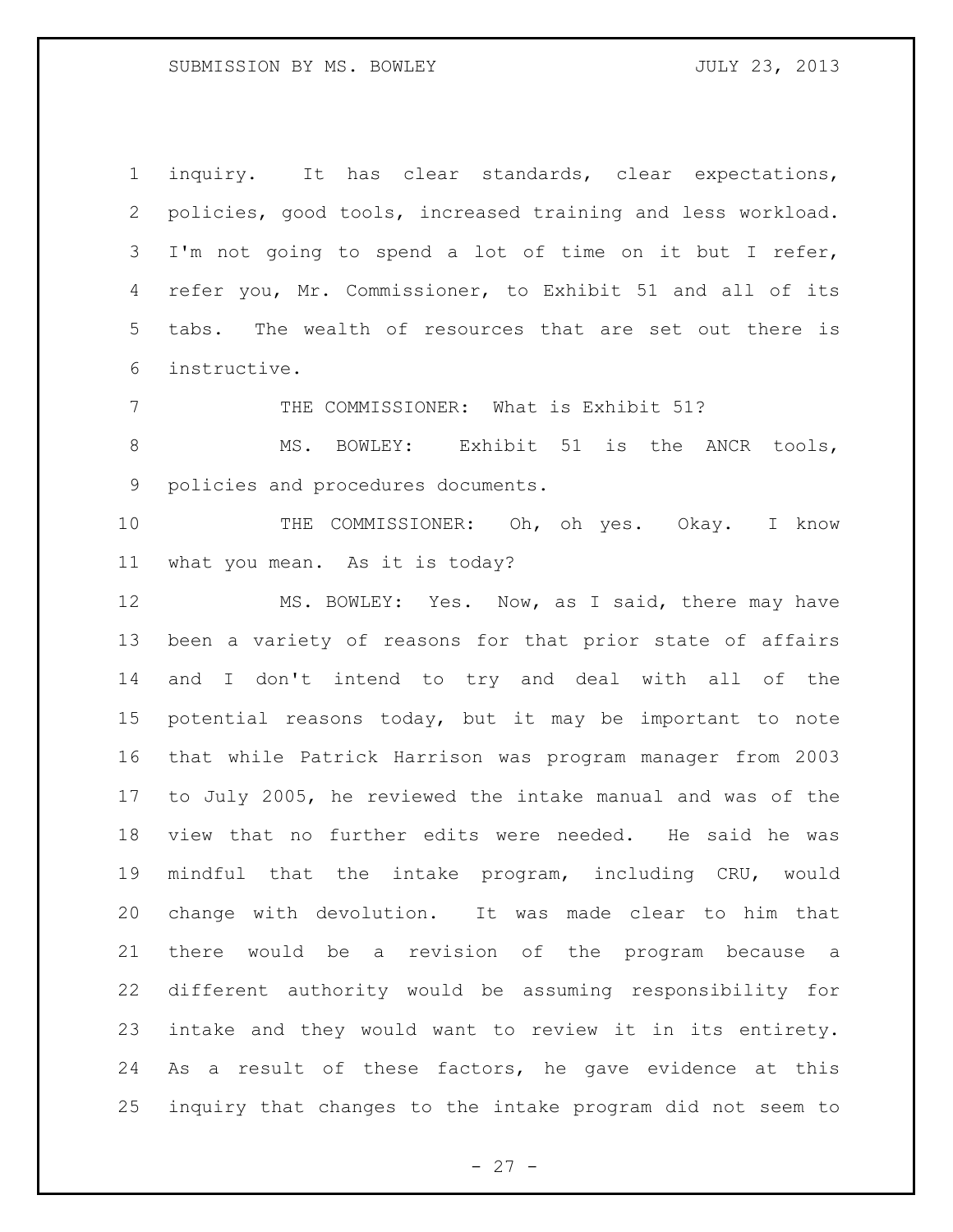SUBMISSION BY MS. BOWLEY **SUBMISSION** BY MS. AND MULT 23, 2013

 inquiry. It has clear standards, clear expectations, policies, good tools, increased training and less workload. I'm not going to spend a lot of time on it but I refer, refer you, Mr. Commissioner, to Exhibit 51 and all of its tabs. The wealth of resources that are set out there is instructive.

THE COMMISSIONER: What is Exhibit 51?

8 MS. BOWLEY: Exhibit 51 is the ANCR tools, policies and procedures documents.

10 THE COMMISSIONER: Oh, oh yes. Okay. I know what you mean. As it is today?

 MS. BOWLEY: Yes. Now, as I said, there may have been a variety of reasons for that prior state of affairs and I don't intend to try and deal with all of the potential reasons today, but it may be important to note that while Patrick Harrison was program manager from 2003 to July 2005, he reviewed the intake manual and was of the view that no further edits were needed. He said he was mindful that the intake program, including CRU, would change with devolution. It was made clear to him that there would be a revision of the program because a different authority would be assuming responsibility for intake and they would want to review it in its entirety. As a result of these factors, he gave evidence at this inquiry that changes to the intake program did not seem to

 $- 27 -$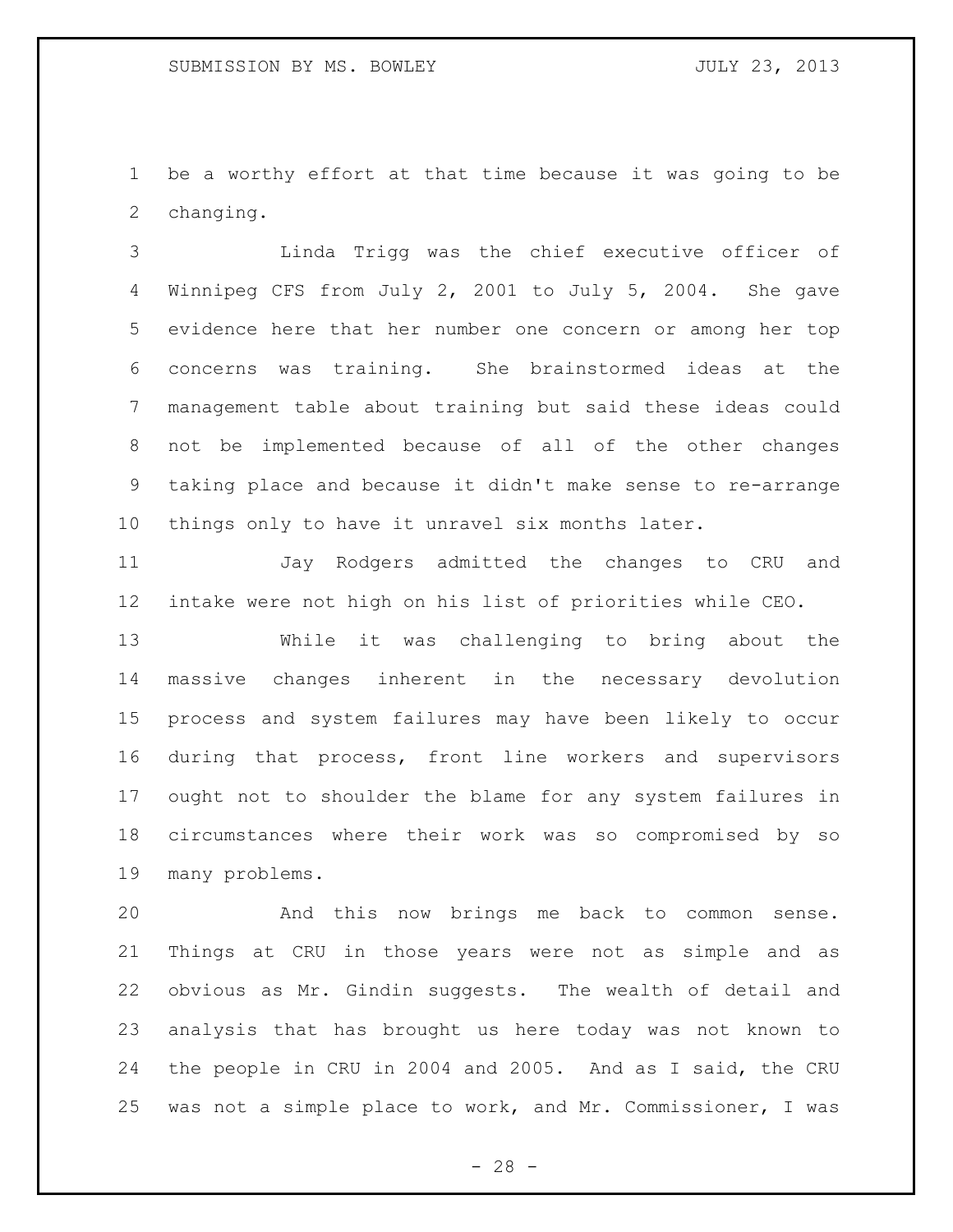be a worthy effort at that time because it was going to be changing.

 Linda Trigg was the chief executive officer of Winnipeg CFS from July 2, 2001 to July 5, 2004. She gave evidence here that her number one concern or among her top concerns was training. She brainstormed ideas at the management table about training but said these ideas could not be implemented because of all of the other changes taking place and because it didn't make sense to re-arrange things only to have it unravel six months later.

 Jay Rodgers admitted the changes to CRU and intake were not high on his list of priorities while CEO.

 While it was challenging to bring about the massive changes inherent in the necessary devolution process and system failures may have been likely to occur during that process, front line workers and supervisors ought not to shoulder the blame for any system failures in circumstances where their work was so compromised by so many problems.

 And this now brings me back to common sense. Things at CRU in those years were not as simple and as obvious as Mr. Gindin suggests. The wealth of detail and analysis that has brought us here today was not known to the people in CRU in 2004 and 2005. And as I said, the CRU was not a simple place to work, and Mr. Commissioner, I was

 $- 28 -$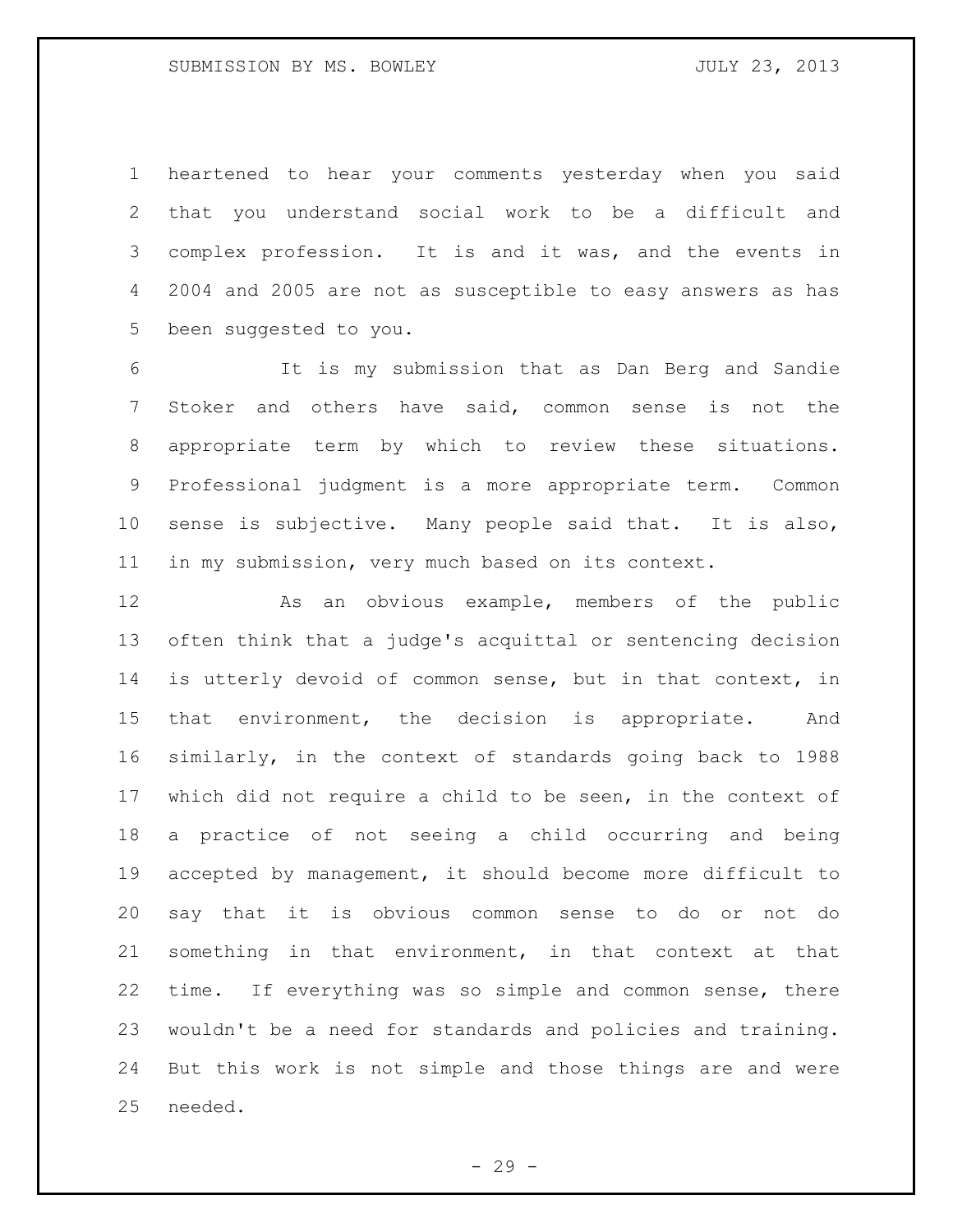heartened to hear your comments yesterday when you said that you understand social work to be a difficult and complex profession. It is and it was, and the events in 2004 and 2005 are not as susceptible to easy answers as has been suggested to you.

 It is my submission that as Dan Berg and Sandie Stoker and others have said, common sense is not the appropriate term by which to review these situations. Professional judgment is a more appropriate term. Common sense is subjective. Many people said that. It is also, in my submission, very much based on its context.

 As an obvious example, members of the public often think that a judge's acquittal or sentencing decision is utterly devoid of common sense, but in that context, in that environment, the decision is appropriate. And similarly, in the context of standards going back to 1988 which did not require a child to be seen, in the context of a practice of not seeing a child occurring and being accepted by management, it should become more difficult to say that it is obvious common sense to do or not do something in that environment, in that context at that time. If everything was so simple and common sense, there wouldn't be a need for standards and policies and training. But this work is not simple and those things are and were needed.

 $-29 -$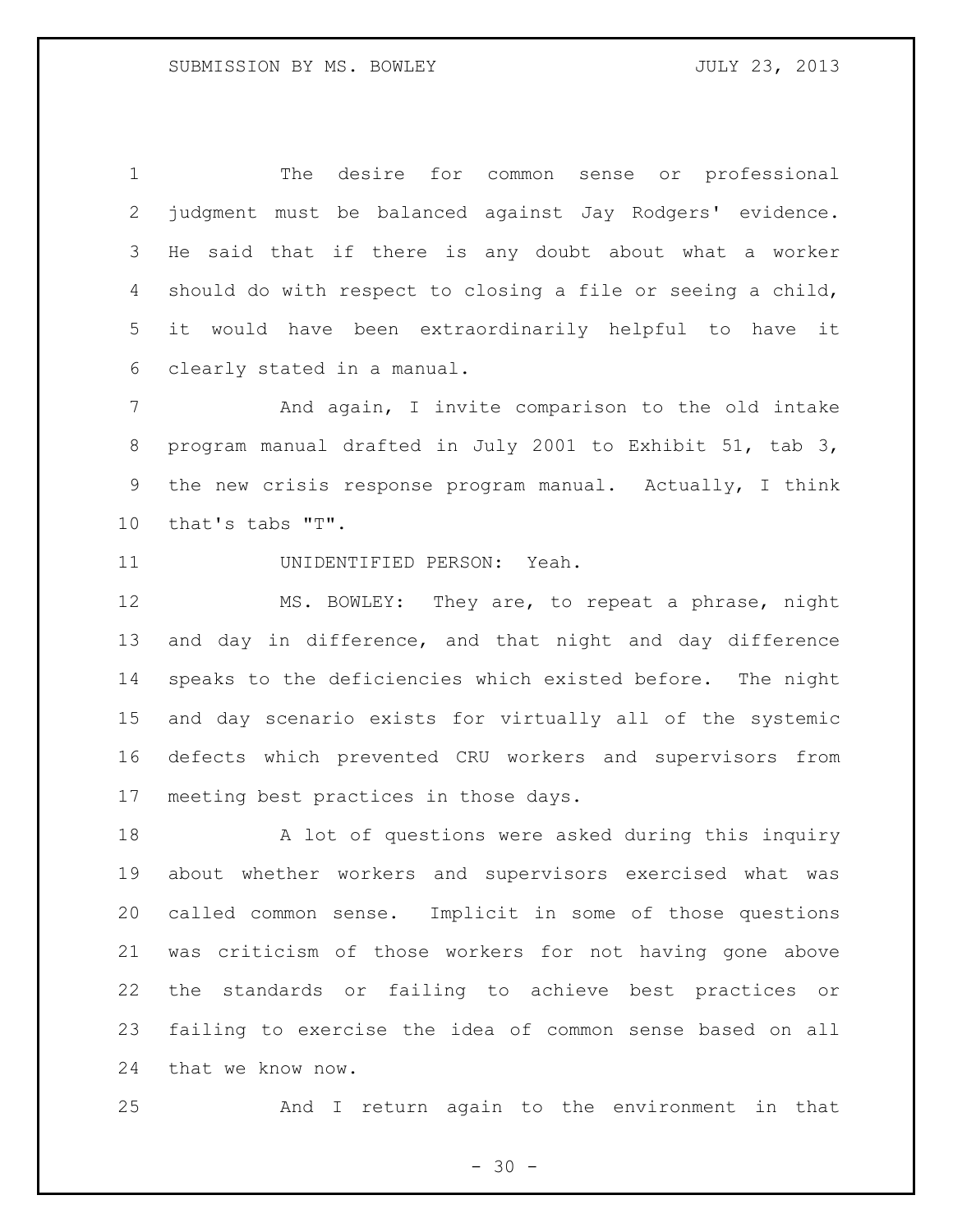The desire for common sense or professional judgment must be balanced against Jay Rodgers' evidence. He said that if there is any doubt about what a worker should do with respect to closing a file or seeing a child, it would have been extraordinarily helpful to have it clearly stated in a manual.

 And again, I invite comparison to the old intake program manual drafted in July 2001 to Exhibit 51, tab 3, the new crisis response program manual. Actually, I think that's tabs "T".

UNIDENTIFIED PERSON: Yeah.

 MS. BOWLEY: They are, to repeat a phrase, night and day in difference, and that night and day difference speaks to the deficiencies which existed before. The night and day scenario exists for virtually all of the systemic defects which prevented CRU workers and supervisors from meeting best practices in those days.

18 A lot of questions were asked during this inquiry about whether workers and supervisors exercised what was called common sense. Implicit in some of those questions was criticism of those workers for not having gone above the standards or failing to achieve best practices or failing to exercise the idea of common sense based on all that we know now.

And I return again to the environment in that

 $- 30 -$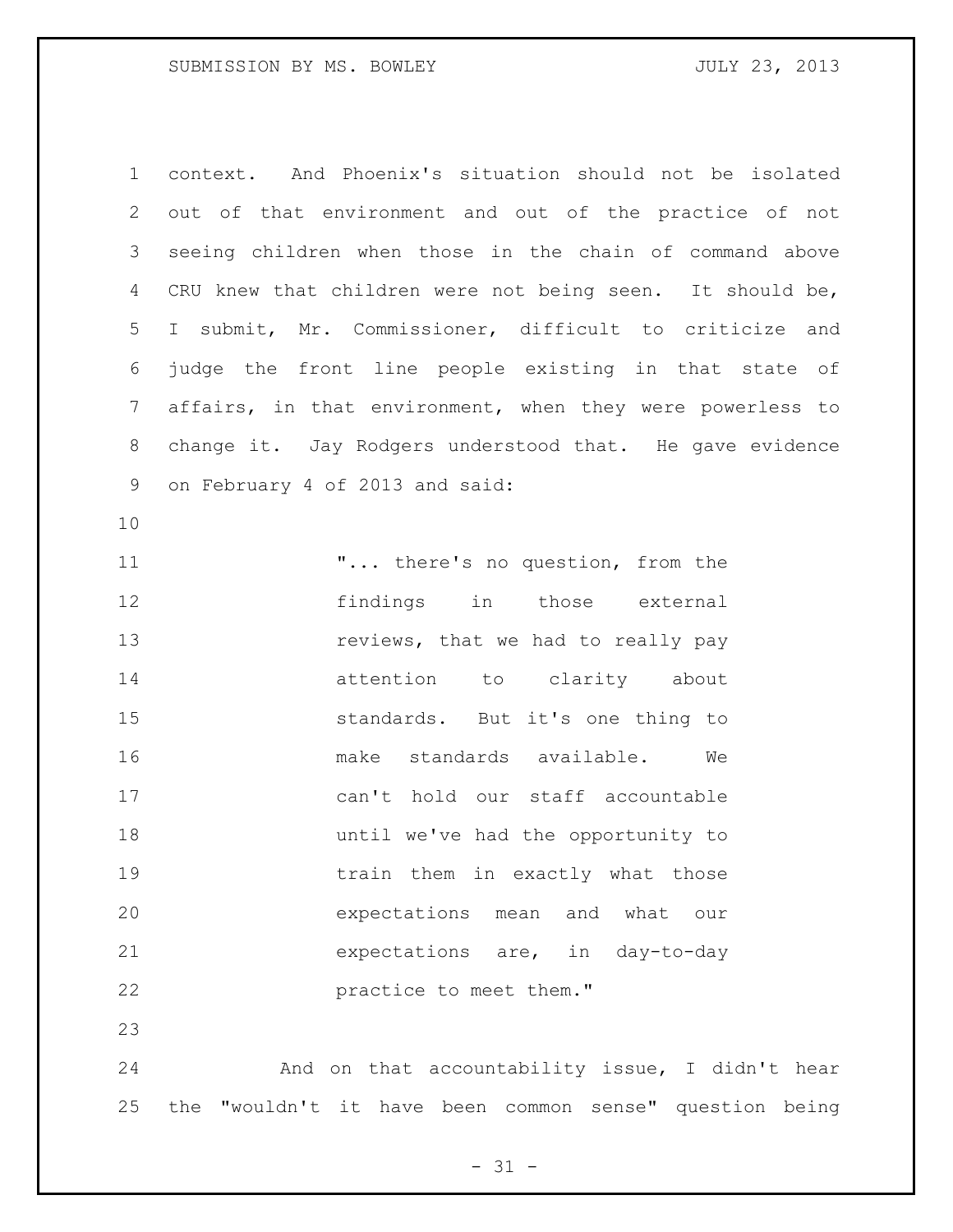context. And Phoenix's situation should not be isolated out of that environment and out of the practice of not seeing children when those in the chain of command above CRU knew that children were not being seen. It should be, I submit, Mr. Commissioner, difficult to criticize and judge the front line people existing in that state of affairs, in that environment, when they were powerless to change it. Jay Rodgers understood that. He gave evidence on February 4 of 2013 and said: "... there's no question, from the findings in those external **reviews, that we had to really pay** 14 attention to clarity about standards. But it's one thing to make standards available. We can't hold our staff accountable until we've had the opportunity to 19 train them in exactly what those expectations mean and what our expectations are, in day-to-day **practice to meet them."**  And on that accountability issue, I didn't hear the "wouldn't it have been common sense" question being

 $- 31 -$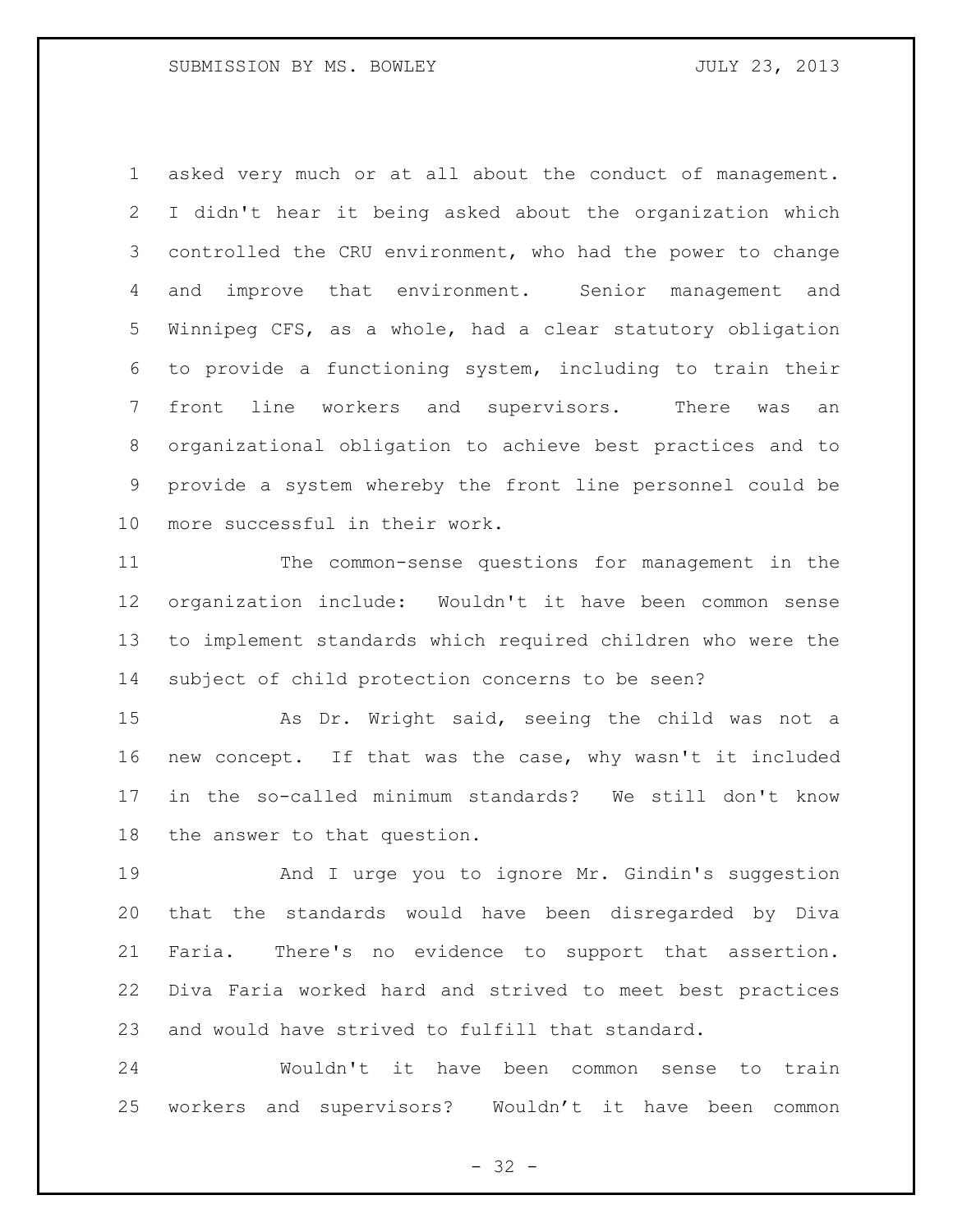asked very much or at all about the conduct of management. I didn't hear it being asked about the organization which controlled the CRU environment, who had the power to change and improve that environment. Senior management and Winnipeg CFS, as a whole, had a clear statutory obligation to provide a functioning system, including to train their front line workers and supervisors. There was an organizational obligation to achieve best practices and to provide a system whereby the front line personnel could be more successful in their work.

 The common-sense questions for management in the organization include: Wouldn't it have been common sense to implement standards which required children who were the subject of child protection concerns to be seen?

 As Dr. Wright said, seeing the child was not a new concept. If that was the case, why wasn't it included in the so-called minimum standards? We still don't know the answer to that question.

 And I urge you to ignore Mr. Gindin's suggestion that the standards would have been disregarded by Diva Faria. There's no evidence to support that assertion. Diva Faria worked hard and strived to meet best practices and would have strived to fulfill that standard.

 Wouldn't it have been common sense to train workers and supervisors? Wouldn't it have been common

 $- 32 -$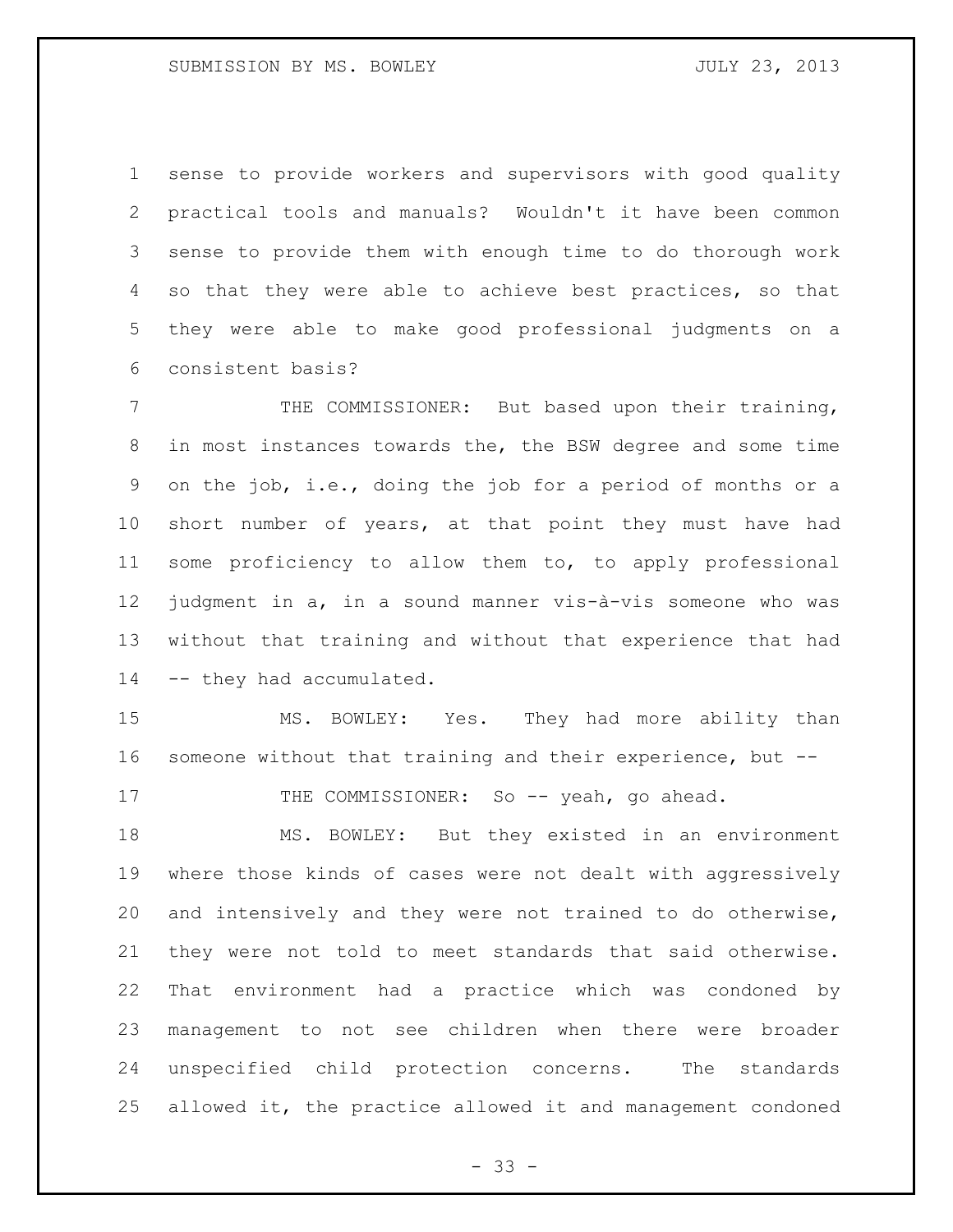sense to provide workers and supervisors with good quality practical tools and manuals? Wouldn't it have been common sense to provide them with enough time to do thorough work so that they were able to achieve best practices, so that they were able to make good professional judgments on a consistent basis?

 THE COMMISSIONER: But based upon their training, in most instances towards the, the BSW degree and some time on the job, i.e., doing the job for a period of months or a short number of years, at that point they must have had some proficiency to allow them to, to apply professional judgment in a, in a sound manner vis-à-vis someone who was without that training and without that experience that had -- they had accumulated.

 MS. BOWLEY: Yes. They had more ability than someone without that training and their experience, but --

17 THE COMMISSIONER: So -- yeah, go ahead.

 MS. BOWLEY: But they existed in an environment where those kinds of cases were not dealt with aggressively and intensively and they were not trained to do otherwise, they were not told to meet standards that said otherwise. That environment had a practice which was condoned by management to not see children when there were broader unspecified child protection concerns. The standards allowed it, the practice allowed it and management condoned

 $- 33 -$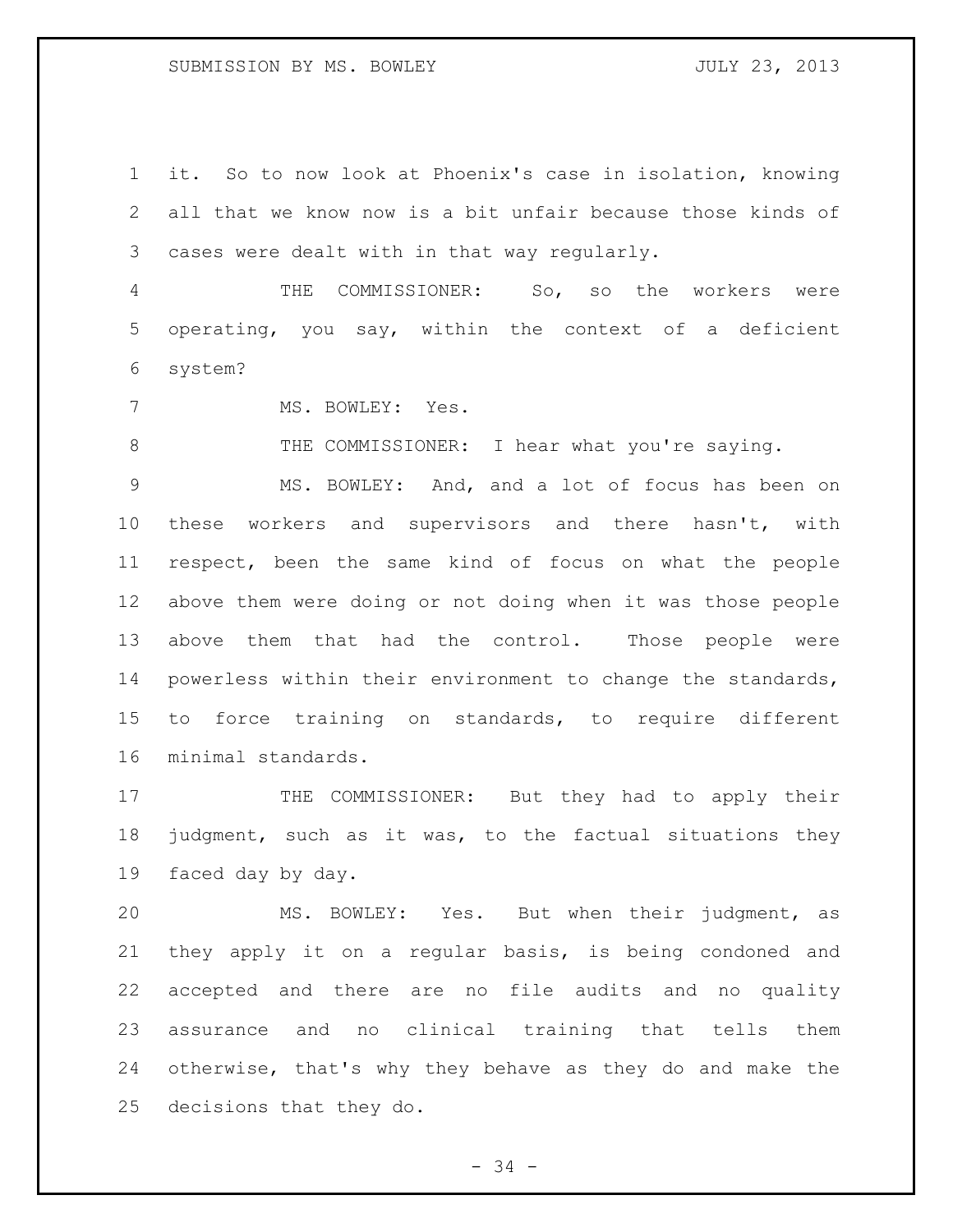## SUBMISSION BY MS. BOWLEY SUBMISSION BY MS. AND MULT 23, 2013

 it. So to now look at Phoenix's case in isolation, knowing all that we know now is a bit unfair because those kinds of cases were dealt with in that way regularly.

 THE COMMISSIONER: So, so the workers were operating, you say, within the context of a deficient system?

7 MS. BOWLEY: Yes.

8 THE COMMISSIONER: I hear what you're saying.

 MS. BOWLEY: And, and a lot of focus has been on these workers and supervisors and there hasn't, with respect, been the same kind of focus on what the people above them were doing or not doing when it was those people above them that had the control. Those people were powerless within their environment to change the standards, to force training on standards, to require different minimal standards.

17 THE COMMISSIONER: But they had to apply their judgment, such as it was, to the factual situations they faced day by day.

 MS. BOWLEY: Yes. But when their judgment, as they apply it on a regular basis, is being condoned and accepted and there are no file audits and no quality assurance and no clinical training that tells them otherwise, that's why they behave as they do and make the decisions that they do.

- 34 -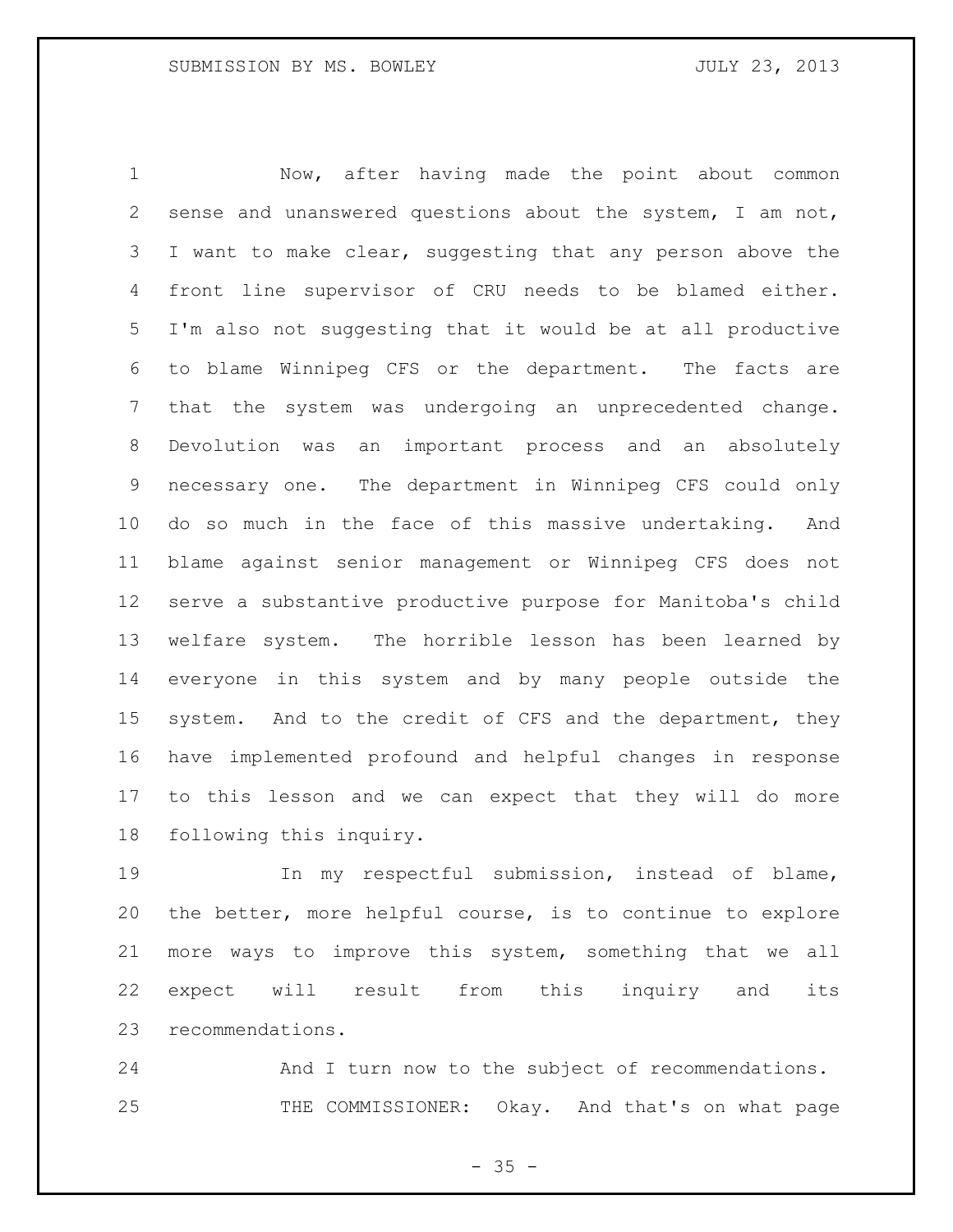Now, after having made the point about common sense and unanswered questions about the system, I am not, 3 I want to make clear, suggesting that any person above the front line supervisor of CRU needs to be blamed either. I'm also not suggesting that it would be at all productive to blame Winnipeg CFS or the department. The facts are that the system was undergoing an unprecedented change. Devolution was an important process and an absolutely necessary one. The department in Winnipeg CFS could only do so much in the face of this massive undertaking. And blame against senior management or Winnipeg CFS does not serve a substantive productive purpose for Manitoba's child welfare system. The horrible lesson has been learned by everyone in this system and by many people outside the 15 system. And to the credit of CFS and the department, they have implemented profound and helpful changes in response to this lesson and we can expect that they will do more following this inquiry.

 In my respectful submission, instead of blame, the better, more helpful course, is to continue to explore more ways to improve this system, something that we all expect will result from this inquiry and its recommendations.

 And I turn now to the subject of recommendations. 25 THE COMMISSIONER: Okay. And that's on what page

 $- 35 -$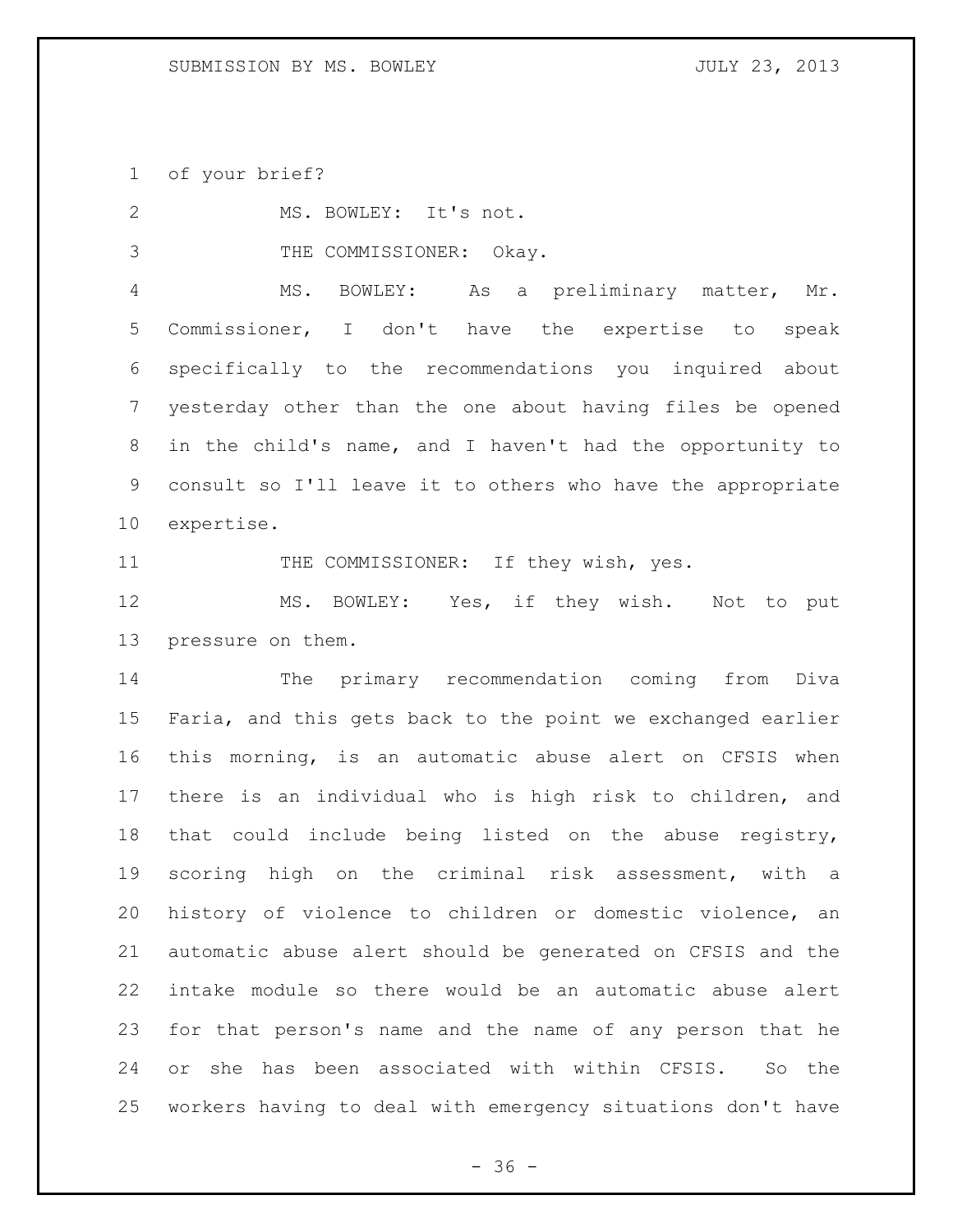of your brief?

| 2               | MS. BOWLEY: It's not.                                       |
|-----------------|-------------------------------------------------------------|
| 3               | THE COMMISSIONER: Okay.                                     |
| 4               | MS. BOWLEY: As a preliminary matter, Mr.                    |
| 5               | Commissioner, I don't have the expertise to<br>speak        |
| 6               | specifically to the recommendations you inquired about      |
| $7\phantom{.}$  | yesterday other than the one about having files be opened   |
| 8               | in the child's name, and I haven't had the opportunity to   |
| 9               | consult so I'll leave it to others who have the appropriate |
| 10 <sub>o</sub> | expertise.                                                  |
| 11              | THE COMMISSIONER: If they wish, yes.                        |
| 12              | MS. BOWLEY: Yes, if they wish. Not to put                   |
| 13              | pressure on them.                                           |
| 14              | The primary recommendation coming from Diva                 |
| 15              | Faria, and this gets back to the point we exchanged earlier |
| 16              | this morning, is an automatic abuse alert on CFSIS when     |
| 17              | there is an individual who is high risk to children, and    |
| 18              | that could include being listed on the abuse registry,      |
| 19              | scoring high on the criminal risk assessment, with a        |
| 20              | history of violence to children or domestic violence, an    |
| 21              | automatic abuse alert should be generated on CFSIS and the  |
| 22              | intake module so there would be an automatic abuse alert    |
| 23              | for that person's name and the name of any person that he   |
| 24              | or she has been associated with within CFSIS. So the        |
| 25              | workers having to deal with emergency situations don't have |

- 36 -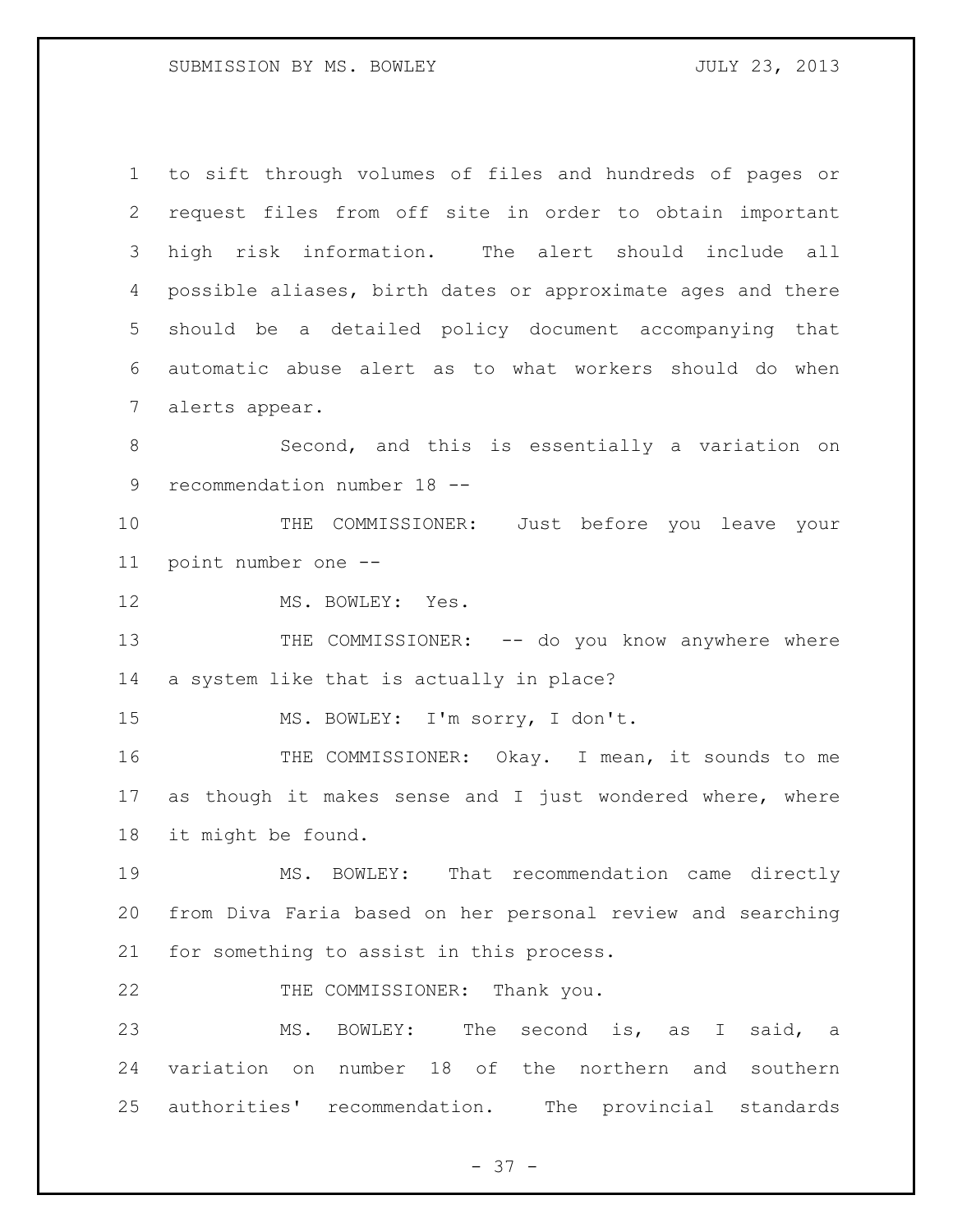# SUBMISSION BY MS. BOWLEY JULY 23, 2013

| $\mathbf 1$  | to sift through volumes of files and hundreds of pages or   |
|--------------|-------------------------------------------------------------|
| $\mathbf{2}$ | request files from off site in order to obtain important    |
| 3            | high risk information. The alert should include all         |
| 4            | possible aliases, birth dates or approximate ages and there |
| 5            | should be a detailed policy document accompanying that      |
| 6            | automatic abuse alert as to what workers should do when     |
| 7            | alerts appear.                                              |
| 8            | Second, and this is essentially a variation on              |
| $\mathsf 9$  | recommendation number 18 --                                 |
| 10           | THE COMMISSIONER: Just before you leave your                |
| 11           | point number one --                                         |
| 12           | MS. BOWLEY: Yes.                                            |
| 13           | THE COMMISSIONER: -- do you know anywhere where             |
| 14           | a system like that is actually in place?                    |
| 15           | MS. BOWLEY: I'm sorry, I don't.                             |
| 16           | THE COMMISSIONER: Okay. I mean, it sounds to me             |
| 17           | as though it makes sense and I just wondered where, where   |
| 18           | it might be found.                                          |
| 19           | MS. BOWLEY: That recommendation came directly               |
| 20           | from Diva Faria based on her personal review and searching  |
| 21           | for something to assist in this process.                    |
| 22           | THE COMMISSIONER: Thank you.                                |
| 23           | MS. BOWLEY: The second is, as I said, a                     |
| 24           | variation on number 18 of the northern and southern         |
|              | 25 authorities' recommendation. The provincial standards    |

- 37 -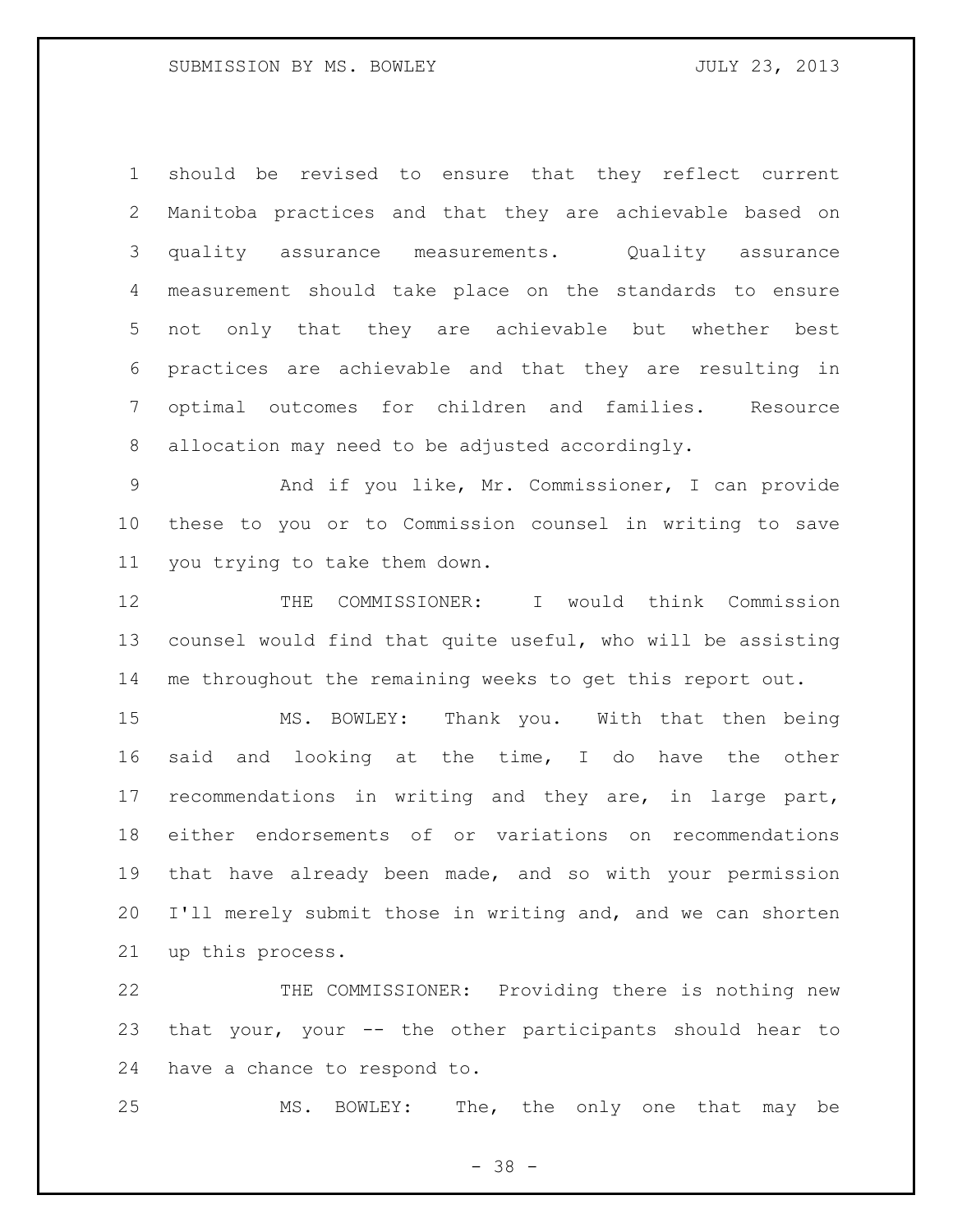should be revised to ensure that they reflect current Manitoba practices and that they are achievable based on quality assurance measurements. Quality assurance measurement should take place on the standards to ensure not only that they are achievable but whether best practices are achievable and that they are resulting in optimal outcomes for children and families. Resource allocation may need to be adjusted accordingly.

 And if you like, Mr. Commissioner, I can provide these to you or to Commission counsel in writing to save you trying to take them down.

12 THE COMMISSIONER: I would think Commission counsel would find that quite useful, who will be assisting me throughout the remaining weeks to get this report out.

 MS. BOWLEY: Thank you. With that then being said and looking at the time, I do have the other recommendations in writing and they are, in large part, either endorsements of or variations on recommendations that have already been made, and so with your permission I'll merely submit those in writing and, and we can shorten up this process.

 THE COMMISSIONER: Providing there is nothing new that your, your -- the other participants should hear to have a chance to respond to.

MS. BOWLEY: The, the only one that may be

- 38 -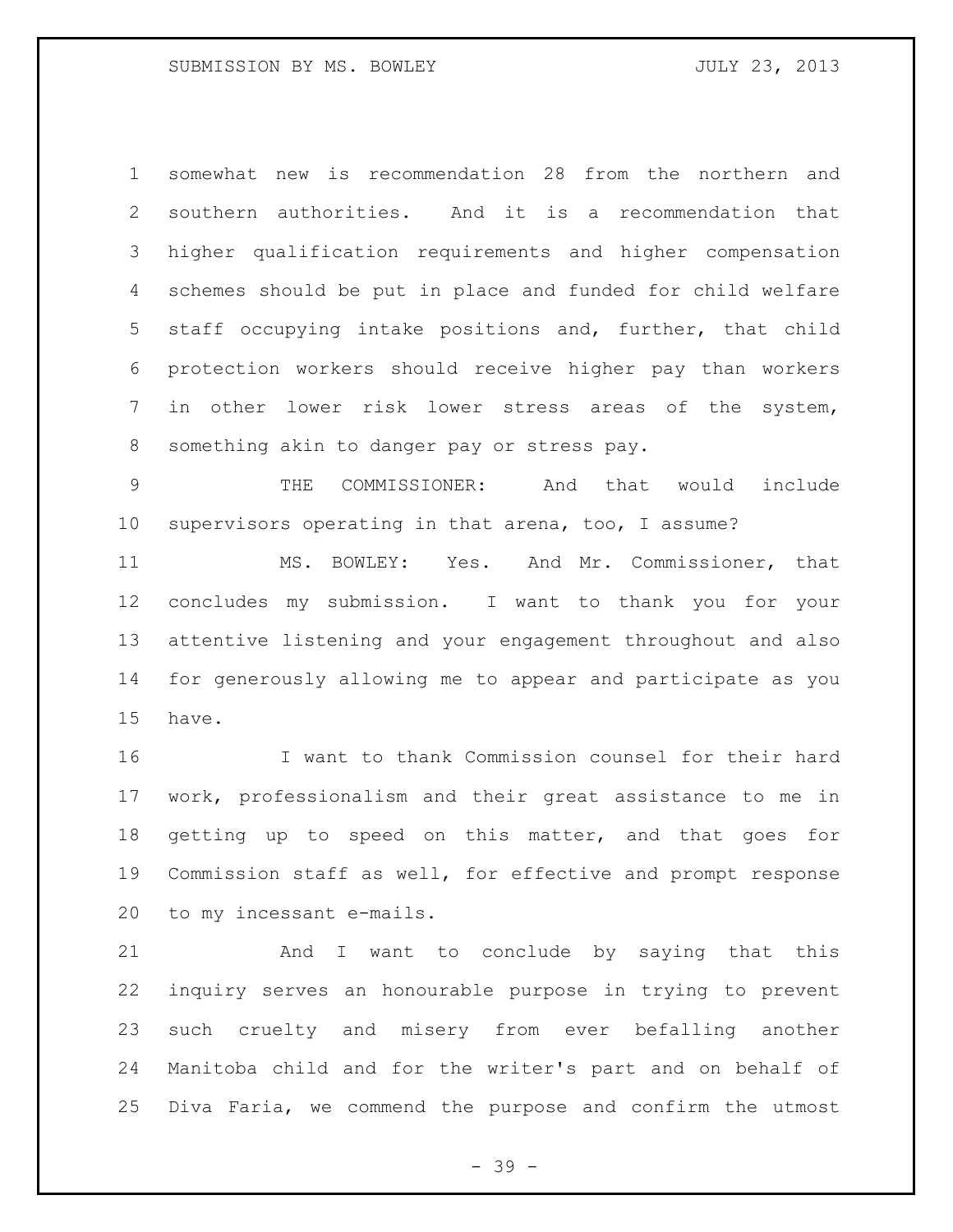somewhat new is recommendation 28 from the northern and southern authorities. And it is a recommendation that higher qualification requirements and higher compensation schemes should be put in place and funded for child welfare staff occupying intake positions and, further, that child protection workers should receive higher pay than workers in other lower risk lower stress areas of the system, something akin to danger pay or stress pay.

 THE COMMISSIONER: And that would include supervisors operating in that arena, too, I assume?

 MS. BOWLEY: Yes. And Mr. Commissioner, that concludes my submission. I want to thank you for your attentive listening and your engagement throughout and also for generously allowing me to appear and participate as you have.

 I want to thank Commission counsel for their hard work, professionalism and their great assistance to me in 18 getting up to speed on this matter, and that goes for Commission staff as well, for effective and prompt response to my incessant e-mails.

 And I want to conclude by saying that this inquiry serves an honourable purpose in trying to prevent such cruelty and misery from ever befalling another Manitoba child and for the writer's part and on behalf of Diva Faria, we commend the purpose and confirm the utmost

- 39 -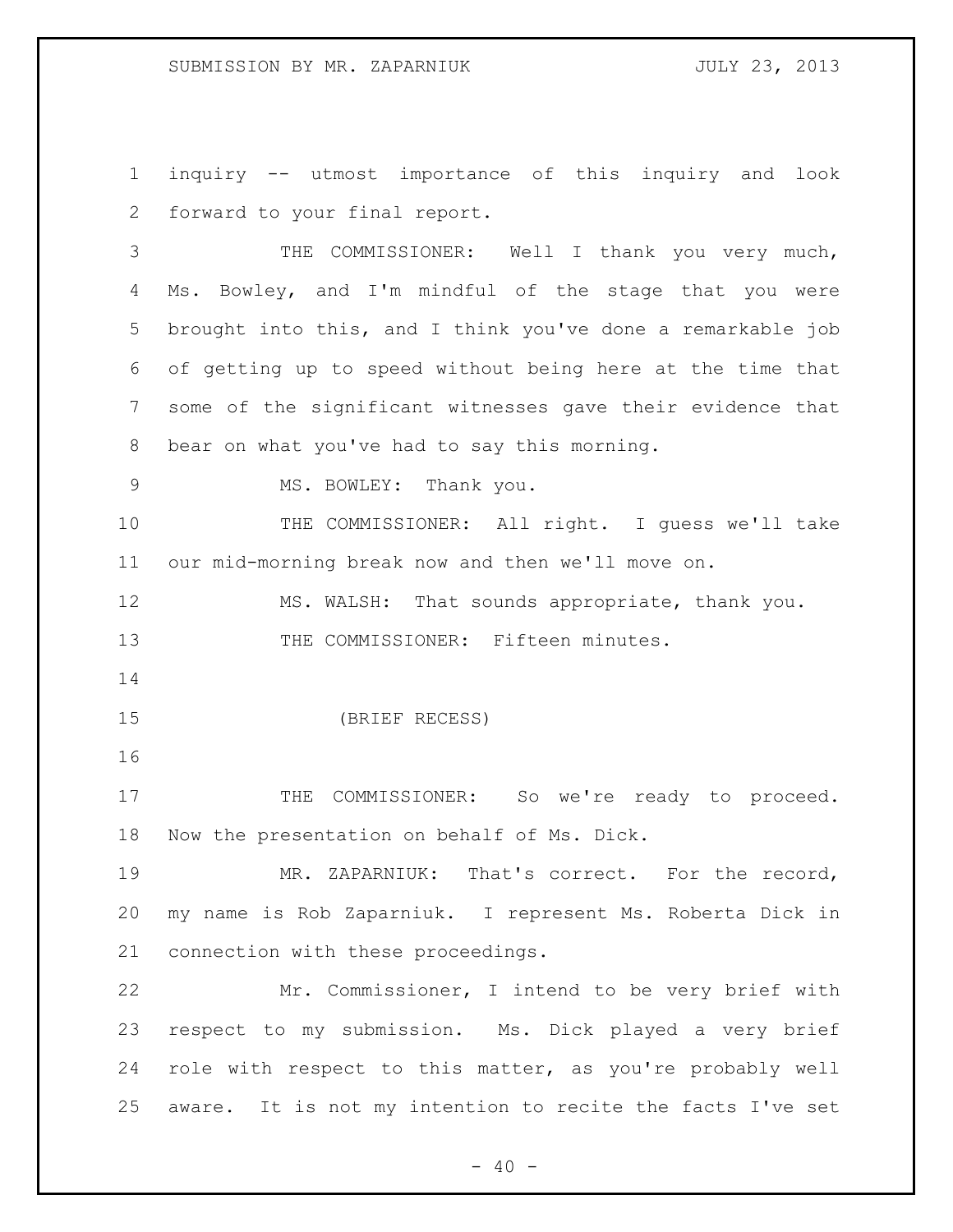inquiry -- utmost importance of this inquiry and look forward to your final report.

 THE COMMISSIONER: Well I thank you very much, 4 Ms. Bowley, and I'm mindful of the stage that you were brought into this, and I think you've done a remarkable job of getting up to speed without being here at the time that some of the significant witnesses gave their evidence that bear on what you've had to say this morning.

9 MS. BOWLEY: Thank you.

 THE COMMISSIONER: All right. I guess we'll take our mid-morning break now and then we'll move on.

 MS. WALSH: That sounds appropriate, thank you. THE COMMISSIONER: Fifteen minutes.

(BRIEF RECESS)

17 THE COMMISSIONER: So we're ready to proceed. Now the presentation on behalf of Ms. Dick.

 MR. ZAPARNIUK: That's correct. For the record, my name is Rob Zaparniuk. I represent Ms. Roberta Dick in connection with these proceedings.

 Mr. Commissioner, I intend to be very brief with respect to my submission. Ms. Dick played a very brief role with respect to this matter, as you're probably well aware. It is not my intention to recite the facts I've set

 $- 40 -$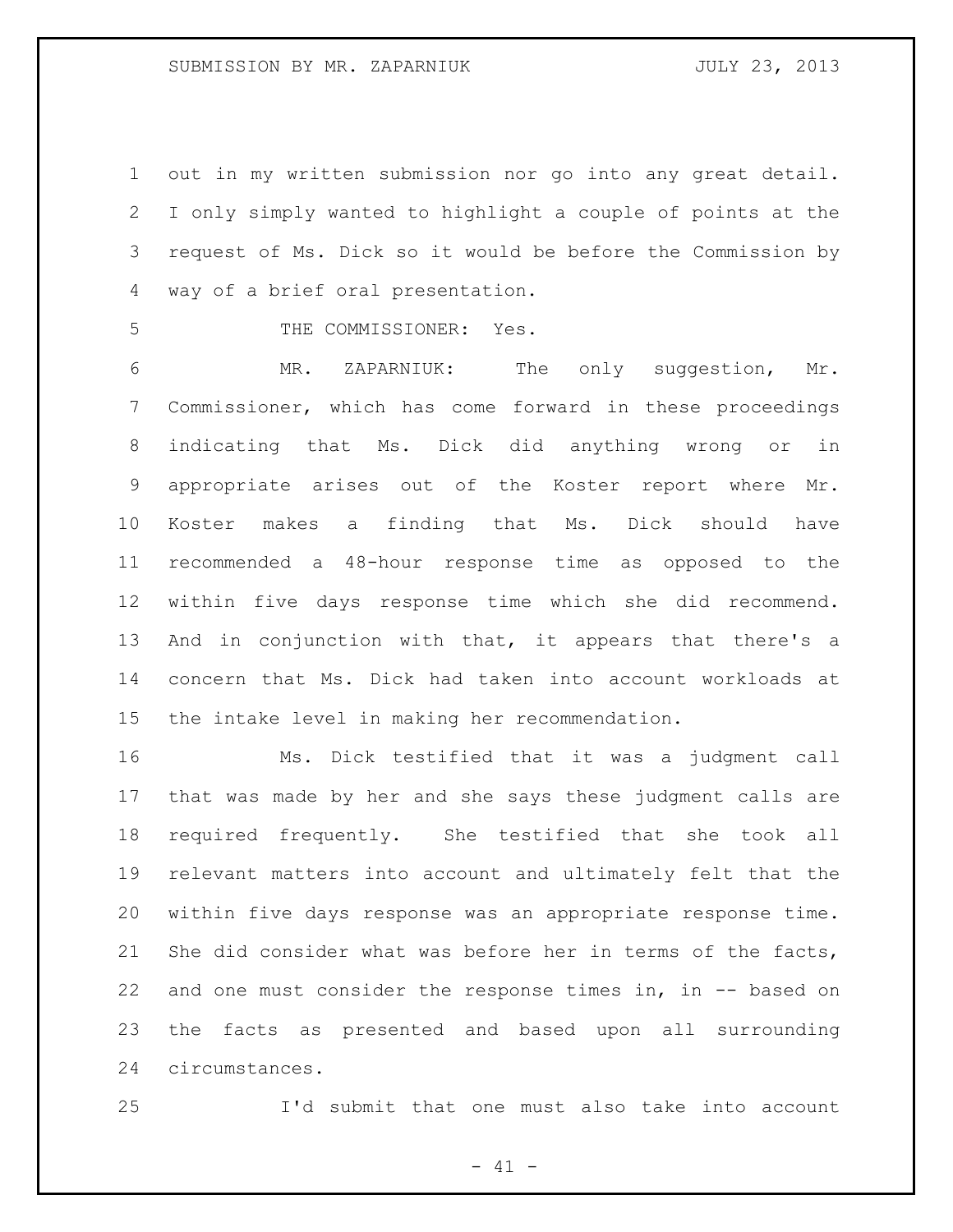out in my written submission nor go into any great detail. I only simply wanted to highlight a couple of points at the request of Ms. Dick so it would be before the Commission by way of a brief oral presentation.

THE COMMISSIONER: Yes.

 MR. ZAPARNIUK: The only suggestion, Mr. Commissioner, which has come forward in these proceedings indicating that Ms. Dick did anything wrong or in appropriate arises out of the Koster report where Mr. Koster makes a finding that Ms. Dick should have recommended a 48-hour response time as opposed to the within five days response time which she did recommend. And in conjunction with that, it appears that there's a concern that Ms. Dick had taken into account workloads at the intake level in making her recommendation.

 Ms. Dick testified that it was a judgment call that was made by her and she says these judgment calls are required frequently. She testified that she took all relevant matters into account and ultimately felt that the within five days response was an appropriate response time. 21 She did consider what was before her in terms of the facts, and one must consider the response times in, in -- based on the facts as presented and based upon all surrounding circumstances.

I'd submit that one must also take into account

 $- 41 -$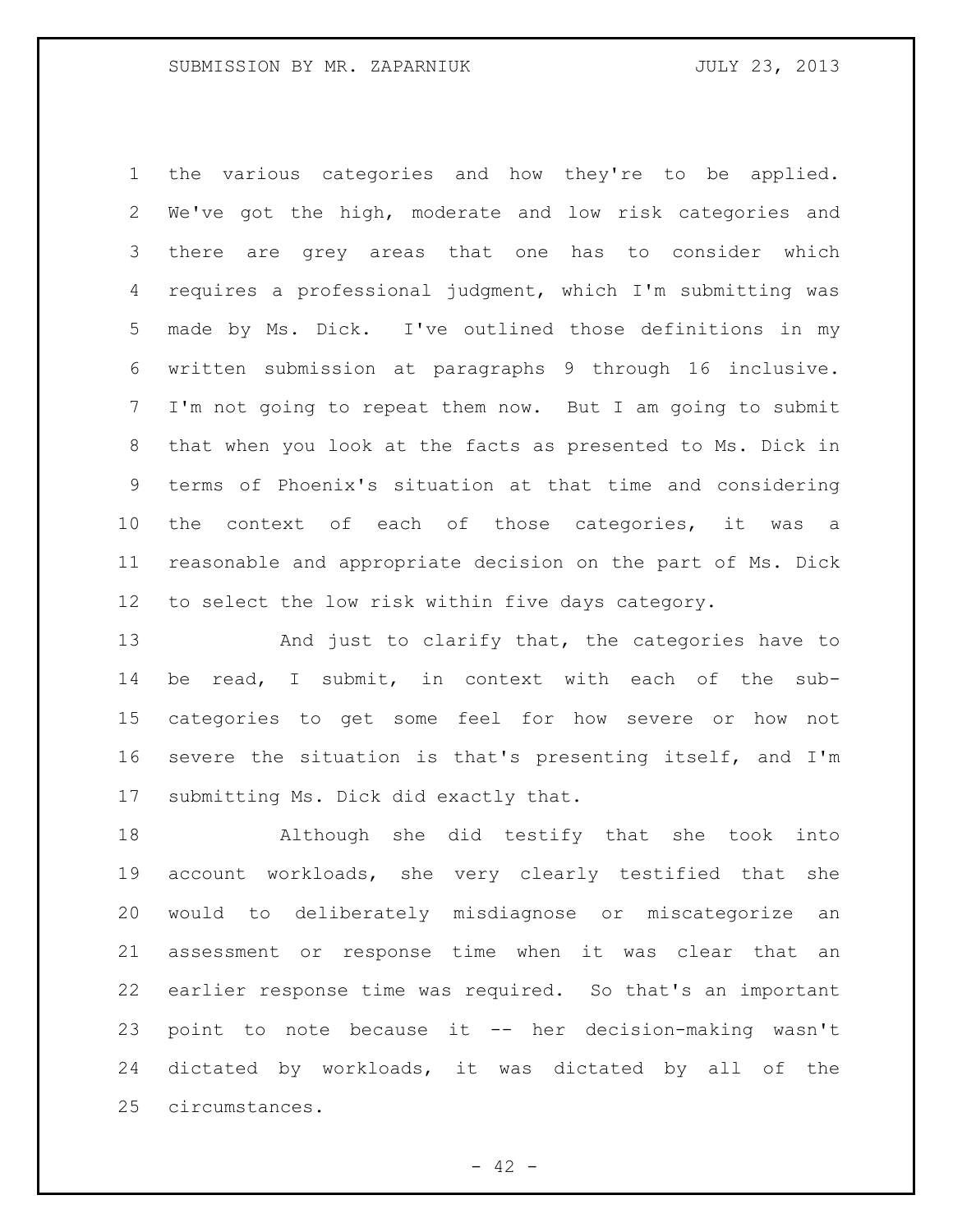the various categories and how they're to be applied. We've got the high, moderate and low risk categories and there are grey areas that one has to consider which requires a professional judgment, which I'm submitting was made by Ms. Dick. I've outlined those definitions in my written submission at paragraphs 9 through 16 inclusive. I'm not going to repeat them now. But I am going to submit that when you look at the facts as presented to Ms. Dick in terms of Phoenix's situation at that time and considering the context of each of those categories, it was a reasonable and appropriate decision on the part of Ms. Dick to select the low risk within five days category.

13 And just to clarify that, the categories have to be read, I submit, in context with each of the sub- categories to get some feel for how severe or how not severe the situation is that's presenting itself, and I'm submitting Ms. Dick did exactly that.

 Although she did testify that she took into account workloads, she very clearly testified that she would to deliberately misdiagnose or miscategorize an assessment or response time when it was clear that an earlier response time was required. So that's an important point to note because it -- her decision-making wasn't dictated by workloads, it was dictated by all of the circumstances.

 $- 42 -$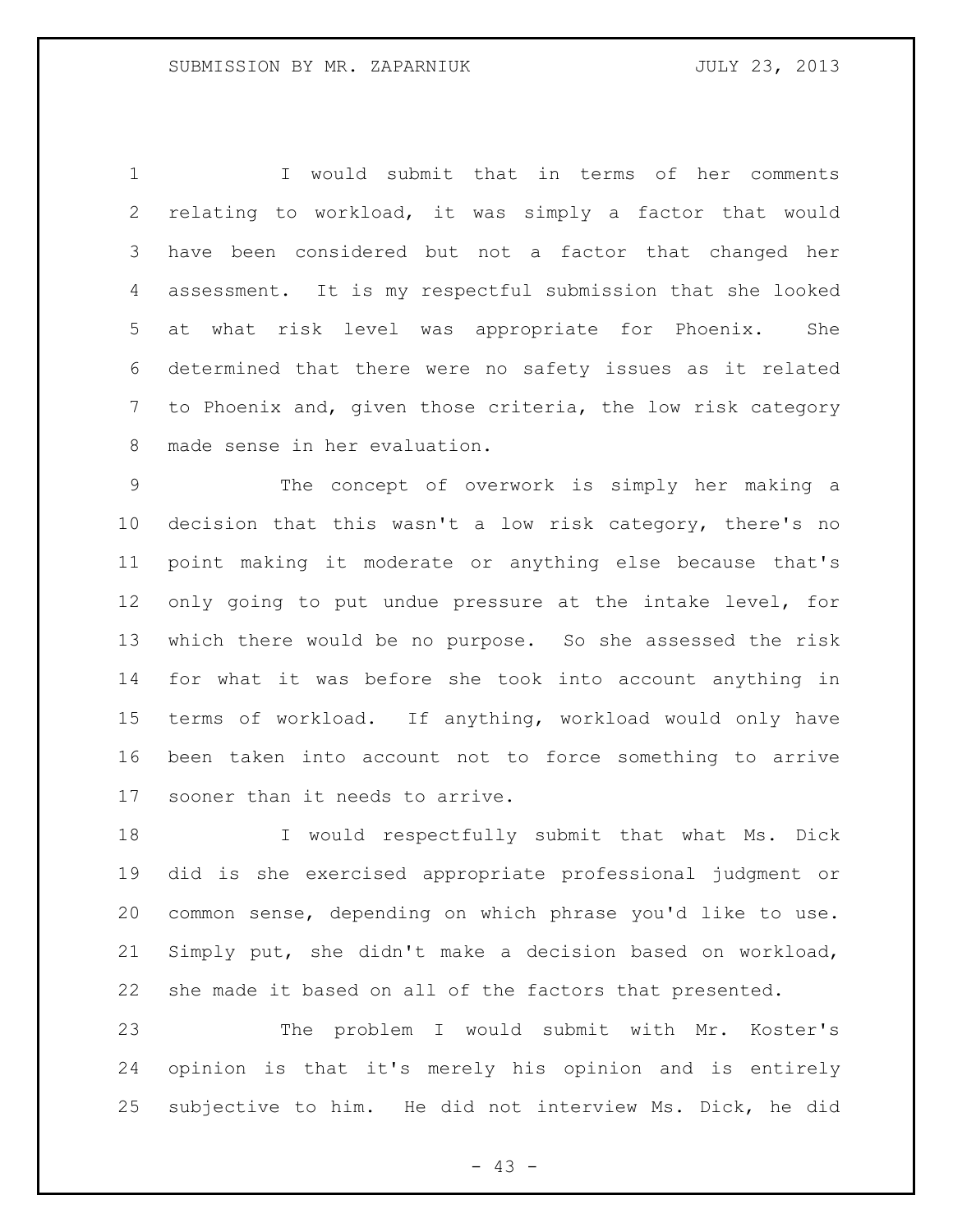I would submit that in terms of her comments relating to workload, it was simply a factor that would have been considered but not a factor that changed her assessment. It is my respectful submission that she looked at what risk level was appropriate for Phoenix. She determined that there were no safety issues as it related to Phoenix and, given those criteria, the low risk category made sense in her evaluation.

 The concept of overwork is simply her making a decision that this wasn't a low risk category, there's no point making it moderate or anything else because that's only going to put undue pressure at the intake level, for which there would be no purpose. So she assessed the risk for what it was before she took into account anything in terms of workload. If anything, workload would only have been taken into account not to force something to arrive sooner than it needs to arrive.

18 I would respectfully submit that what Ms. Dick did is she exercised appropriate professional judgment or common sense, depending on which phrase you'd like to use. Simply put, she didn't make a decision based on workload, she made it based on all of the factors that presented.

 The problem I would submit with Mr. Koster's opinion is that it's merely his opinion and is entirely subjective to him. He did not interview Ms. Dick, he did

- 43 -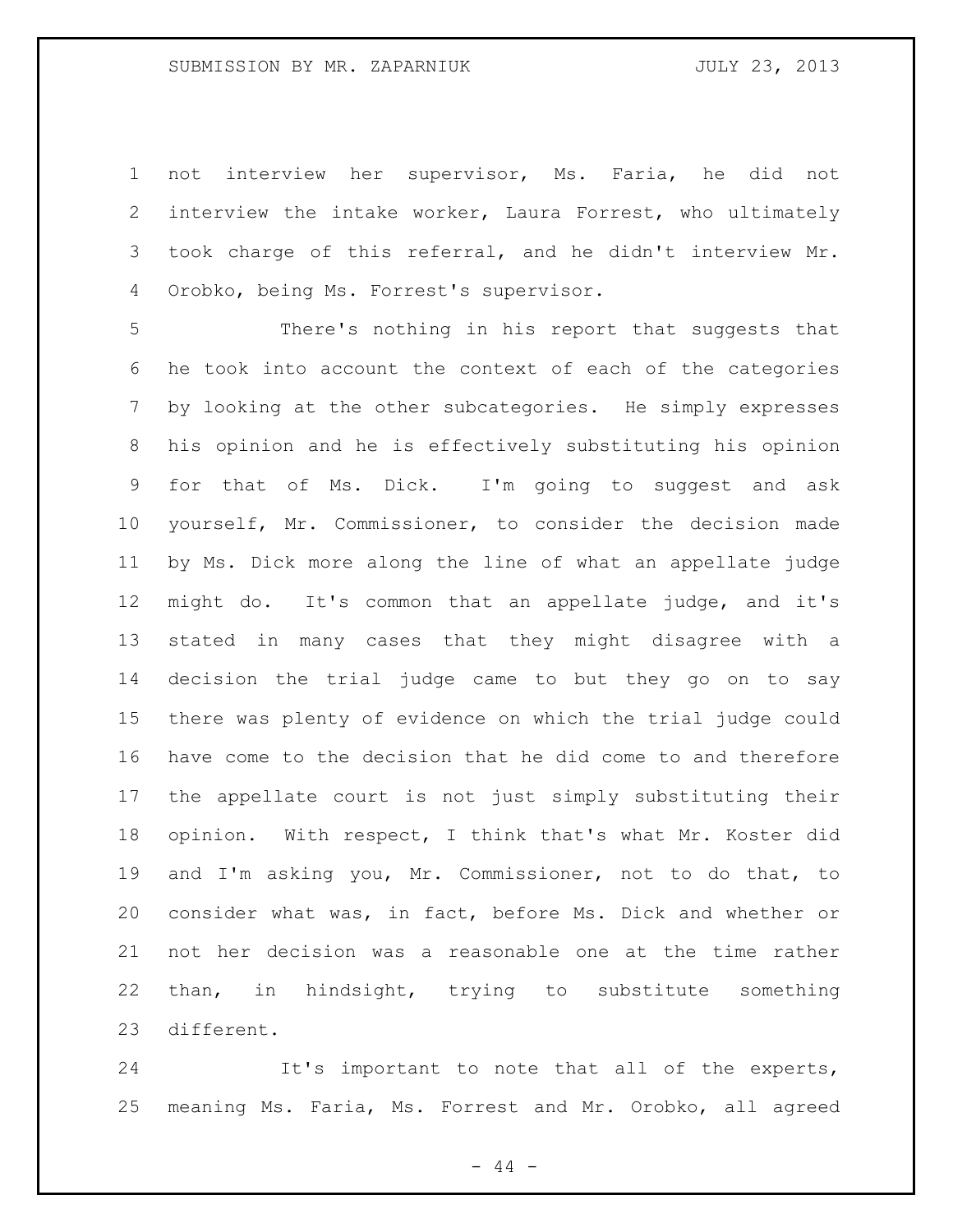not interview her supervisor, Ms. Faria, he did not interview the intake worker, Laura Forrest, who ultimately took charge of this referral, and he didn't interview Mr. Orobko, being Ms. Forrest's supervisor.

 There's nothing in his report that suggests that he took into account the context of each of the categories by looking at the other subcategories. He simply expresses his opinion and he is effectively substituting his opinion for that of Ms. Dick. I'm going to suggest and ask yourself, Mr. Commissioner, to consider the decision made by Ms. Dick more along the line of what an appellate judge might do. It's common that an appellate judge, and it's stated in many cases that they might disagree with a decision the trial judge came to but they go on to say there was plenty of evidence on which the trial judge could have come to the decision that he did come to and therefore the appellate court is not just simply substituting their opinion. With respect, I think that's what Mr. Koster did and I'm asking you, Mr. Commissioner, not to do that, to consider what was, in fact, before Ms. Dick and whether or not her decision was a reasonable one at the time rather than, in hindsight, trying to substitute something different.

 It's important to note that all of the experts, meaning Ms. Faria, Ms. Forrest and Mr. Orobko, all agreed

 $-44 -$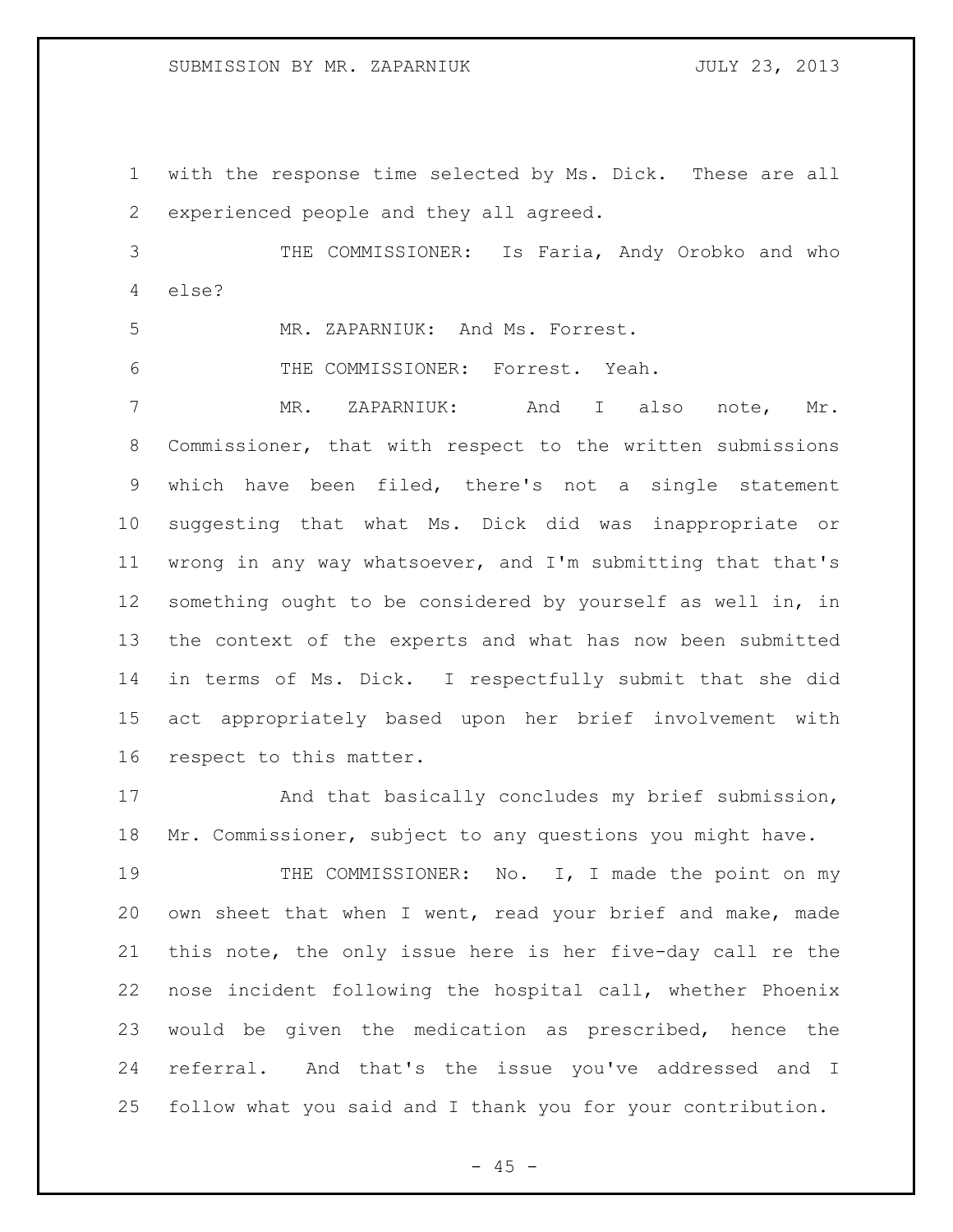with the response time selected by Ms. Dick. These are all experienced people and they all agreed.

 THE COMMISSIONER: Is Faria, Andy Orobko and who else?

MR. ZAPARNIUK: And Ms. Forrest.

THE COMMISSIONER: Forrest. Yeah.

 MR. ZAPARNIUK: And I also note, Mr. Commissioner, that with respect to the written submissions which have been filed, there's not a single statement suggesting that what Ms. Dick did was inappropriate or wrong in any way whatsoever, and I'm submitting that that's something ought to be considered by yourself as well in, in the context of the experts and what has now been submitted in terms of Ms. Dick. I respectfully submit that she did act appropriately based upon her brief involvement with respect to this matter.

 And that basically concludes my brief submission, Mr. Commissioner, subject to any questions you might have.

19 THE COMMISSIONER: No. I, I made the point on my own sheet that when I went, read your brief and make, made this note, the only issue here is her five-day call re the nose incident following the hospital call, whether Phoenix would be given the medication as prescribed, hence the referral. And that's the issue you've addressed and I follow what you said and I thank you for your contribution.

 $- 45 -$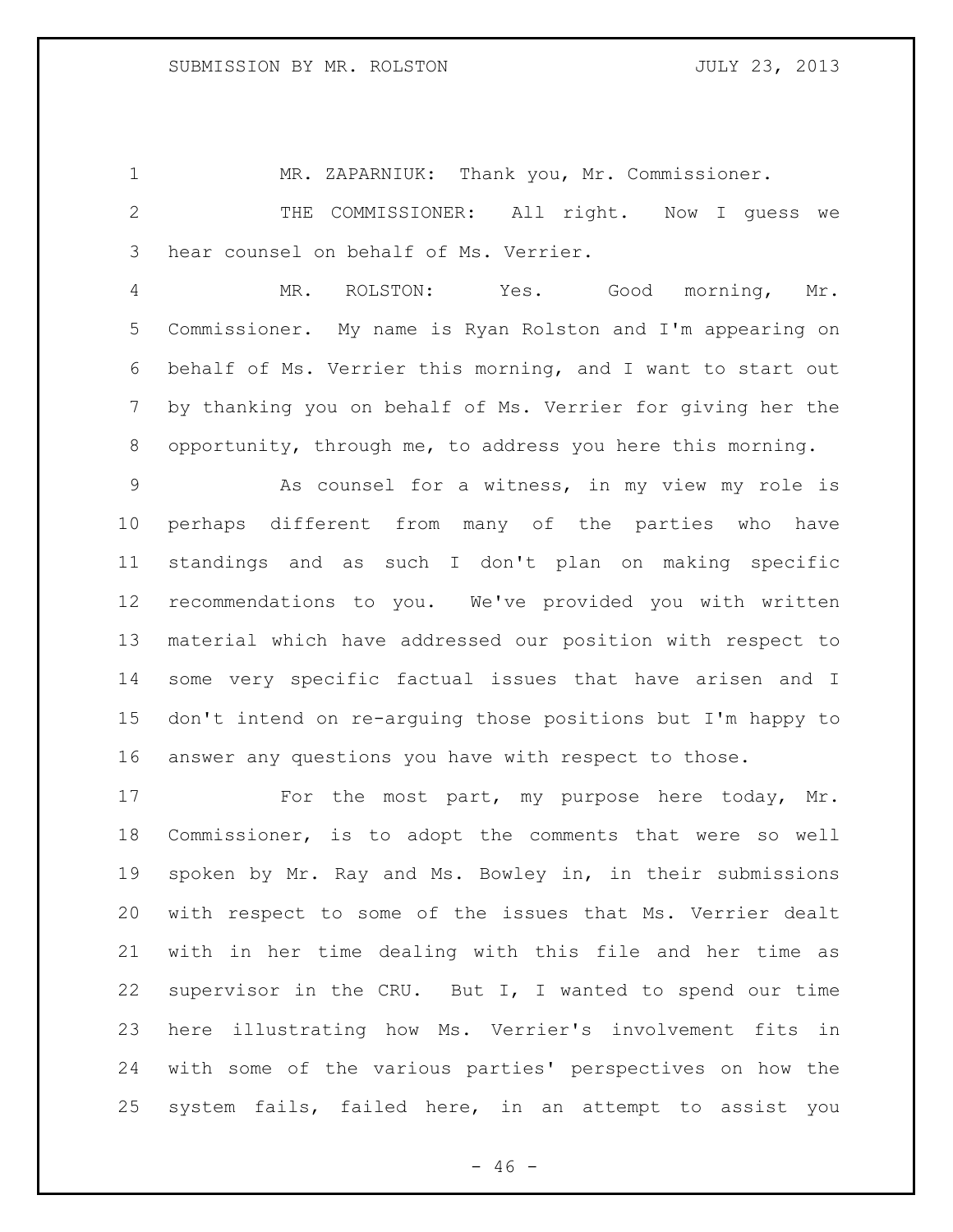MR. ZAPARNIUK: Thank you, Mr. Commissioner.

 THE COMMISSIONER: All right. Now I guess we hear counsel on behalf of Ms. Verrier.

 MR. ROLSTON: Yes. Good morning, Mr. Commissioner. My name is Ryan Rolston and I'm appearing on behalf of Ms. Verrier this morning, and I want to start out by thanking you on behalf of Ms. Verrier for giving her the opportunity, through me, to address you here this morning.

 As counsel for a witness, in my view my role is perhaps different from many of the parties who have standings and as such I don't plan on making specific recommendations to you. We've provided you with written material which have addressed our position with respect to some very specific factual issues that have arisen and I don't intend on re-arguing those positions but I'm happy to answer any questions you have with respect to those.

17 For the most part, my purpose here today, Mr. Commissioner, is to adopt the comments that were so well spoken by Mr. Ray and Ms. Bowley in, in their submissions with respect to some of the issues that Ms. Verrier dealt with in her time dealing with this file and her time as supervisor in the CRU. But I, I wanted to spend our time here illustrating how Ms. Verrier's involvement fits in with some of the various parties' perspectives on how the system fails, failed here, in an attempt to assist you

 $- 46 -$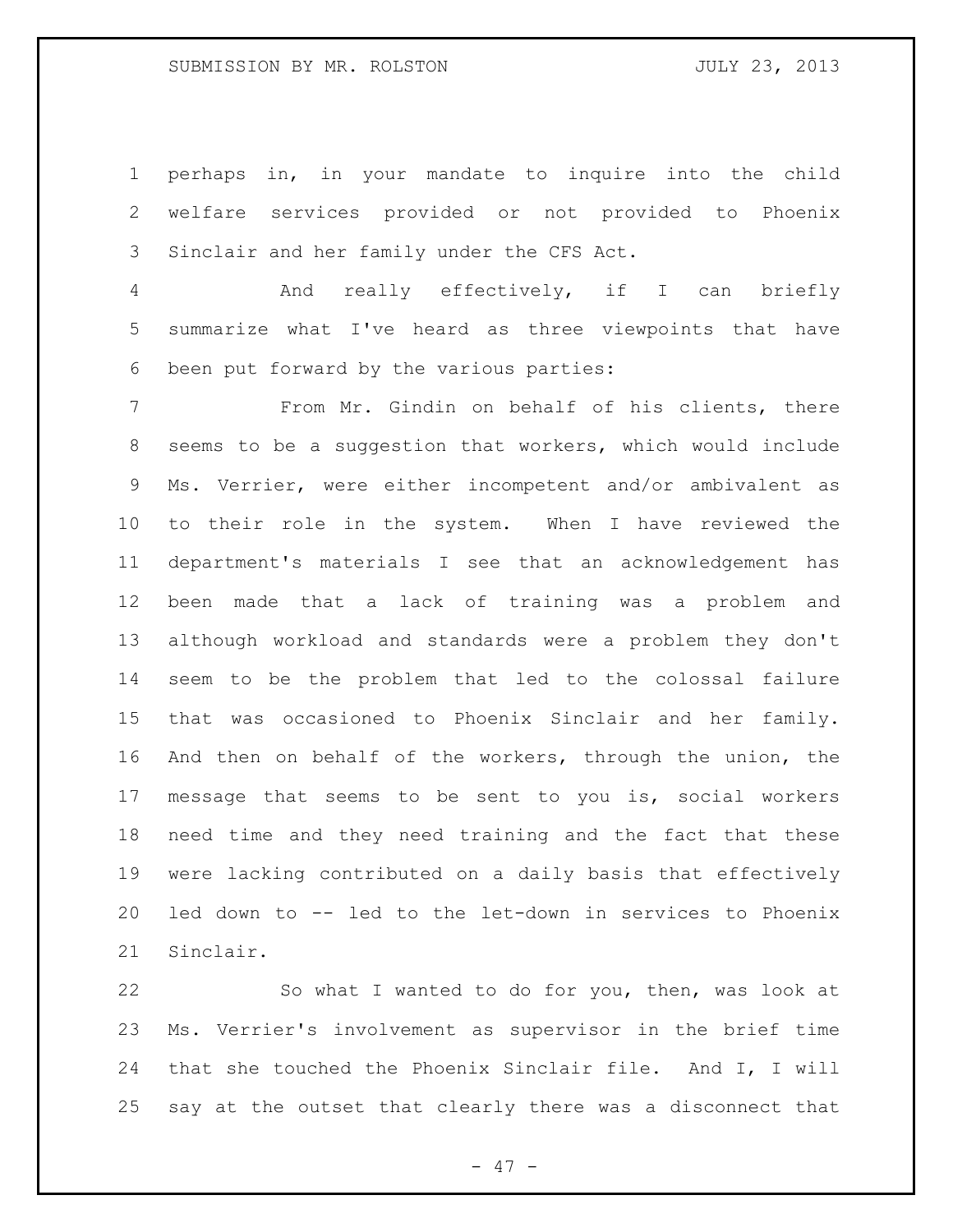## SUBMISSION BY MR. ROLSTON AND MONOGOULD SUBMISSION BY MR.

 perhaps in, in your mandate to inquire into the child welfare services provided or not provided to Phoenix Sinclair and her family under the CFS Act.

 And really effectively, if I can briefly summarize what I've heard as three viewpoints that have been put forward by the various parties:

 From Mr. Gindin on behalf of his clients, there seems to be a suggestion that workers, which would include Ms. Verrier, were either incompetent and/or ambivalent as to their role in the system. When I have reviewed the department's materials I see that an acknowledgement has been made that a lack of training was a problem and although workload and standards were a problem they don't seem to be the problem that led to the colossal failure that was occasioned to Phoenix Sinclair and her family. And then on behalf of the workers, through the union, the message that seems to be sent to you is, social workers need time and they need training and the fact that these were lacking contributed on a daily basis that effectively led down to -- led to the let-down in services to Phoenix Sinclair.

 So what I wanted to do for you, then, was look at Ms. Verrier's involvement as supervisor in the brief time that she touched the Phoenix Sinclair file. And I, I will say at the outset that clearly there was a disconnect that

- 47 -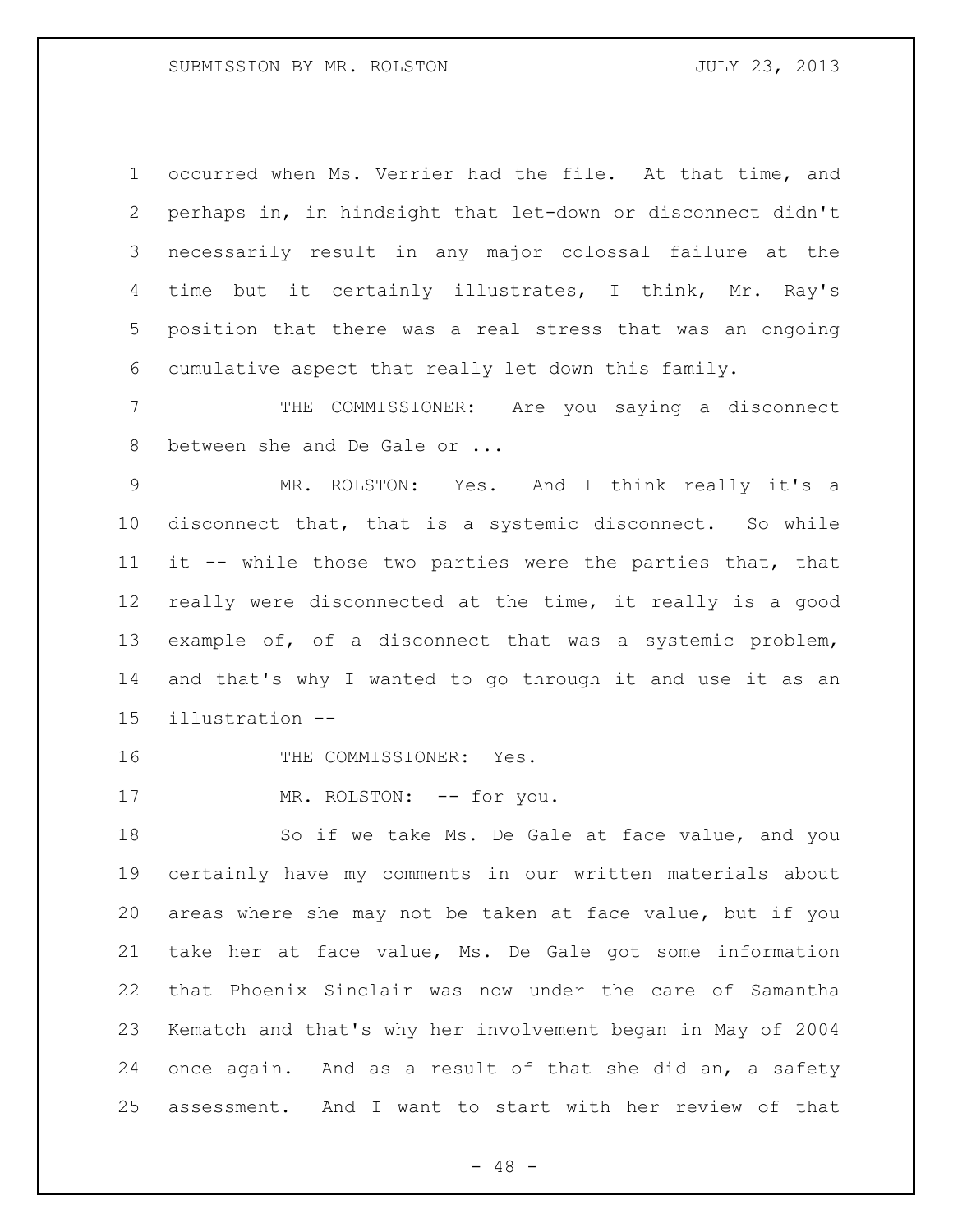occurred when Ms. Verrier had the file. At that time, and perhaps in, in hindsight that let-down or disconnect didn't necessarily result in any major colossal failure at the time but it certainly illustrates, I think, Mr. Ray's position that there was a real stress that was an ongoing cumulative aspect that really let down this family.

 THE COMMISSIONER: Are you saying a disconnect 8 between she and De Gale or ...

 MR. ROLSTON: Yes. And I think really it's a disconnect that, that is a systemic disconnect. So while it -- while those two parties were the parties that, that really were disconnected at the time, it really is a good example of, of a disconnect that was a systemic problem, and that's why I wanted to go through it and use it as an illustration --

16 THE COMMISSIONER: Yes.

17 MR. ROLSTON: -- for you.

18 So if we take Ms. De Gale at face value, and you certainly have my comments in our written materials about areas where she may not be taken at face value, but if you take her at face value, Ms. De Gale got some information that Phoenix Sinclair was now under the care of Samantha Kematch and that's why her involvement began in May of 2004 once again. And as a result of that she did an, a safety assessment. And I want to start with her review of that

 $- 48 -$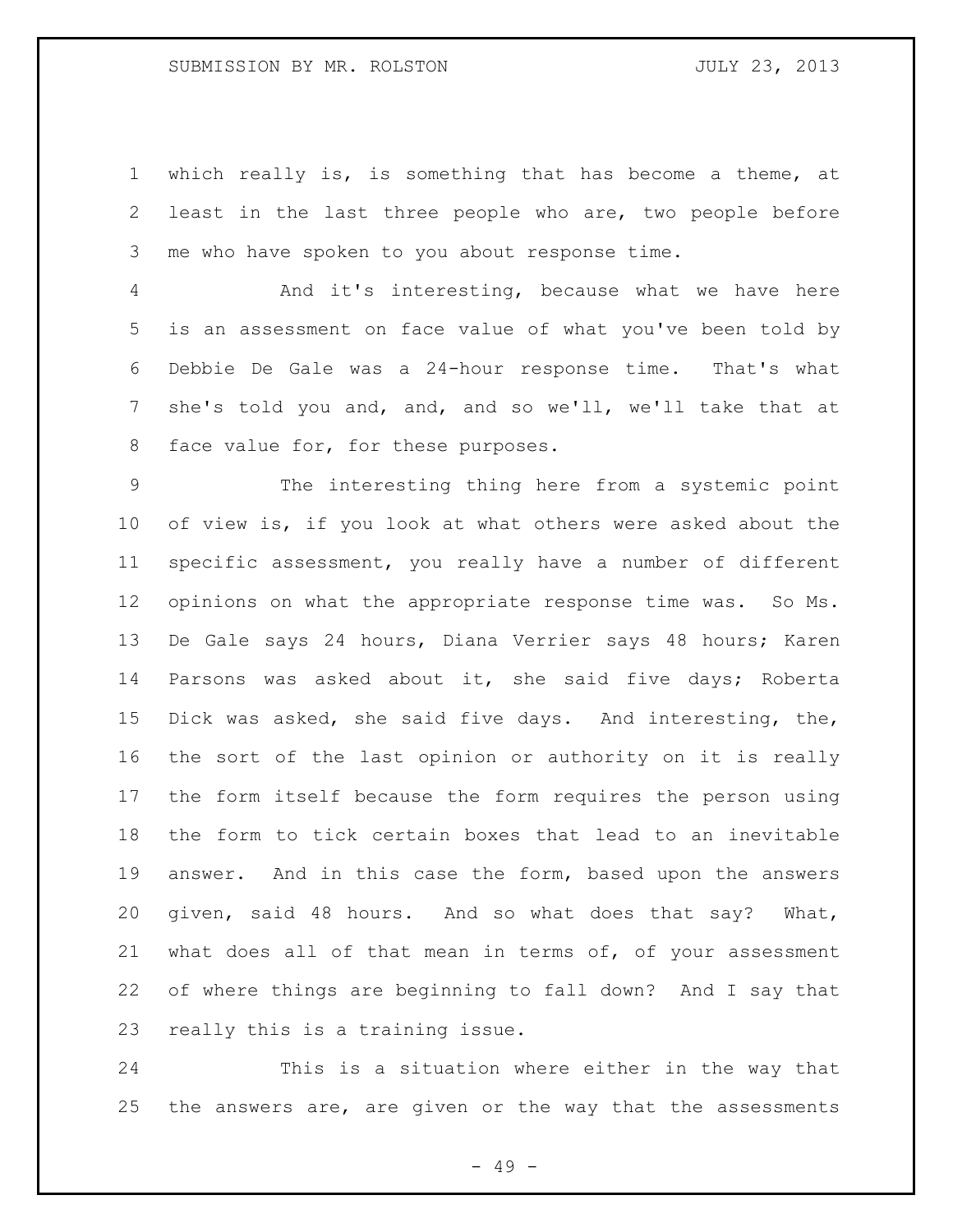## SUBMISSION BY MR. ROLSTON **Fig. 10.3** JULY 23, 2013

 which really is, is something that has become a theme, at least in the last three people who are, two people before me who have spoken to you about response time.

 And it's interesting, because what we have here is an assessment on face value of what you've been told by Debbie De Gale was a 24-hour response time. That's what she's told you and, and, and so we'll, we'll take that at 8 face value for, for these purposes.

 The interesting thing here from a systemic point of view is, if you look at what others were asked about the specific assessment, you really have a number of different opinions on what the appropriate response time was. So Ms. De Gale says 24 hours, Diana Verrier says 48 hours; Karen Parsons was asked about it, she said five days; Roberta Dick was asked, she said five days. And interesting, the, the sort of the last opinion or authority on it is really the form itself because the form requires the person using the form to tick certain boxes that lead to an inevitable answer. And in this case the form, based upon the answers 20 given, said 48 hours. And so what does that say? What, 21 what does all of that mean in terms of, of your assessment of where things are beginning to fall down? And I say that really this is a training issue.

 This is a situation where either in the way that the answers are, are given or the way that the assessments

- 49 -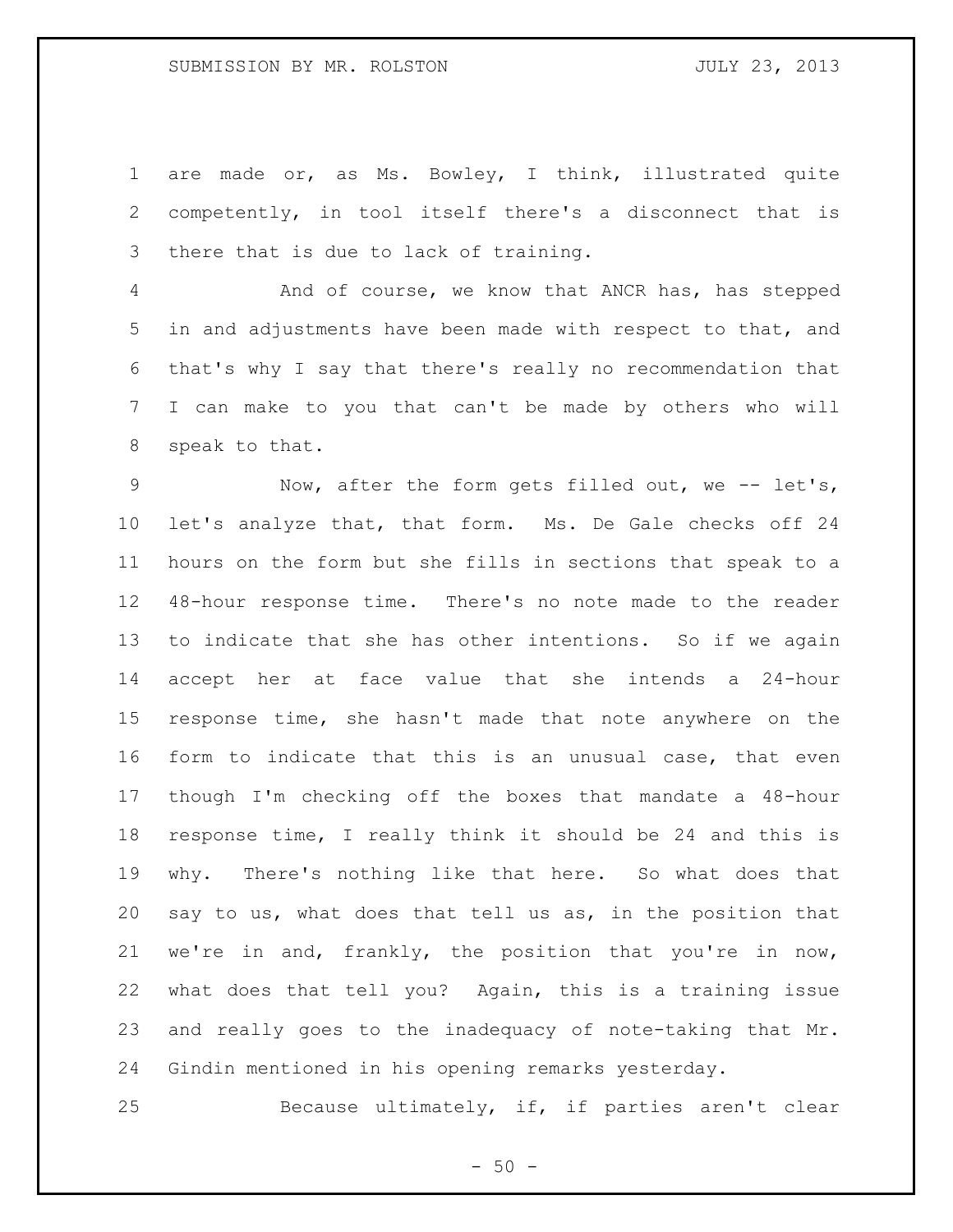are made or, as Ms. Bowley, I think, illustrated quite competently, in tool itself there's a disconnect that is there that is due to lack of training.

 And of course, we know that ANCR has, has stepped in and adjustments have been made with respect to that, and that's why I say that there's really no recommendation that I can make to you that can't be made by others who will speak to that.

9 Now, after the form gets filled out, we -- let's, let's analyze that, that form. Ms. De Gale checks off 24 hours on the form but she fills in sections that speak to a 48-hour response time. There's no note made to the reader to indicate that she has other intentions. So if we again accept her at face value that she intends a 24-hour response time, she hasn't made that note anywhere on the form to indicate that this is an unusual case, that even though I'm checking off the boxes that mandate a 48-hour response time, I really think it should be 24 and this is why. There's nothing like that here. So what does that say to us, what does that tell us as, in the position that we're in and, frankly, the position that you're in now, what does that tell you? Again, this is a training issue and really goes to the inadequacy of note-taking that Mr. Gindin mentioned in his opening remarks yesterday.

Because ultimately, if, if parties aren't clear

 $-50 -$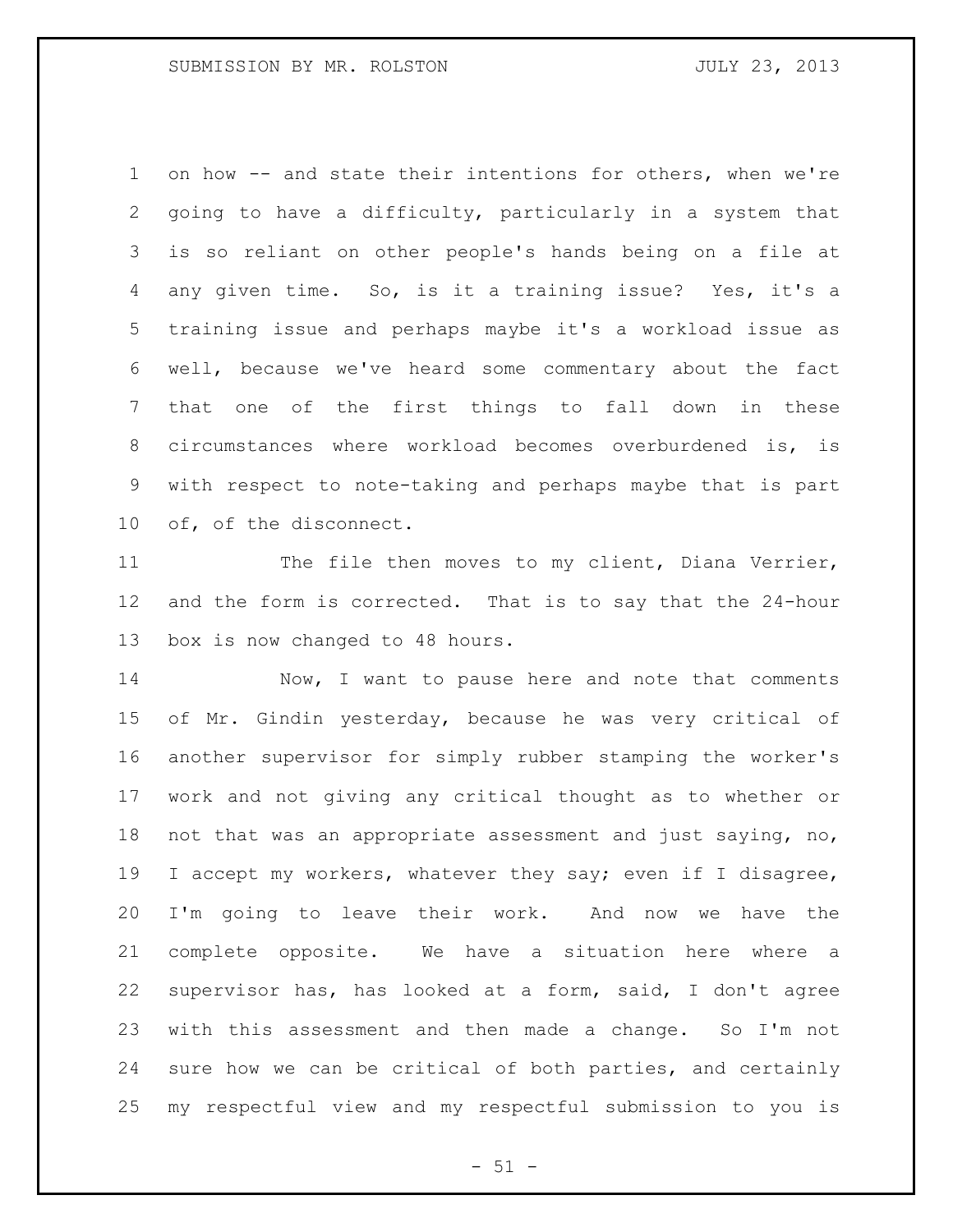on how -- and state their intentions for others, when we're going to have a difficulty, particularly in a system that is so reliant on other people's hands being on a file at any given time. So, is it a training issue? Yes, it's a training issue and perhaps maybe it's a workload issue as well, because we've heard some commentary about the fact that one of the first things to fall down in these circumstances where workload becomes overburdened is, is with respect to note-taking and perhaps maybe that is part of, of the disconnect.

 The file then moves to my client, Diana Verrier, and the form is corrected. That is to say that the 24-hour box is now changed to 48 hours.

14 Now, I want to pause here and note that comments of Mr. Gindin yesterday, because he was very critical of another supervisor for simply rubber stamping the worker's work and not giving any critical thought as to whether or not that was an appropriate assessment and just saying, no, I accept my workers, whatever they say; even if I disagree, I'm going to leave their work. And now we have the complete opposite. We have a situation here where a supervisor has, has looked at a form, said, I don't agree with this assessment and then made a change. So I'm not sure how we can be critical of both parties, and certainly my respectful view and my respectful submission to you is

 $- 51 -$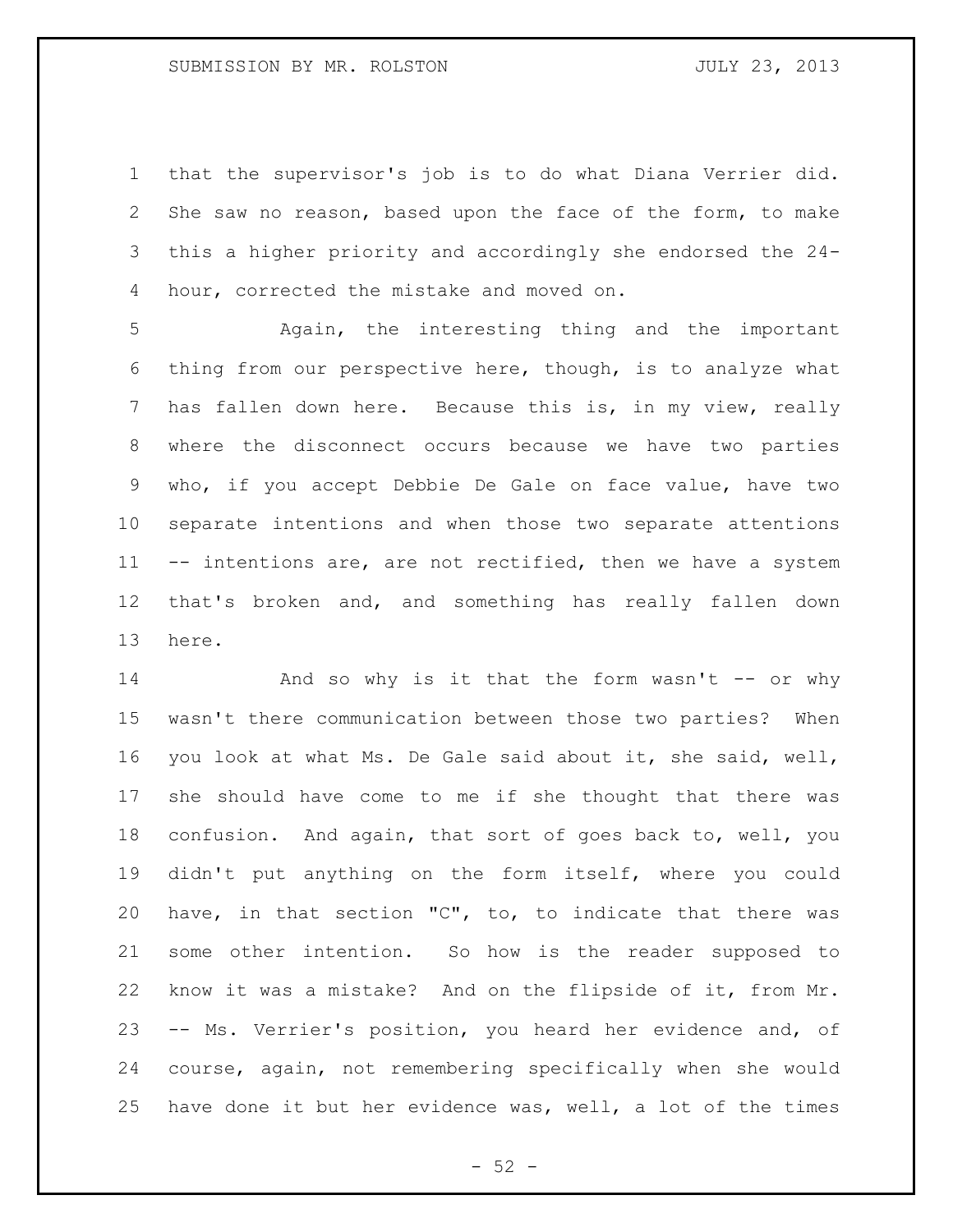that the supervisor's job is to do what Diana Verrier did. She saw no reason, based upon the face of the form, to make this a higher priority and accordingly she endorsed the 24- hour, corrected the mistake and moved on.

 Again, the interesting thing and the important thing from our perspective here, though, is to analyze what has fallen down here. Because this is, in my view, really where the disconnect occurs because we have two parties who, if you accept Debbie De Gale on face value, have two separate intentions and when those two separate attentions 11 -- intentions are, are not rectified, then we have a system that's broken and, and something has really fallen down here.

14 And so why is it that the form wasn't -- or why wasn't there communication between those two parties? When you look at what Ms. De Gale said about it, she said, well, she should have come to me if she thought that there was confusion. And again, that sort of goes back to, well, you didn't put anything on the form itself, where you could have, in that section "C", to, to indicate that there was some other intention. So how is the reader supposed to know it was a mistake? And on the flipside of it, from Mr. -- Ms. Verrier's position, you heard her evidence and, of course, again, not remembering specifically when she would have done it but her evidence was, well, a lot of the times

 $-52 -$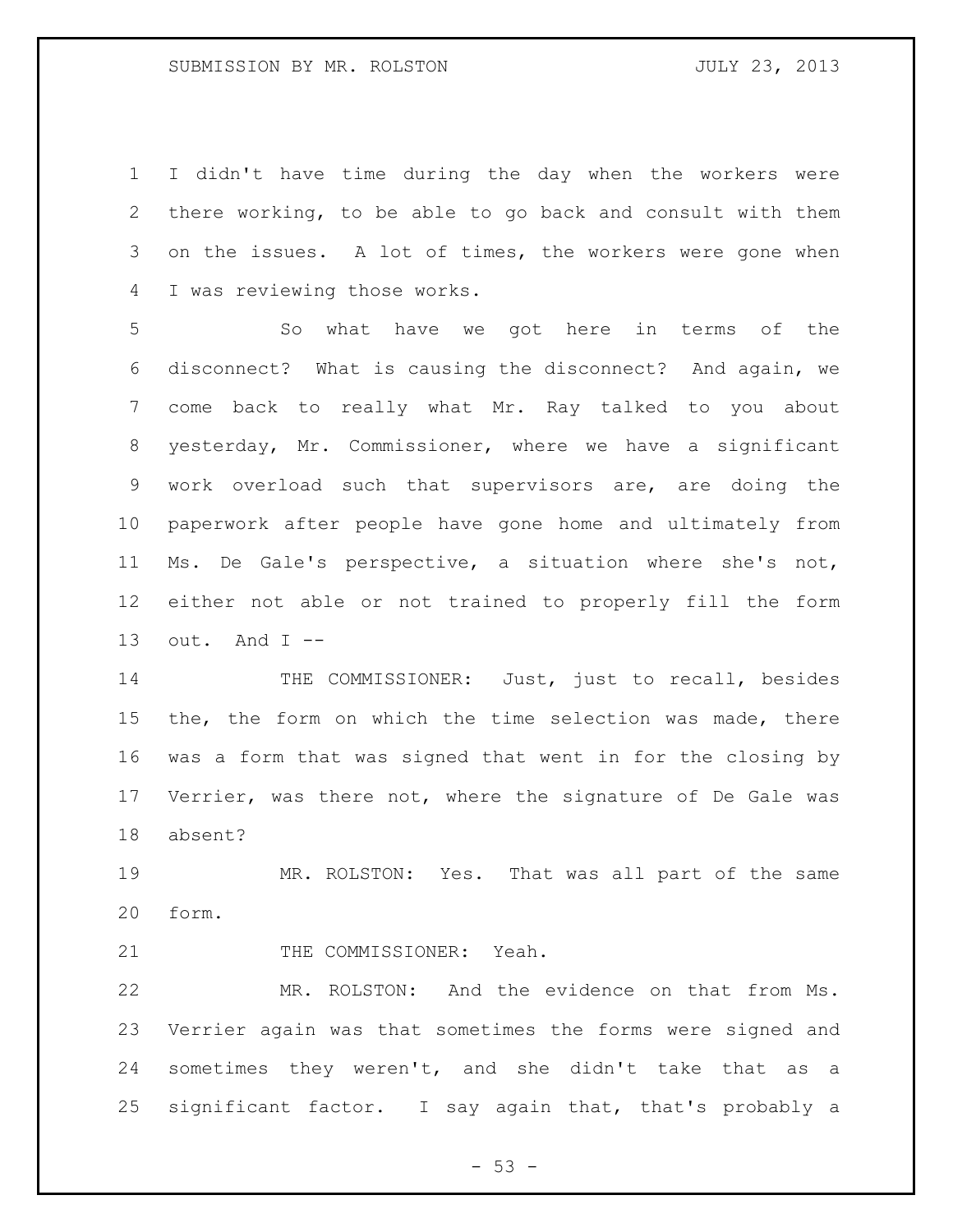I didn't have time during the day when the workers were there working, to be able to go back and consult with them on the issues. A lot of times, the workers were gone when I was reviewing those works.

 So what have we got here in terms of the disconnect? What is causing the disconnect? And again, we come back to really what Mr. Ray talked to you about yesterday, Mr. Commissioner, where we have a significant work overload such that supervisors are, are doing the paperwork after people have gone home and ultimately from Ms. De Gale's perspective, a situation where she's not, either not able or not trained to properly fill the form 13 out. And  $I$  --

14 THE COMMISSIONER: Just, just to recall, besides the, the form on which the time selection was made, there was a form that was signed that went in for the closing by Verrier, was there not, where the signature of De Gale was absent?

 MR. ROLSTON: Yes. That was all part of the same form.

21 THE COMMISSIONER: Yeah.

 MR. ROLSTON: And the evidence on that from Ms. Verrier again was that sometimes the forms were signed and sometimes they weren't, and she didn't take that as a significant factor. I say again that, that's probably a

 $-53 -$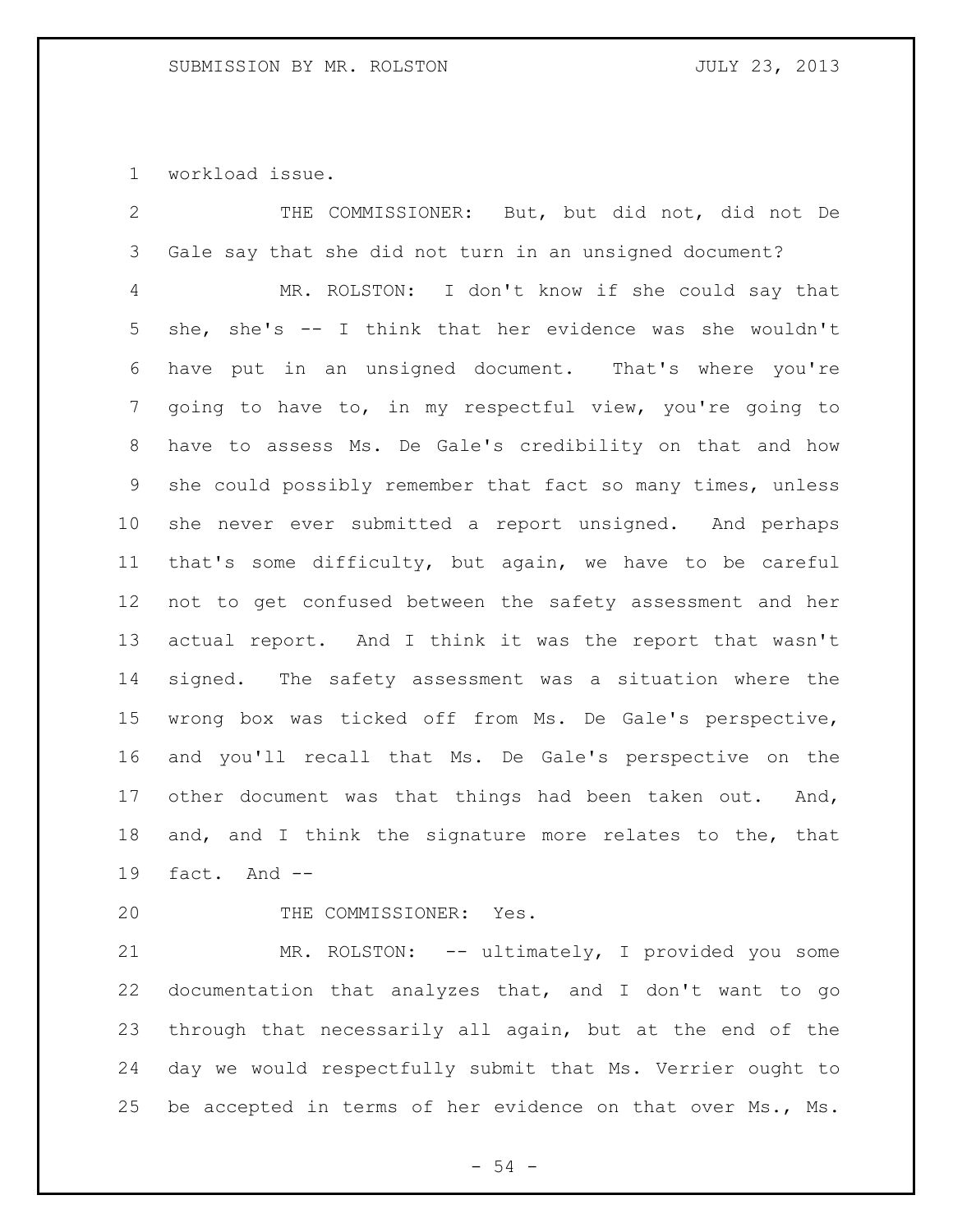workload issue.

| $\overline{2}$ | THE COMMISSIONER: But, but did not, did not De              |
|----------------|-------------------------------------------------------------|
| 3              | Gale say that she did not turn in an unsigned document?     |
| 4              | MR. ROLSTON: I don't know if she could say that             |
| 5              | she, she's -- I think that her evidence was she wouldn't    |
| 6              | have put in an unsigned document. That's where you're       |
| 7              | going to have to, in my respectful view, you're going to    |
| 8              | have to assess Ms. De Gale's credibility on that and how    |
| 9              | she could possibly remember that fact so many times, unless |
| 10             | she never ever submitted a report unsigned. And perhaps     |
| 11             | that's some difficulty, but again, we have to be careful    |
| 12             | not to get confused between the safety assessment and her   |
| 13             | actual report. And I think it was the report that wasn't    |
| 14             | signed. The safety assessment was a situation where the     |
| 15             | wrong box was ticked off from Ms. De Gale's perspective,    |
| 16             | and you'll recall that Ms. De Gale's perspective on the     |
| 17             | other document was that things had been taken out.<br>And,  |
| 18             | and, and I think the signature more relates to the, that    |
| 19             | fact. And --                                                |
|                |                                                             |

20 THE COMMISSIONER: Yes.

 MR. ROLSTON: -- ultimately, I provided you some documentation that analyzes that, and I don't want to go through that necessarily all again, but at the end of the day we would respectfully submit that Ms. Verrier ought to be accepted in terms of her evidence on that over Ms., Ms.

- 54 -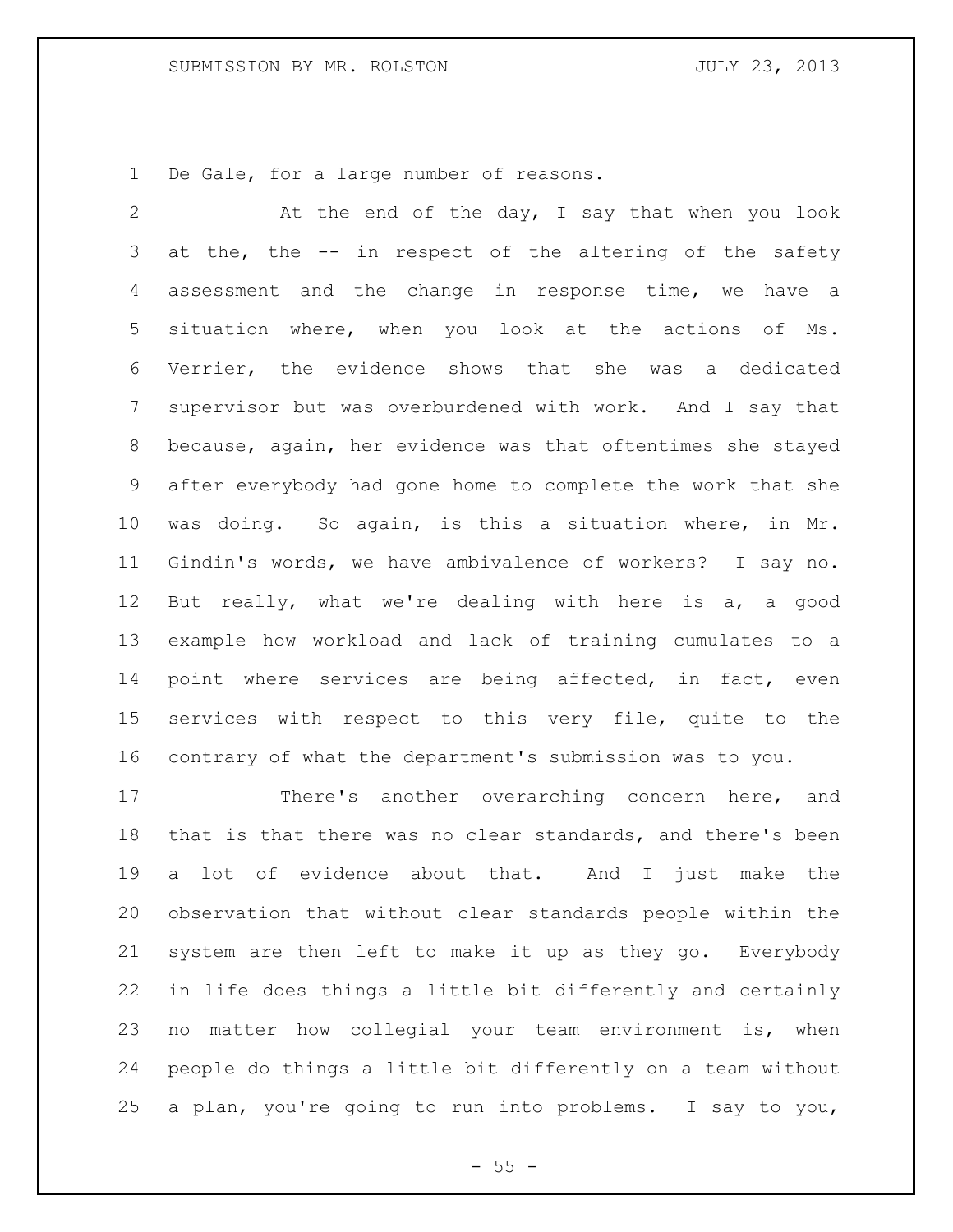De Gale, for a large number of reasons.

 At the end of the day, I say that when you look 3 at the, the -- in respect of the altering of the safety assessment and the change in response time, we have a situation where, when you look at the actions of Ms. Verrier, the evidence shows that she was a dedicated supervisor but was overburdened with work. And I say that because, again, her evidence was that oftentimes she stayed after everybody had gone home to complete the work that she was doing. So again, is this a situation where, in Mr. Gindin's words, we have ambivalence of workers? I say no. But really, what we're dealing with here is a, a good example how workload and lack of training cumulates to a 14 point where services are being affected, in fact, even services with respect to this very file, quite to the contrary of what the department's submission was to you.

 There's another overarching concern here, and that is that there was no clear standards, and there's been a lot of evidence about that. And I just make the observation that without clear standards people within the system are then left to make it up as they go. Everybody in life does things a little bit differently and certainly no matter how collegial your team environment is, when people do things a little bit differently on a team without a plan, you're going to run into problems. I say to you,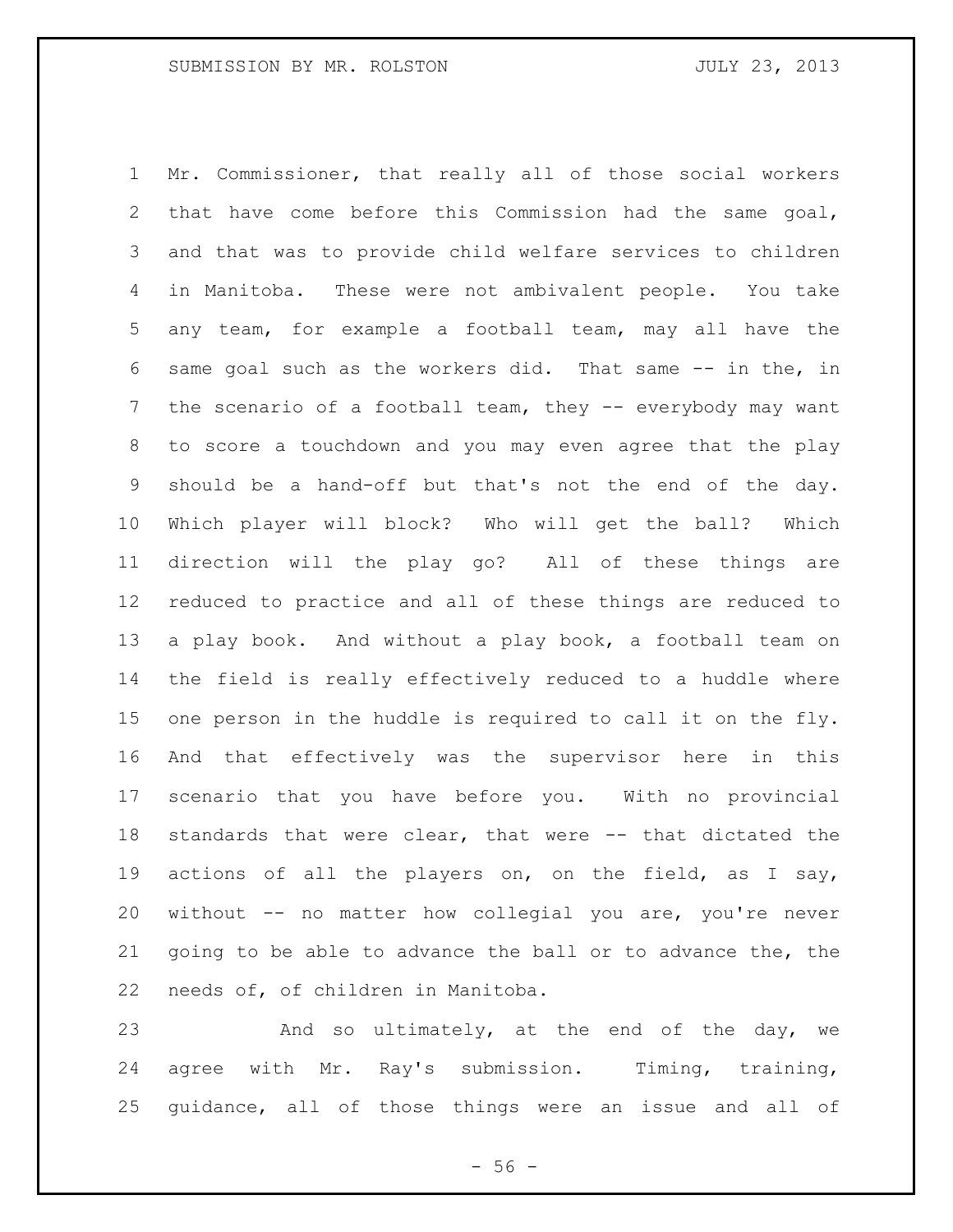Mr. Commissioner, that really all of those social workers that have come before this Commission had the same goal, and that was to provide child welfare services to children in Manitoba. These were not ambivalent people. You take any team, for example a football team, may all have the same goal such as the workers did. That same -- in the, in the scenario of a football team, they -- everybody may want to score a touchdown and you may even agree that the play should be a hand-off but that's not the end of the day. Which player will block? Who will get the ball? Which direction will the play go? All of these things are reduced to practice and all of these things are reduced to a play book. And without a play book, a football team on the field is really effectively reduced to a huddle where one person in the huddle is required to call it on the fly. And that effectively was the supervisor here in this scenario that you have before you. With no provincial standards that were clear, that were -- that dictated the actions of all the players on, on the field, as I say, without -- no matter how collegial you are, you're never going to be able to advance the ball or to advance the, the needs of, of children in Manitoba.

23 And so ultimately, at the end of the day, we agree with Mr. Ray's submission. Timing, training, guidance, all of those things were an issue and all of

 $-56 -$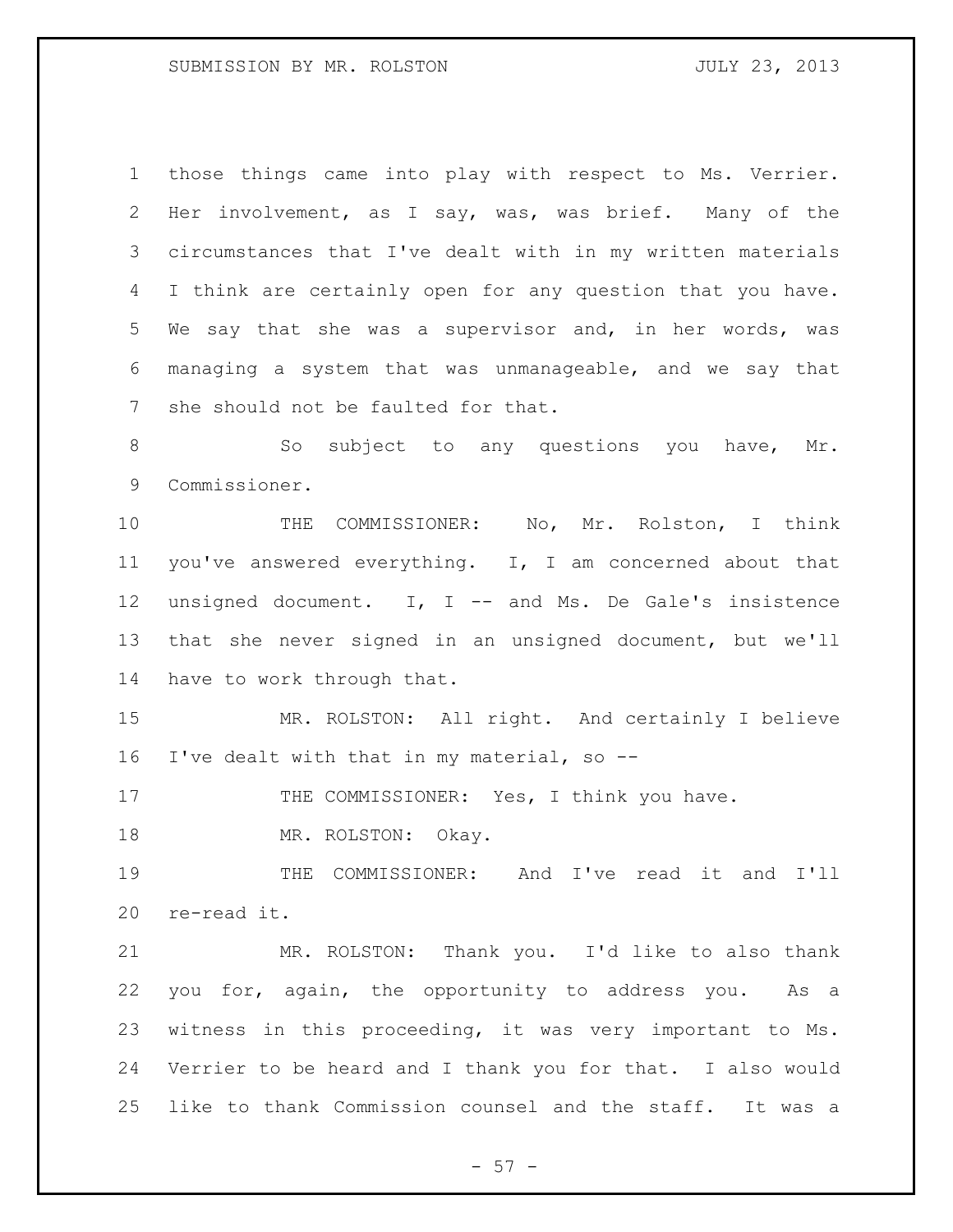those things came into play with respect to Ms. Verrier. Her involvement, as I say, was, was brief. Many of the circumstances that I've dealt with in my written materials I think are certainly open for any question that you have. We say that she was a supervisor and, in her words, was managing a system that was unmanageable, and we say that she should not be faulted for that.

8 So subject to any questions you have, Mr. Commissioner.

 THE COMMISSIONER: No, Mr. Rolston, I think you've answered everything. I, I am concerned about that unsigned document. I, I -- and Ms. De Gale's insistence that she never signed in an unsigned document, but we'll have to work through that.

 MR. ROLSTON: All right. And certainly I believe I've dealt with that in my material, so --

17 THE COMMISSIONER: Yes, I think you have.

18 MR. ROLSTON: Okay.

 THE COMMISSIONER: And I've read it and I'll re-read it.

 MR. ROLSTON: Thank you. I'd like to also thank you for, again, the opportunity to address you. As a witness in this proceeding, it was very important to Ms. Verrier to be heard and I thank you for that. I also would like to thank Commission counsel and the staff. It was a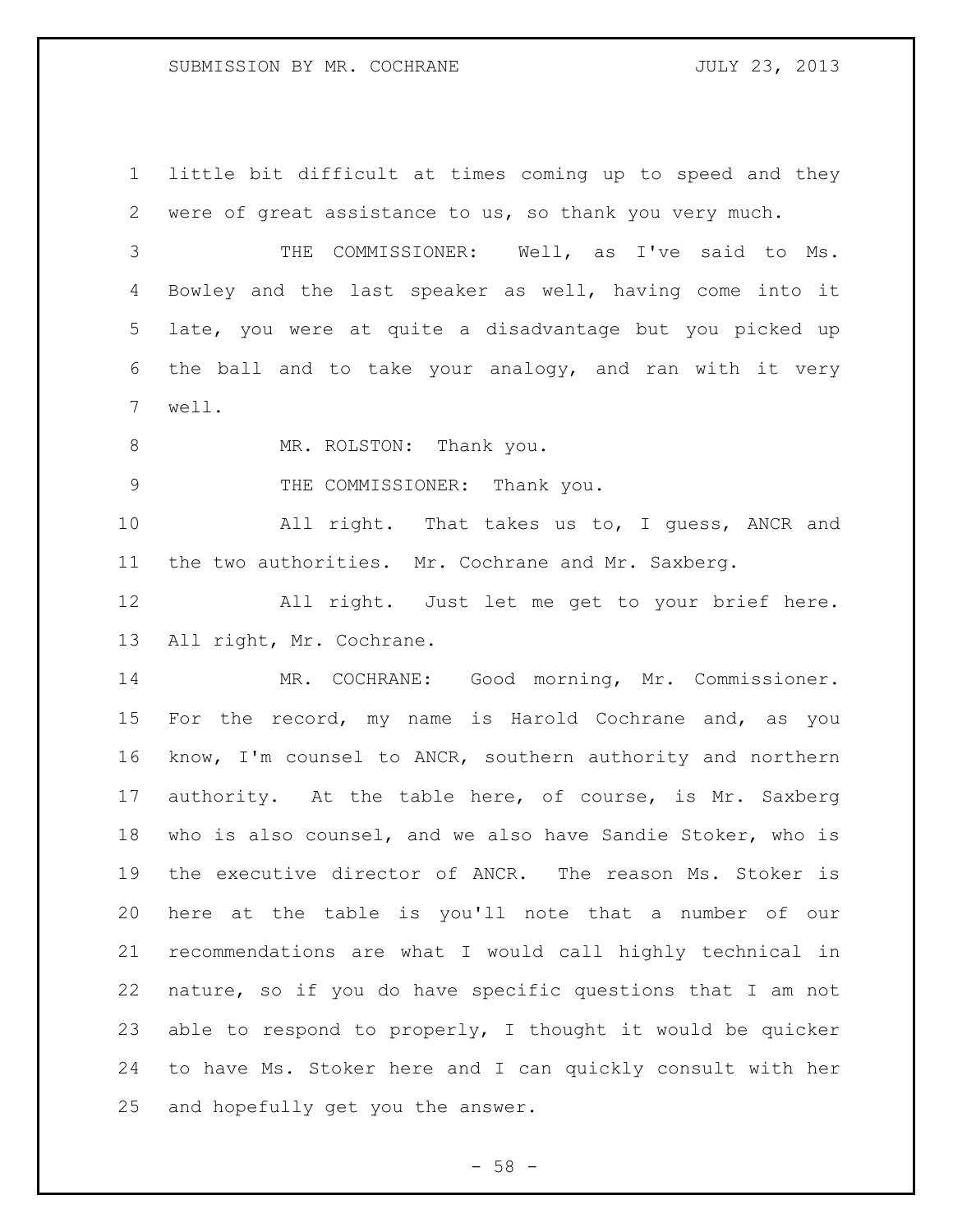little bit difficult at times coming up to speed and they were of great assistance to us, so thank you very much.

 THE COMMISSIONER: Well, as I've said to Ms. Bowley and the last speaker as well, having come into it late, you were at quite a disadvantage but you picked up the ball and to take your analogy, and ran with it very well.

8 MR. ROLSTON: Thank you.

9 THE COMMISSIONER: Thank you.

 All right. That takes us to, I guess, ANCR and the two authorities. Mr. Cochrane and Mr. Saxberg.

 All right. Just let me get to your brief here. All right, Mr. Cochrane.

 MR. COCHRANE: Good morning, Mr. Commissioner. For the record, my name is Harold Cochrane and, as you know, I'm counsel to ANCR, southern authority and northern authority. At the table here, of course, is Mr. Saxberg who is also counsel, and we also have Sandie Stoker, who is the executive director of ANCR. The reason Ms. Stoker is here at the table is you'll note that a number of our recommendations are what I would call highly technical in nature, so if you do have specific questions that I am not able to respond to properly, I thought it would be quicker to have Ms. Stoker here and I can quickly consult with her and hopefully get you the answer.

 $-58 -$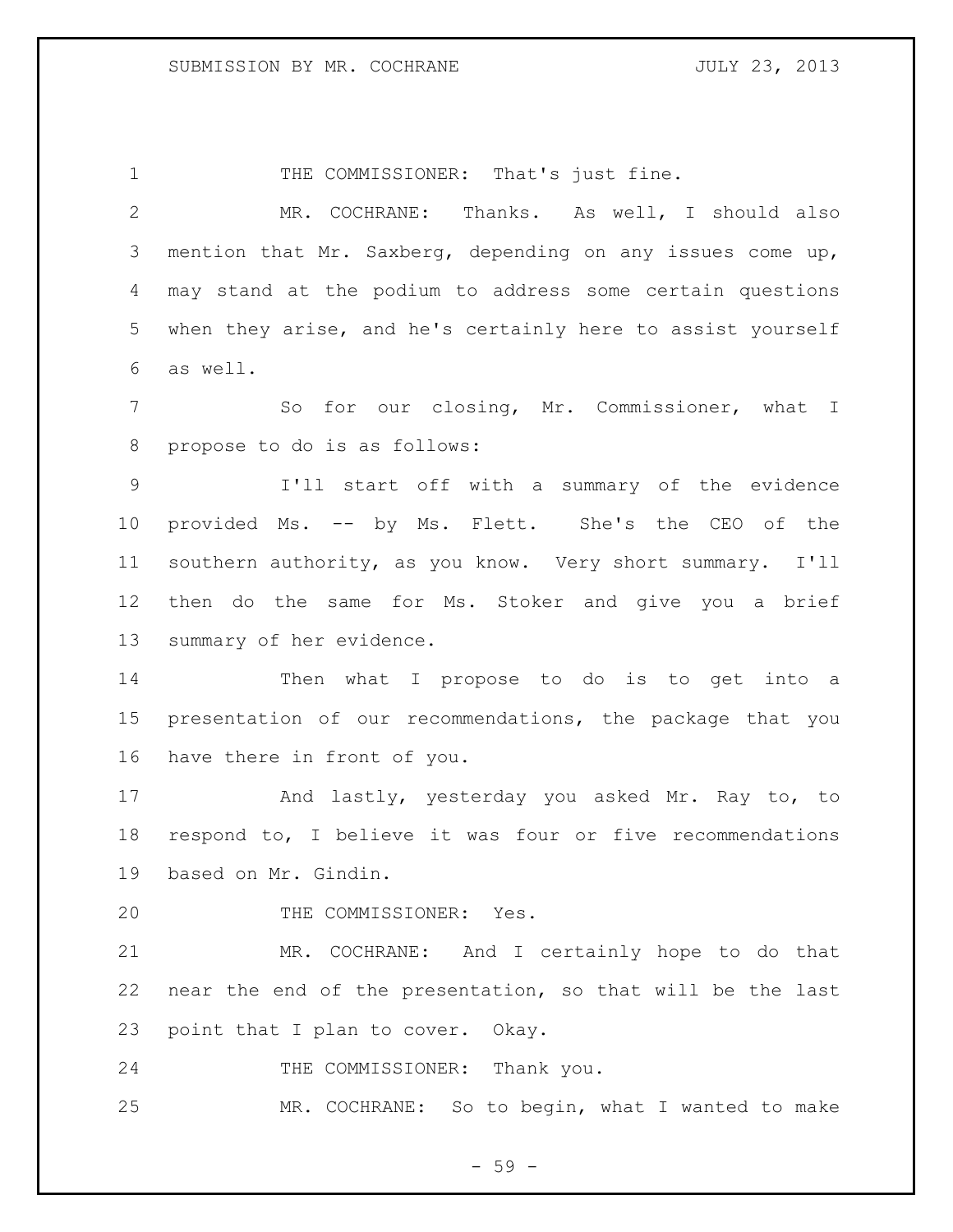1 THE COMMISSIONER: That's just fine. MR. COCHRANE: Thanks. As well, I should also mention that Mr. Saxberg, depending on any issues come up, may stand at the podium to address some certain questions when they arise, and he's certainly here to assist yourself as well. So for our closing, Mr. Commissioner, what I propose to do is as follows: I'll start off with a summary of the evidence provided Ms. -- by Ms. Flett. She's the CEO of the southern authority, as you know. Very short summary. I'll then do the same for Ms. Stoker and give you a brief summary of her evidence. Then what I propose to do is to get into a presentation of our recommendations, the package that you have there in front of you. And lastly, yesterday you asked Mr. Ray to, to respond to, I believe it was four or five recommendations based on Mr. Gindin. 20 THE COMMISSIONER: Yes. MR. COCHRANE: And I certainly hope to do that near the end of the presentation, so that will be the last point that I plan to cover. Okay. 24 THE COMMISSIONER: Thank you. MR. COCHRANE: So to begin, what I wanted to make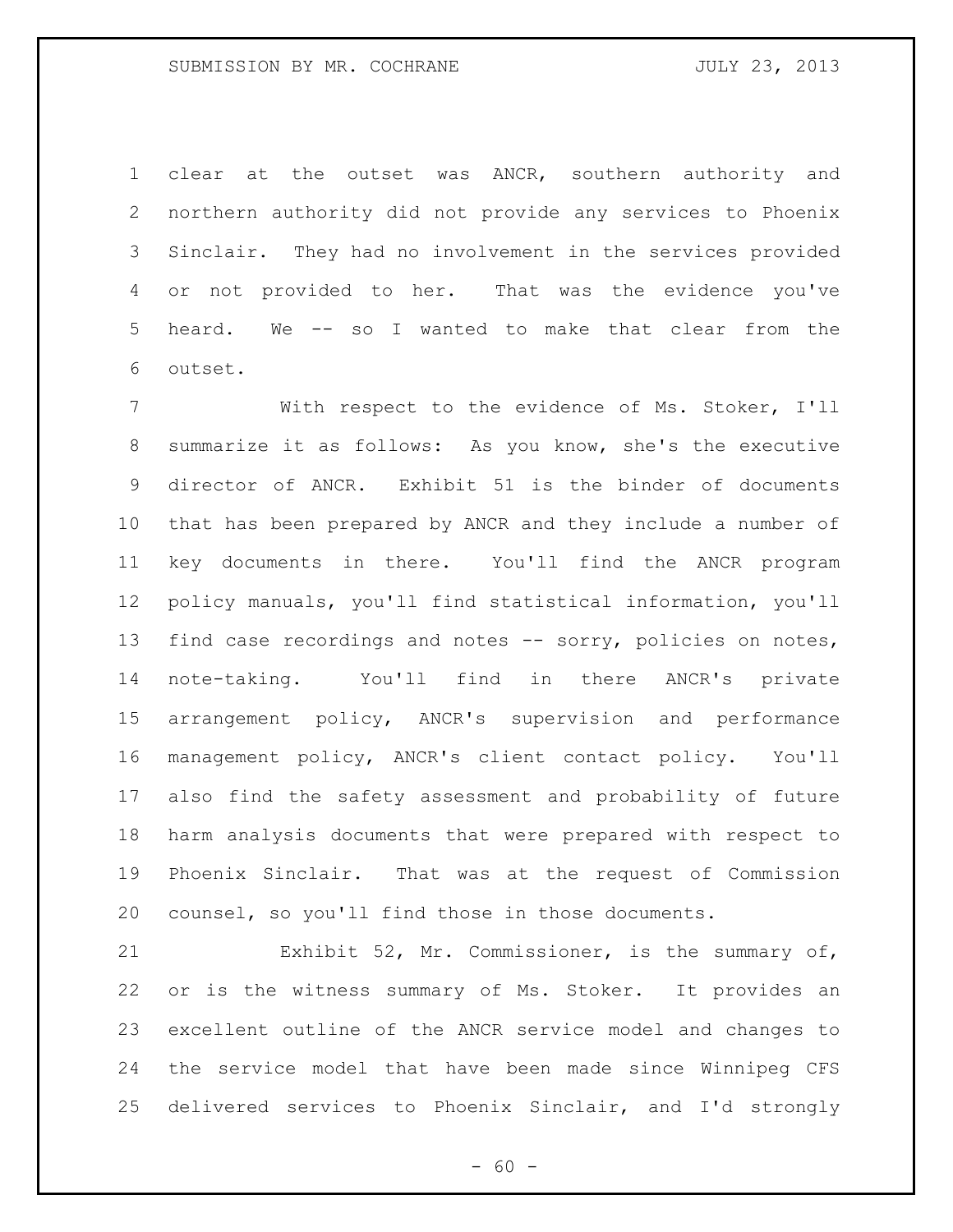clear at the outset was ANCR, southern authority and northern authority did not provide any services to Phoenix Sinclair. They had no involvement in the services provided or not provided to her. That was the evidence you've heard. We -- so I wanted to make that clear from the outset.

 With respect to the evidence of Ms. Stoker, I'll summarize it as follows: As you know, she's the executive director of ANCR. Exhibit 51 is the binder of documents that has been prepared by ANCR and they include a number of key documents in there. You'll find the ANCR program policy manuals, you'll find statistical information, you'll find case recordings and notes -- sorry, policies on notes, note-taking. You'll find in there ANCR's private arrangement policy, ANCR's supervision and performance management policy, ANCR's client contact policy. You'll also find the safety assessment and probability of future harm analysis documents that were prepared with respect to Phoenix Sinclair. That was at the request of Commission counsel, so you'll find those in those documents.

 Exhibit 52, Mr. Commissioner, is the summary of, or is the witness summary of Ms. Stoker. It provides an excellent outline of the ANCR service model and changes to the service model that have been made since Winnipeg CFS delivered services to Phoenix Sinclair, and I'd strongly

 $- 60 -$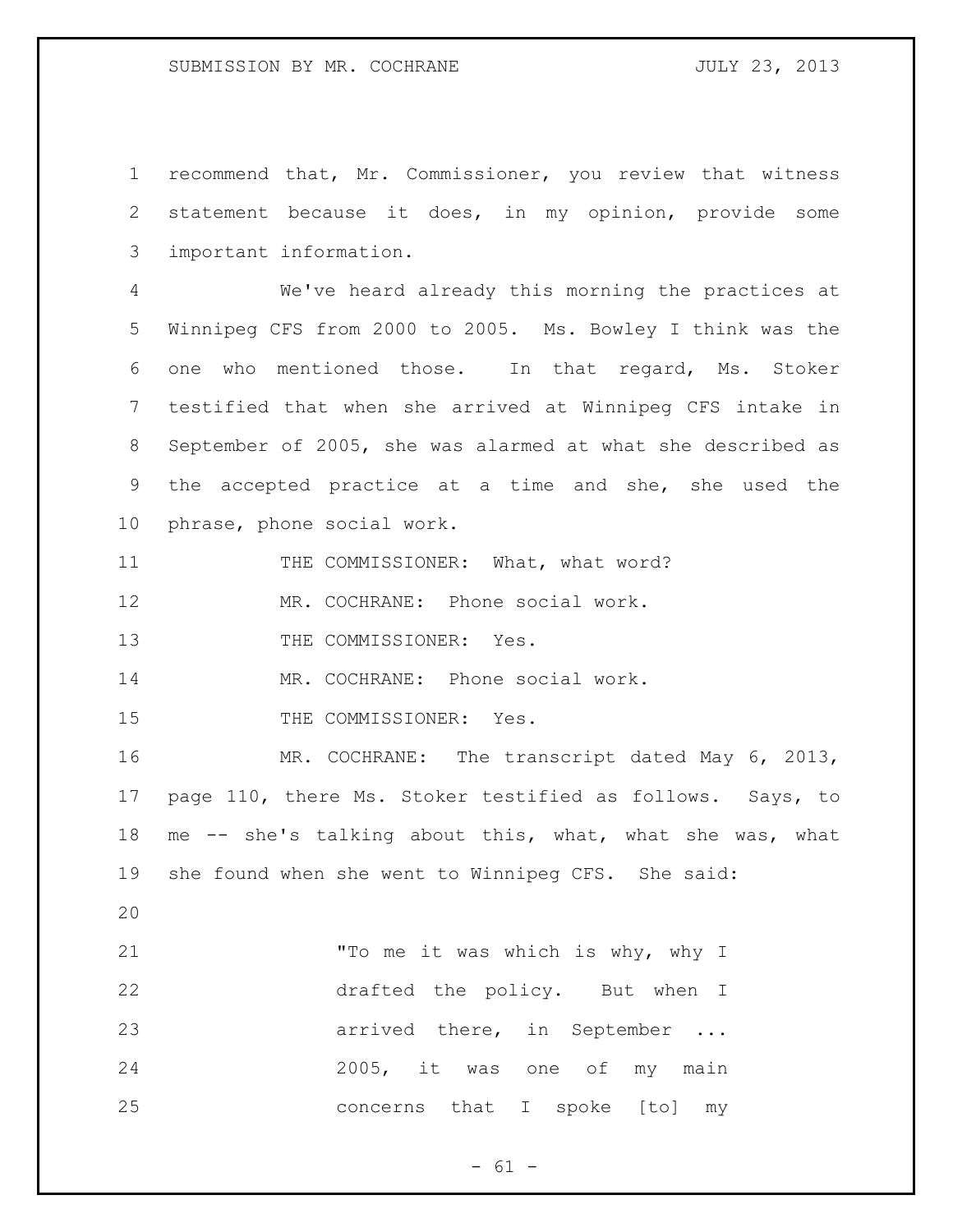recommend that, Mr. Commissioner, you review that witness statement because it does, in my opinion, provide some important information.

 We've heard already this morning the practices at Winnipeg CFS from 2000 to 2005. Ms. Bowley I think was the one who mentioned those. In that regard, Ms. Stoker testified that when she arrived at Winnipeg CFS intake in September of 2005, she was alarmed at what she described as the accepted practice at a time and she, she used the phrase, phone social work.

11 THE COMMISSIONER: What, what word?

MR. COCHRANE: Phone social work.

13 THE COMMISSIONER: Yes.

MR. COCHRANE: Phone social work.

15 THE COMMISSIONER: Yes.

 MR. COCHRANE: The transcript dated May 6, 2013, page 110, there Ms. Stoker testified as follows. Says, to me -- she's talking about this, what, what she was, what she found when she went to Winnipeg CFS. She said:

| 21 | "To me it was which is why, why I |
|----|-----------------------------------|
| 22 | drafted the policy. But when I    |
| 23 | arrived there, in September       |
| 24 | 2005, it was one of my main       |
| 25 | concerns that I spoke [to] my     |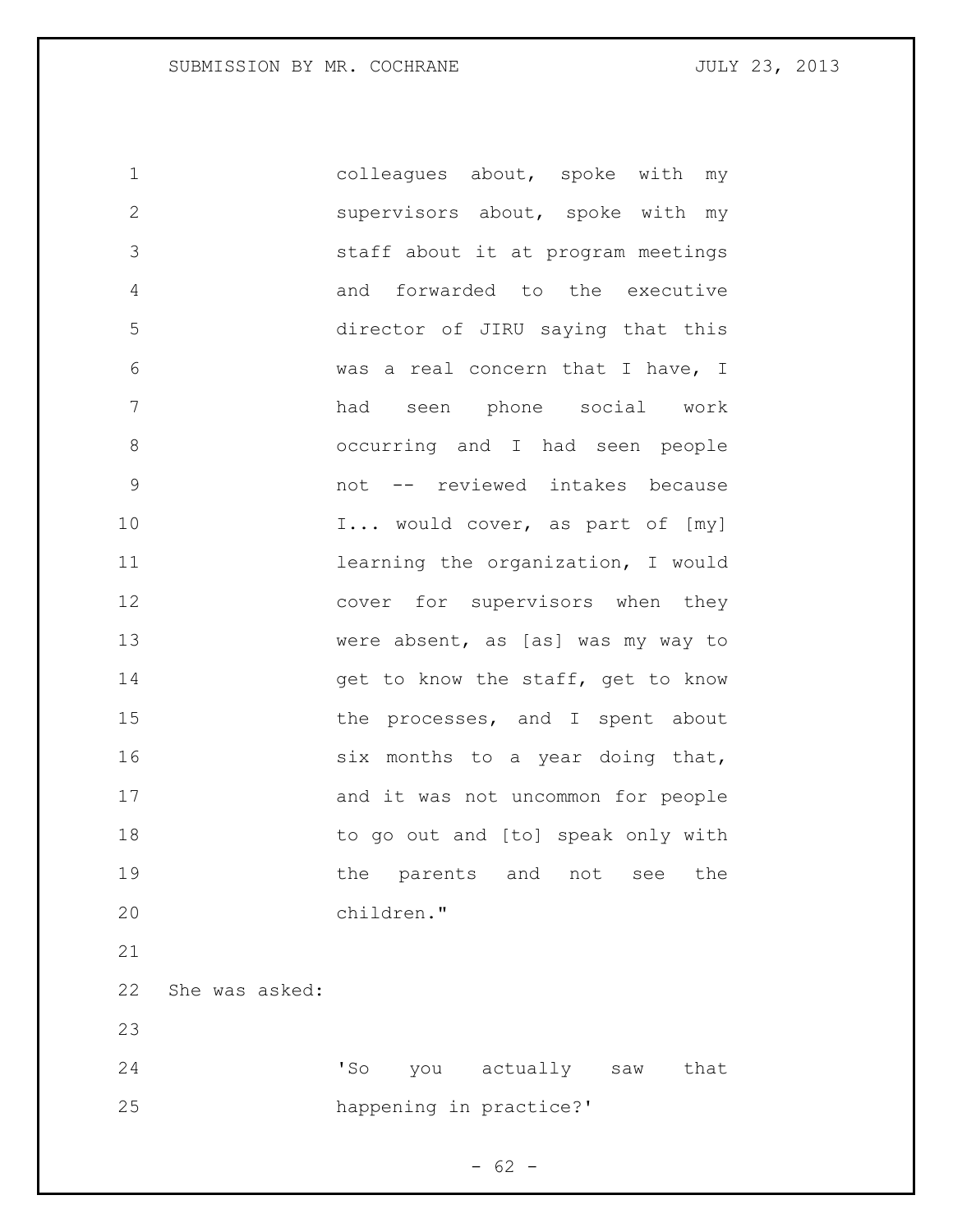SUBMISSION BY MR. COCHRANE **FOULY 23, 2013** 

 colleagues about, spoke with my supervisors about, spoke with my staff about it at program meetings and forwarded to the executive director of JIRU saying that this was a real concern that I have, I had seen phone social work occurring and I had seen people not -- reviewed intakes because 10 I... would cover, as part of [my] **11** learning the organization, I would 12 cover for supervisors when they were absent, as [as] was my way to 14 get to know the staff, get to know 15 the processes, and I spent about 16 six months to a year doing that, 17 and it was not uncommon for people 18 to go out and [to] speak only with **the parents and not see the**  children." She was asked: 'So you actually saw that happening in practice?'

 $- 62 -$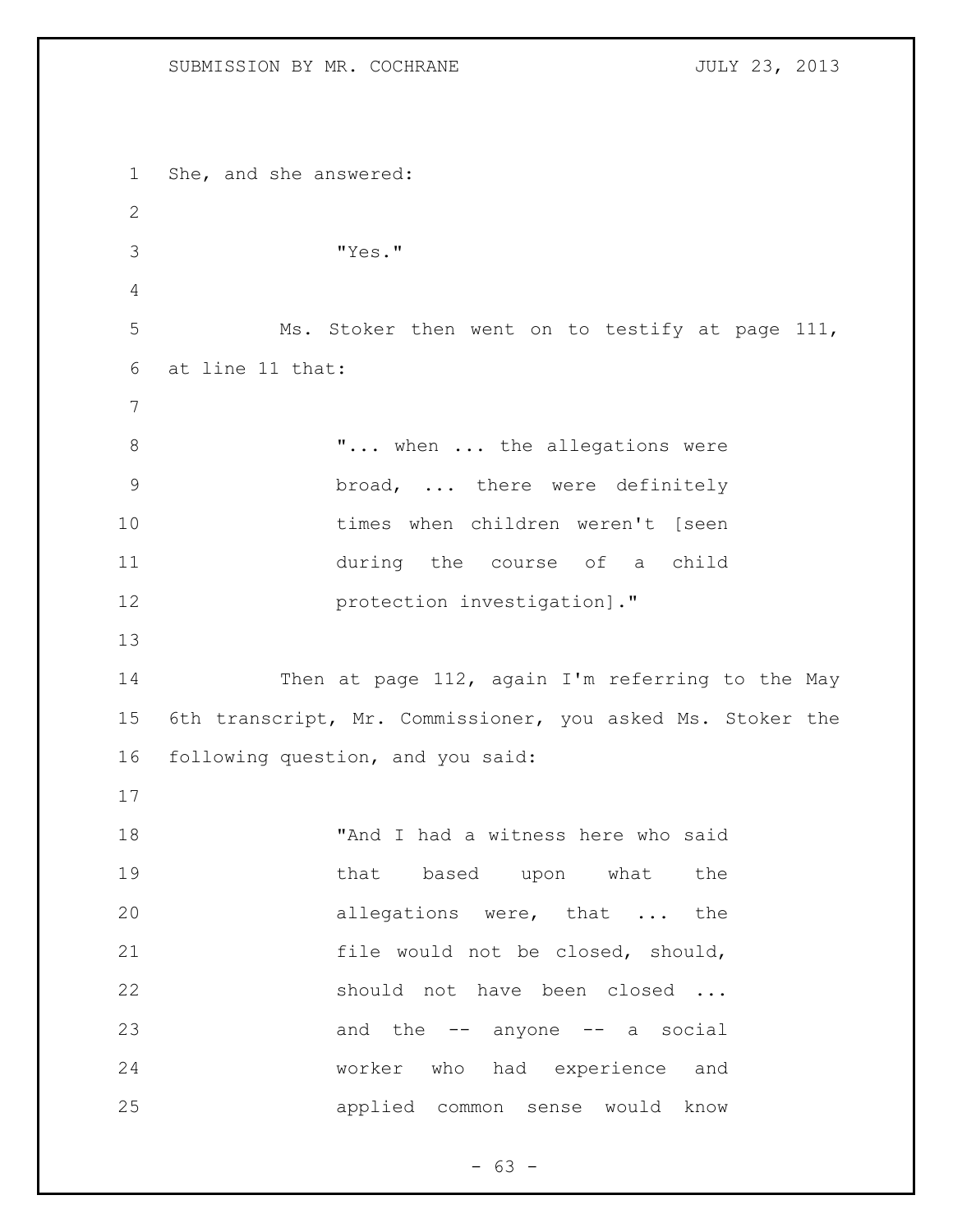She, and she answered: "Yes." Ms. Stoker then went on to testify at page 111, at line 11 that: 8 T... when ... the allegations were broad, ... there were definitely times when children weren't [seen during the course of a child **protection investigation**]." 14 Then at page 112, again I'm referring to the May 6th transcript, Mr. Commissioner, you asked Ms. Stoker the following question, and you said: "And I had a witness here who said 19 that based upon what the allegations were, that ... the file would not be closed, should, should not have been closed ... 23 and the -- anyone -- a social worker who had experience and applied common sense would know

 $- 63 -$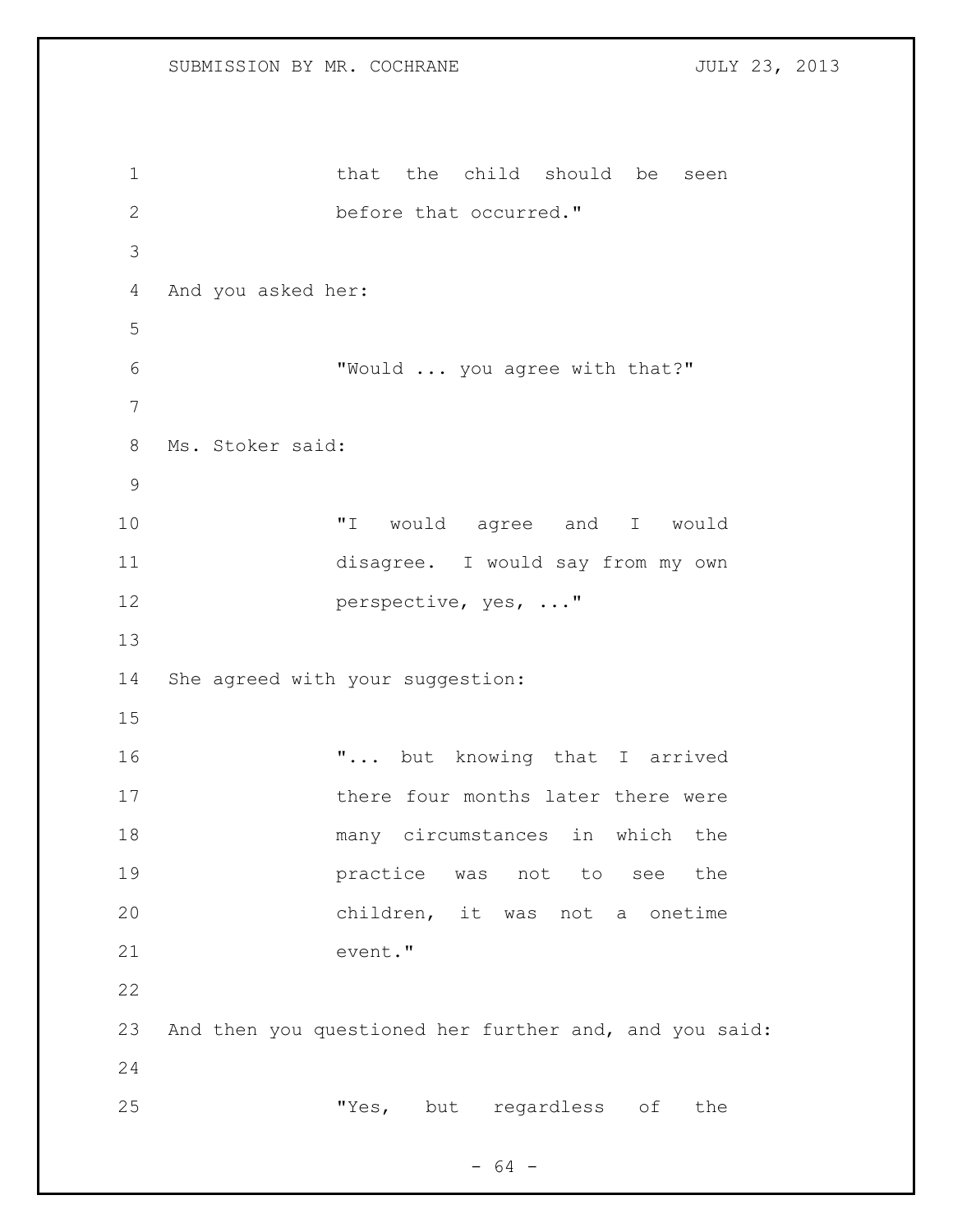1 that the child should be seen before that occurred." And you asked her: "Would ... you agree with that?" Ms. Stoker said: "I would agree and I would disagree. I would say from my own **perspective, yes, ..."**  She agreed with your suggestion: 16  $\ldots$  but knowing that I arrived 17 there four months later there were many circumstances in which the practice was not to see the children, it was not a onetime event." And then you questioned her further and, and you said: "Yes, but regardless of the

 $- 64 -$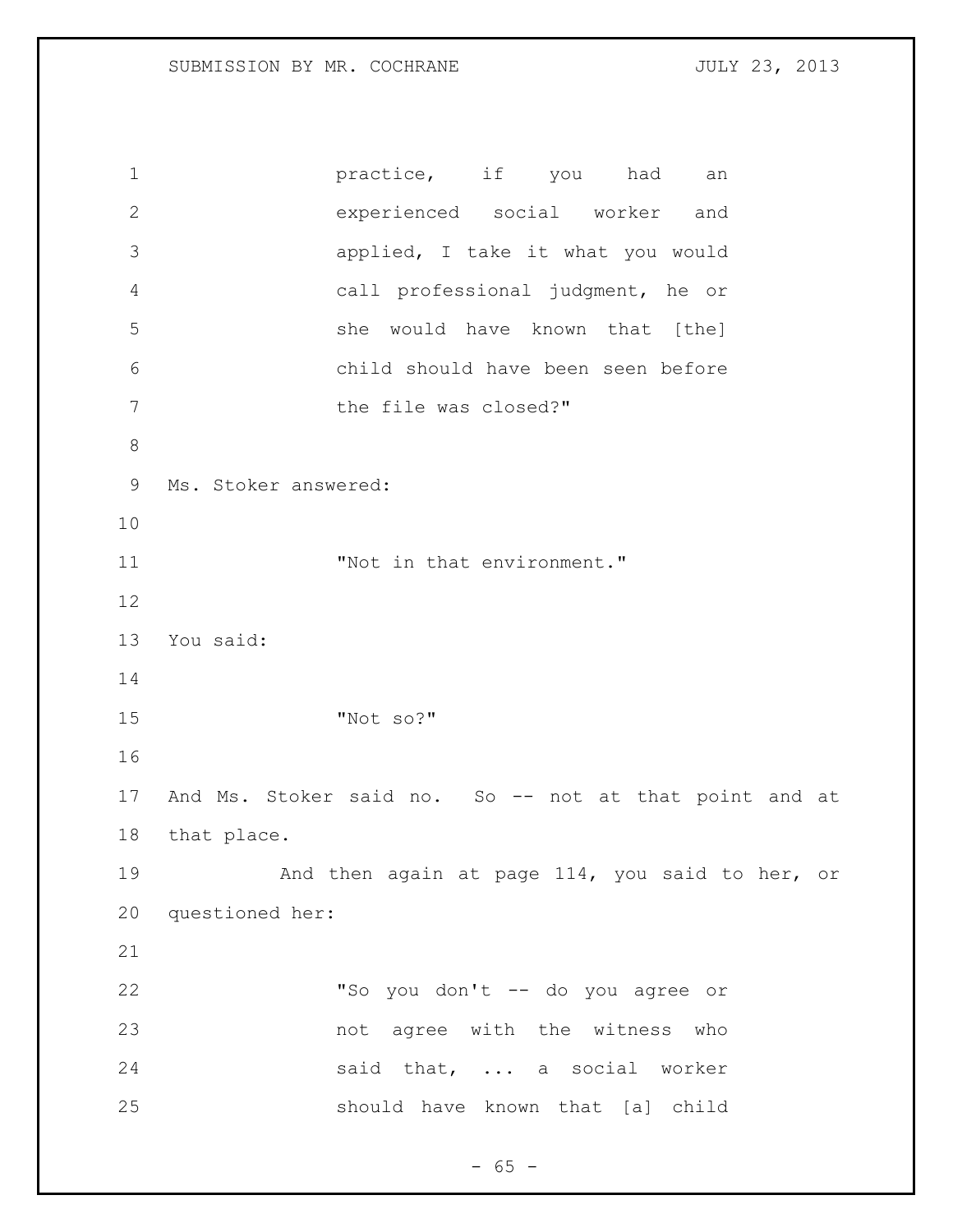**practice**, if you had an experienced social worker and applied, I take it what you would call professional judgment, he or she would have known that [the] child should have been seen before 7 the file was closed?" Ms. Stoker answered: 11 Wot in that environment." You said: "Not so?" And Ms. Stoker said no. So -- not at that point and at that place. 19 And then again at page 114, you said to her, or questioned her: "So you don't -- do you agree or not agree with the witness who 24 said that, ... a social worker should have known that [a] child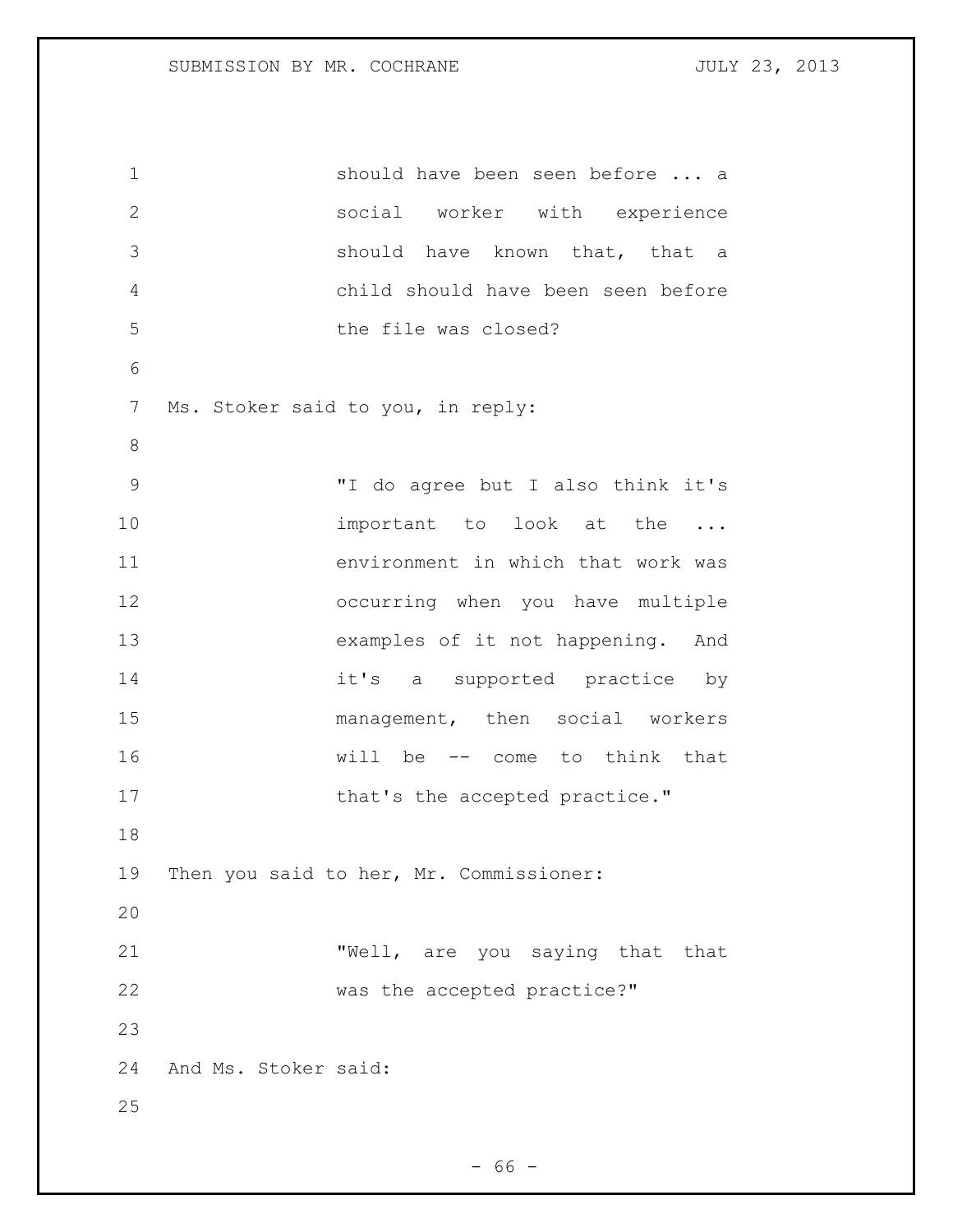should have been seen before ... a social worker with experience should have known that, that a child should have been seen before the file was closed? Ms. Stoker said to you, in reply: "I do agree but I also think it's 10 important to look at the ... environment in which that work was occurring when you have multiple examples of it not happening. And it's a supported practice by 15 management, then social workers will be -- come to think that 17 that's the accepted practice." Then you said to her, Mr. Commissioner: "Well, are you saying that that 22 was the accepted practice?" And Ms. Stoker said: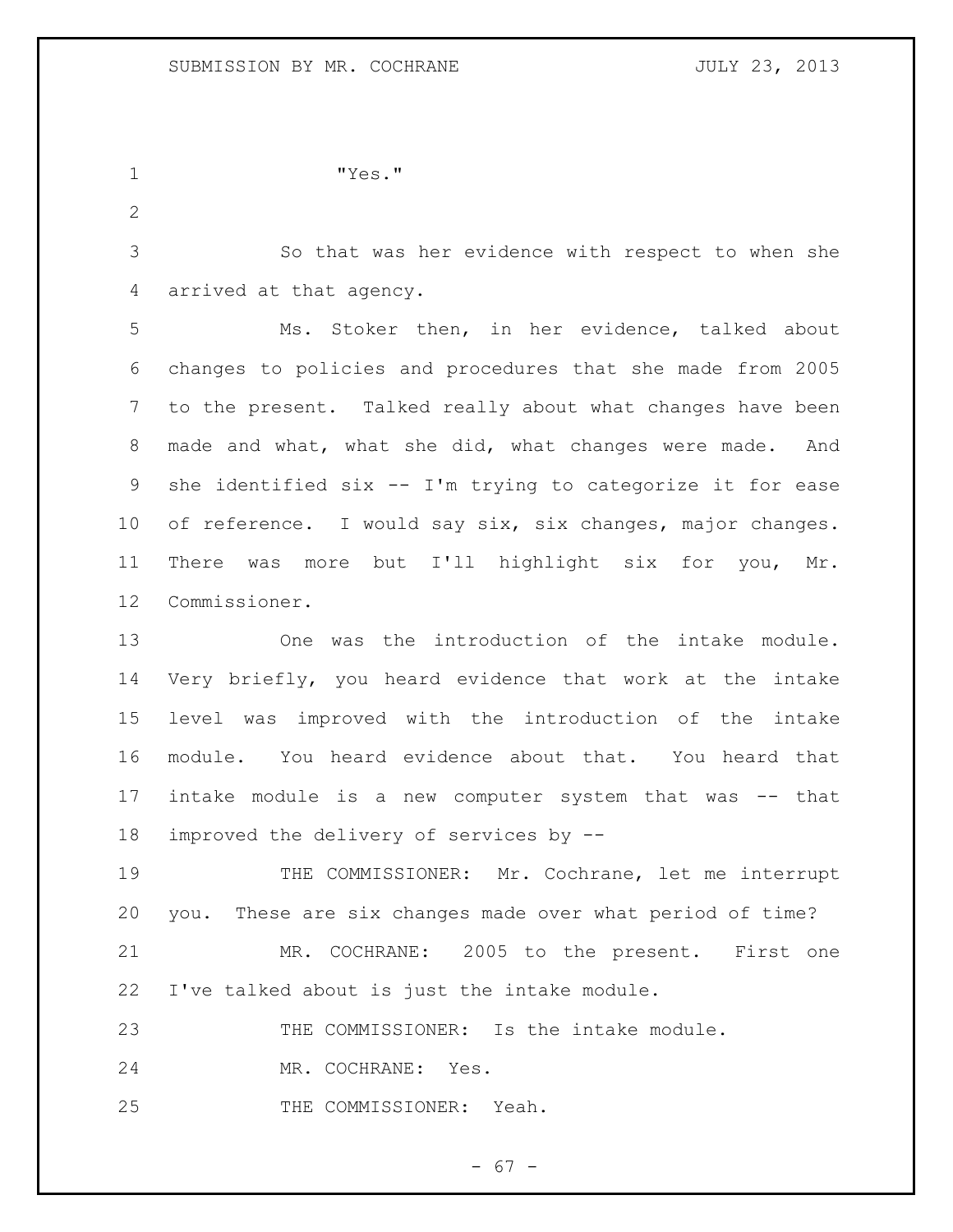"Yes."

 So that was her evidence with respect to when she arrived at that agency.

 Ms. Stoker then, in her evidence, talked about changes to policies and procedures that she made from 2005 to the present. Talked really about what changes have been made and what, what she did, what changes were made. And she identified six -- I'm trying to categorize it for ease of reference. I would say six, six changes, major changes. There was more but I'll highlight six for you, Mr. Commissioner.

 One was the introduction of the intake module. Very briefly, you heard evidence that work at the intake level was improved with the introduction of the intake module. You heard evidence about that. You heard that intake module is a new computer system that was -- that improved the delivery of services by --

 THE COMMISSIONER: Mr. Cochrane, let me interrupt you. These are six changes made over what period of time?

 MR. COCHRANE: 2005 to the present. First one I've talked about is just the intake module.

THE COMMISSIONER: Is the intake module.

MR. COCHRANE: Yes.

THE COMMISSIONER: Yeah.

 $- 67 -$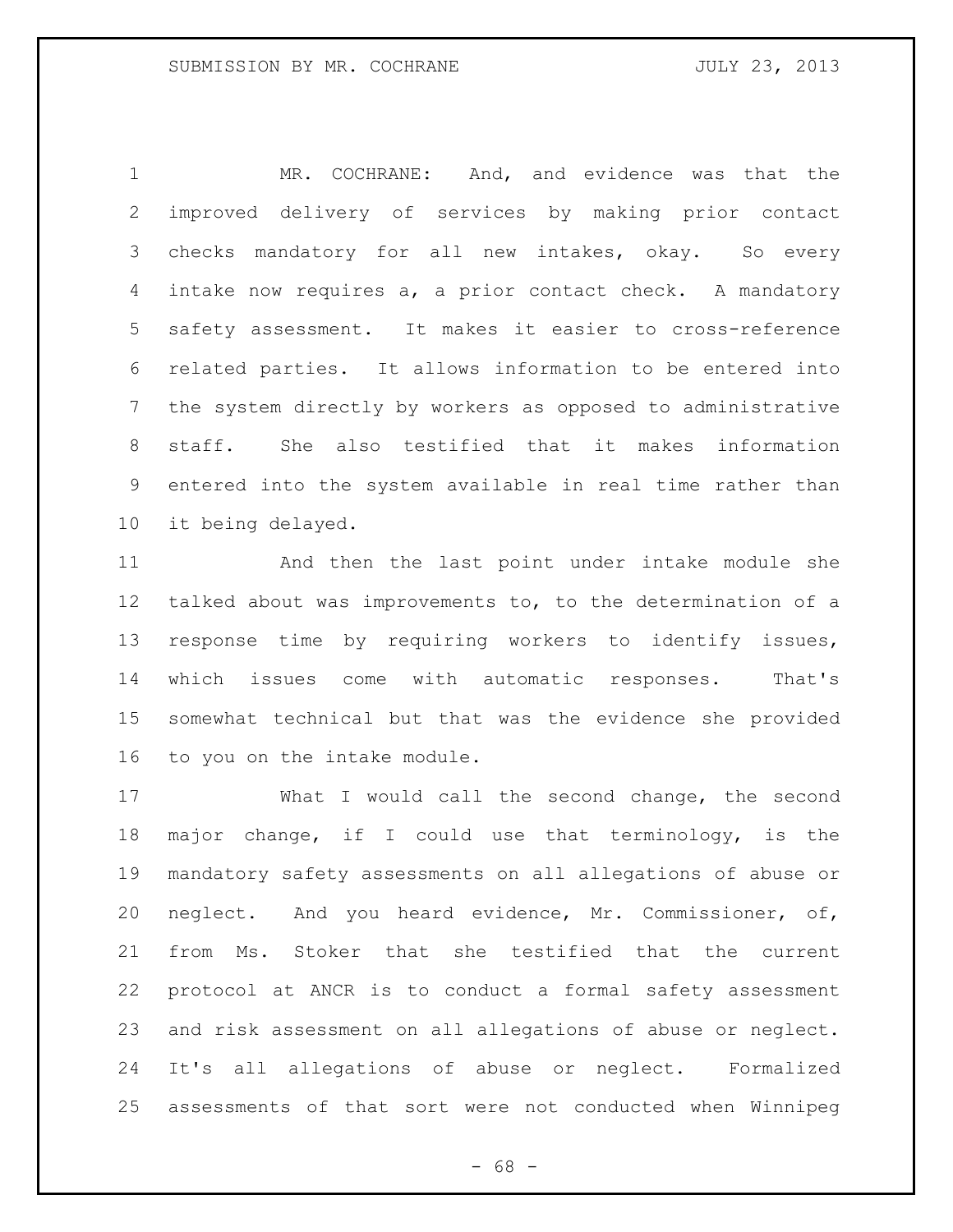MR. COCHRANE: And, and evidence was that the improved delivery of services by making prior contact checks mandatory for all new intakes, okay. So every intake now requires a, a prior contact check. A mandatory safety assessment. It makes it easier to cross-reference related parties. It allows information to be entered into the system directly by workers as opposed to administrative staff. She also testified that it makes information entered into the system available in real time rather than it being delayed.

 And then the last point under intake module she talked about was improvements to, to the determination of a response time by requiring workers to identify issues, which issues come with automatic responses. That's somewhat technical but that was the evidence she provided to you on the intake module.

 What I would call the second change, the second major change, if I could use that terminology, is the mandatory safety assessments on all allegations of abuse or neglect. And you heard evidence, Mr. Commissioner, of, from Ms. Stoker that she testified that the current protocol at ANCR is to conduct a formal safety assessment and risk assessment on all allegations of abuse or neglect. It's all allegations of abuse or neglect. Formalized assessments of that sort were not conducted when Winnipeg

- 68 -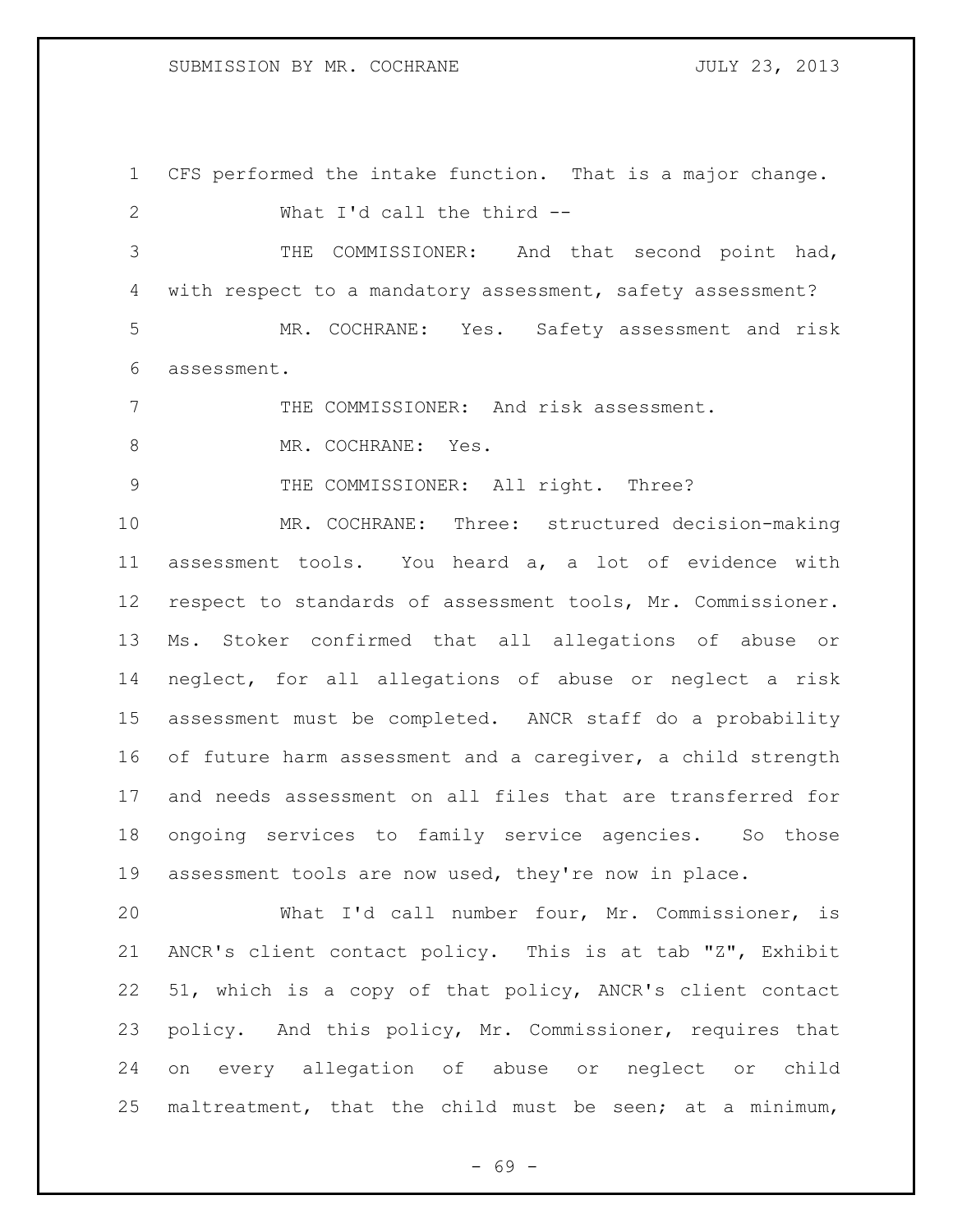## SUBMISSION BY MR. COCHRANE **FOULY 23, 2013**

 CFS performed the intake function. That is a major change. What I'd call the third --

 THE COMMISSIONER: And that second point had, 4 with respect to a mandatory assessment, safety assessment? MR. COCHRANE: Yes. Safety assessment and risk assessment.

THE COMMISSIONER: And risk assessment.

8 MR. COCHRANE: Yes.

9 THE COMMISSIONER: All right. Three?

 MR. COCHRANE: Three: structured decision-making assessment tools. You heard a, a lot of evidence with respect to standards of assessment tools, Mr. Commissioner. Ms. Stoker confirmed that all allegations of abuse or neglect, for all allegations of abuse or neglect a risk assessment must be completed. ANCR staff do a probability of future harm assessment and a caregiver, a child strength and needs assessment on all files that are transferred for ongoing services to family service agencies. So those assessment tools are now used, they're now in place.

 What I'd call number four, Mr. Commissioner, is ANCR's client contact policy. This is at tab "Z", Exhibit 51, which is a copy of that policy, ANCR's client contact policy. And this policy, Mr. Commissioner, requires that on every allegation of abuse or neglect or child maltreatment, that the child must be seen; at a minimum,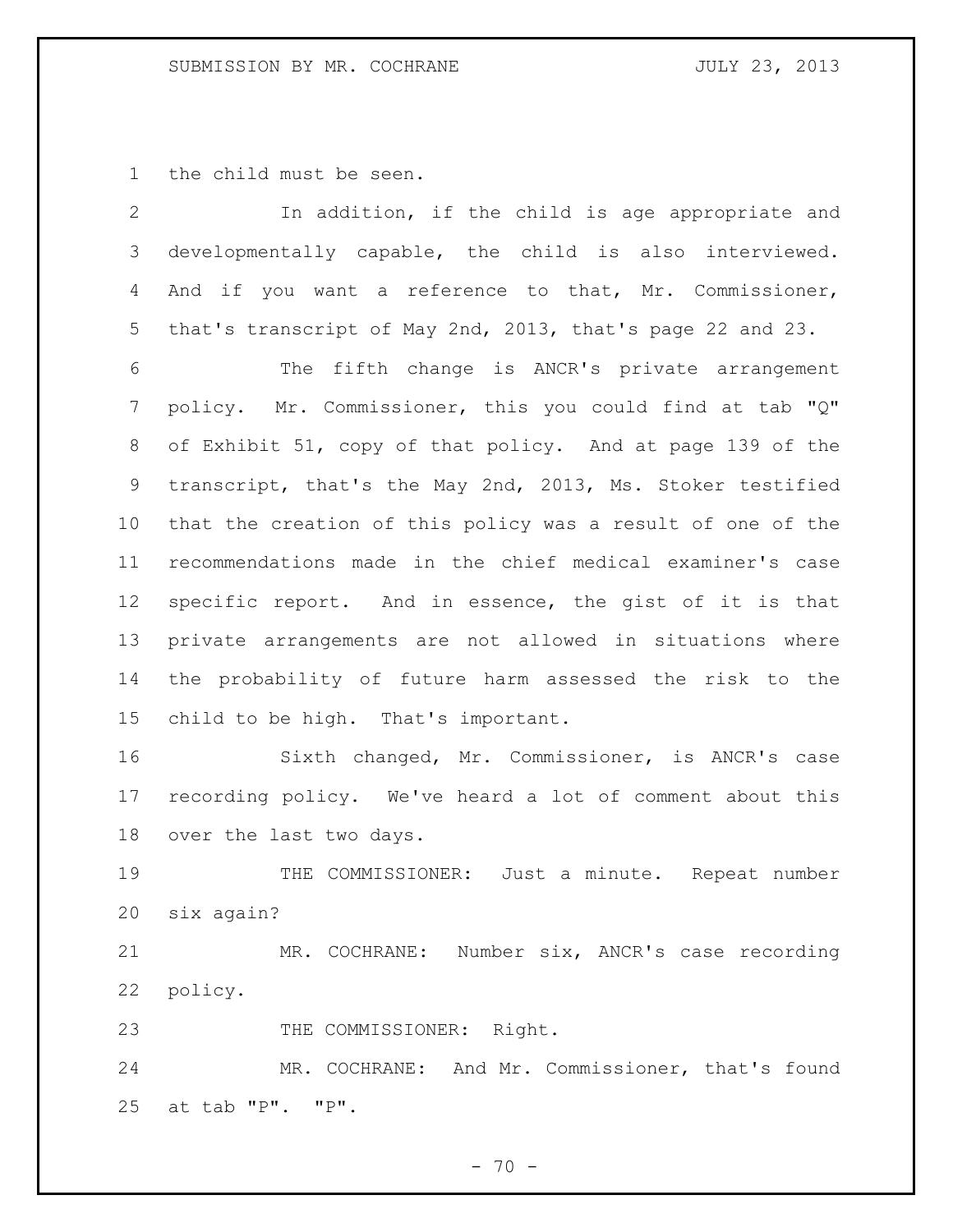# SUBMISSION BY MR. COCHRANE **1988** JULY 23, 2013

the child must be seen.

| $\mathbf{2}$ | In addition, if the child is age appropriate and            |
|--------------|-------------------------------------------------------------|
| 3            | developmentally capable, the child is also interviewed.     |
| 4            | And if you want a reference to that, Mr. Commissioner,      |
| 5            | that's transcript of May 2nd, 2013, that's page 22 and 23.  |
| 6            | The fifth change is ANCR's private arrangement              |
| 7            | policy. Mr. Commissioner, this you could find at tab "Q"    |
| 8            | of Exhibit 51, copy of that policy. And at page 139 of the  |
| 9            | transcript, that's the May 2nd, 2013, Ms. Stoker testified  |
| 10           | that the creation of this policy was a result of one of the |
| 11           | recommendations made in the chief medical examiner's case   |
| 12           | specific report. And in essence, the gist of it is that     |
| 13           | private arrangements are not allowed in situations where    |
| 14           | the probability of future harm assessed the risk to the     |
| 15           | child to be high. That's important.                         |
| 16           | Sixth changed, Mr. Commissioner, is ANCR's case             |
| 17           | recording policy. We've heard a lot of comment about this   |
| 18           | over the last two days.                                     |
| 19           | THE COMMISSIONER: Just a minute. Repeat number              |
| 20           | six again?                                                  |
| 21           | MR. COCHRANE: Number six, ANCR's case recording             |
| 22           | policy.                                                     |
| 23           | THE COMMISSIONER: Right.                                    |
| 24           | MR. COCHRANE: And Mr. Commissioner, that's found            |
| 25           | at tab "P". "P".                                            |

- 70 -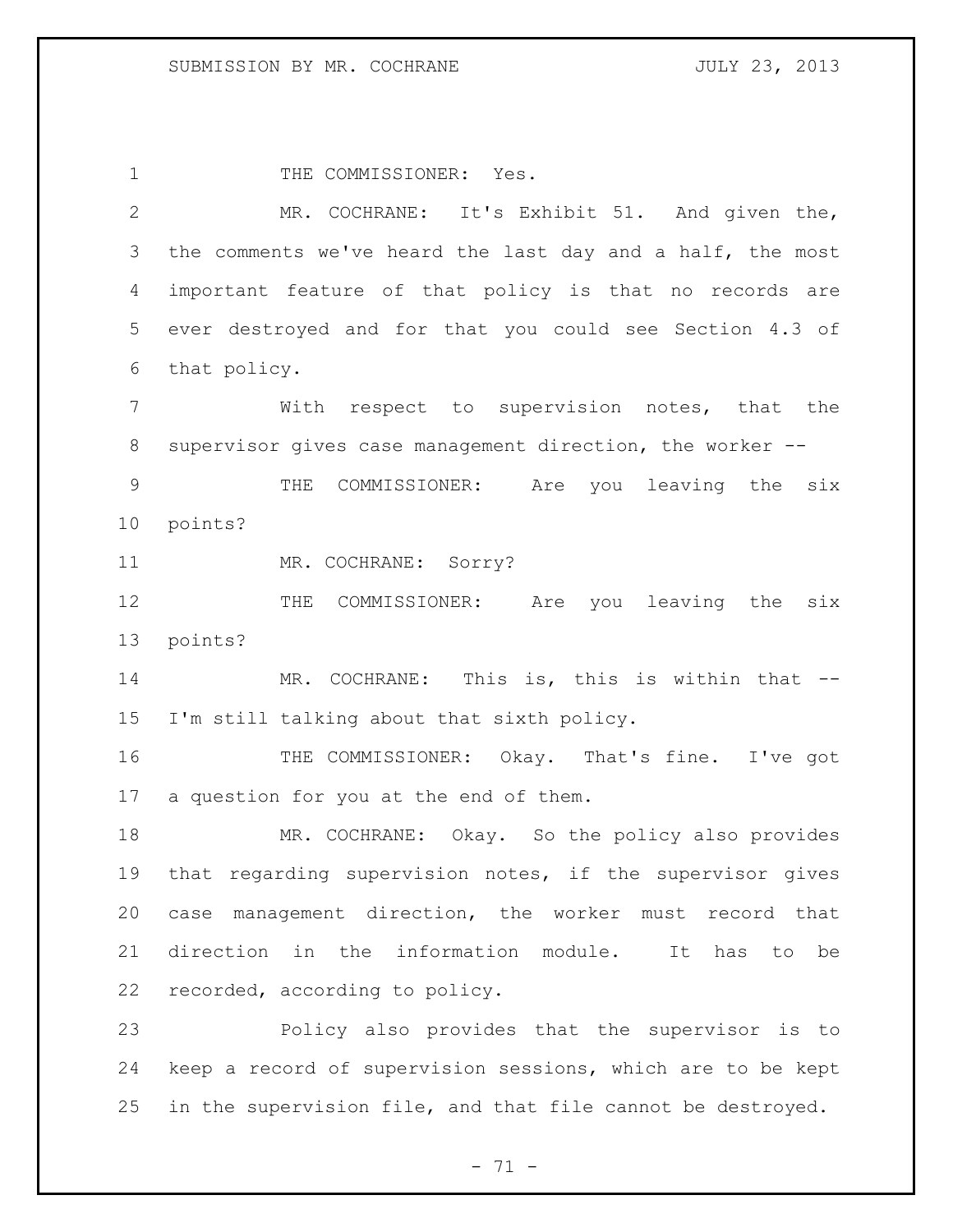1 THE COMMISSIONER: Yes. MR. COCHRANE: It's Exhibit 51. And given the, 3 the comments we've heard the last day and a half, the most important feature of that policy is that no records are ever destroyed and for that you could see Section 4.3 of that policy. With respect to supervision notes, that the supervisor gives case management direction, the worker -- THE COMMISSIONER: Are you leaving the six points? 11 MR. COCHRANE: Sorry? 12 THE COMMISSIONER: Are you leaving the six points? 14 MR. COCHRANE: This is, this is within that -- I'm still talking about that sixth policy. THE COMMISSIONER: Okay. That's fine. I've got a question for you at the end of them. MR. COCHRANE: Okay. So the policy also provides that regarding supervision notes, if the supervisor gives case management direction, the worker must record that direction in the information module. It has to be recorded, according to policy. Policy also provides that the supervisor is to keep a record of supervision sessions, which are to be kept in the supervision file, and that file cannot be destroyed.

 $- 71 -$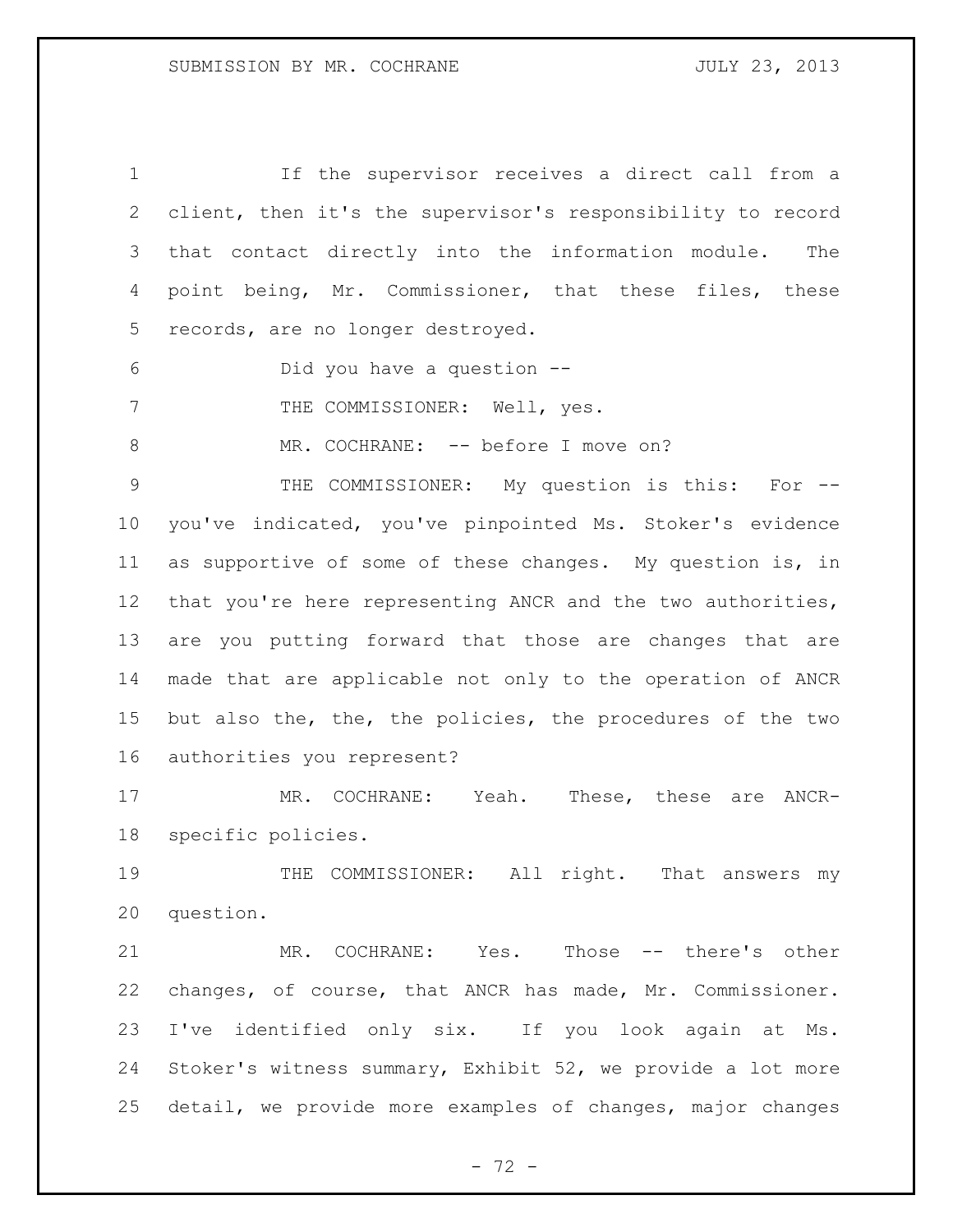If the supervisor receives a direct call from a client, then it's the supervisor's responsibility to record that contact directly into the information module. The point being, Mr. Commissioner, that these files, these records, are no longer destroyed. Did you have a question -- 7 THE COMMISSIONER: Well, yes. 8 MR. COCHRANE: -- before I move on? THE COMMISSIONER: My question is this: For -- you've indicated, you've pinpointed Ms. Stoker's evidence as supportive of some of these changes. My question is, in that you're here representing ANCR and the two authorities, are you putting forward that those are changes that are made that are applicable not only to the operation of ANCR but also the, the, the policies, the procedures of the two authorities you represent? MR. COCHRANE: Yeah. These, these are ANCR- specific policies. 19 THE COMMISSIONER: All right. That answers my question.

21 MR. COCHRANE: Yes. Those -- there's other changes, of course, that ANCR has made, Mr. Commissioner. I've identified only six. If you look again at Ms. Stoker's witness summary, Exhibit 52, we provide a lot more detail, we provide more examples of changes, major changes

 $- 72 -$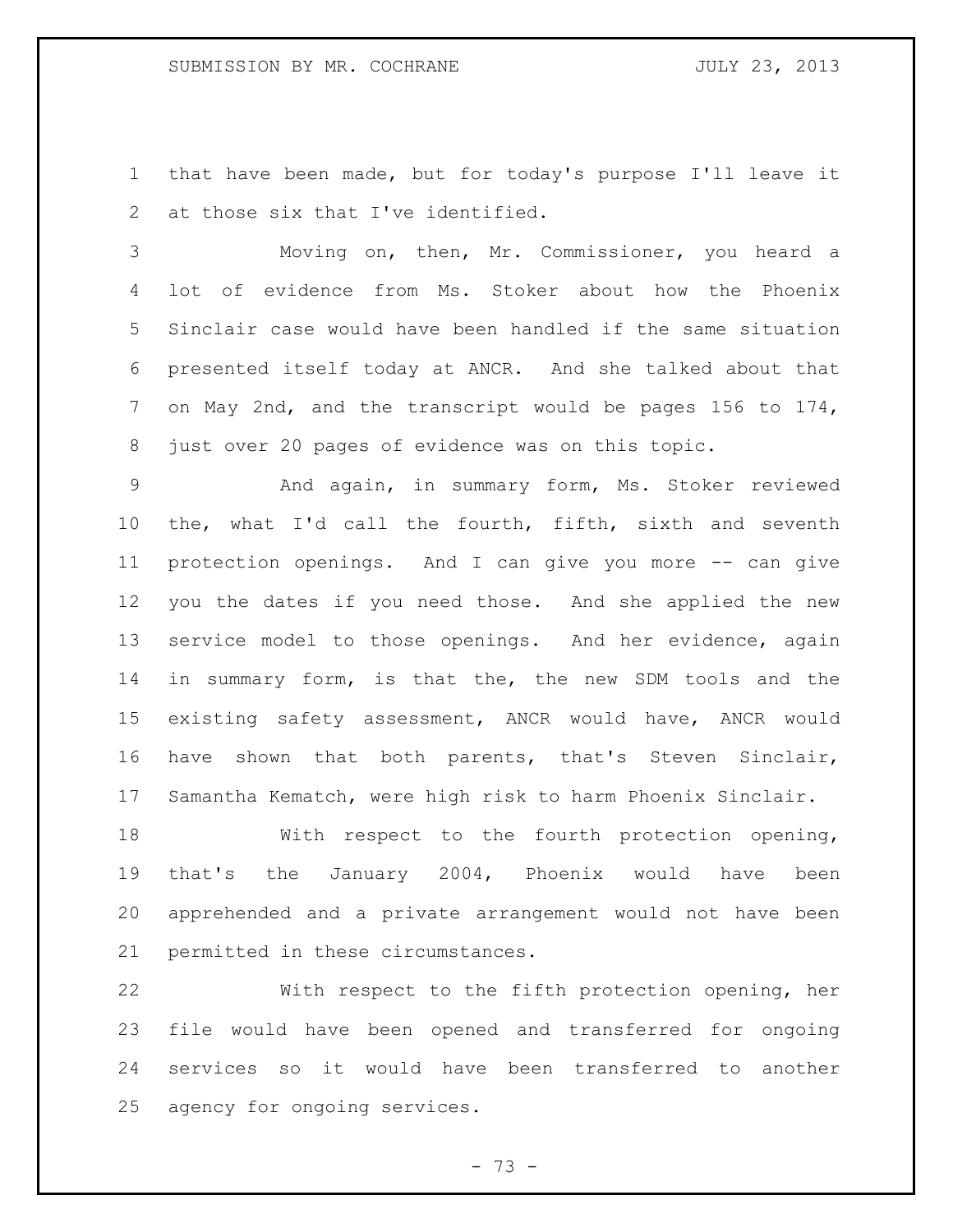that have been made, but for today's purpose I'll leave it 2 at those six that I've identified.

 Moving on, then, Mr. Commissioner, you heard a lot of evidence from Ms. Stoker about how the Phoenix Sinclair case would have been handled if the same situation presented itself today at ANCR. And she talked about that on May 2nd, and the transcript would be pages 156 to 174, just over 20 pages of evidence was on this topic.

 And again, in summary form, Ms. Stoker reviewed the, what I'd call the fourth, fifth, sixth and seventh protection openings. And I can give you more -- can give you the dates if you need those. And she applied the new service model to those openings. And her evidence, again in summary form, is that the, the new SDM tools and the existing safety assessment, ANCR would have, ANCR would have shown that both parents, that's Steven Sinclair, Samantha Kematch, were high risk to harm Phoenix Sinclair.

 With respect to the fourth protection opening, that's the January 2004, Phoenix would have been apprehended and a private arrangement would not have been permitted in these circumstances.

 With respect to the fifth protection opening, her file would have been opened and transferred for ongoing services so it would have been transferred to another agency for ongoing services.

 $- 73 -$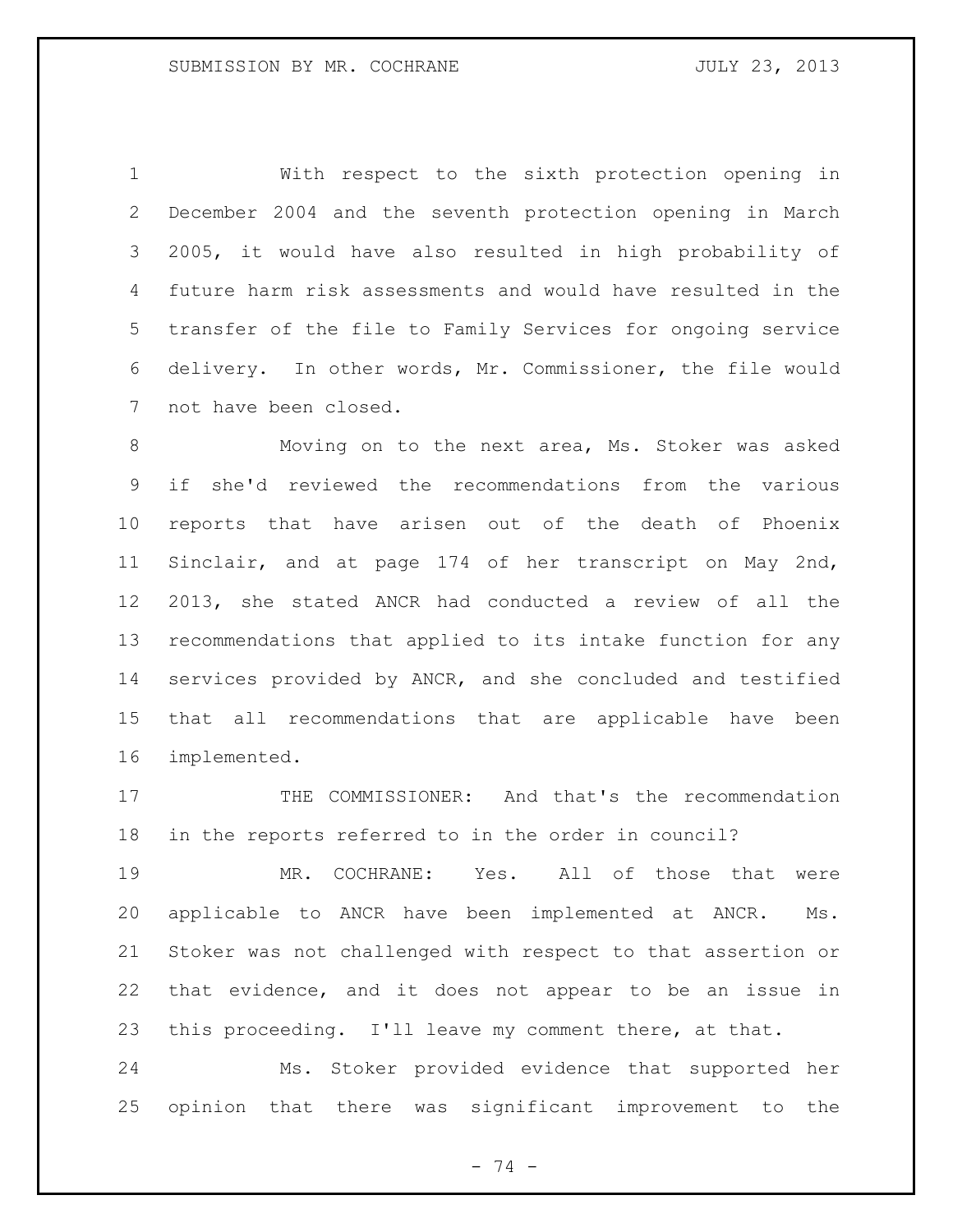With respect to the sixth protection opening in December 2004 and the seventh protection opening in March 2005, it would have also resulted in high probability of future harm risk assessments and would have resulted in the transfer of the file to Family Services for ongoing service delivery. In other words, Mr. Commissioner, the file would not have been closed.

 Moving on to the next area, Ms. Stoker was asked if she'd reviewed the recommendations from the various reports that have arisen out of the death of Phoenix Sinclair, and at page 174 of her transcript on May 2nd, 2013, she stated ANCR had conducted a review of all the recommendations that applied to its intake function for any services provided by ANCR, and she concluded and testified that all recommendations that are applicable have been implemented.

 THE COMMISSIONER: And that's the recommendation in the reports referred to in the order in council?

 MR. COCHRANE: Yes. All of those that were applicable to ANCR have been implemented at ANCR. Ms. Stoker was not challenged with respect to that assertion or that evidence, and it does not appear to be an issue in this proceeding. I'll leave my comment there, at that.

 Ms. Stoker provided evidence that supported her opinion that there was significant improvement to the

- 74 -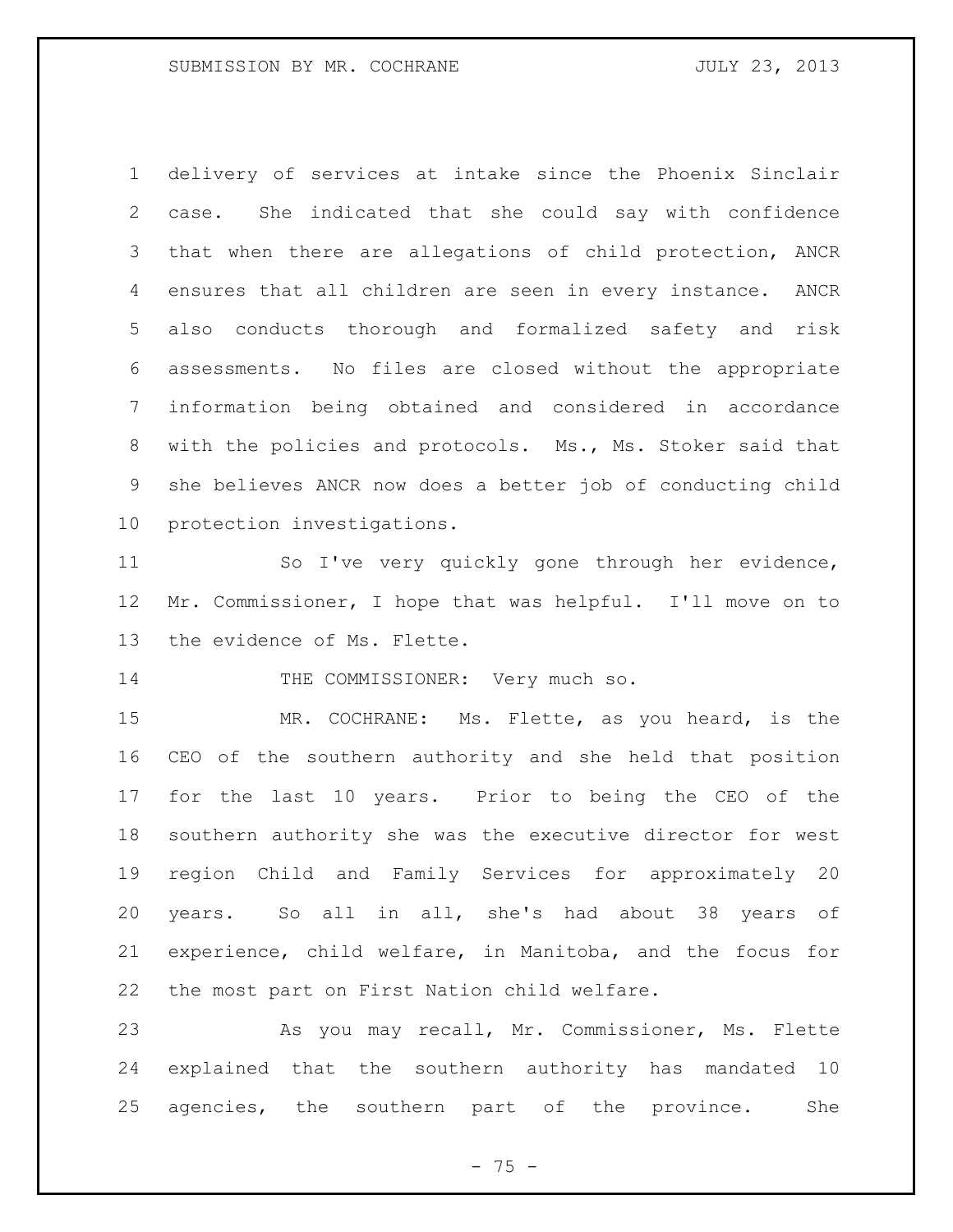delivery of services at intake since the Phoenix Sinclair case. She indicated that she could say with confidence that when there are allegations of child protection, ANCR ensures that all children are seen in every instance. ANCR also conducts thorough and formalized safety and risk assessments. No files are closed without the appropriate information being obtained and considered in accordance with the policies and protocols. Ms., Ms. Stoker said that she believes ANCR now does a better job of conducting child protection investigations.

 So I've very quickly gone through her evidence, Mr. Commissioner, I hope that was helpful. I'll move on to the evidence of Ms. Flette.

14 THE COMMISSIONER: Very much so.

 MR. COCHRANE: Ms. Flette, as you heard, is the CEO of the southern authority and she held that position for the last 10 years. Prior to being the CEO of the southern authority she was the executive director for west region Child and Family Services for approximately 20 years. So all in all, she's had about 38 years of experience, child welfare, in Manitoba, and the focus for the most part on First Nation child welfare.

 As you may recall, Mr. Commissioner, Ms. Flette explained that the southern authority has mandated 10 agencies, the southern part of the province. She

 $- 75 -$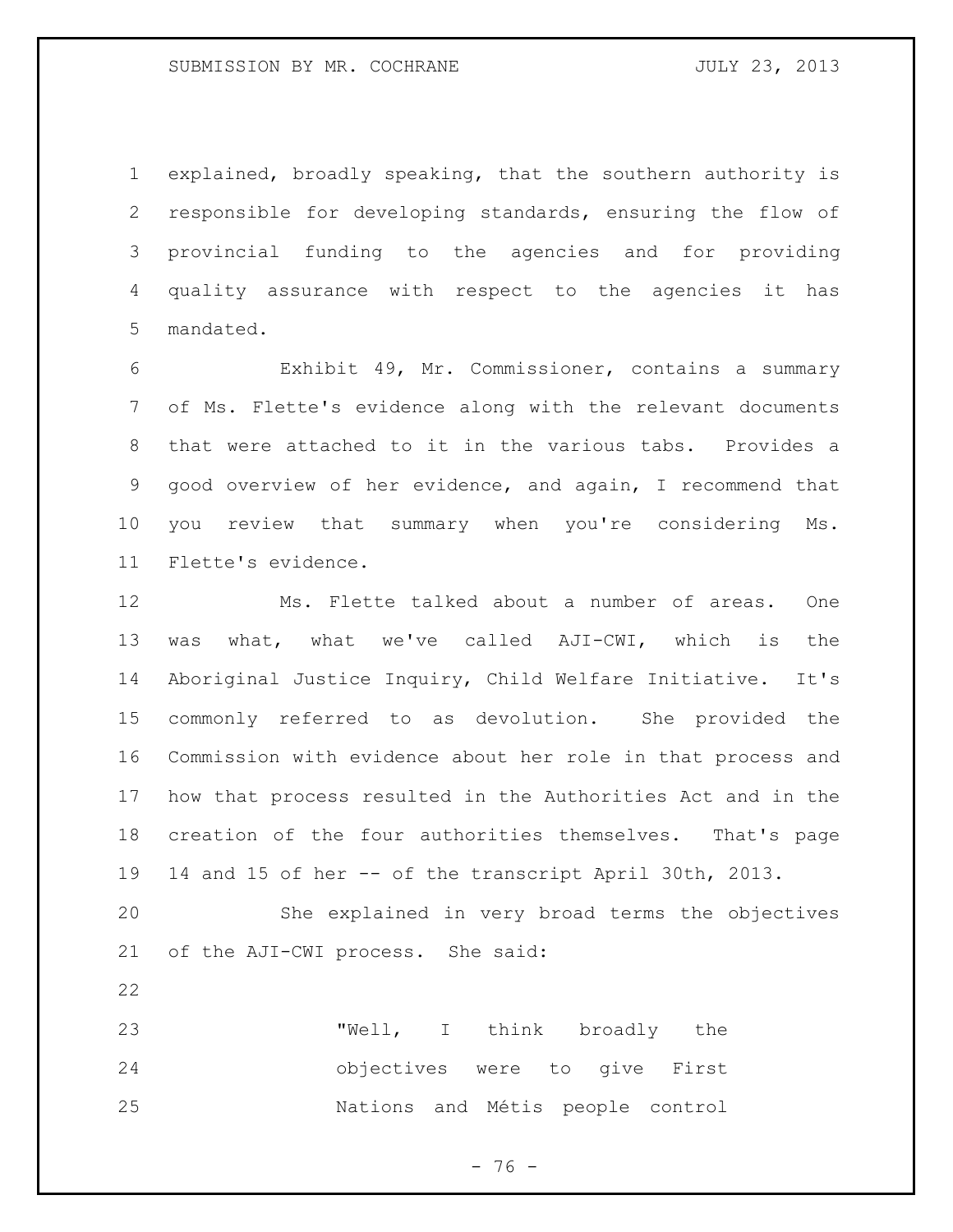explained, broadly speaking, that the southern authority is responsible for developing standards, ensuring the flow of provincial funding to the agencies and for providing quality assurance with respect to the agencies it has mandated.

 Exhibit 49, Mr. Commissioner, contains a summary of Ms. Flette's evidence along with the relevant documents that were attached to it in the various tabs. Provides a good overview of her evidence, and again, I recommend that you review that summary when you're considering Ms. Flette's evidence.

 Ms. Flette talked about a number of areas. One was what, what we've called AJI-CWI, which is the Aboriginal Justice Inquiry, Child Welfare Initiative. It's commonly referred to as devolution. She provided the Commission with evidence about her role in that process and how that process resulted in the Authorities Act and in the creation of the four authorities themselves. That's page 14 and 15 of her -- of the transcript April 30th, 2013.

 She explained in very broad terms the objectives of the AJI-CWI process. She said:

 "Well, I think broadly the objectives were to give First Nations and Métis people control

- 76 -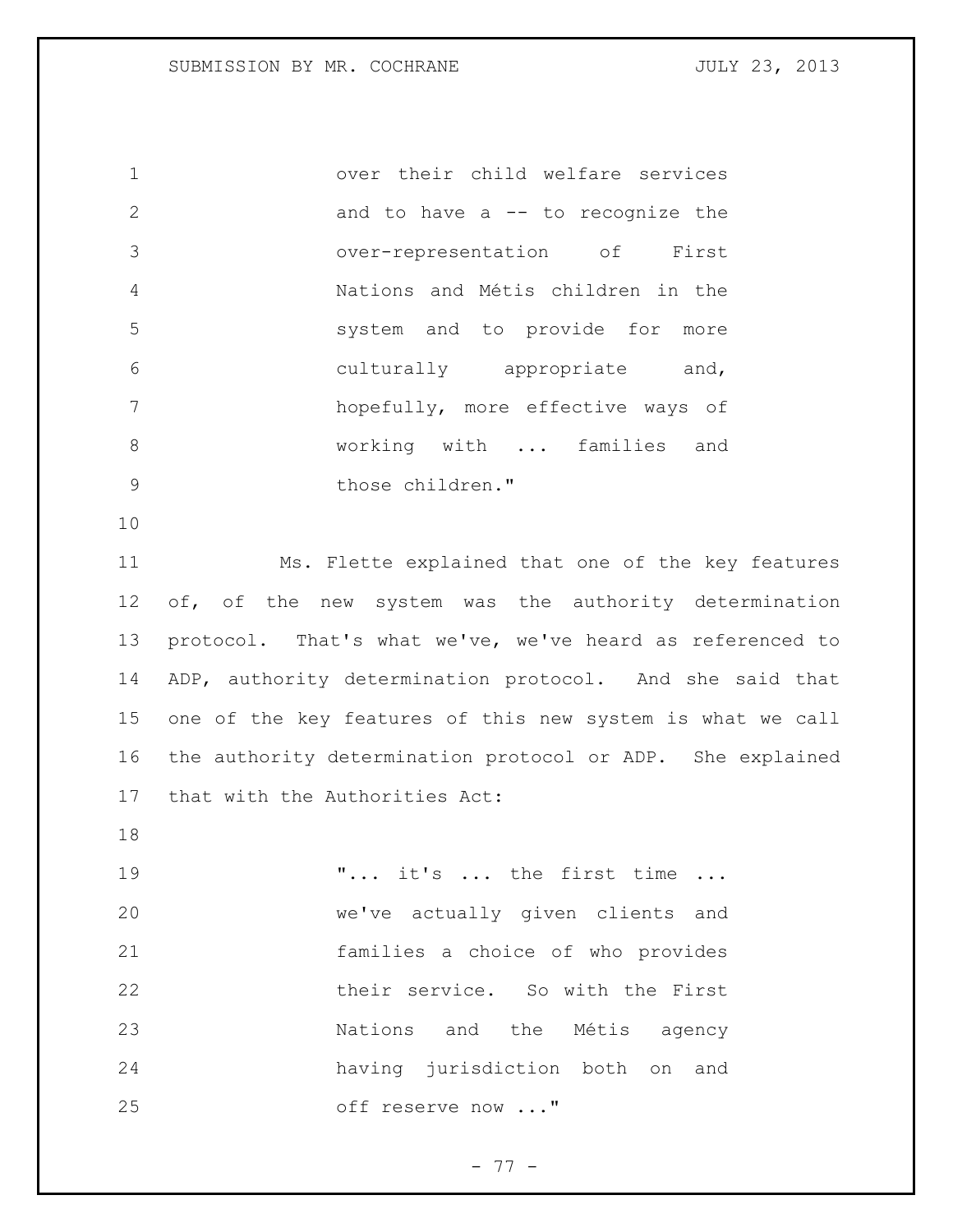over their child welfare services and to have a -- to recognize the over-representation of First Nations and Métis children in the system and to provide for more culturally appropriate and, hopefully, more effective ways of 8 working with ... families and 9 those children."

 Ms. Flette explained that one of the key features 12 of, of the new system was the authority determination protocol. That's what we've, we've heard as referenced to ADP, authority determination protocol. And she said that one of the key features of this new system is what we call the authority determination protocol or ADP. She explained that with the Authorities Act:

19 T... it's ... the first time ... we've actually given clients and families a choice of who provides their service. So with the First Nations and the Métis agency having jurisdiction both on and off reserve now ..."

- 77 -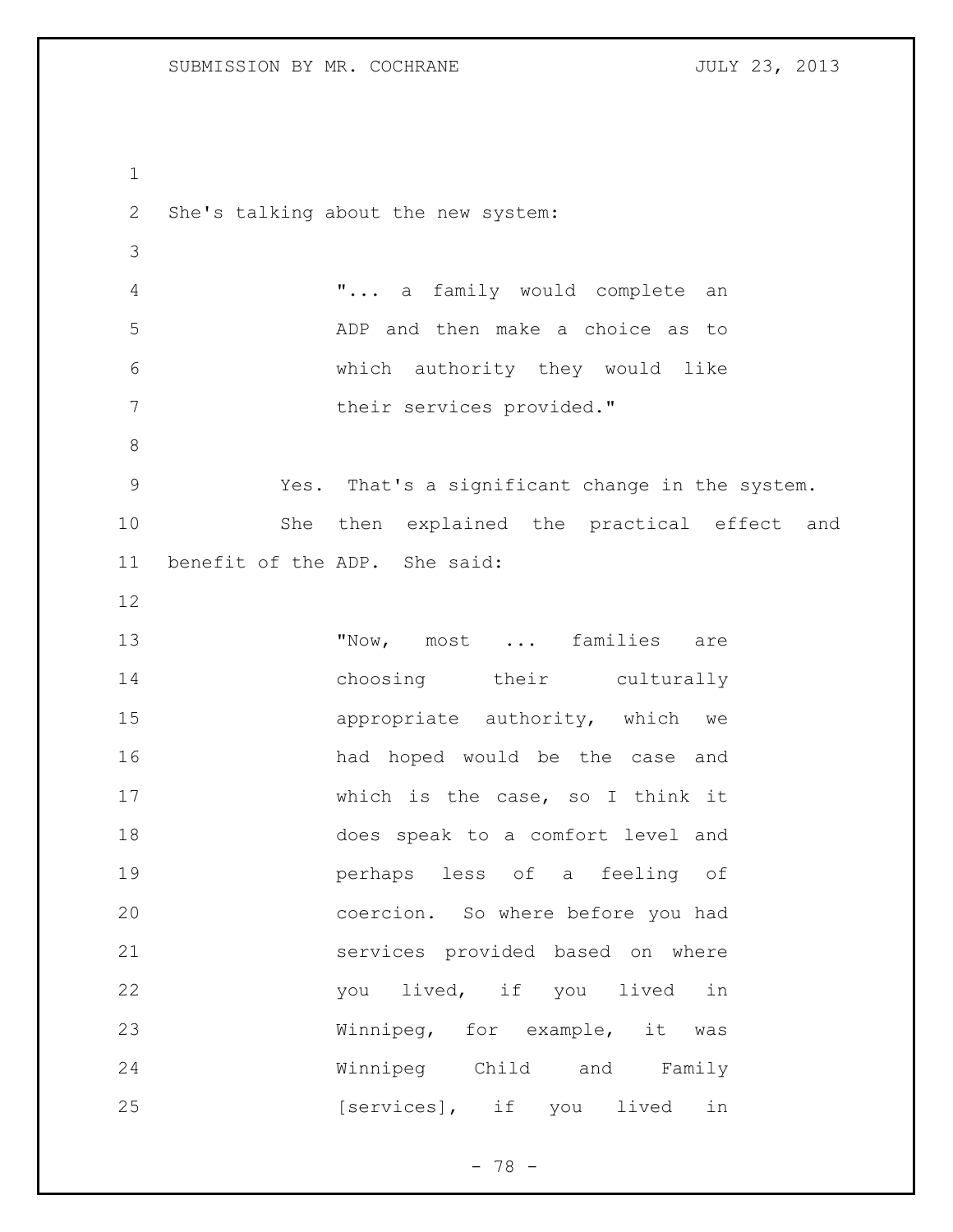```
1
2 She's talking about the new system:
3
4 "... a family would complete an 
5 ADP and then make a choice as to 
6 which authority they would like 
7 their services provided."
8
9 Yes. That's a significant change in the system.
10 She then explained the practical effect and 
11 benefit of the ADP. She said:
12
13 TNow, most ... families are
14 choosing their culturally
15 appropriate authority, which we
16 had hoped would be the case and 
17 which is the case, so I think it 
18 does speak to a comfort level and 
19 perhaps less of a feeling of
20 coercion. So where before you had 
21 services provided based on where 
22 you lived, if you lived in 
23 Winnipeg, for example, it was 
24 Winnipeg Child and Family 
25 [services], if you lived in
```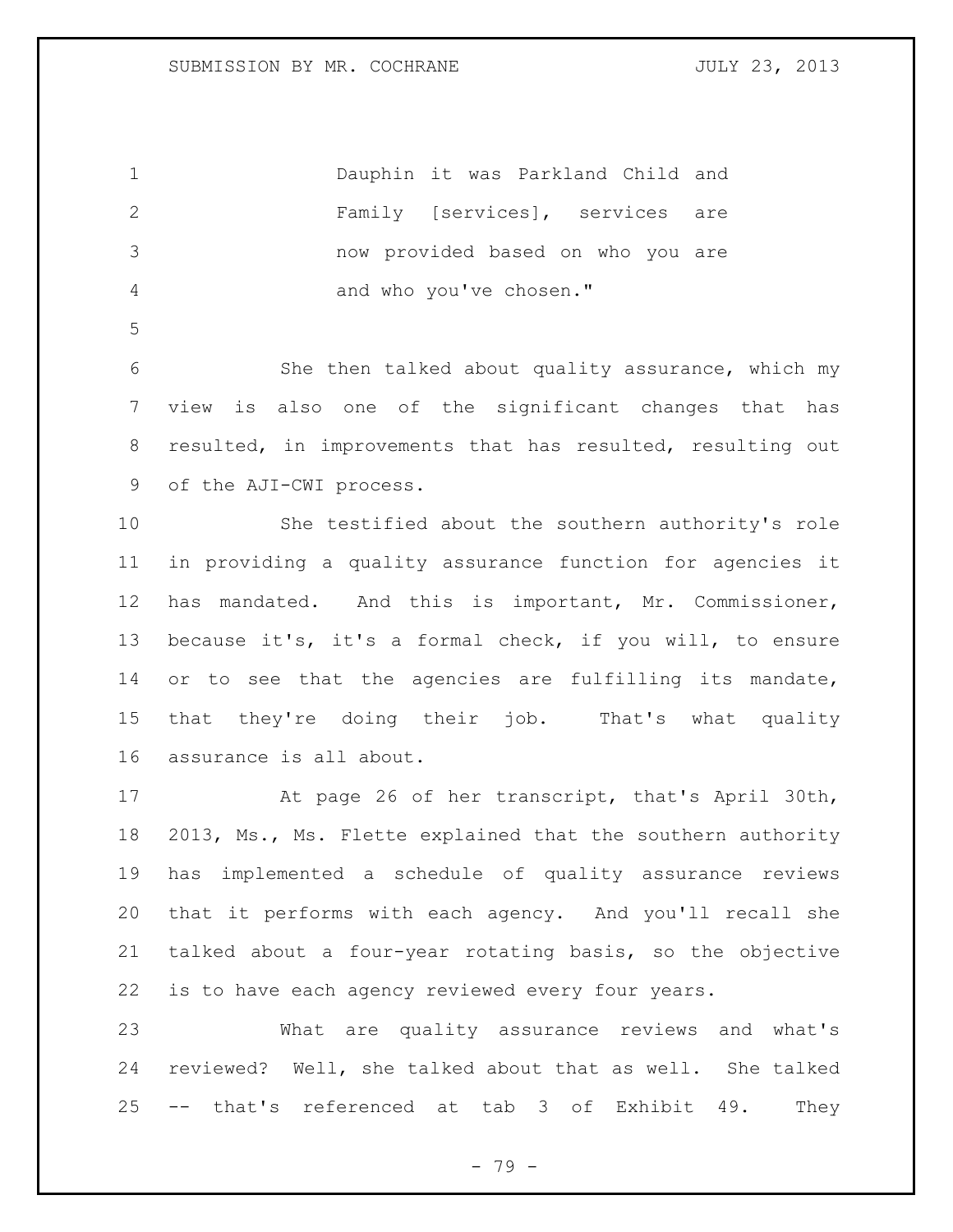|    | Dauphin it was Parkland Child and |  |
|----|-----------------------------------|--|
|    | Family [services], services are   |  |
| -3 | now provided based on who you are |  |
|    | and who you've chosen."           |  |

 She then talked about quality assurance, which my view is also one of the significant changes that has 8 resulted, in improvements that has resulted, resulting out of the AJI-CWI process.

 She testified about the southern authority's role in providing a quality assurance function for agencies it has mandated. And this is important, Mr. Commissioner, because it's, it's a formal check, if you will, to ensure or to see that the agencies are fulfilling its mandate, that they're doing their job. That's what quality assurance is all about.

 At page 26 of her transcript, that's April 30th, 18 2013, Ms., Ms. Flette explained that the southern authority has implemented a schedule of quality assurance reviews that it performs with each agency. And you'll recall she talked about a four-year rotating basis, so the objective is to have each agency reviewed every four years.

 What are quality assurance reviews and what's reviewed? Well, she talked about that as well. She talked -- that's referenced at tab 3 of Exhibit 49. They

- 79 -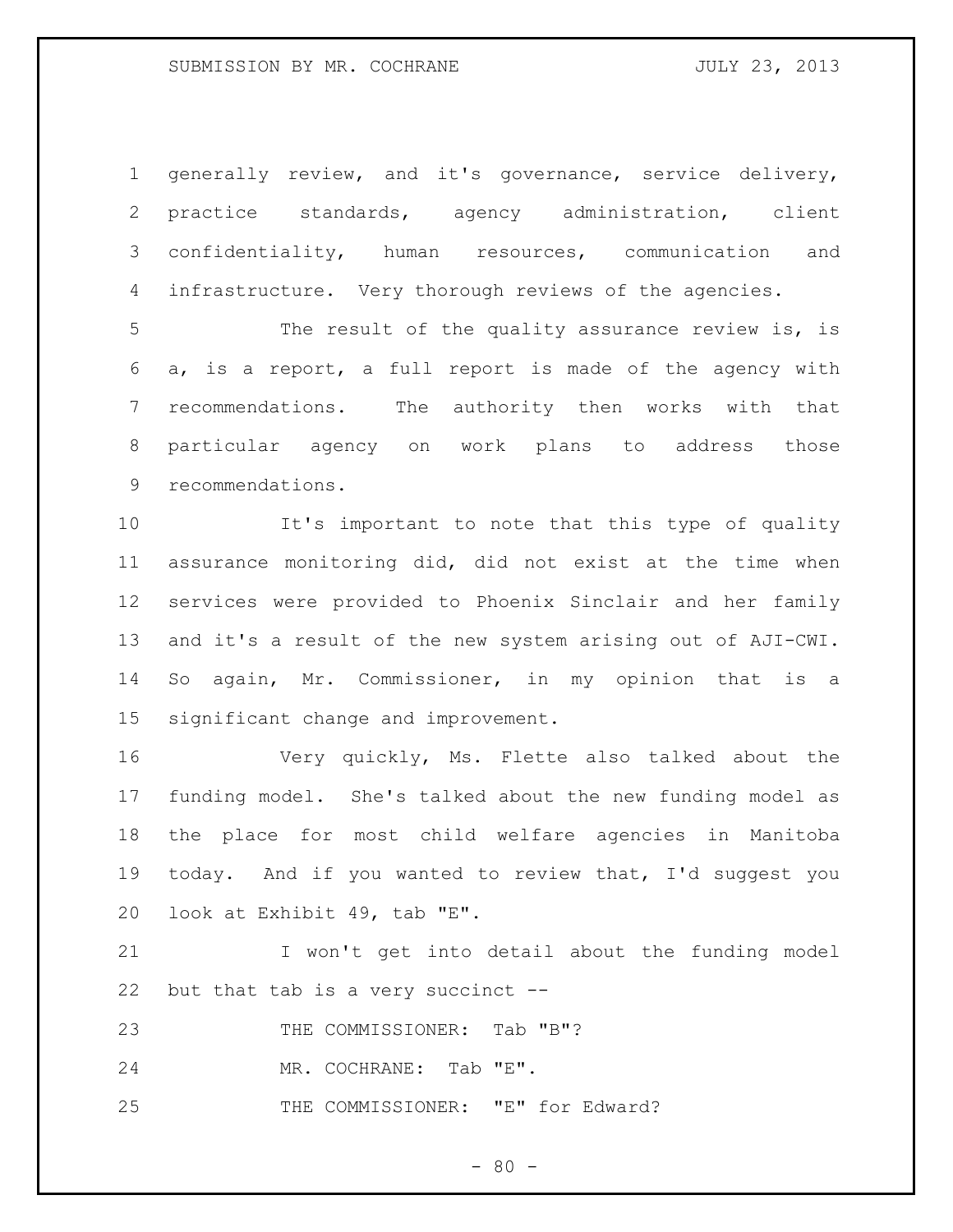### SUBMISSION BY MR. COCHRANE **FOULY 23, 2013**

 generally review, and it's governance, service delivery, practice standards, agency administration, client confidentiality, human resources, communication and 4 infrastructure. Very thorough reviews of the agencies.

 The result of the quality assurance review is, is a, is a report, a full report is made of the agency with recommendations. The authority then works with that particular agency on work plans to address those recommendations.

 It's important to note that this type of quality assurance monitoring did, did not exist at the time when services were provided to Phoenix Sinclair and her family and it's a result of the new system arising out of AJI-CWI. So again, Mr. Commissioner, in my opinion that is a significant change and improvement.

 Very quickly, Ms. Flette also talked about the funding model. She's talked about the new funding model as the place for most child welfare agencies in Manitoba today. And if you wanted to review that, I'd suggest you look at Exhibit 49, tab "E".

 I won't get into detail about the funding model but that tab is a very succinct --

23 THE COMMISSIONER: Tab "B"?

MR. COCHRANE: Tab "E".

25 THE COMMISSIONER: "E" for Edward?

 $- 80 -$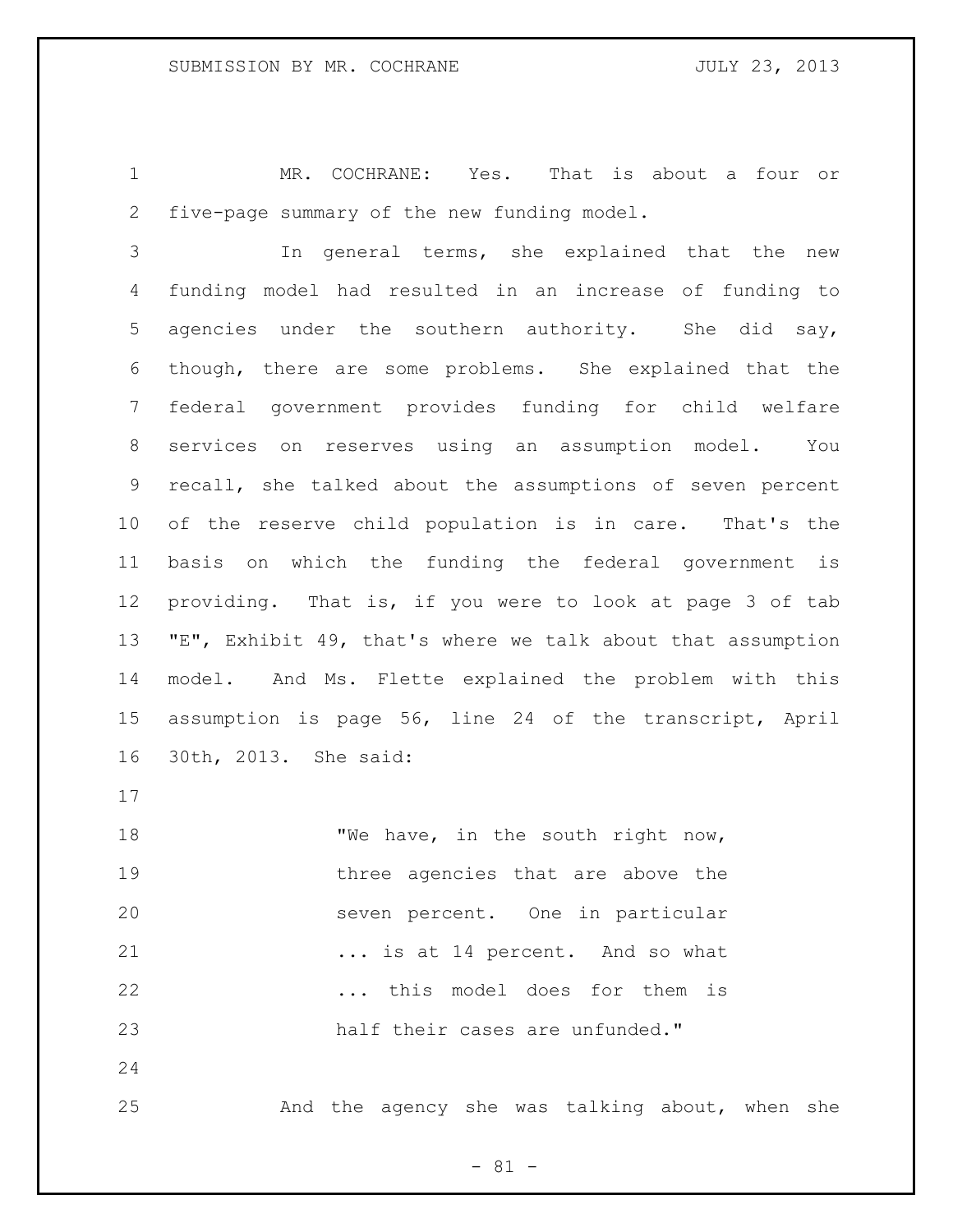MR. COCHRANE: Yes. That is about a four or five-page summary of the new funding model.

 In general terms, she explained that the new funding model had resulted in an increase of funding to agencies under the southern authority. She did say, though, there are some problems. She explained that the federal government provides funding for child welfare services on reserves using an assumption model. You recall, she talked about the assumptions of seven percent of the reserve child population is in care. That's the basis on which the funding the federal government is providing. That is, if you were to look at page 3 of tab "E", Exhibit 49, that's where we talk about that assumption model. And Ms. Flette explained the problem with this assumption is page 56, line 24 of the transcript, April 30th, 2013. She said:

18 TWe have, in the south right now, 19 three agencies that are above the seven percent. One in particular ... is at 14 percent. And so what ... this model does for them is half their cases are unfunded."

And the agency she was talking about, when she

- 81 -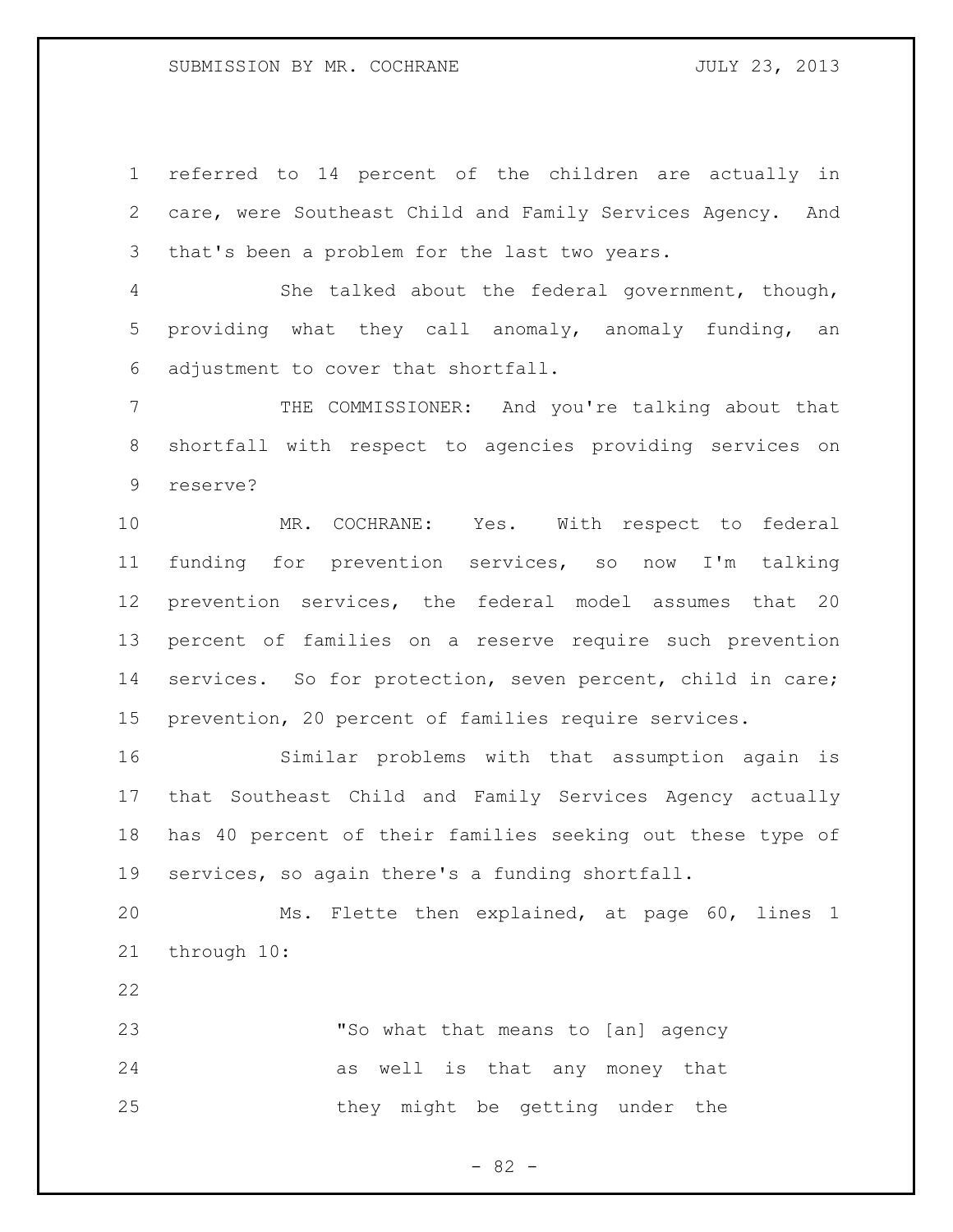referred to 14 percent of the children are actually in care, were Southeast Child and Family Services Agency. And that's been a problem for the last two years.

 She talked about the federal government, though, providing what they call anomaly, anomaly funding, an adjustment to cover that shortfall.

 THE COMMISSIONER: And you're talking about that shortfall with respect to agencies providing services on reserve?

 MR. COCHRANE: Yes. With respect to federal funding for prevention services, so now I'm talking prevention services, the federal model assumes that 20 percent of families on a reserve require such prevention services. So for protection, seven percent, child in care; prevention, 20 percent of families require services.

 Similar problems with that assumption again is that Southeast Child and Family Services Agency actually has 40 percent of their families seeking out these type of services, so again there's a funding shortfall.

 Ms. Flette then explained, at page 60, lines 1 through 10:

 "So what that means to [an] agency as well is that any money that 25 they might be getting under the

- 82 -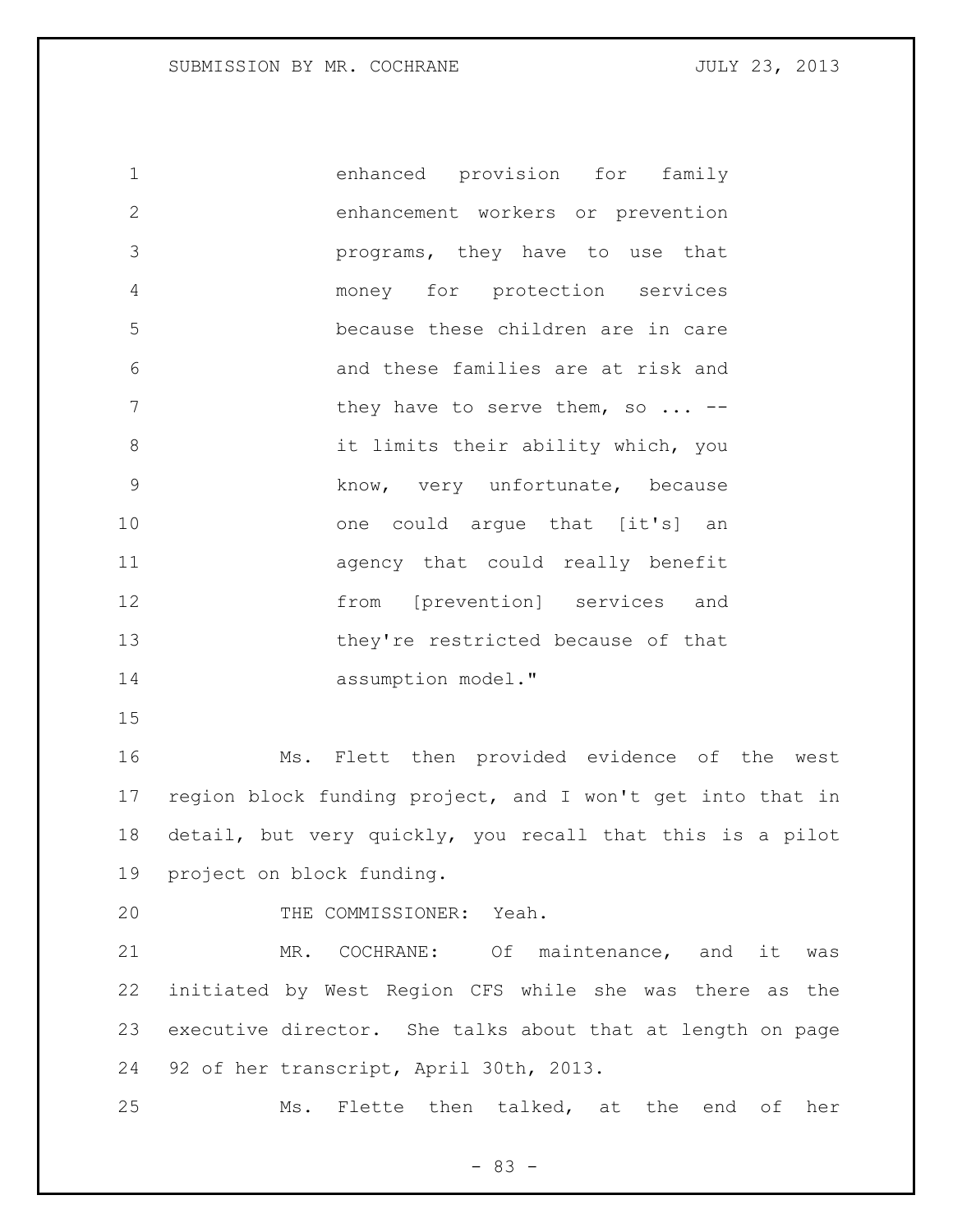enhanced provision for family enhancement workers or prevention programs, they have to use that money for protection services because these children are in care and these families are at risk and 7 they have to serve them, so ... -- it limits their ability which, you know, very unfortunate, because 10 one could argue that [it's] an agency that could really benefit from [prevention] services and they're restricted because of that 14 assumption model."

 Ms. Flett then provided evidence of the west region block funding project, and I won't get into that in detail, but very quickly, you recall that this is a pilot project on block funding.

THE COMMISSIONER: Yeah.

 MR. COCHRANE: Of maintenance, and it was initiated by West Region CFS while she was there as the executive director. She talks about that at length on page 92 of her transcript, April 30th, 2013.

Ms. Flette then talked, at the end of her

- 83 -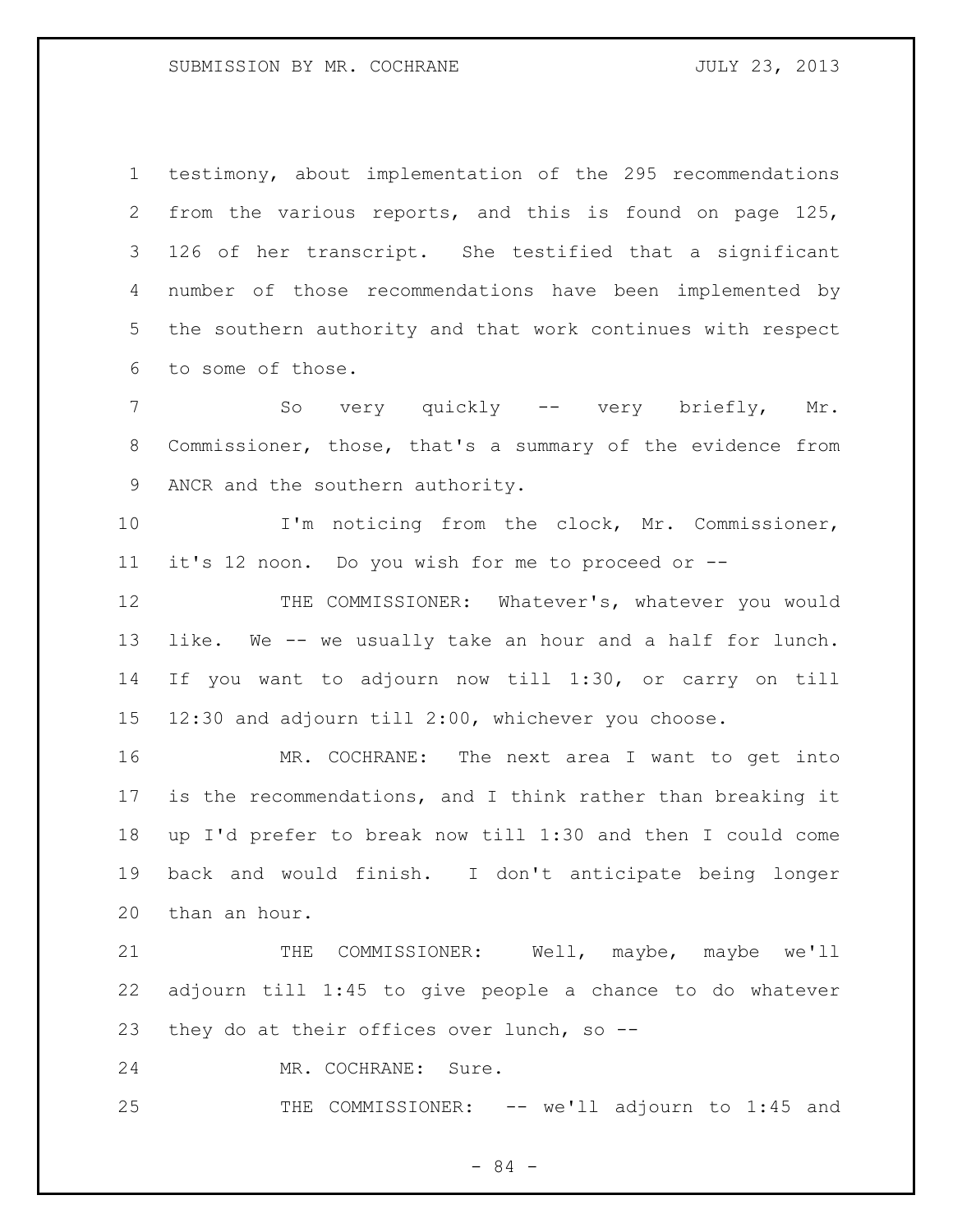testimony, about implementation of the 295 recommendations from the various reports, and this is found on page 125, 126 of her transcript. She testified that a significant number of those recommendations have been implemented by the southern authority and that work continues with respect to some of those.

 So very quickly -- very briefly, Mr. Commissioner, those, that's a summary of the evidence from ANCR and the southern authority.

 I'm noticing from the clock, Mr. Commissioner, it's 12 noon. Do you wish for me to proceed or --

 THE COMMISSIONER: Whatever's, whatever you would like. We -- we usually take an hour and a half for lunch. If you want to adjourn now till 1:30, or carry on till 12:30 and adjourn till 2:00, whichever you choose.

 MR. COCHRANE: The next area I want to get into is the recommendations, and I think rather than breaking it up I'd prefer to break now till 1:30 and then I could come back and would finish. I don't anticipate being longer than an hour.

21 THE COMMISSIONER: Well, maybe, maybe we'll adjourn till 1:45 to give people a chance to do whatever 23 they do at their offices over lunch, so --

MR. COCHRANE: Sure.

25 THE COMMISSIONER: -- we'll adjourn to 1:45 and

- 84 -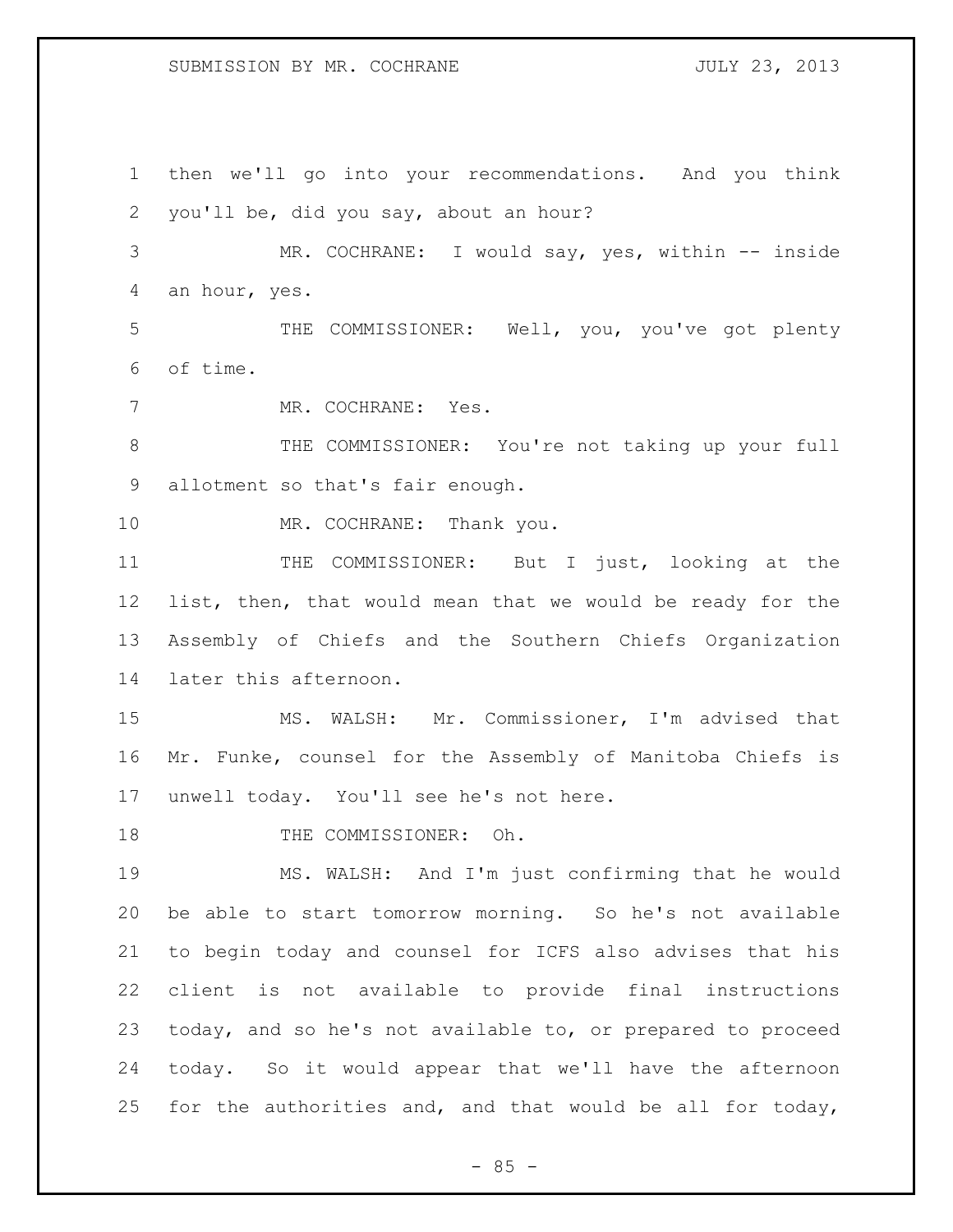### SUBMISSION BY MR. COCHRANE **FOULY 23, 2013**

 then we'll go into your recommendations. And you think you'll be, did you say, about an hour? MR. COCHRANE: I would say, yes, within -- inside an hour, yes. THE COMMISSIONER: Well, you, you've got plenty of time. MR. COCHRANE: Yes. THE COMMISSIONER: You're not taking up your full allotment so that's fair enough. 10 MR. COCHRANE: Thank you. THE COMMISSIONER: But I just, looking at the list, then, that would mean that we would be ready for the Assembly of Chiefs and the Southern Chiefs Organization later this afternoon. MS. WALSH: Mr. Commissioner, I'm advised that Mr. Funke, counsel for the Assembly of Manitoba Chiefs is unwell today. You'll see he's not here. 18 THE COMMISSIONER: Oh. MS. WALSH: And I'm just confirming that he would be able to start tomorrow morning. So he's not available to begin today and counsel for ICFS also advises that his client is not available to provide final instructions today, and so he's not available to, or prepared to proceed today. So it would appear that we'll have the afternoon for the authorities and, and that would be all for today,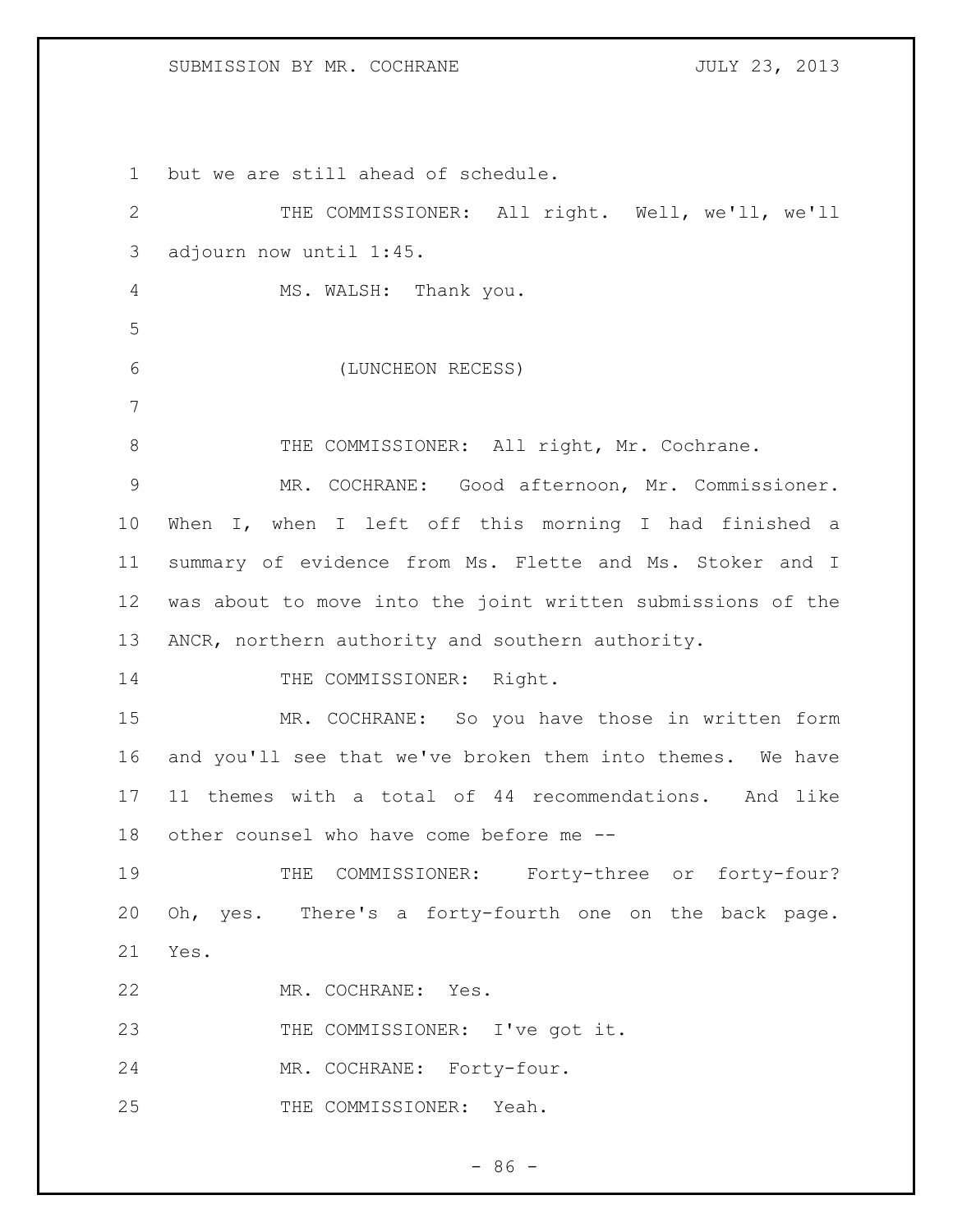## SUBMISSION BY MR. COCHRANE **FOULY 23, 2013**

 but we are still ahead of schedule. THE COMMISSIONER: All right. Well, we'll, we'll adjourn now until 1:45. MS. WALSH: Thank you. (LUNCHEON RECESS) 8 THE COMMISSIONER: All right, Mr. Cochrane. MR. COCHRANE: Good afternoon, Mr. Commissioner. When I, when I left off this morning I had finished a summary of evidence from Ms. Flette and Ms. Stoker and I was about to move into the joint written submissions of the ANCR, northern authority and southern authority. 14 THE COMMISSIONER: Right. MR. COCHRANE: So you have those in written form and you'll see that we've broken them into themes. We have 11 themes with a total of 44 recommendations. And like other counsel who have come before me -- THE COMMISSIONER: Forty-three or forty-four? Oh, yes. There's a forty-fourth one on the back page. Yes. MR. COCHRANE: Yes. 23 THE COMMISSIONER: I've got it. MR. COCHRANE: Forty-four. THE COMMISSIONER: Yeah.

 $-86 -$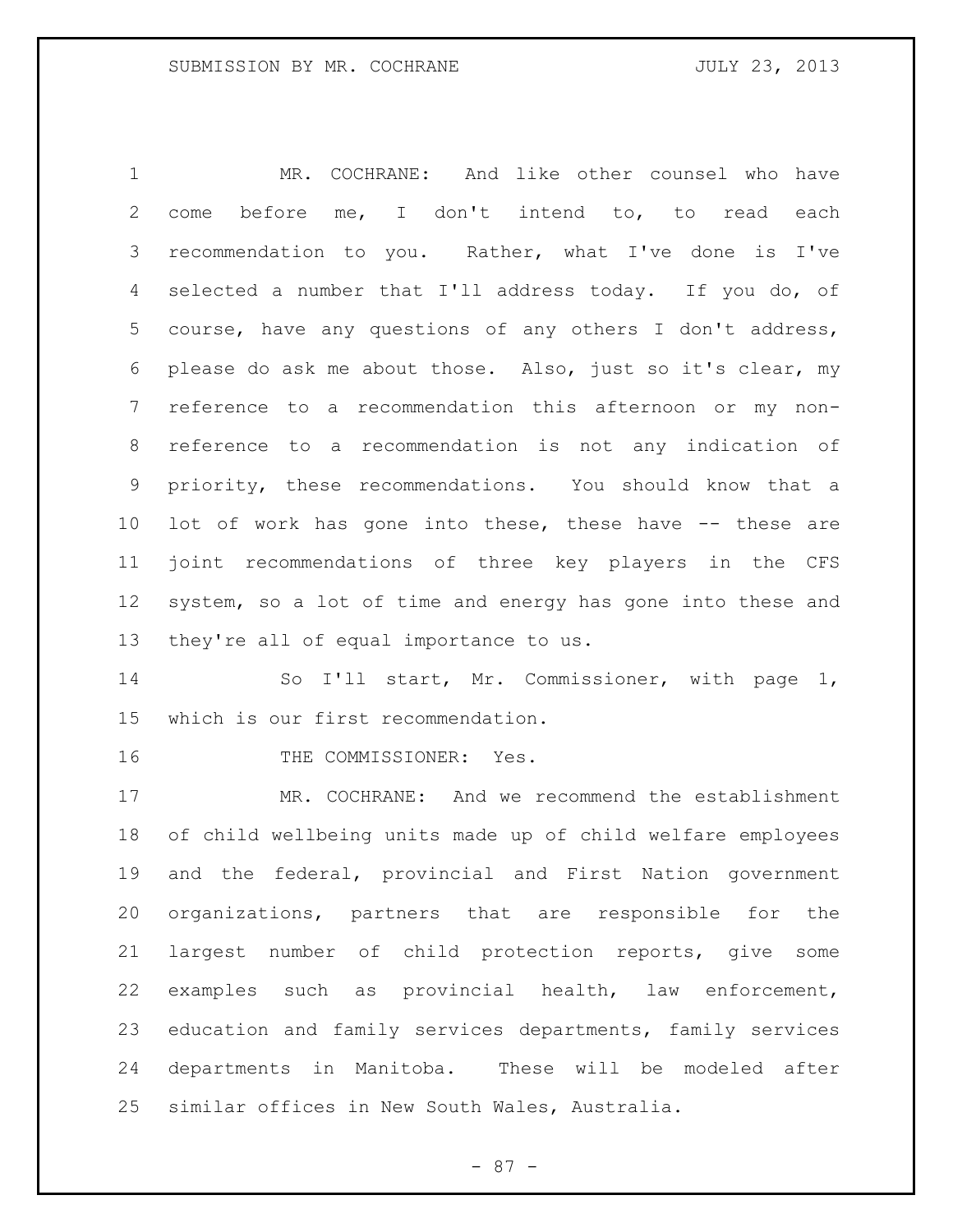MR. COCHRANE: And like other counsel who have come before me, I don't intend to, to read each recommendation to you. Rather, what I've done is I've selected a number that I'll address today. If you do, of course, have any questions of any others I don't address, please do ask me about those. Also, just so it's clear, my reference to a recommendation this afternoon or my non- reference to a recommendation is not any indication of priority, these recommendations. You should know that a lot of work has gone into these, these have -- these are joint recommendations of three key players in the CFS system, so a lot of time and energy has gone into these and they're all of equal importance to us.

14 So I'll start, Mr. Commissioner, with page 1, which is our first recommendation.

16 THE COMMISSIONER: Yes.

 MR. COCHRANE: And we recommend the establishment of child wellbeing units made up of child welfare employees and the federal, provincial and First Nation government organizations, partners that are responsible for the largest number of child protection reports, give some examples such as provincial health, law enforcement, education and family services departments, family services departments in Manitoba. These will be modeled after similar offices in New South Wales, Australia.

- 87 -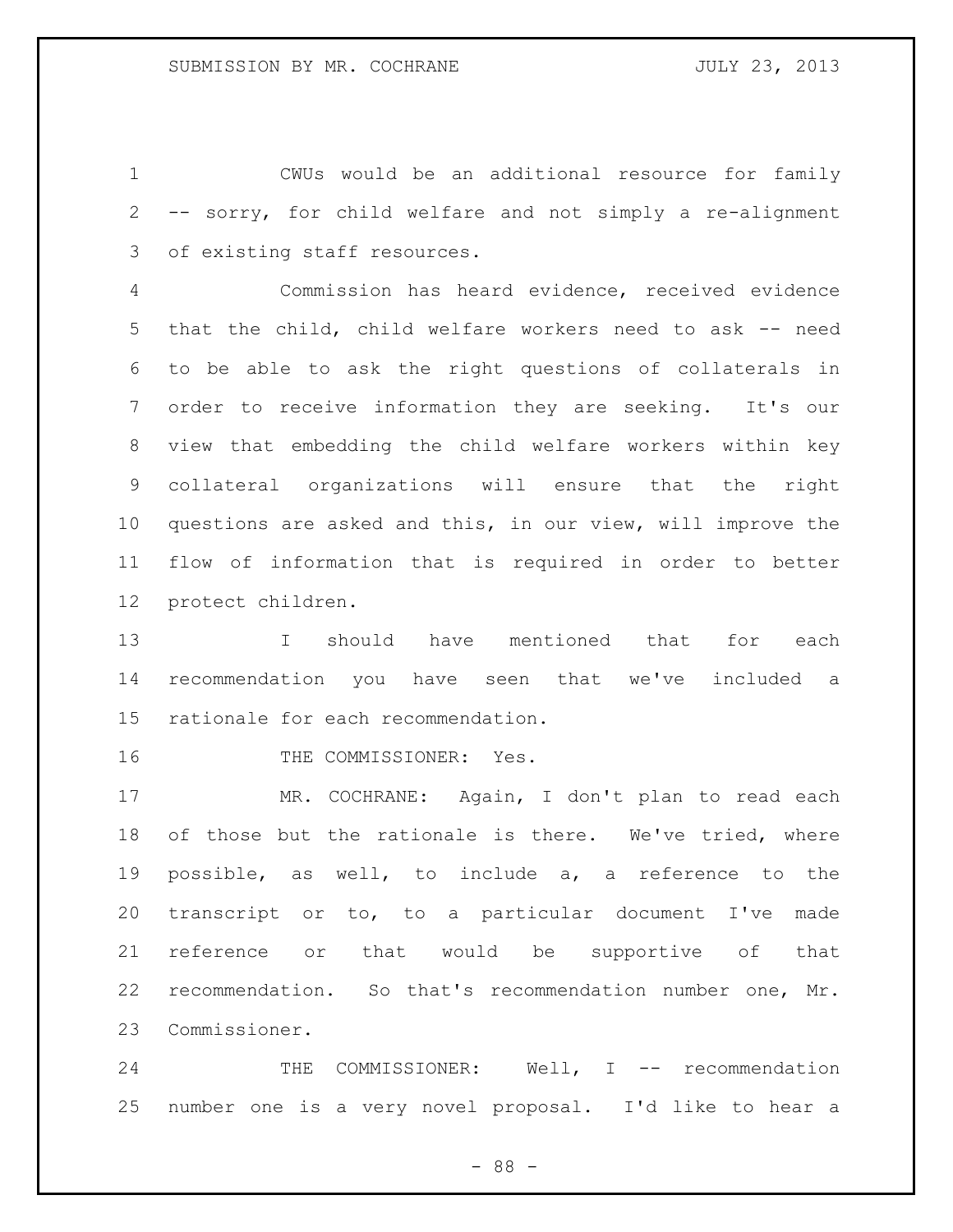CWUs would be an additional resource for family -- sorry, for child welfare and not simply a re-alignment of existing staff resources.

 Commission has heard evidence, received evidence that the child, child welfare workers need to ask -- need to be able to ask the right questions of collaterals in order to receive information they are seeking. It's our view that embedding the child welfare workers within key collateral organizations will ensure that the right questions are asked and this, in our view, will improve the flow of information that is required in order to better protect children.

 I should have mentioned that for each recommendation you have seen that we've included a rationale for each recommendation.

16 THE COMMISSIONER: Yes.

 MR. COCHRANE: Again, I don't plan to read each of those but the rationale is there. We've tried, where possible, as well, to include a, a reference to the transcript or to, to a particular document I've made reference or that would be supportive of that recommendation. So that's recommendation number one, Mr. Commissioner.

24 THE COMMISSIONER: Well, I -- recommendation number one is a very novel proposal. I'd like to hear a

- 88 -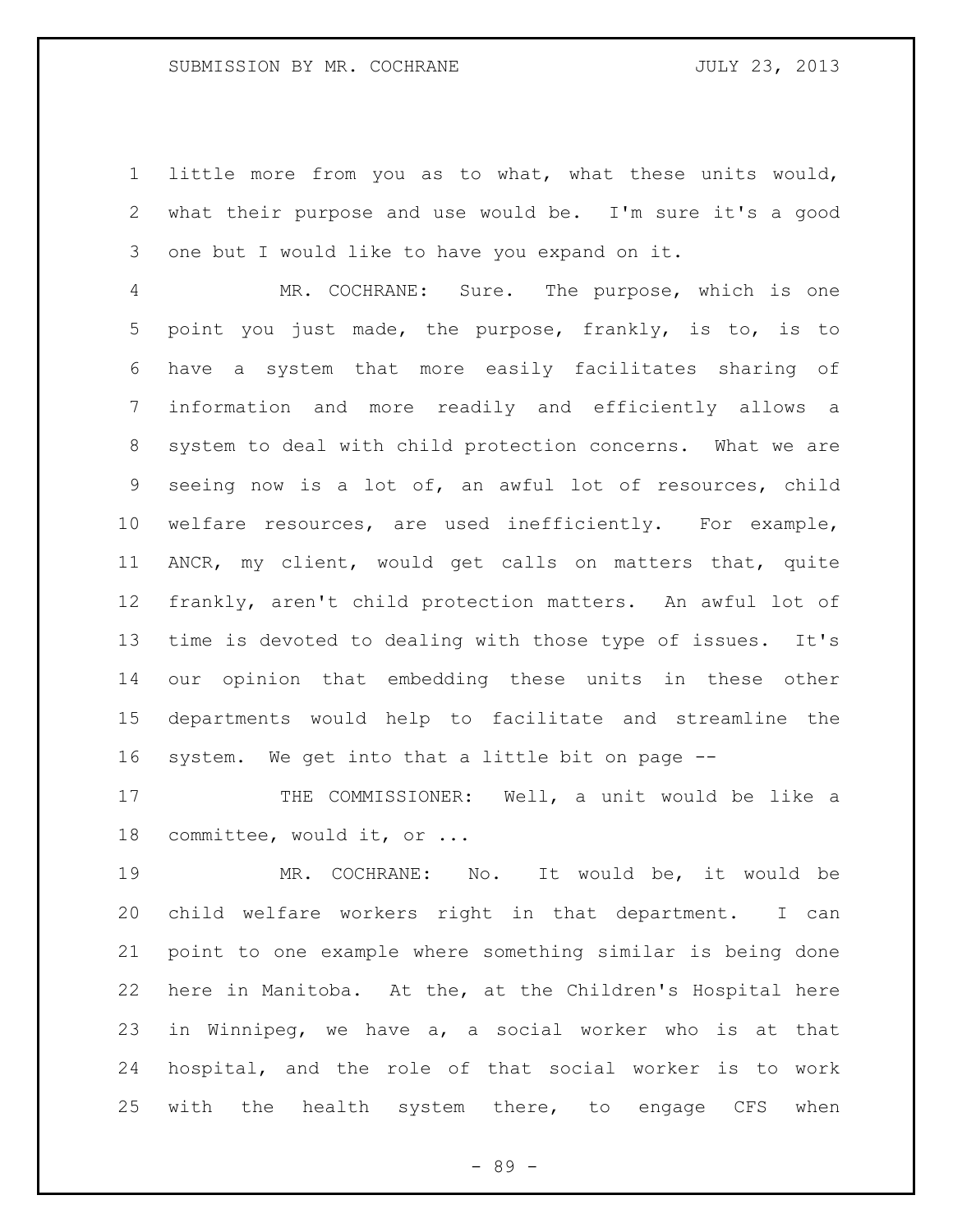little more from you as to what, what these units would, what their purpose and use would be. I'm sure it's a good one but I would like to have you expand on it.

 MR. COCHRANE: Sure. The purpose, which is one point you just made, the purpose, frankly, is to, is to have a system that more easily facilitates sharing of information and more readily and efficiently allows a system to deal with child protection concerns. What we are seeing now is a lot of, an awful lot of resources, child welfare resources, are used inefficiently. For example, ANCR, my client, would get calls on matters that, quite frankly, aren't child protection matters. An awful lot of time is devoted to dealing with those type of issues. It's our opinion that embedding these units in these other departments would help to facilitate and streamline the system. We get into that a little bit on page --

17 THE COMMISSIONER: Well, a unit would be like a committee, would it, or ...

 MR. COCHRANE: No. It would be, it would be child welfare workers right in that department. I can point to one example where something similar is being done here in Manitoba. At the, at the Children's Hospital here in Winnipeg, we have a, a social worker who is at that hospital, and the role of that social worker is to work 25 with the health system there, to engage CFS when

- 89 -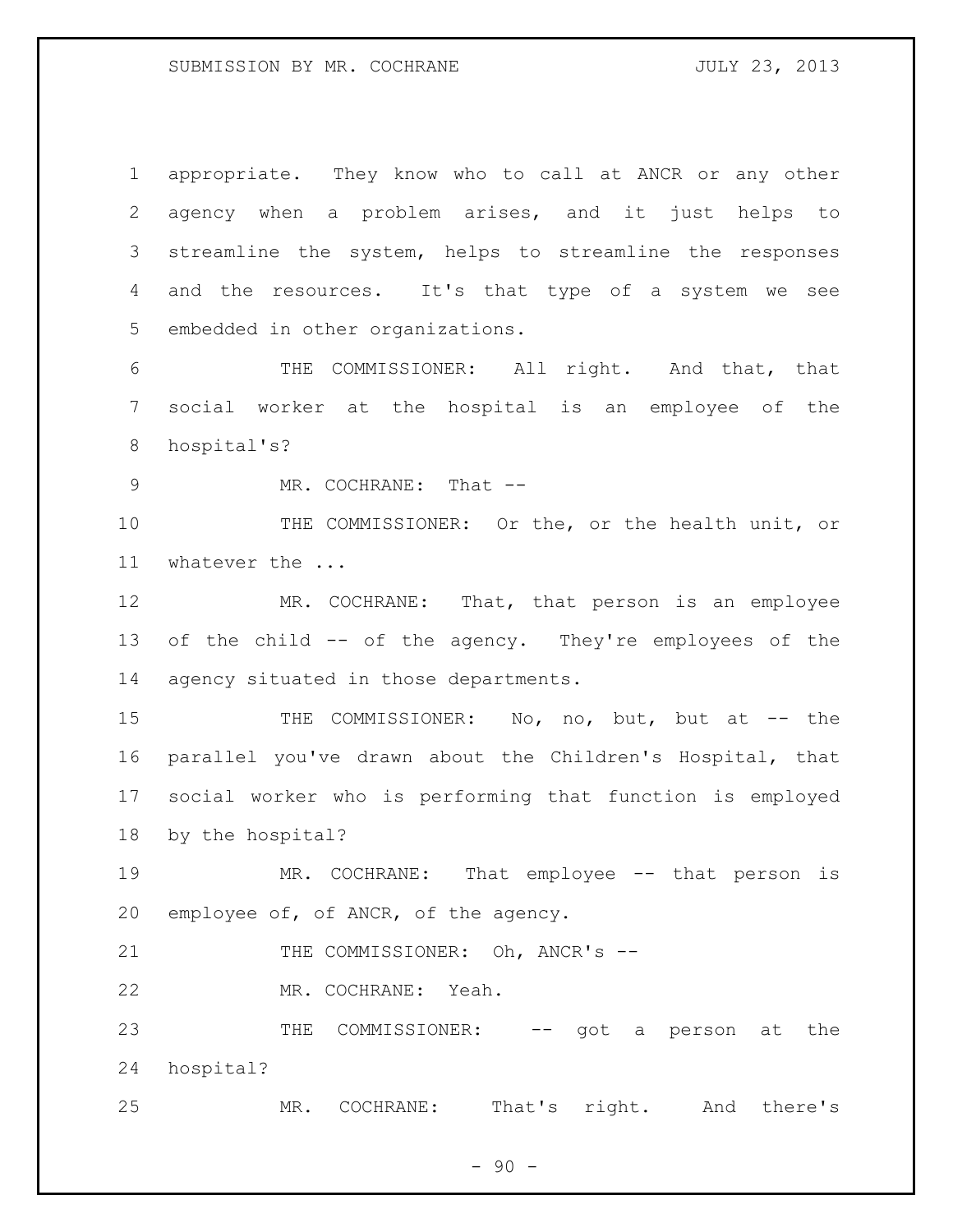appropriate. They know who to call at ANCR or any other agency when a problem arises, and it just helps to streamline the system, helps to streamline the responses and the resources. It's that type of a system we see embedded in other organizations.

 THE COMMISSIONER: All right. And that, that social worker at the hospital is an employee of the hospital's?

9 MR. COCHRANE: That --

 THE COMMISSIONER: Or the, or the health unit, or whatever the ...

12 MR. COCHRANE: That, that person is an employee of the child -- of the agency. They're employees of the agency situated in those departments.

15 THE COMMISSIONER: No, no, but, but at -- the parallel you've drawn about the Children's Hospital, that social worker who is performing that function is employed by the hospital?

19 MR. COCHRANE: That employee -- that person is employee of, of ANCR, of the agency.

21 THE COMMISSIONER: Oh, ANCR's --

MR. COCHRANE: Yeah.

23 THE COMMISSIONER: -- got a person at the hospital?

MR. COCHRANE: That's right. And there's

 $-90 -$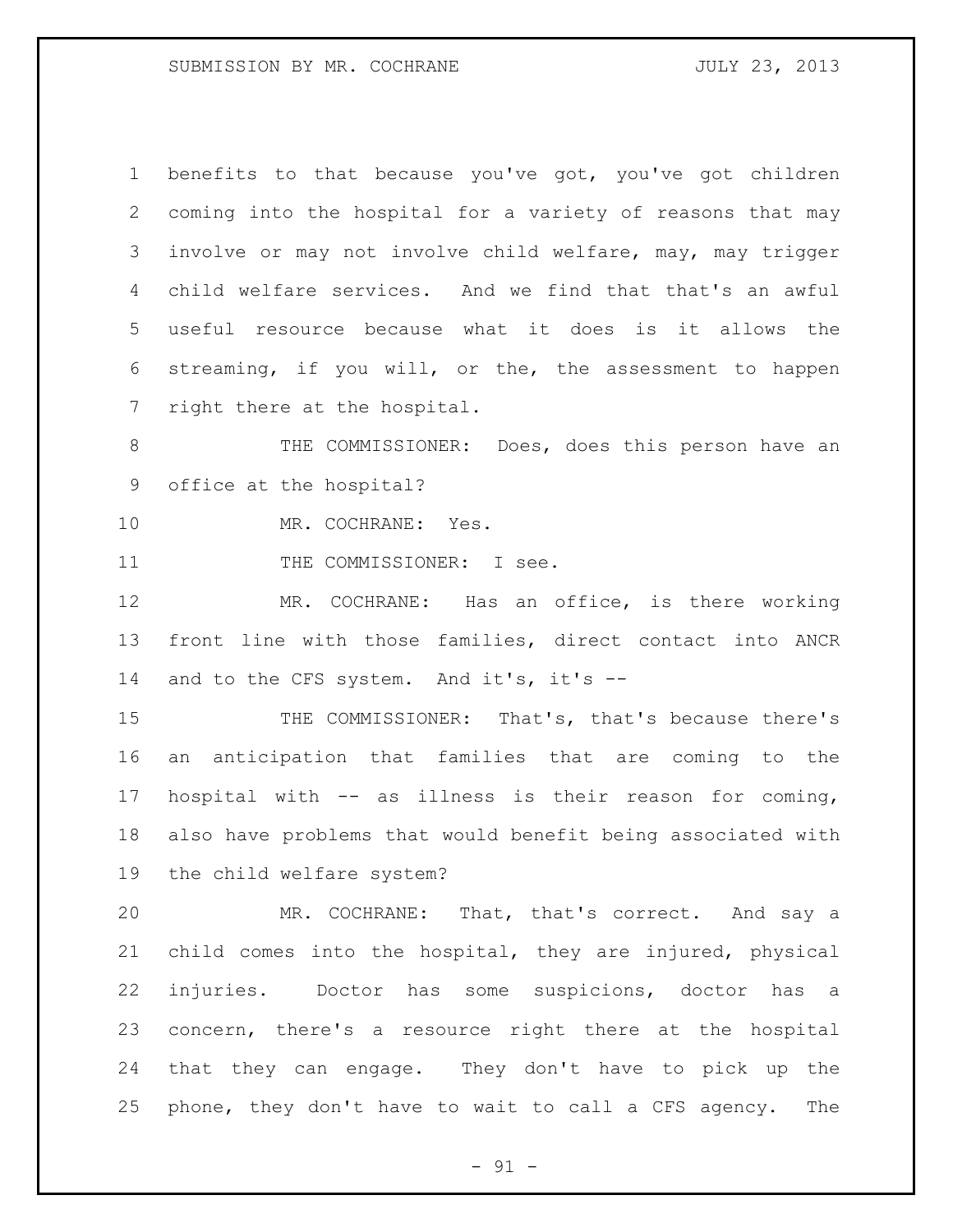benefits to that because you've got, you've got children coming into the hospital for a variety of reasons that may involve or may not involve child welfare, may, may trigger child welfare services. And we find that that's an awful useful resource because what it does is it allows the streaming, if you will, or the, the assessment to happen right there at the hospital.

 THE COMMISSIONER: Does, does this person have an office at the hospital?

MR. COCHRANE: Yes.

11 THE COMMISSIONER: I see.

 MR. COCHRANE: Has an office, is there working front line with those families, direct contact into ANCR 14 and to the CFS system. And it's, it's --

15 THE COMMISSIONER: That's, that's because there's an anticipation that families that are coming to the hospital with -- as illness is their reason for coming, also have problems that would benefit being associated with the child welfare system?

 MR. COCHRANE: That, that's correct. And say a child comes into the hospital, they are injured, physical injuries. Doctor has some suspicions, doctor has a concern, there's a resource right there at the hospital that they can engage. They don't have to pick up the phone, they don't have to wait to call a CFS agency. The

 $-91 -$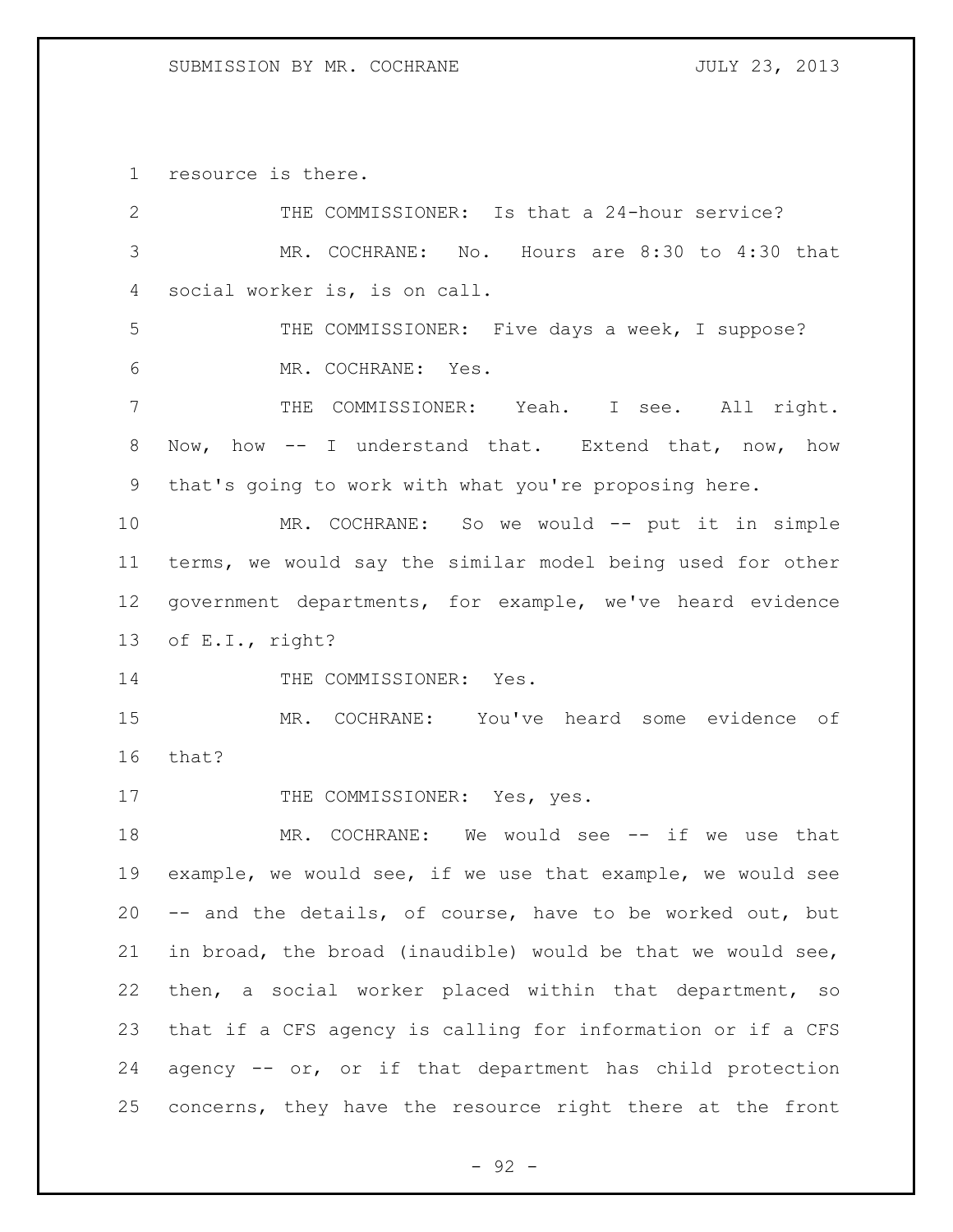resource is there.

| $\overline{2}$ | THE COMMISSIONER: Is that a 24-hour service?                |
|----------------|-------------------------------------------------------------|
| 3              | MR. COCHRANE: No. Hours are 8:30 to 4:30 that               |
| 4              | social worker is, is on call.                               |
| 5              | THE COMMISSIONER: Five days a week, I suppose?              |
| 6              | MR. COCHRANE: Yes.                                          |
| 7              | THE COMMISSIONER: Yeah. I see. All right.                   |
| 8              | Now, how -- I understand that. Extend that, now, how        |
| $\mathsf 9$    | that's going to work with what you're proposing here.       |
| 10             | MR. COCHRANE: So we would -- put it in simple               |
| 11             | terms, we would say the similar model being used for other  |
| 12             | government departments, for example, we've heard evidence   |
| 13             | of E.I., right?                                             |
| 14             | THE COMMISSIONER: Yes.                                      |
| 15             | MR. COCHRANE: You've heard some evidence of                 |
| 16             | that?                                                       |
| 17             | THE COMMISSIONER: Yes, yes.                                 |
| 18             | MR. COCHRANE: We would see -- if we use that                |
| 19             | example, we would see, if we use that example, we would see |
| 20             | -- and the details, of course, have to be worked out, but   |
| 21             | in broad, the broad (inaudible) would be that we would see, |
| 22             | then, a social worker placed within that department, so     |
| 23             | that if a CFS agency is calling for information or if a CFS |
| 24             | agency -- or, or if that department has child protection    |
| 25             | concerns, they have the resource right there at the front   |

- 92 -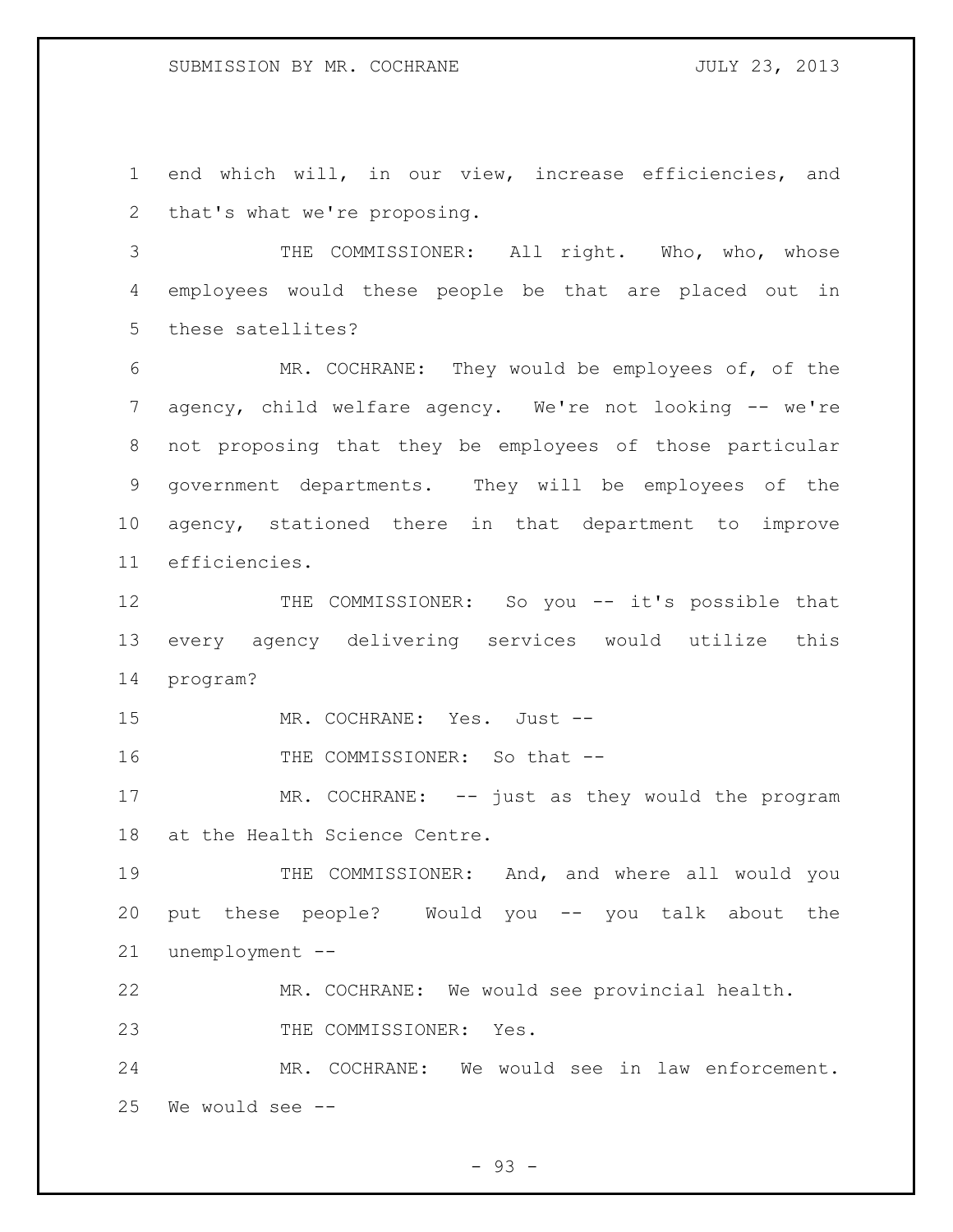### SUBMISSION BY MR. COCHRANE **FOULY 23, 2013**

 end which will, in our view, increase efficiencies, and that's what we're proposing.

3 THE COMMISSIONER: All right. Who, who, whose employees would these people be that are placed out in these satellites?

 MR. COCHRANE: They would be employees of, of the 7 agency, child welfare agency. We're not looking -- we're not proposing that they be employees of those particular government departments. They will be employees of the agency, stationed there in that department to improve efficiencies.

12 THE COMMISSIONER: So you -- it's possible that every agency delivering services would utilize this program?

MR. COCHRANE: Yes. Just --

16 THE COMMISSIONER: So that --

17 MR. COCHRANE: -- just as they would the program at the Health Science Centre.

 THE COMMISSIONER: And, and where all would you put these people? Would you -- you talk about the unemployment --

MR. COCHRANE: We would see provincial health.

23 THE COMMISSIONER: Yes.

 MR. COCHRANE: We would see in law enforcement. We would see --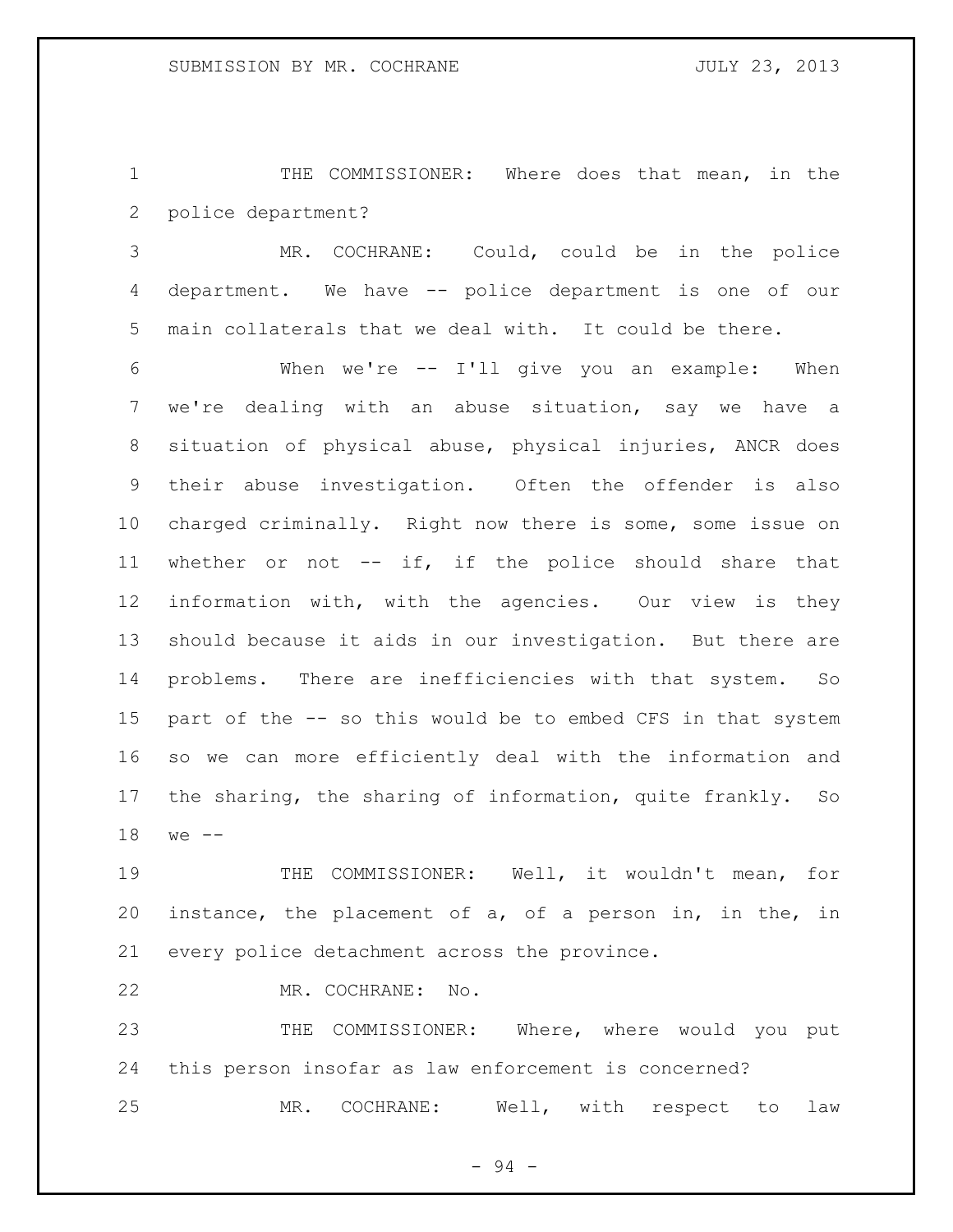THE COMMISSIONER: Where does that mean, in the police department?

 MR. COCHRANE: Could, could be in the police department. We have -- police department is one of our main collaterals that we deal with. It could be there.

 When we're -- I'll give you an example: When we're dealing with an abuse situation, say we have a situation of physical abuse, physical injuries, ANCR does their abuse investigation. Often the offender is also charged criminally. Right now there is some, some issue on whether or not -- if, if the police should share that information with, with the agencies. Our view is they should because it aids in our investigation. But there are problems. There are inefficiencies with that system. So part of the -- so this would be to embed CFS in that system so we can more efficiently deal with the information and the sharing, the sharing of information, quite frankly. So we --

 THE COMMISSIONER: Well, it wouldn't mean, for instance, the placement of a, of a person in, in the, in every police detachment across the province.

MR. COCHRANE: No.

 THE COMMISSIONER: Where, where would you put this person insofar as law enforcement is concerned? MR. COCHRANE: Well, with respect to law

- 94 -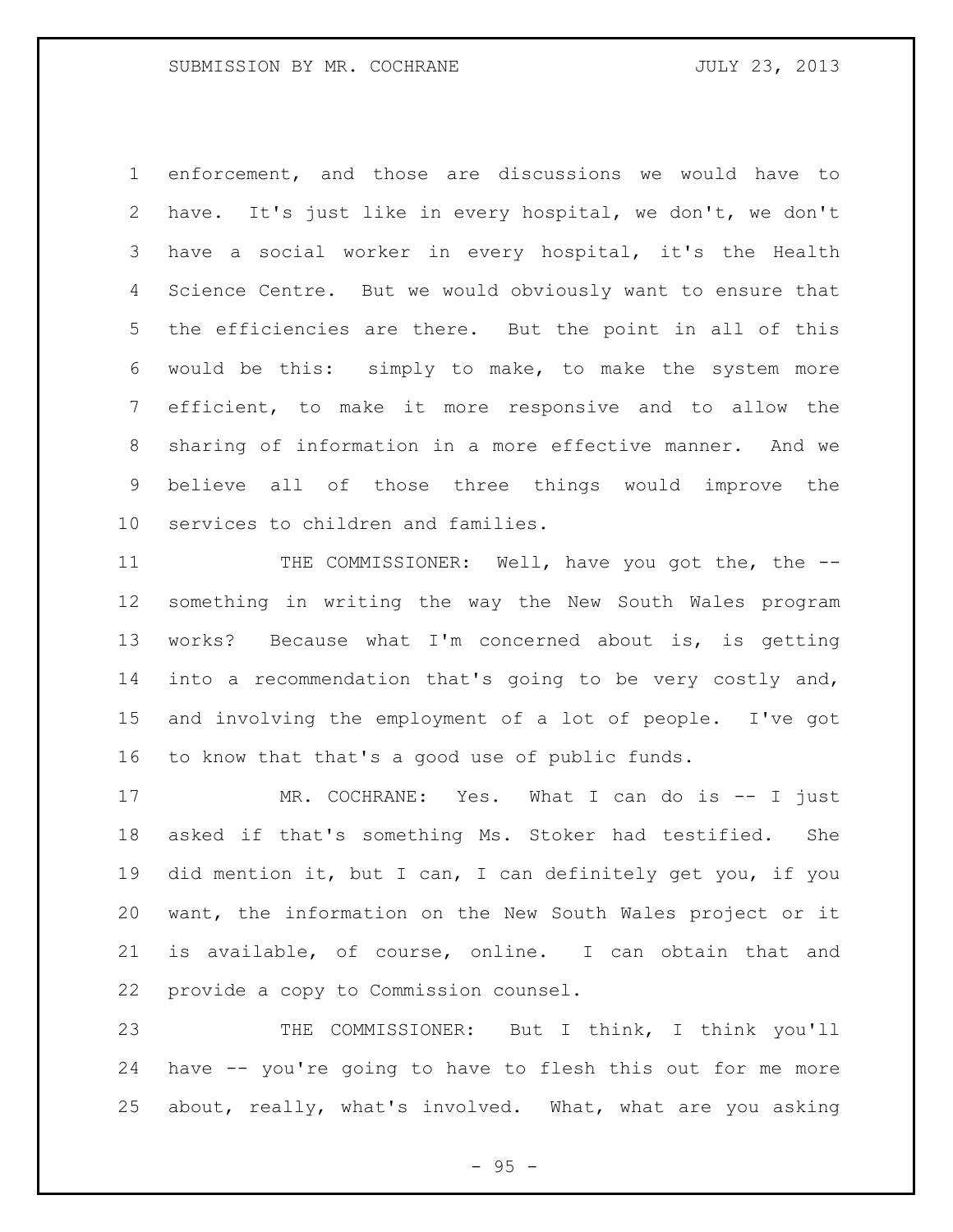enforcement, and those are discussions we would have to have. It's just like in every hospital, we don't, we don't have a social worker in every hospital, it's the Health Science Centre. But we would obviously want to ensure that the efficiencies are there. But the point in all of this would be this: simply to make, to make the system more efficient, to make it more responsive and to allow the sharing of information in a more effective manner. And we believe all of those three things would improve the services to children and families.

11 THE COMMISSIONER: Well, have you got the, the -- something in writing the way the New South Wales program works? Because what I'm concerned about is, is getting into a recommendation that's going to be very costly and, and involving the employment of a lot of people. I've got to know that that's a good use of public funds.

17 MR. COCHRANE: Yes. What I can do is -- I just asked if that's something Ms. Stoker had testified. She did mention it, but I can, I can definitely get you, if you want, the information on the New South Wales project or it is available, of course, online. I can obtain that and provide a copy to Commission counsel.

 THE COMMISSIONER: But I think, I think you'll have -- you're going to have to flesh this out for me more about, really, what's involved. What, what are you asking

 $- 95 -$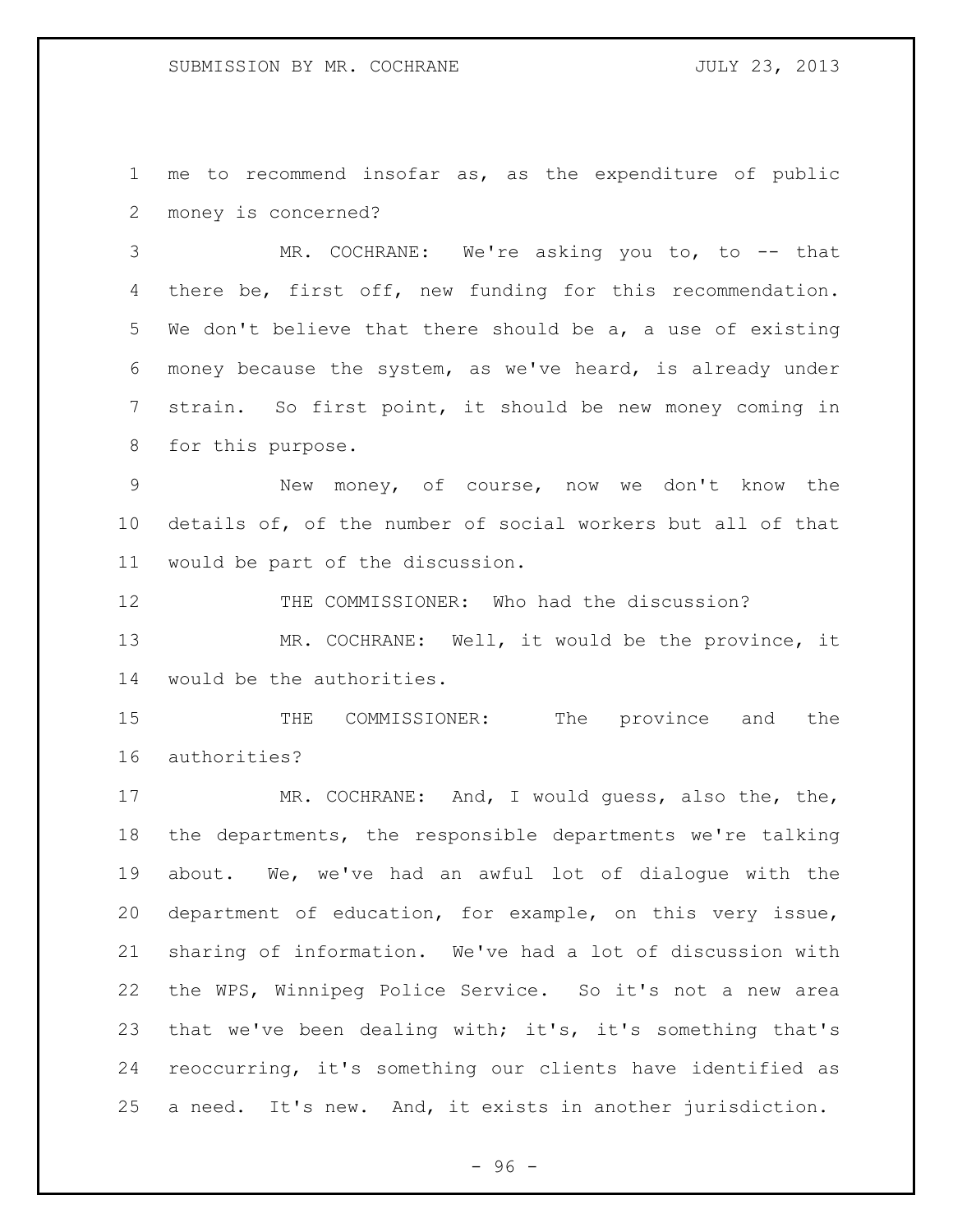me to recommend insofar as, as the expenditure of public money is concerned?

 MR. COCHRANE: We're asking you to, to -- that there be, first off, new funding for this recommendation. We don't believe that there should be a, a use of existing money because the system, as we've heard, is already under strain. So first point, it should be new money coming in for this purpose.

 New money, of course, now we don't know the details of, of the number of social workers but all of that would be part of the discussion.

THE COMMISSIONER: Who had the discussion?

 MR. COCHRANE: Well, it would be the province, it would be the authorities.

15 THE COMMISSIONER: The province and the authorities?

 MR. COCHRANE: And, I would guess, also the, the, the departments, the responsible departments we're talking about. We, we've had an awful lot of dialogue with the department of education, for example, on this very issue, sharing of information. We've had a lot of discussion with the WPS, Winnipeg Police Service. So it's not a new area that we've been dealing with; it's, it's something that's reoccurring, it's something our clients have identified as a need. It's new. And, it exists in another jurisdiction.

 $-96 -$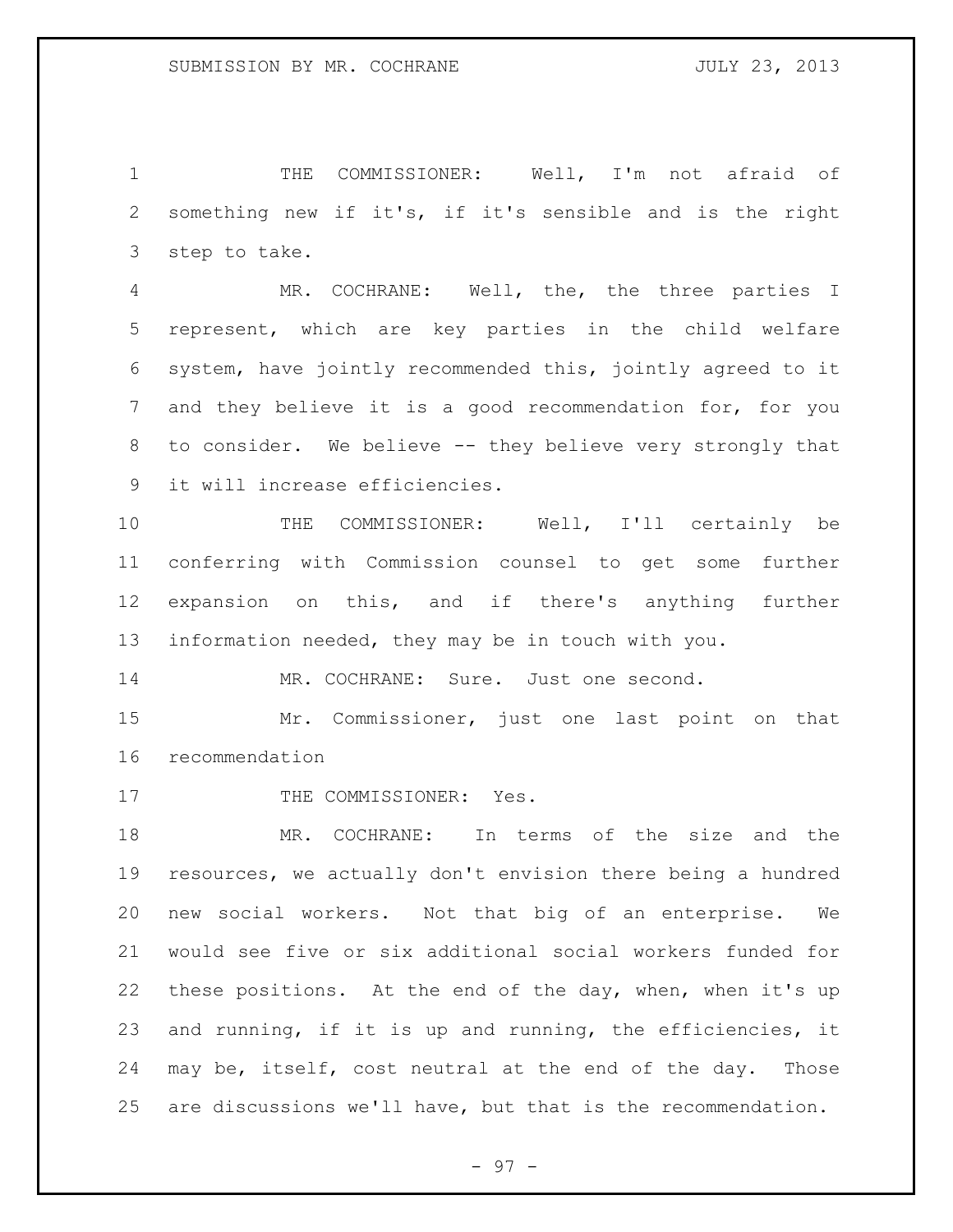THE COMMISSIONER: Well, I'm not afraid of something new if it's, if it's sensible and is the right step to take.

 MR. COCHRANE: Well, the, the three parties I represent, which are key parties in the child welfare system, have jointly recommended this, jointly agreed to it and they believe it is a good recommendation for, for you to consider. We believe -- they believe very strongly that it will increase efficiencies.

 THE COMMISSIONER: Well, I'll certainly be conferring with Commission counsel to get some further expansion on this, and if there's anything further information needed, they may be in touch with you.

14 MR. COCHRANE: Sure. Just one second.

 Mr. Commissioner, just one last point on that recommendation

17 THE COMMISSIONER: Yes.

 MR. COCHRANE: In terms of the size and the resources, we actually don't envision there being a hundred new social workers. Not that big of an enterprise. We would see five or six additional social workers funded for 22 these positions. At the end of the day, when, when it's up and running, if it is up and running, the efficiencies, it may be, itself, cost neutral at the end of the day. Those are discussions we'll have, but that is the recommendation.

- 97 -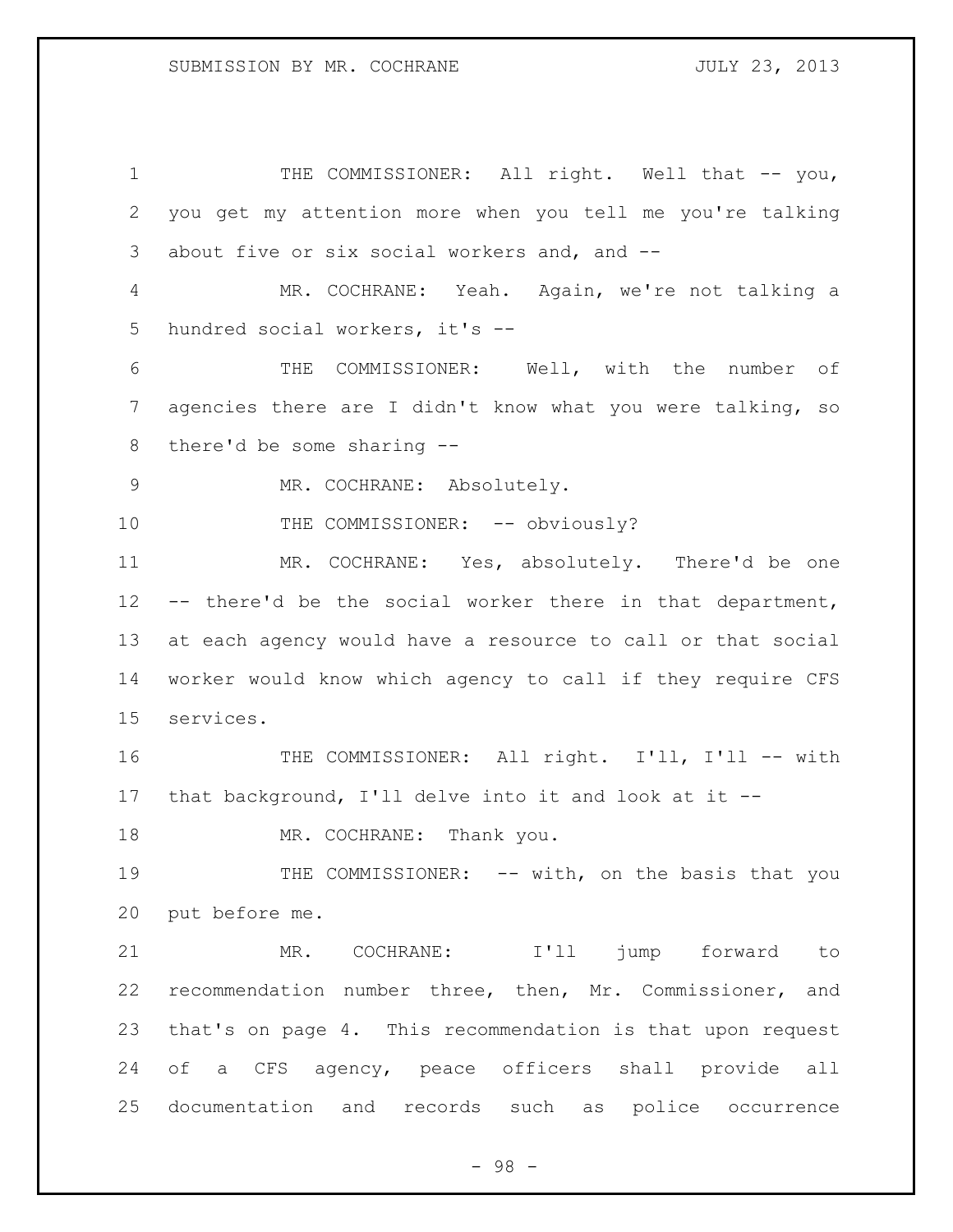1 THE COMMISSIONER: All right. Well that -- you, you get my attention more when you tell me you're talking about five or six social workers and, and -- MR. COCHRANE: Yeah. Again, we're not talking a hundred social workers, it's -- THE COMMISSIONER: Well, with the number of agencies there are I didn't know what you were talking, so there'd be some sharing -- MR. COCHRANE: Absolutely. 10 THE COMMISSIONER: -- obviously? MR. COCHRANE: Yes, absolutely. There'd be one -- there'd be the social worker there in that department, at each agency would have a resource to call or that social worker would know which agency to call if they require CFS services. THE COMMISSIONER: All right. I'll, I'll -- with that background, I'll delve into it and look at it -- 18 MR. COCHRANE: Thank you. 19 THE COMMISSIONER: -- with, on the basis that you put before me. MR. COCHRANE: I'll jump forward to recommendation number three, then, Mr. Commissioner, and that's on page 4. This recommendation is that upon request of a CFS agency, peace officers shall provide all documentation and records such as police occurrence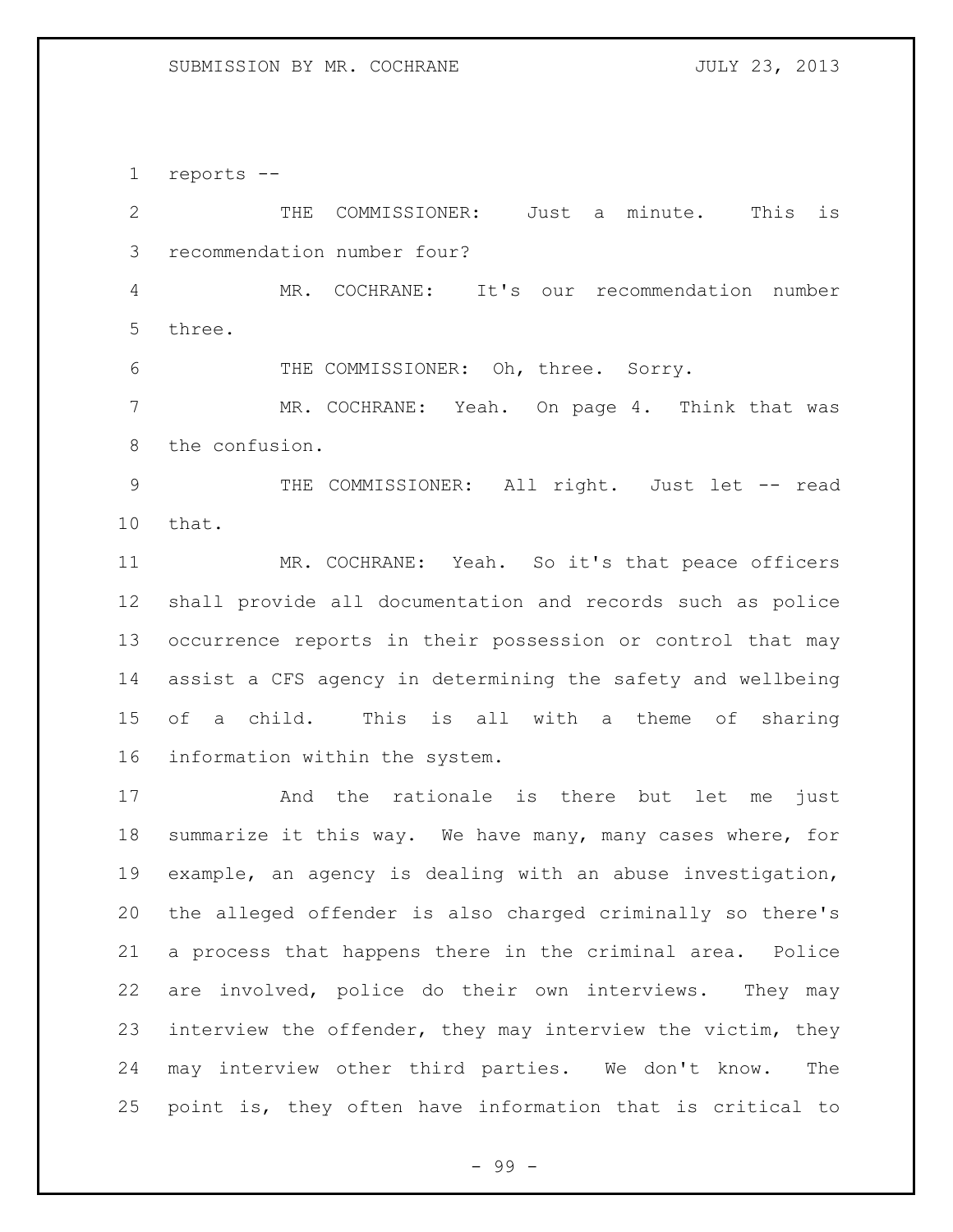reports --

 THE COMMISSIONER: Just a minute. This is recommendation number four? MR. COCHRANE: It's our recommendation number three. 6 THE COMMISSIONER: Oh, three. Sorry. MR. COCHRANE: Yeah. On page 4. Think that was the confusion. 9 THE COMMISSIONER: All right. Just let -- read that. MR. COCHRANE: Yeah. So it's that peace officers shall provide all documentation and records such as police occurrence reports in their possession or control that may assist a CFS agency in determining the safety and wellbeing of a child. This is all with a theme of sharing information within the system. And the rationale is there but let me just summarize it this way. We have many, many cases where, for example, an agency is dealing with an abuse investigation,

 the alleged offender is also charged criminally so there's a process that happens there in the criminal area. Police are involved, police do their own interviews. They may interview the offender, they may interview the victim, they may interview other third parties. We don't know. The point is, they often have information that is critical to

- 99 -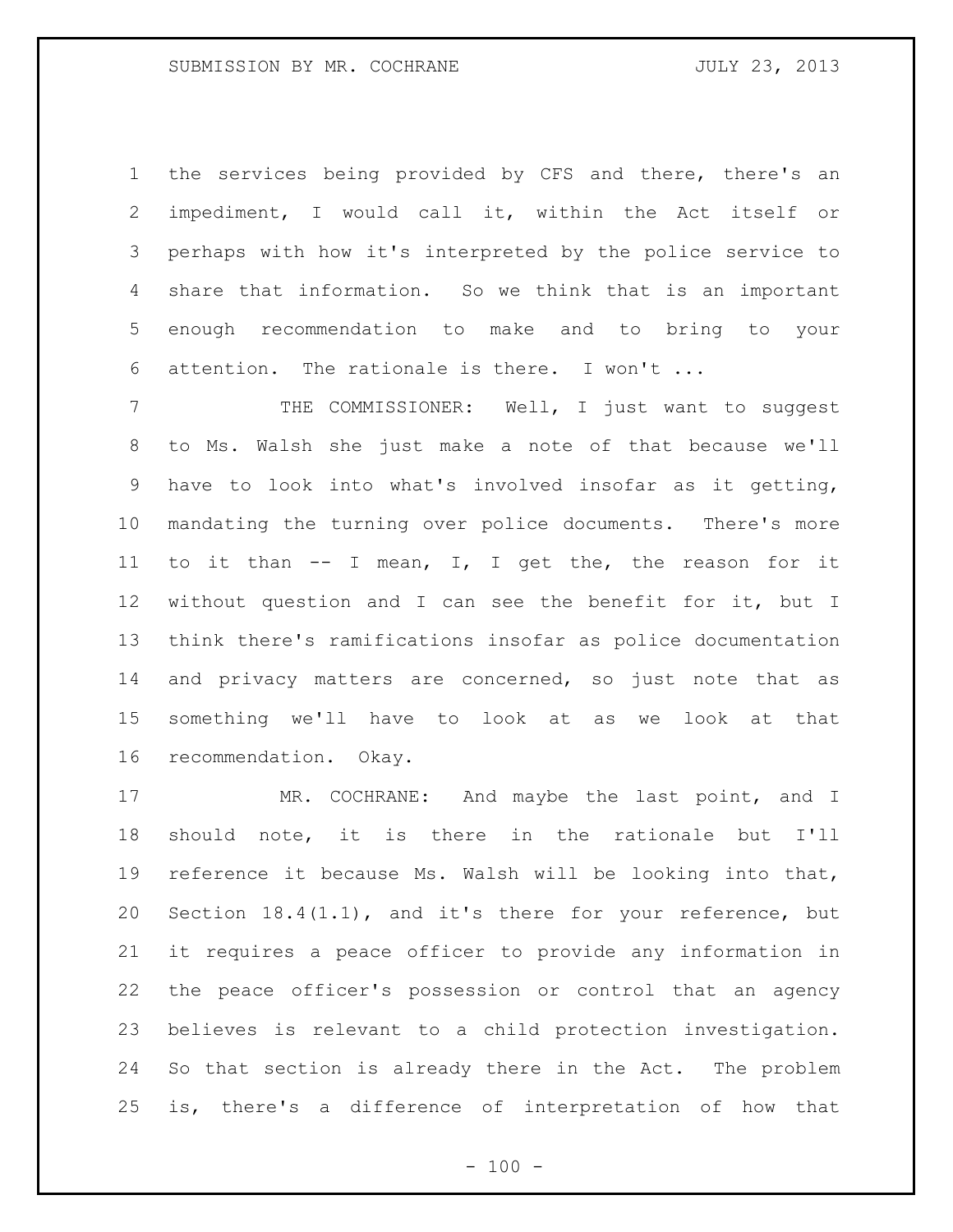the services being provided by CFS and there, there's an impediment, I would call it, within the Act itself or perhaps with how it's interpreted by the police service to share that information. So we think that is an important enough recommendation to make and to bring to your attention. The rationale is there. I won't ...

 THE COMMISSIONER: Well, I just want to suggest to Ms. Walsh she just make a note of that because we'll have to look into what's involved insofar as it getting, mandating the turning over police documents. There's more to it than -- I mean, I, I get the, the reason for it without question and I can see the benefit for it, but I think there's ramifications insofar as police documentation and privacy matters are concerned, so just note that as something we'll have to look at as we look at that recommendation. Okay.

17 MR. COCHRANE: And maybe the last point, and I should note, it is there in the rationale but I'll reference it because Ms. Walsh will be looking into that, Section 18.4(1.1), and it's there for your reference, but it requires a peace officer to provide any information in the peace officer's possession or control that an agency believes is relevant to a child protection investigation. So that section is already there in the Act. The problem is, there's a difference of interpretation of how that

 $- 100 -$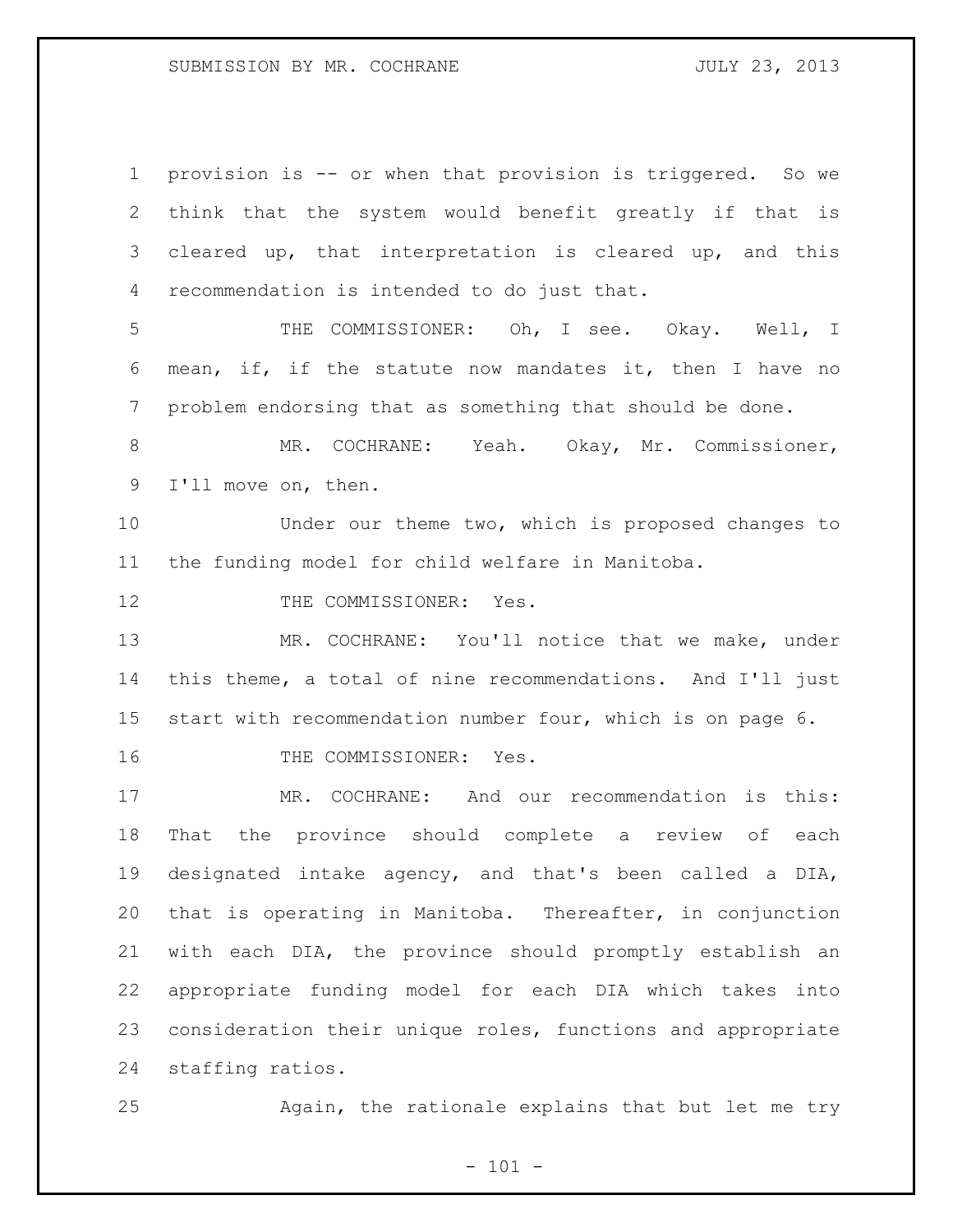provision is -- or when that provision is triggered. So we think that the system would benefit greatly if that is cleared up, that interpretation is cleared up, and this recommendation is intended to do just that. THE COMMISSIONER: Oh, I see. Okay. Well, I mean, if, if the statute now mandates it, then I have no problem endorsing that as something that should be done. MR. COCHRANE: Yeah. Okay, Mr. Commissioner, I'll move on, then. Under our theme two, which is proposed changes to the funding model for child welfare in Manitoba. 12 THE COMMISSIONER: Yes. 13 MR. COCHRANE: You'll notice that we make, under this theme, a total of nine recommendations. And I'll just start with recommendation number four, which is on page 6. 16 THE COMMISSIONER: Yes. MR. COCHRANE: And our recommendation is this: That the province should complete a review of each designated intake agency, and that's been called a DIA, that is operating in Manitoba. Thereafter, in conjunction with each DIA, the province should promptly establish an appropriate funding model for each DIA which takes into consideration their unique roles, functions and appropriate staffing ratios.

Again, the rationale explains that but let me try

 $- 101 -$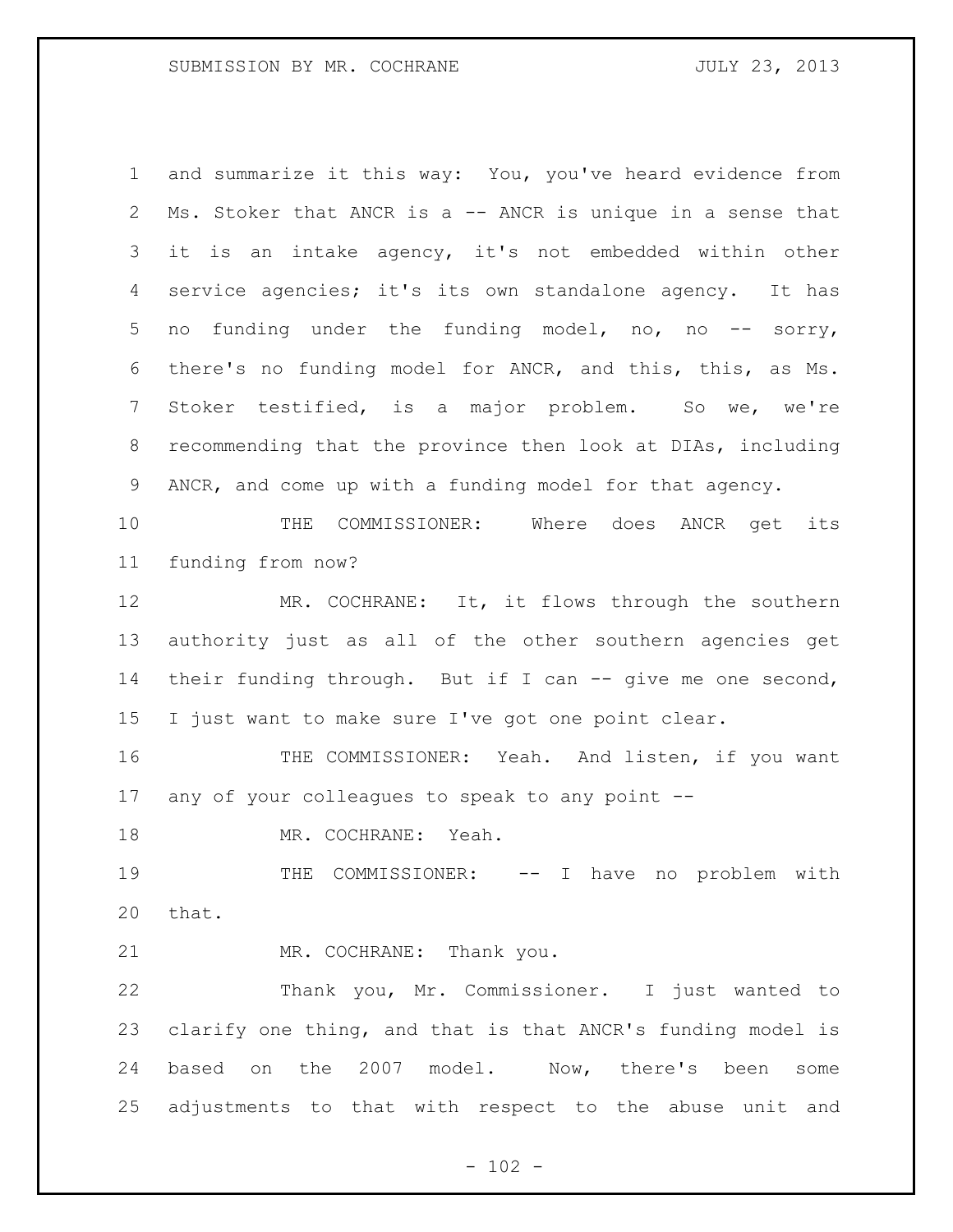and summarize it this way: You, you've heard evidence from Ms. Stoker that ANCR is a -- ANCR is unique in a sense that it is an intake agency, it's not embedded within other service agencies; it's its own standalone agency. It has no funding under the funding model, no, no -- sorry, there's no funding model for ANCR, and this, this, as Ms. Stoker testified, is a major problem. So we, we're recommending that the province then look at DIAs, including ANCR, and come up with a funding model for that agency.

 THE COMMISSIONER: Where does ANCR get its funding from now?

12 MR. COCHRANE: It, it flows through the southern authority just as all of the other southern agencies get their funding through. But if I can -- give me one second, I just want to make sure I've got one point clear.

16 THE COMMISSIONER: Yeah. And listen, if you want any of your colleagues to speak to any point --

MR. COCHRANE: Yeah.

 THE COMMISSIONER: -- I have no problem with that.

MR. COCHRANE: Thank you.

 Thank you, Mr. Commissioner. I just wanted to clarify one thing, and that is that ANCR's funding model is based on the 2007 model. Now, there's been some adjustments to that with respect to the abuse unit and

 $- 102 -$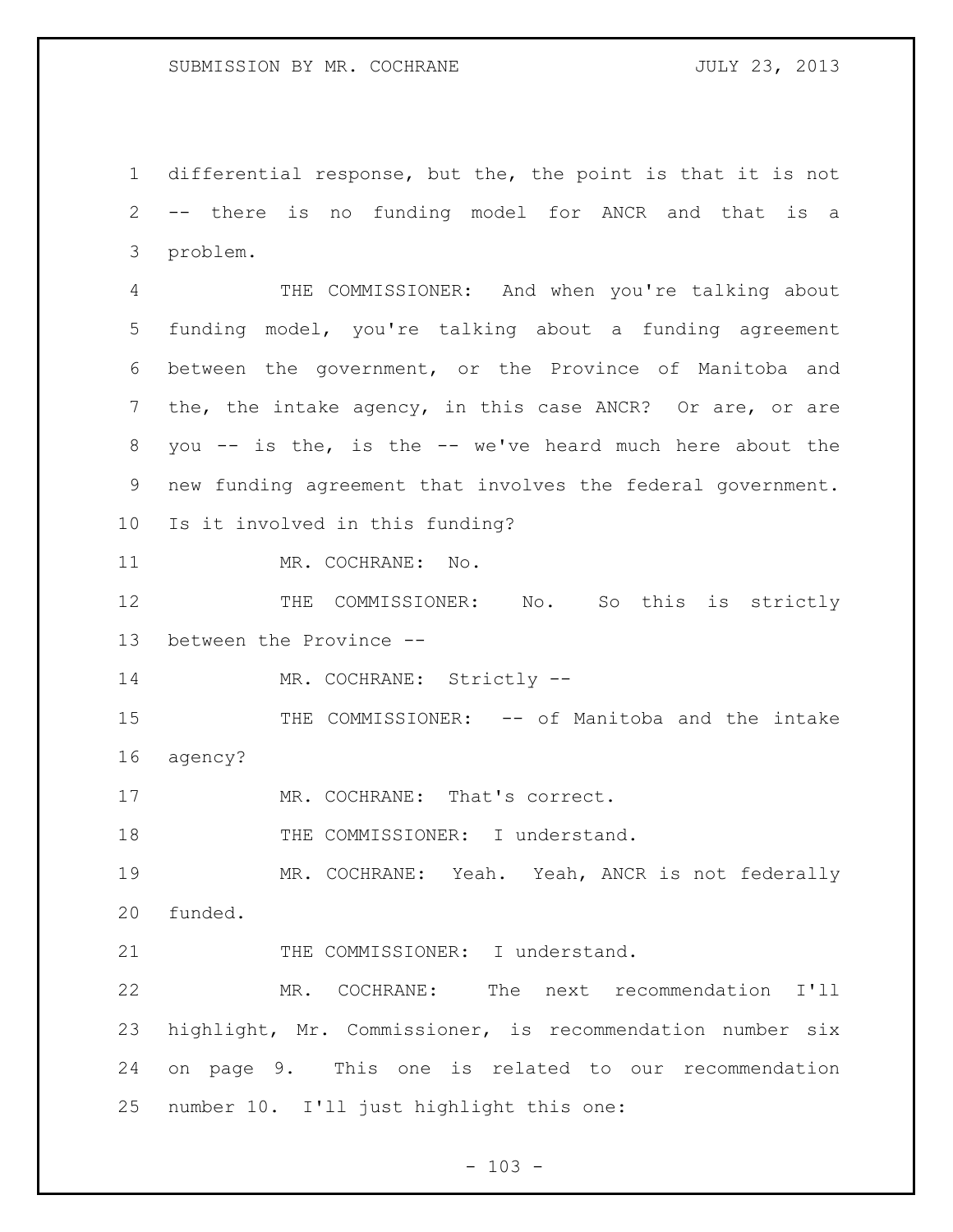differential response, but the, the point is that it is not -- there is no funding model for ANCR and that is a problem.

 THE COMMISSIONER: And when you're talking about funding model, you're talking about a funding agreement between the government, or the Province of Manitoba and the, the intake agency, in this case ANCR? Or are, or are you -- is the, is the -- we've heard much here about the new funding agreement that involves the federal government. Is it involved in this funding?

11 MR. COCHRANE: No.

12 THE COMMISSIONER: No. So this is strictly between the Province --

14 MR. COCHRANE: Strictly --

 THE COMMISSIONER: -- of Manitoba and the intake agency?

17 MR. COCHRANE: That's correct.

18 THE COMMISSIONER: I understand.

 MR. COCHRANE: Yeah. Yeah, ANCR is not federally funded.

21 THE COMMISSIONER: I understand.

 MR. COCHRANE: The next recommendation I'll highlight, Mr. Commissioner, is recommendation number six on page 9. This one is related to our recommendation number 10. I'll just highlight this one:

 $- 103 -$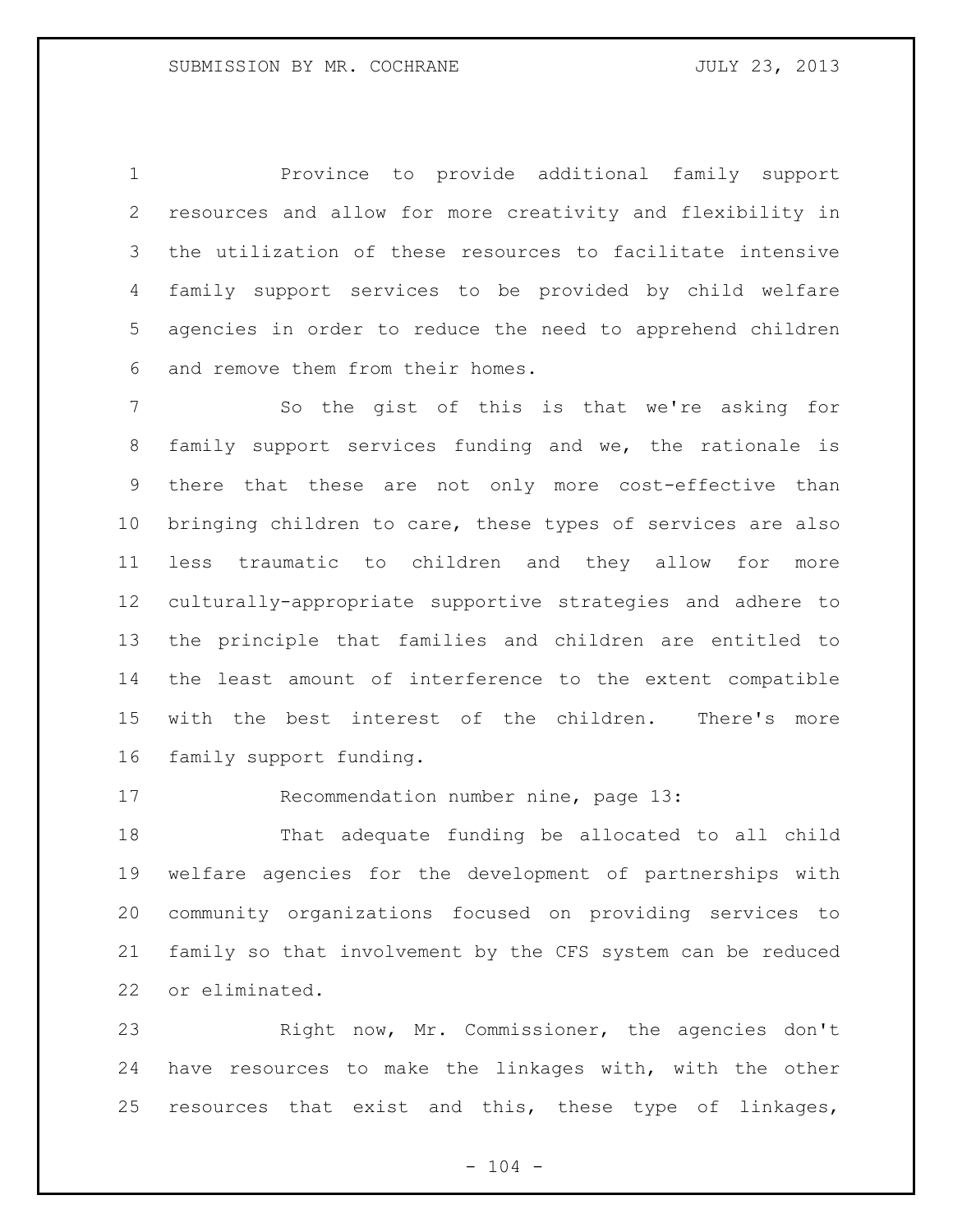Province to provide additional family support resources and allow for more creativity and flexibility in the utilization of these resources to facilitate intensive family support services to be provided by child welfare agencies in order to reduce the need to apprehend children and remove them from their homes.

 So the gist of this is that we're asking for family support services funding and we, the rationale is there that these are not only more cost-effective than bringing children to care, these types of services are also less traumatic to children and they allow for more culturally-appropriate supportive strategies and adhere to the principle that families and children are entitled to the least amount of interference to the extent compatible with the best interest of the children. There's more family support funding.

Recommendation number nine, page 13:

 That adequate funding be allocated to all child welfare agencies for the development of partnerships with community organizations focused on providing services to family so that involvement by the CFS system can be reduced or eliminated.

 Right now, Mr. Commissioner, the agencies don't have resources to make the linkages with, with the other resources that exist and this, these type of linkages,

 $- 104 -$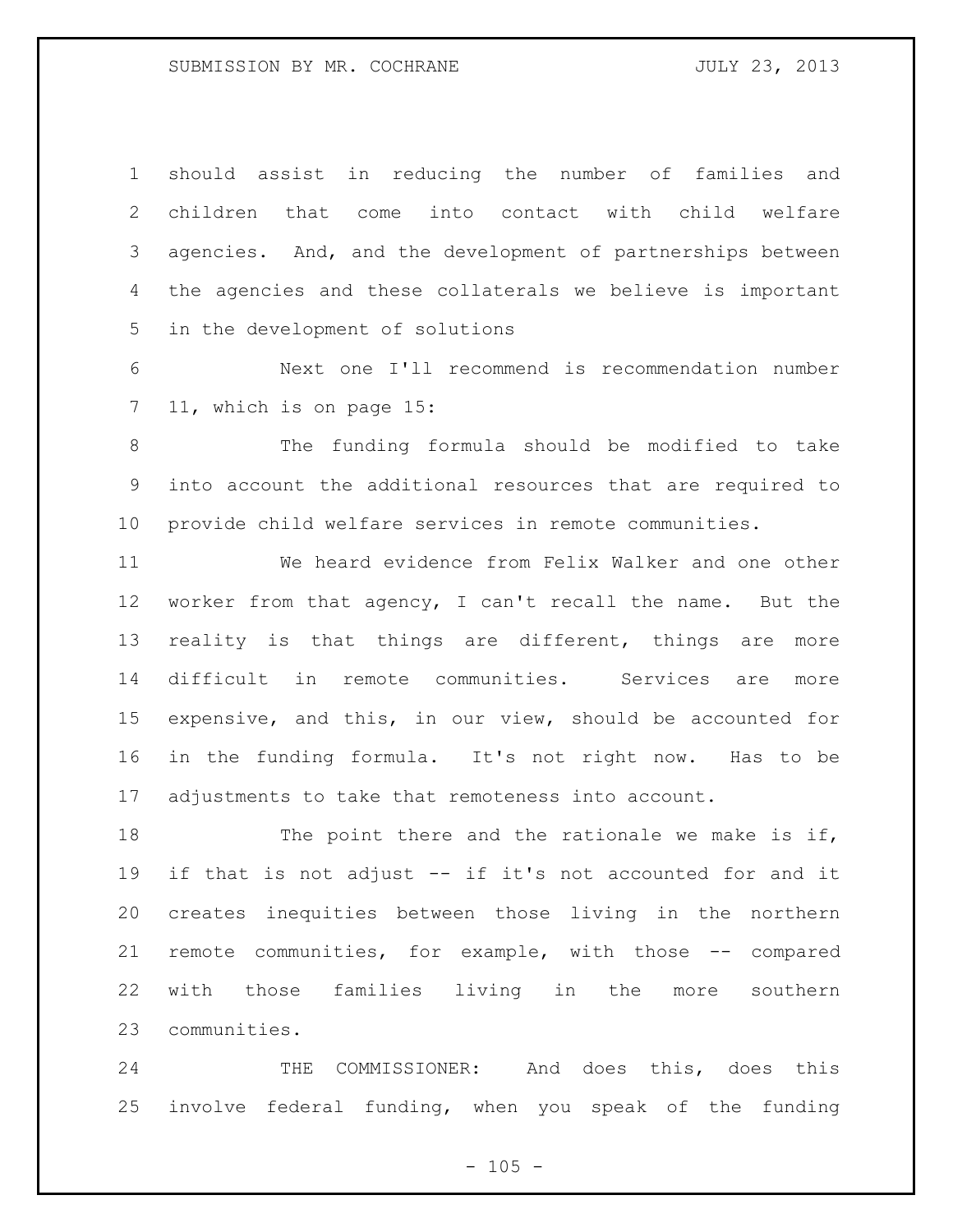should assist in reducing the number of families and children that come into contact with child welfare agencies. And, and the development of partnerships between the agencies and these collaterals we believe is important in the development of solutions

 Next one I'll recommend is recommendation number 11, which is on page 15:

 The funding formula should be modified to take into account the additional resources that are required to provide child welfare services in remote communities.

 We heard evidence from Felix Walker and one other worker from that agency, I can't recall the name. But the reality is that things are different, things are more difficult in remote communities. Services are more expensive, and this, in our view, should be accounted for in the funding formula. It's not right now. Has to be adjustments to take that remoteness into account.

18 The point there and the rationale we make is if, if that is not adjust -- if it's not accounted for and it creates inequities between those living in the northern remote communities, for example, with those -- compared with those families living in the more southern communities.

 THE COMMISSIONER: And does this, does this involve federal funding, when you speak of the funding

 $- 105 -$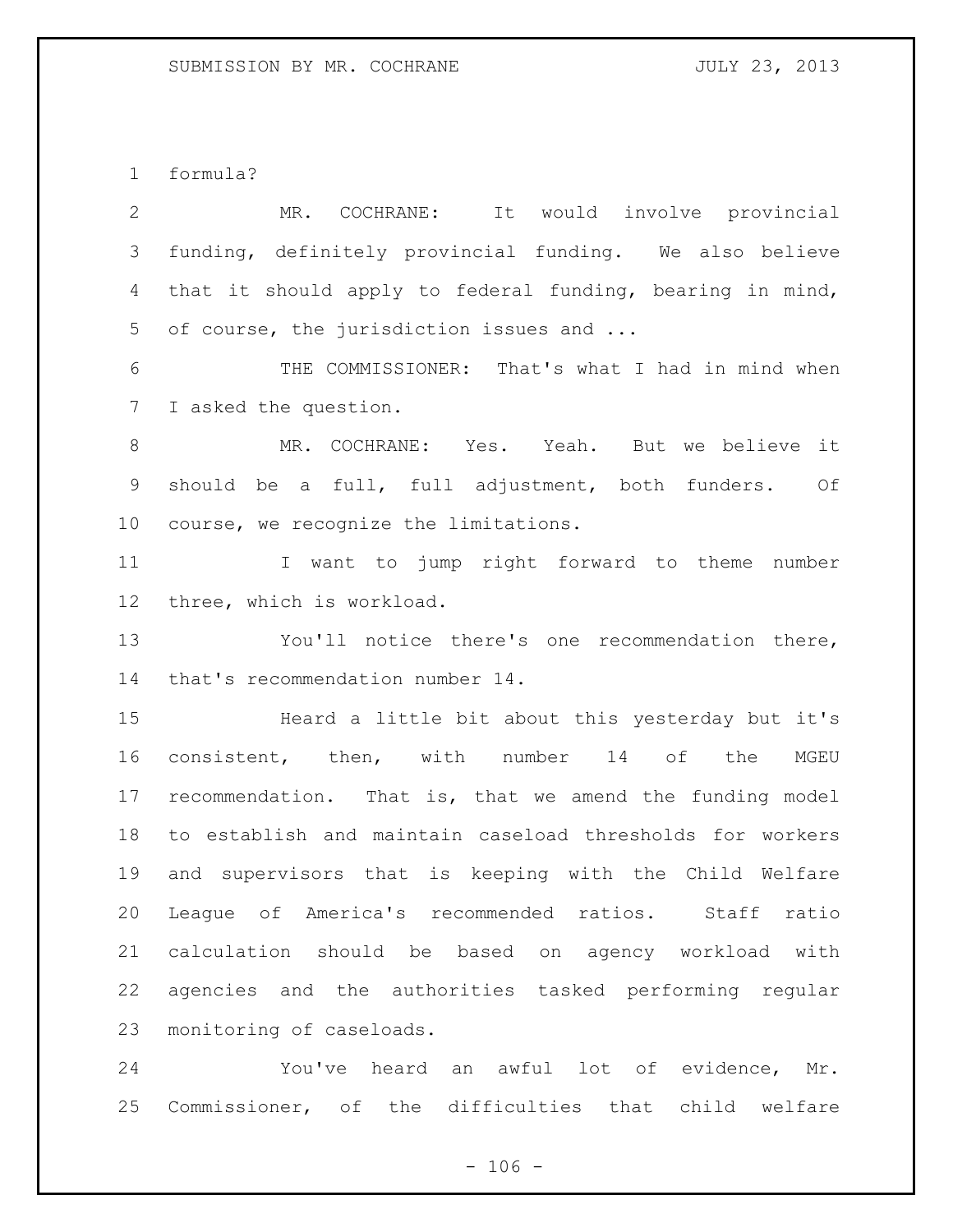formula?

 MR. COCHRANE: It would involve provincial funding, definitely provincial funding. We also believe that it should apply to federal funding, bearing in mind, of course, the jurisdiction issues and ...

 THE COMMISSIONER: That's what I had in mind when I asked the question.

 MR. COCHRANE: Yes. Yeah. But we believe it should be a full, full adjustment, both funders. Of course, we recognize the limitations.

 I want to jump right forward to theme number three, which is workload.

 You'll notice there's one recommendation there, that's recommendation number 14.

 Heard a little bit about this yesterday but it's consistent, then, with number 14 of the MGEU recommendation. That is, that we amend the funding model to establish and maintain caseload thresholds for workers and supervisors that is keeping with the Child Welfare League of America's recommended ratios. Staff ratio calculation should be based on agency workload with agencies and the authorities tasked performing regular monitoring of caseloads.

 You've heard an awful lot of evidence, Mr. Commissioner, of the difficulties that child welfare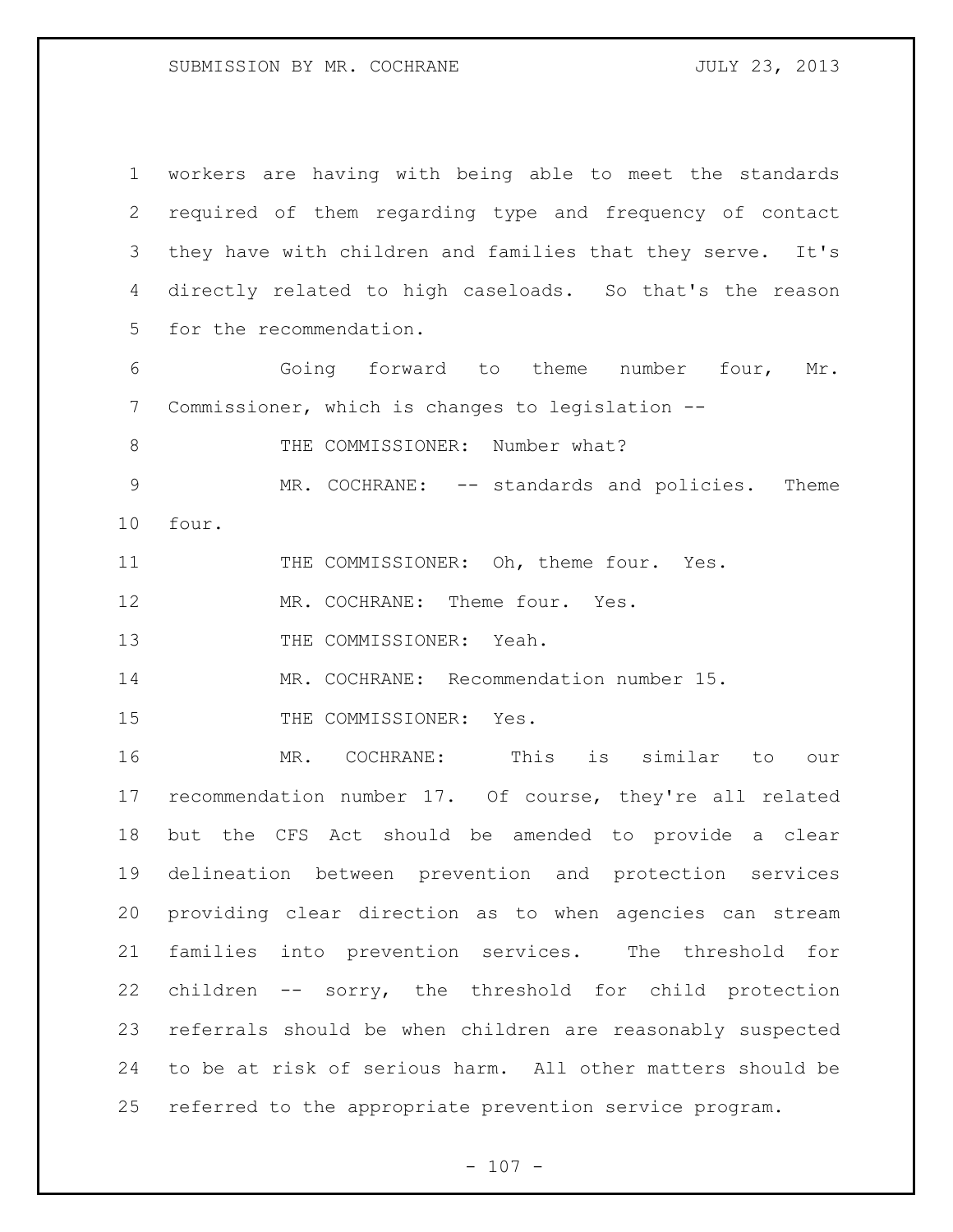| $\mathbf 1$   | workers are having with being able to meet the standards   |
|---------------|------------------------------------------------------------|
| 2             | required of them regarding type and frequency of contact   |
| 3             | they have with children and families that they serve. It's |
| 4             | directly related to high caseloads. So that's the reason   |
| 5             | for the recommendation.                                    |
| 6             | Going forward to theme number four,<br>Mr.                 |
| 7             | Commissioner, which is changes to legislation --           |
| 8             | THE COMMISSIONER: Number what?                             |
| $\mathcal{G}$ | MR. COCHRANE: -- standards and policies. Theme             |
| 10            | four.                                                      |
| 11            | THE COMMISSIONER: Oh, theme four. Yes.                     |
| 12            | MR. COCHRANE: Theme four. Yes.                             |
| 13            | THE COMMISSIONER: Yeah.                                    |
| 14            | MR. COCHRANE: Recommendation number 15.                    |
| 15            | THE COMMISSIONER: Yes.                                     |
| 16            | MR. COCHRANE: This<br>is similar to<br>our                 |
| 17            | recommendation number 17. Of course, they're all related   |
| 18            | but the CFS Act should be amended to provide a clear       |
| 19            | delineation between prevention and protection services     |
| 20            | providing clear direction as to when agencies can stream   |
| 21            | families into prevention services. The threshold for       |
| 22            | children -- sorry, the threshold for child protection      |
| 23            | referrals should be when children are reasonably suspected |
| 24            |                                                            |
|               | to be at risk of serious harm. All other matters should be |

- 107 -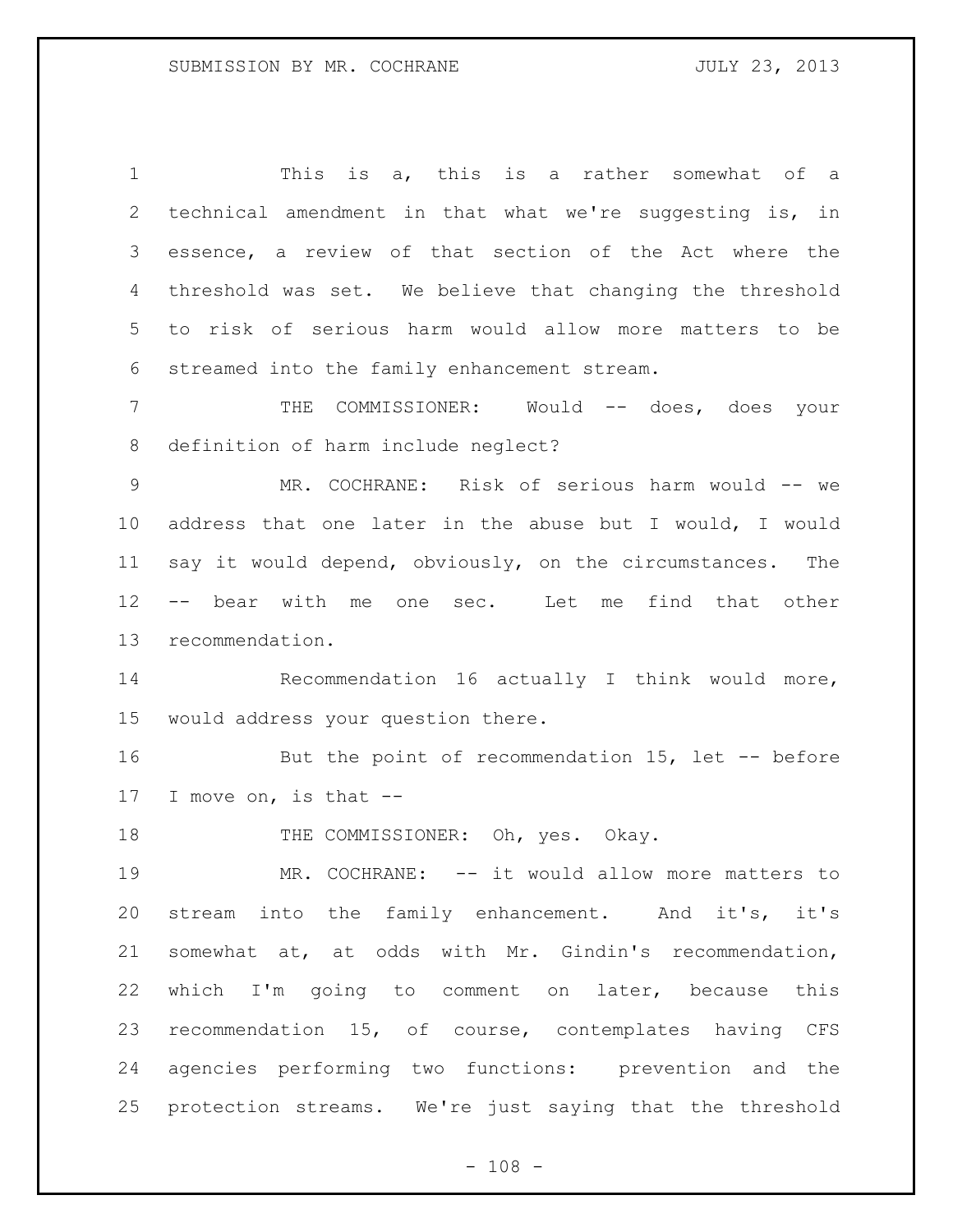This is a, this is a rather somewhat of a technical amendment in that what we're suggesting is, in essence, a review of that section of the Act where the threshold was set. We believe that changing the threshold to risk of serious harm would allow more matters to be streamed into the family enhancement stream.

 THE COMMISSIONER: Would -- does, does your definition of harm include neglect?

 MR. COCHRANE: Risk of serious harm would -- we address that one later in the abuse but I would, I would say it would depend, obviously, on the circumstances. The -- bear with me one sec. Let me find that other recommendation.

 Recommendation 16 actually I think would more, would address your question there.

16 But the point of recommendation 15, let -- before I move on, is that --

18 THE COMMISSIONER: Oh, yes. Okay.

19 MR. COCHRANE: -- it would allow more matters to stream into the family enhancement. And it's, it's somewhat at, at odds with Mr. Gindin's recommendation, which I'm going to comment on later, because this recommendation 15, of course, contemplates having CFS agencies performing two functions: prevention and the protection streams. We're just saying that the threshold

 $- 108 -$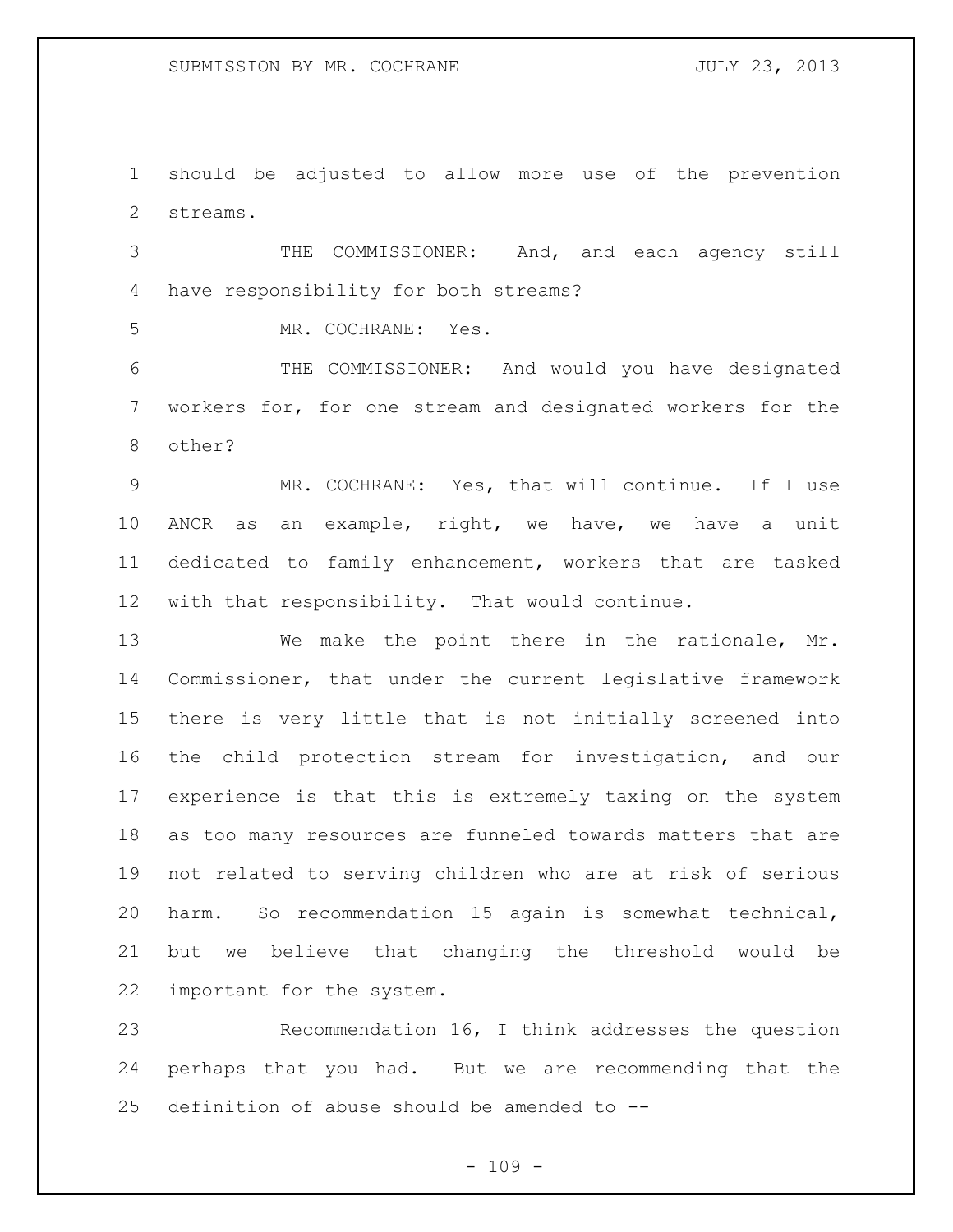should be adjusted to allow more use of the prevention streams.

 THE COMMISSIONER: And, and each agency still have responsibility for both streams?

MR. COCHRANE: Yes.

 THE COMMISSIONER: And would you have designated workers for, for one stream and designated workers for the other?

 MR. COCHRANE: Yes, that will continue. If I use ANCR as an example, right, we have, we have a unit dedicated to family enhancement, workers that are tasked with that responsibility. That would continue.

 We make the point there in the rationale, Mr. Commissioner, that under the current legislative framework there is very little that is not initially screened into the child protection stream for investigation, and our experience is that this is extremely taxing on the system as too many resources are funneled towards matters that are not related to serving children who are at risk of serious harm. So recommendation 15 again is somewhat technical, but we believe that changing the threshold would be important for the system.

 Recommendation 16, I think addresses the question perhaps that you had. But we are recommending that the definition of abuse should be amended to --

 $- 109 -$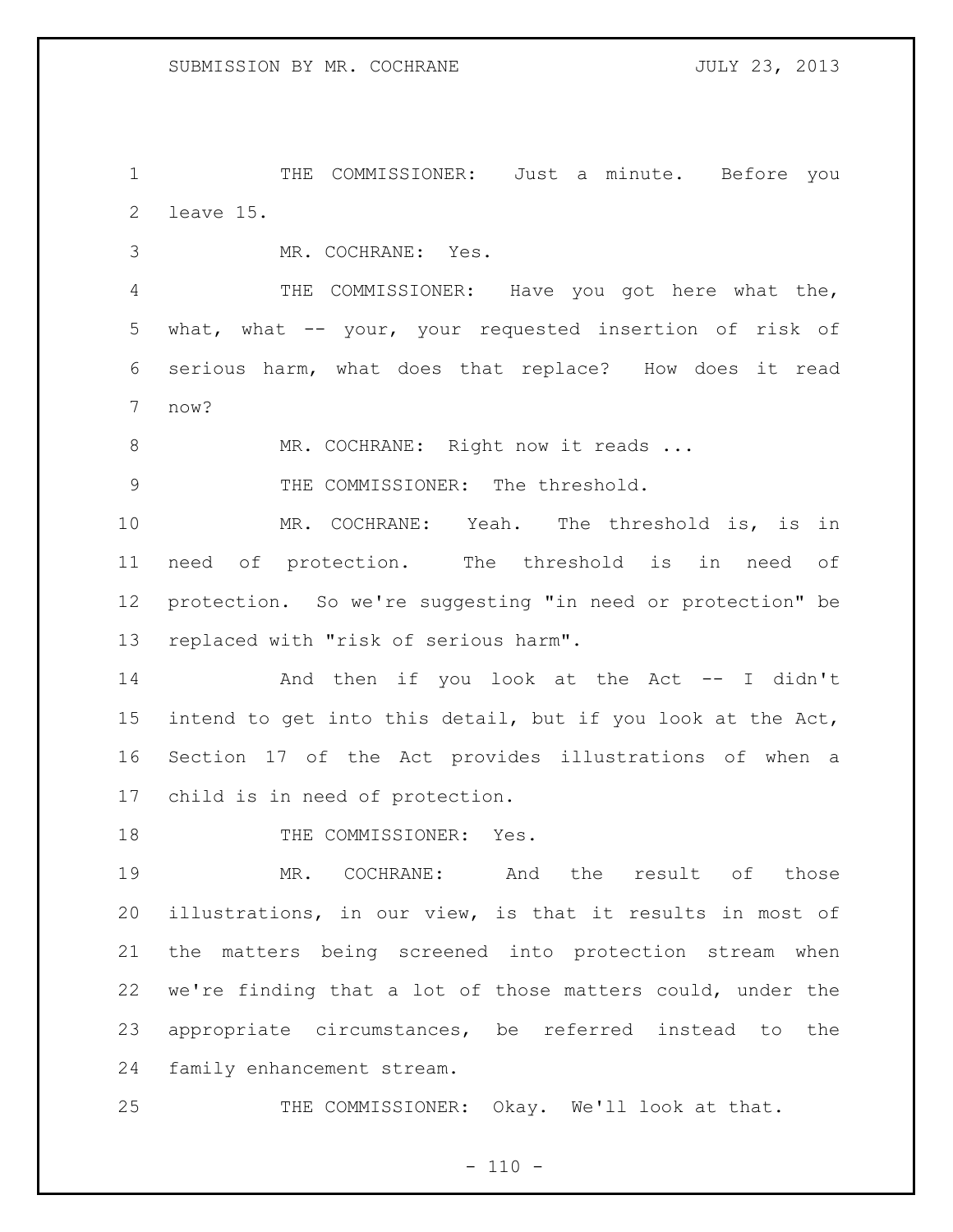1 THE COMMISSIONER: Just a minute. Before you leave 15.

MR. COCHRANE: Yes.

 THE COMMISSIONER: Have you got here what the, what, what -- your, your requested insertion of risk of serious harm, what does that replace? How does it read now?

8 MR. COCHRANE: Right now it reads ...

9 THE COMMISSIONER: The threshold.

 MR. COCHRANE: Yeah. The threshold is, is in need of protection. The threshold is in need of protection. So we're suggesting "in need or protection" be replaced with "risk of serious harm".

 And then if you look at the Act -- I didn't intend to get into this detail, but if you look at the Act, Section 17 of the Act provides illustrations of when a child is in need of protection.

18 THE COMMISSIONER: Yes.

 MR. COCHRANE: And the result of those illustrations, in our view, is that it results in most of the matters being screened into protection stream when we're finding that a lot of those matters could, under the appropriate circumstances, be referred instead to the family enhancement stream.

THE COMMISSIONER: Okay. We'll look at that.

 $- 110 -$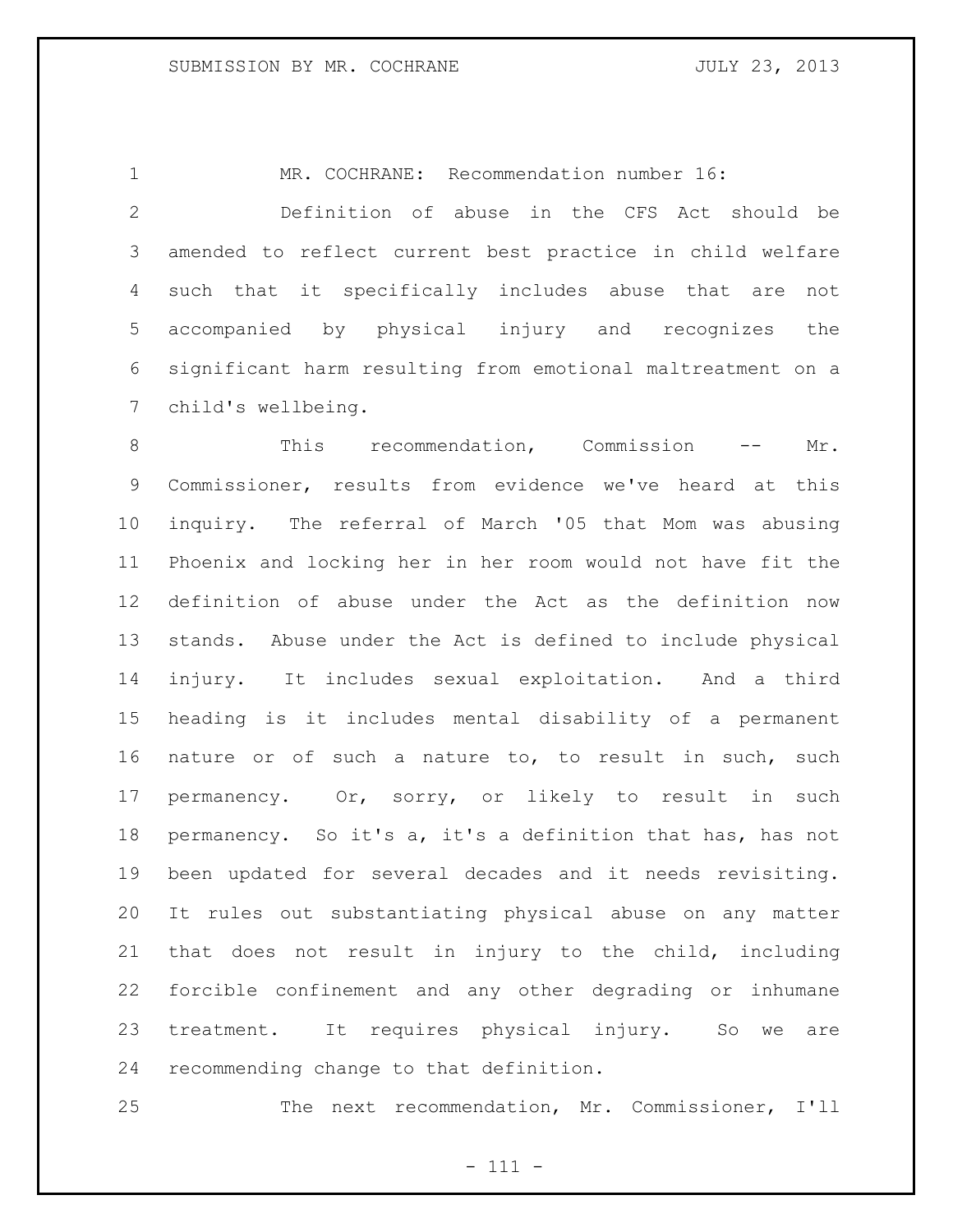MR. COCHRANE: Recommendation number 16:

 Definition of abuse in the CFS Act should be amended to reflect current best practice in child welfare such that it specifically includes abuse that are not accompanied by physical injury and recognizes the significant harm resulting from emotional maltreatment on a child's wellbeing.

 This recommendation, Commission -- Mr. Commissioner, results from evidence we've heard at this inquiry. The referral of March '05 that Mom was abusing Phoenix and locking her in her room would not have fit the definition of abuse under the Act as the definition now stands. Abuse under the Act is defined to include physical injury. It includes sexual exploitation. And a third heading is it includes mental disability of a permanent nature or of such a nature to, to result in such, such permanency. Or, sorry, or likely to result in such permanency. So it's a, it's a definition that has, has not been updated for several decades and it needs revisiting. It rules out substantiating physical abuse on any matter that does not result in injury to the child, including forcible confinement and any other degrading or inhumane treatment. It requires physical injury. So we are recommending change to that definition.

The next recommendation, Mr. Commissioner, I'll

- 111 -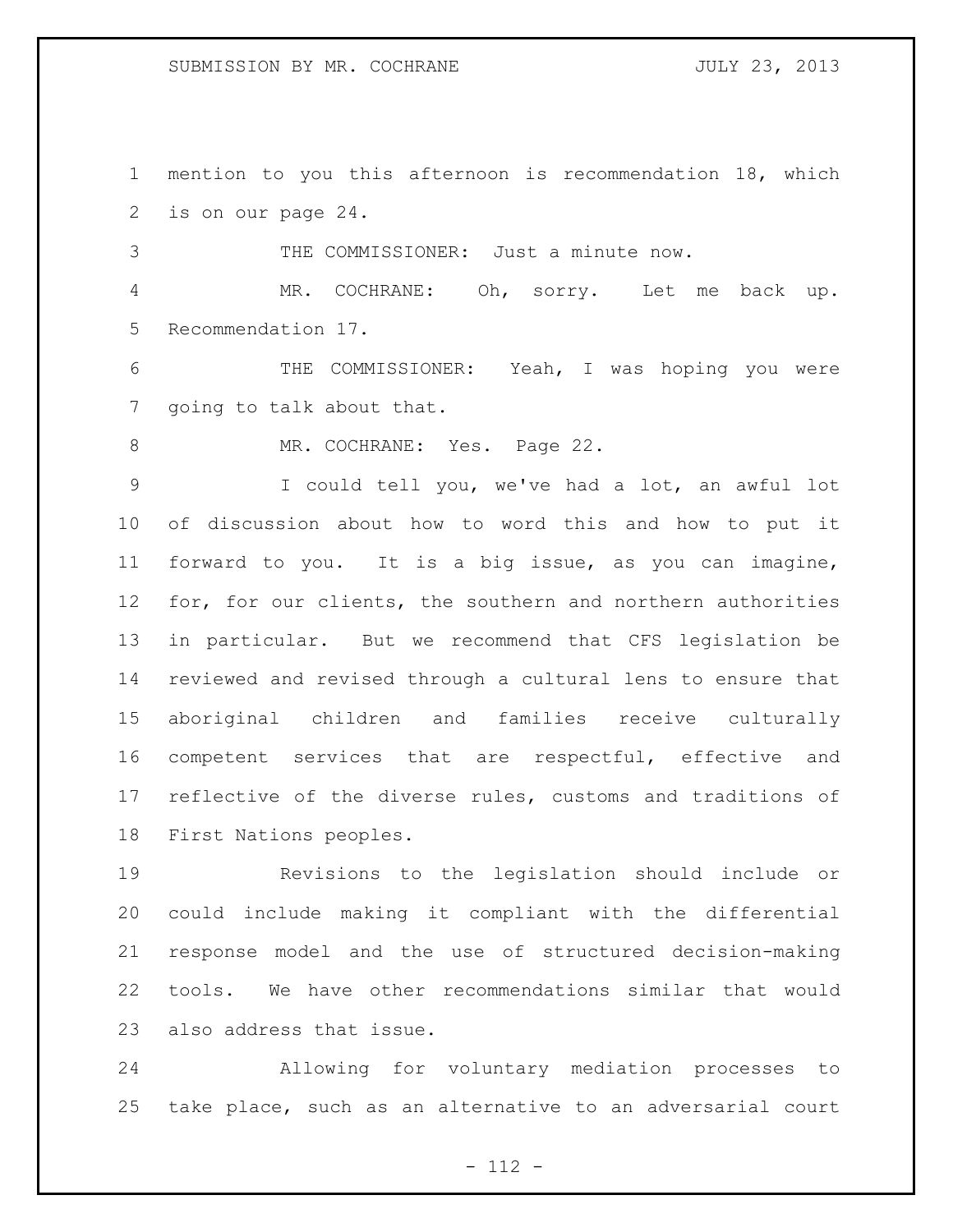mention to you this afternoon is recommendation 18, which is on our page 24.

THE COMMISSIONER: Just a minute now.

 MR. COCHRANE: Oh, sorry. Let me back up. Recommendation 17.

 THE COMMISSIONER: Yeah, I was hoping you were going to talk about that.

8 MR. COCHRANE: Yes. Page 22.

 I could tell you, we've had a lot, an awful lot of discussion about how to word this and how to put it forward to you. It is a big issue, as you can imagine, for, for our clients, the southern and northern authorities in particular. But we recommend that CFS legislation be reviewed and revised through a cultural lens to ensure that aboriginal children and families receive culturally competent services that are respectful, effective and reflective of the diverse rules, customs and traditions of First Nations peoples.

 Revisions to the legislation should include or could include making it compliant with the differential response model and the use of structured decision-making tools. We have other recommendations similar that would also address that issue.

 Allowing for voluntary mediation processes to take place, such as an alternative to an adversarial court

- 112 -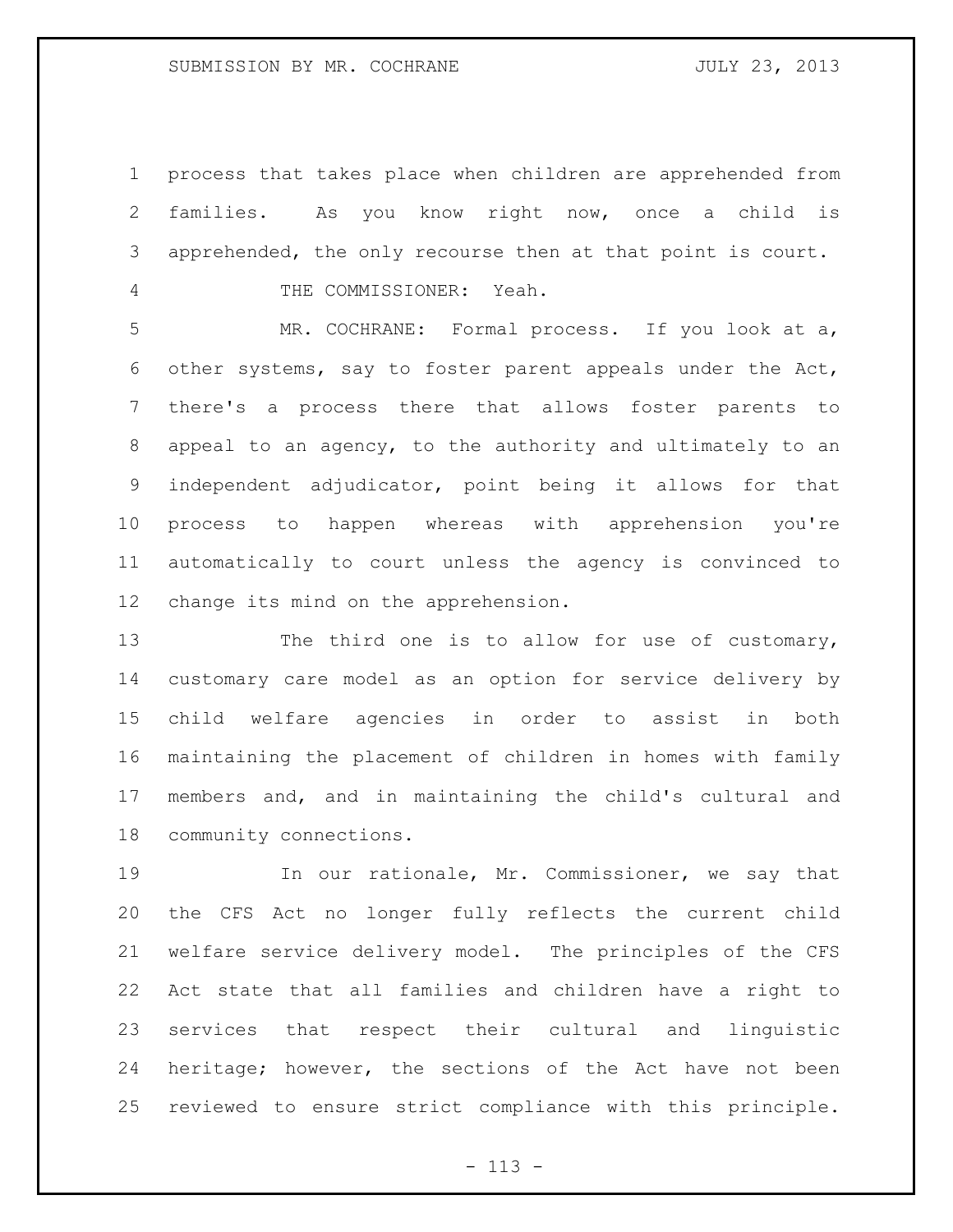process that takes place when children are apprehended from families. As you know right now, once a child is apprehended, the only recourse then at that point is court.

THE COMMISSIONER: Yeah.

 MR. COCHRANE: Formal process. If you look at a, other systems, say to foster parent appeals under the Act, there's a process there that allows foster parents to appeal to an agency, to the authority and ultimately to an independent adjudicator, point being it allows for that process to happen whereas with apprehension you're automatically to court unless the agency is convinced to change its mind on the apprehension.

13 The third one is to allow for use of customary, customary care model as an option for service delivery by child welfare agencies in order to assist in both maintaining the placement of children in homes with family members and, and in maintaining the child's cultural and community connections.

19 19 In our rationale, Mr. Commissioner, we say that the CFS Act no longer fully reflects the current child welfare service delivery model. The principles of the CFS Act state that all families and children have a right to services that respect their cultural and linguistic heritage; however, the sections of the Act have not been reviewed to ensure strict compliance with this principle.

- 113 -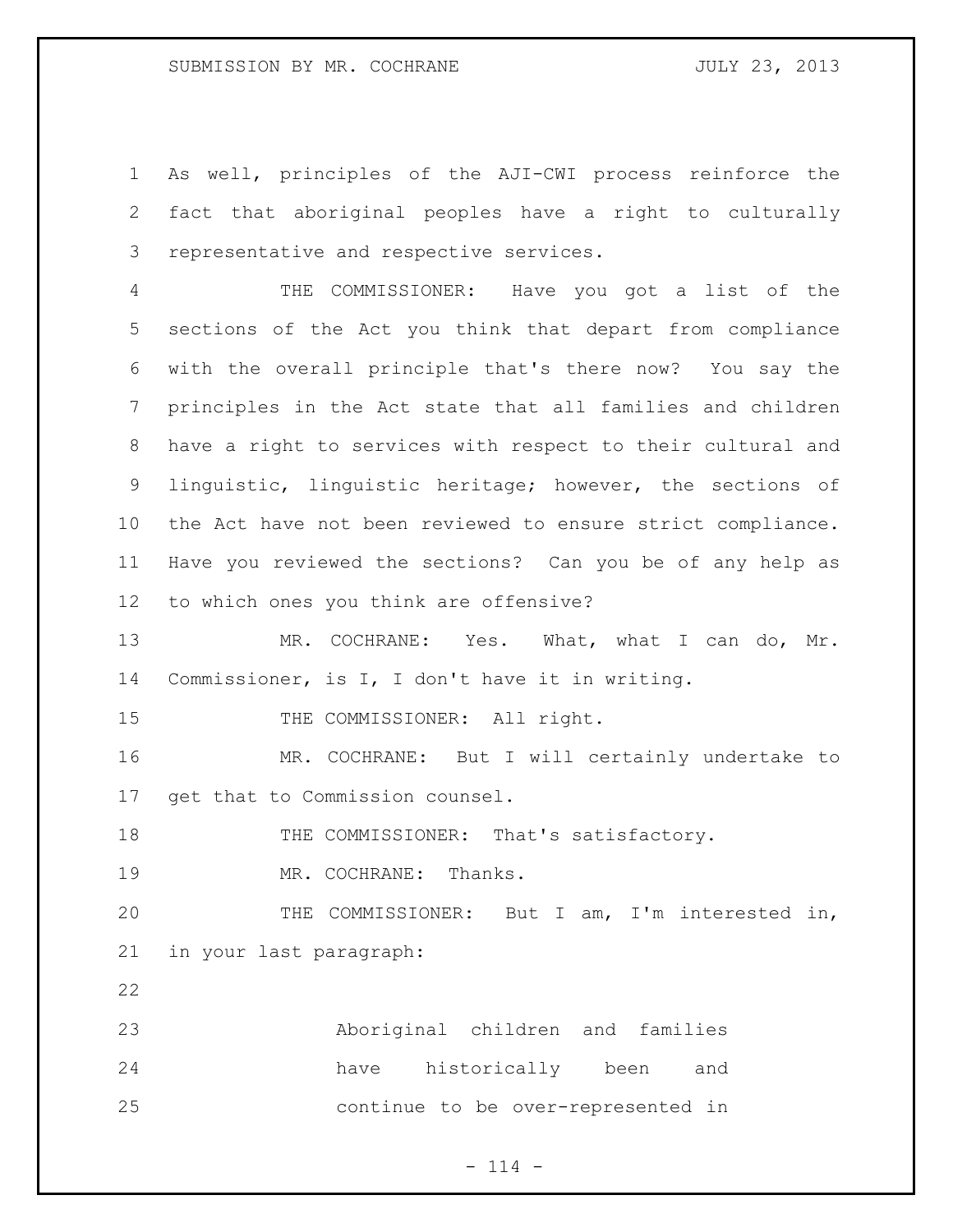As well, principles of the AJI-CWI process reinforce the fact that aboriginal peoples have a right to culturally representative and respective services.

 THE COMMISSIONER: Have you got a list of the sections of the Act you think that depart from compliance with the overall principle that's there now? You say the principles in the Act state that all families and children have a right to services with respect to their cultural and linguistic, linguistic heritage; however, the sections of the Act have not been reviewed to ensure strict compliance. Have you reviewed the sections? Can you be of any help as to which ones you think are offensive?

13 MR. COCHRANE: Yes. What, what I can do, Mr. Commissioner, is I, I don't have it in writing.

15 THE COMMISSIONER: All right.

 MR. COCHRANE: But I will certainly undertake to get that to Commission counsel.

18 THE COMMISSIONER: That's satisfactory.

19 MR. COCHRANE: Thanks.

 THE COMMISSIONER: But I am, I'm interested in, in your last paragraph:

 Aboriginal children and families have historically been and continue to be over-represented in

 $- 114 -$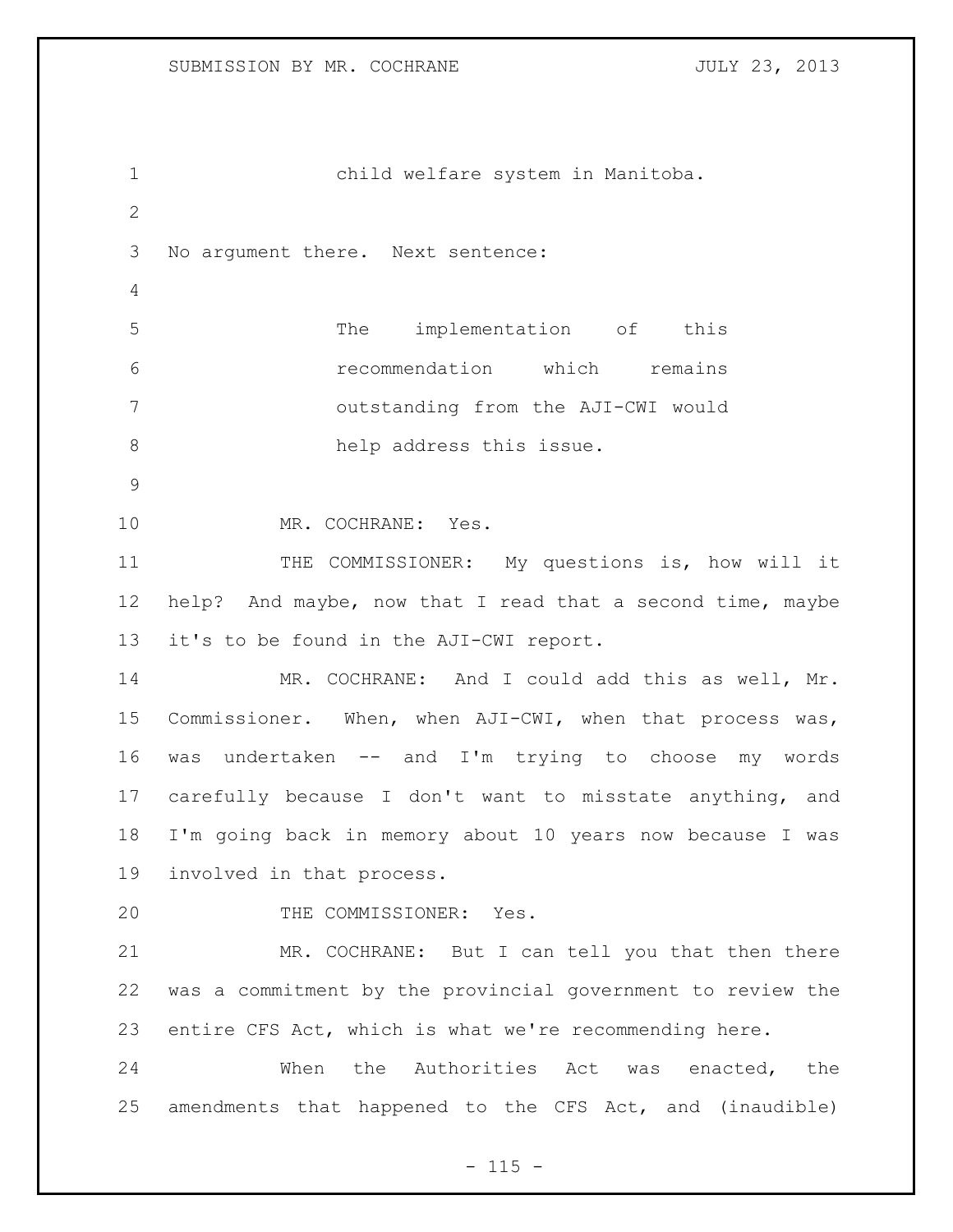child welfare system in Manitoba. No argument there. Next sentence: The implementation of this recommendation which remains outstanding from the AJI-CWI would 8 help address this issue. MR. COCHRANE: Yes. 11 THE COMMISSIONER: My questions is, how will it help? And maybe, now that I read that a second time, maybe it's to be found in the AJI-CWI report. MR. COCHRANE: And I could add this as well, Mr. Commissioner. When, when AJI-CWI, when that process was, was undertaken -- and I'm trying to choose my words carefully because I don't want to misstate anything, and I'm going back in memory about 10 years now because I was involved in that process. 20 THE COMMISSIONER: Yes. MR. COCHRANE: But I can tell you that then there was a commitment by the provincial government to review the entire CFS Act, which is what we're recommending here. 24 When the Authorities Act was enacted, the amendments that happened to the CFS Act, and (inaudible)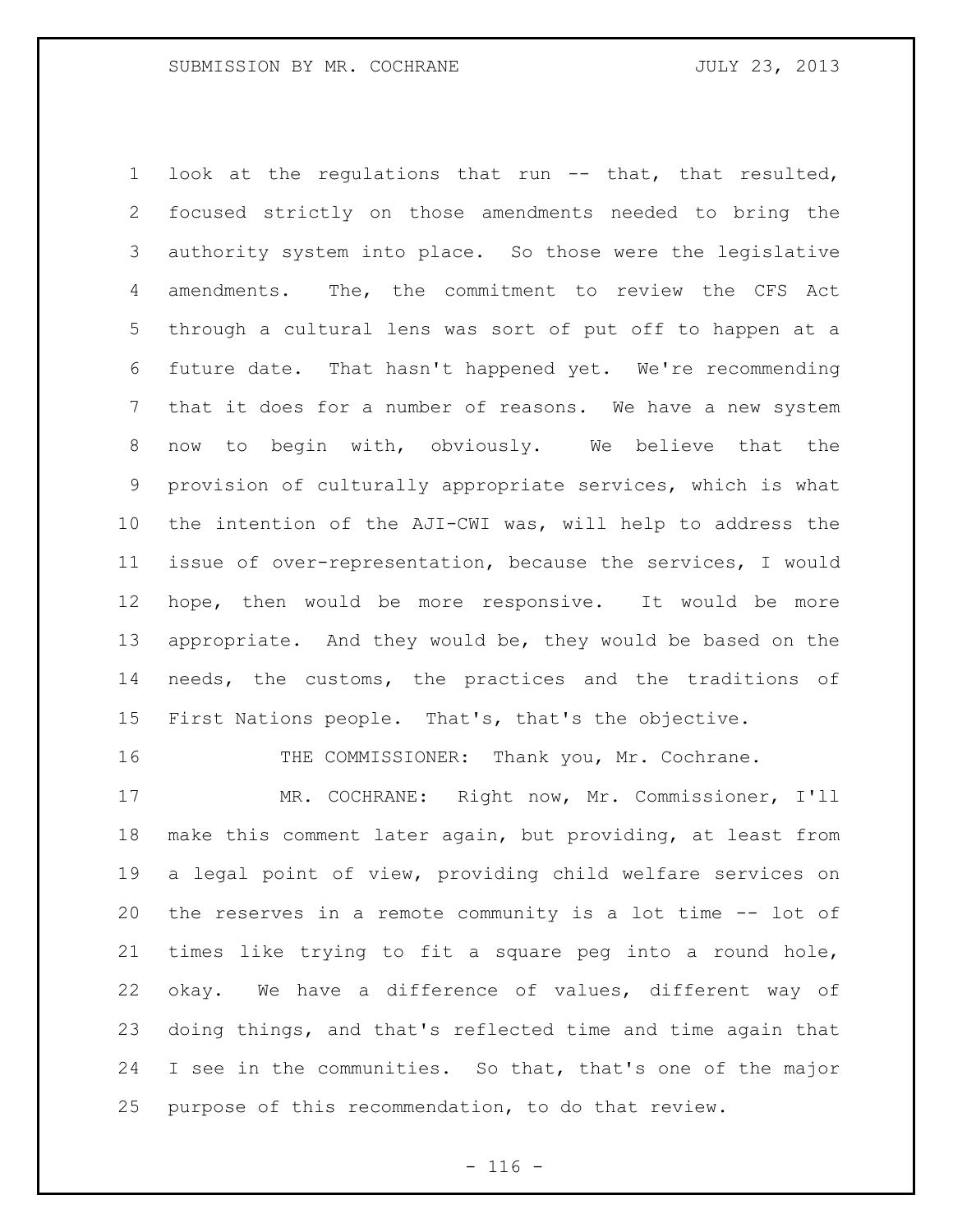look at the regulations that run -- that, that resulted, focused strictly on those amendments needed to bring the authority system into place. So those were the legislative amendments. The, the commitment to review the CFS Act through a cultural lens was sort of put off to happen at a future date. That hasn't happened yet. We're recommending that it does for a number of reasons. We have a new system now to begin with, obviously. We believe that the provision of culturally appropriate services, which is what the intention of the AJI-CWI was, will help to address the issue of over-representation, because the services, I would hope, then would be more responsive. It would be more appropriate. And they would be, they would be based on the needs, the customs, the practices and the traditions of First Nations people. That's, that's the objective.

THE COMMISSIONER: Thank you, Mr. Cochrane.

 MR. COCHRANE: Right now, Mr. Commissioner, I'll make this comment later again, but providing, at least from a legal point of view, providing child welfare services on the reserves in a remote community is a lot time -- lot of times like trying to fit a square peg into a round hole, okay. We have a difference of values, different way of doing things, and that's reflected time and time again that I see in the communities. So that, that's one of the major purpose of this recommendation, to do that review.

 $- 116 -$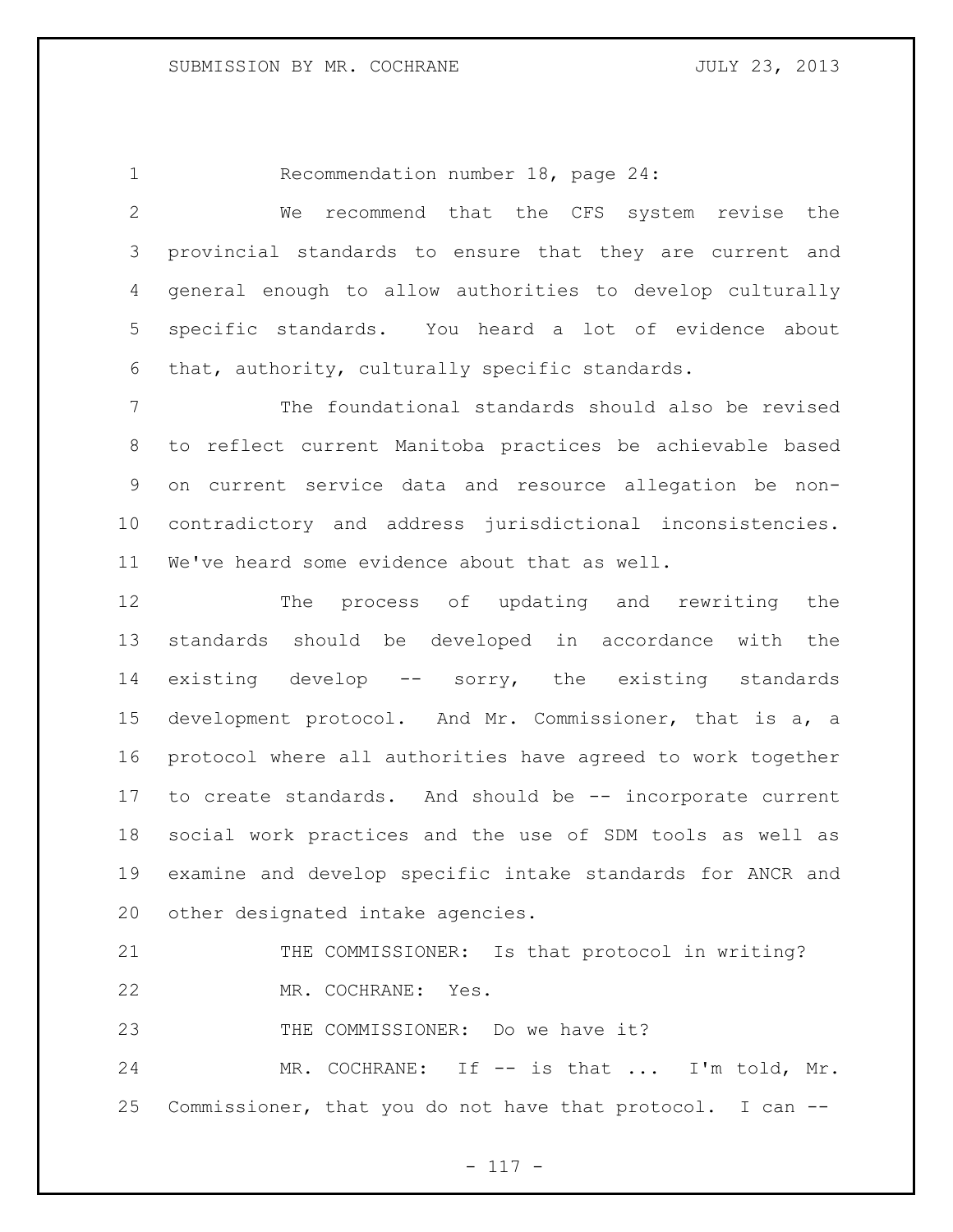Recommendation number 18, page 24:

 We recommend that the CFS system revise the provincial standards to ensure that they are current and general enough to allow authorities to develop culturally specific standards. You heard a lot of evidence about that, authority, culturally specific standards.

 The foundational standards should also be revised to reflect current Manitoba practices be achievable based on current service data and resource allegation be non- contradictory and address jurisdictional inconsistencies. We've heard some evidence about that as well.

 The process of updating and rewriting the standards should be developed in accordance with the existing develop -- sorry, the existing standards development protocol. And Mr. Commissioner, that is a, a protocol where all authorities have agreed to work together to create standards. And should be -- incorporate current social work practices and the use of SDM tools as well as examine and develop specific intake standards for ANCR and other designated intake agencies.

21 THE COMMISSIONER: Is that protocol in writing? MR. COCHRANE: Yes.

23 THE COMMISSIONER: Do we have it?

24 MR. COCHRANE: If -- is that ... I'm told, Mr. Commissioner, that you do not have that protocol. I can --

- 117 -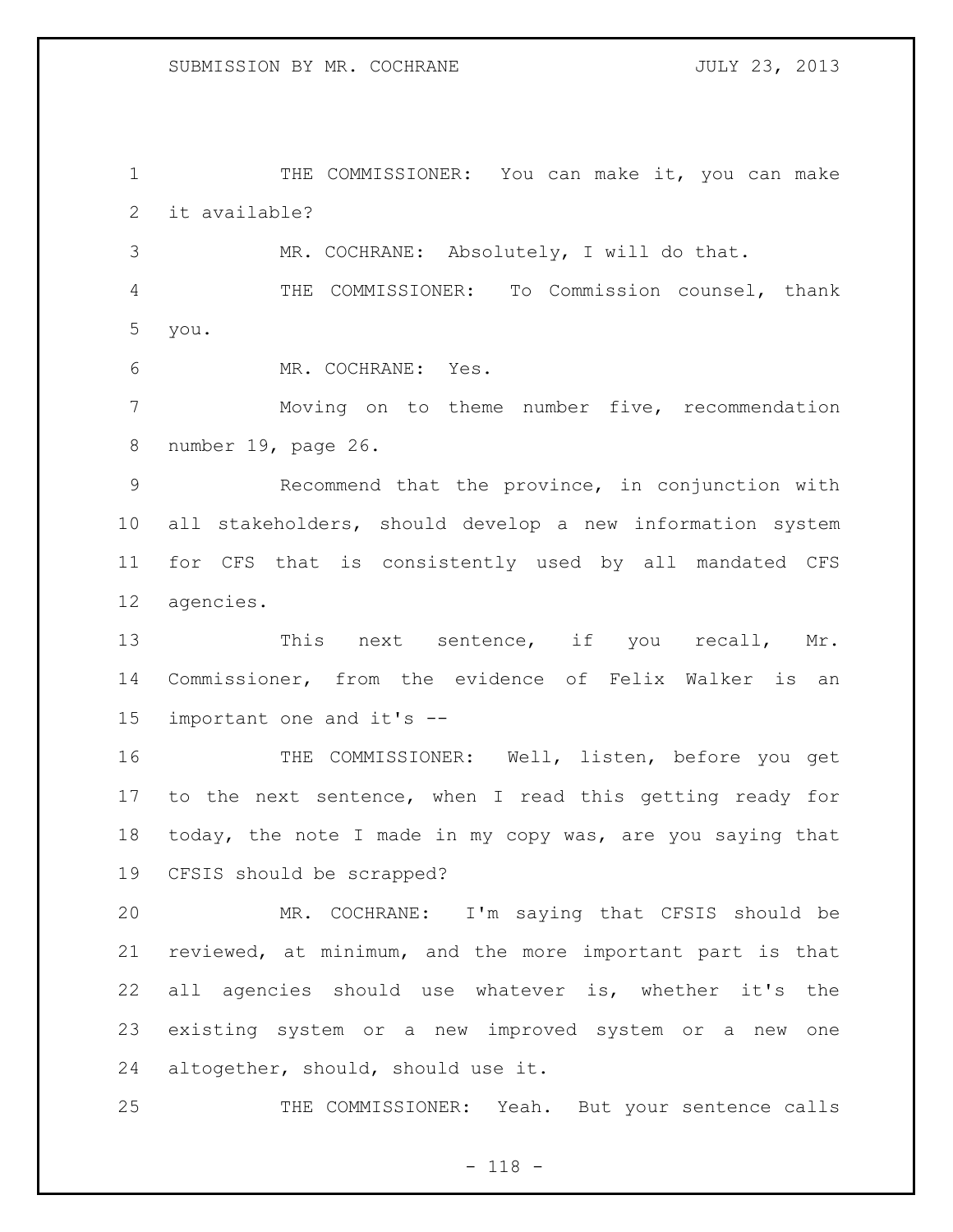THE COMMISSIONER: You can make it, you can make it available?

MR. COCHRANE: Absolutely, I will do that.

 THE COMMISSIONER: To Commission counsel, thank you.

MR. COCHRANE: Yes.

 Moving on to theme number five, recommendation number 19, page 26.

 Recommend that the province, in conjunction with all stakeholders, should develop a new information system for CFS that is consistently used by all mandated CFS agencies.

13 This next sentence, if you recall, Mr. Commissioner, from the evidence of Felix Walker is an important one and it's --

 THE COMMISSIONER: Well, listen, before you get to the next sentence, when I read this getting ready for today, the note I made in my copy was, are you saying that CFSIS should be scrapped?

 MR. COCHRANE: I'm saying that CFSIS should be reviewed, at minimum, and the more important part is that all agencies should use whatever is, whether it's the existing system or a new improved system or a new one altogether, should, should use it.

THE COMMISSIONER: Yeah. But your sentence calls

- 118 -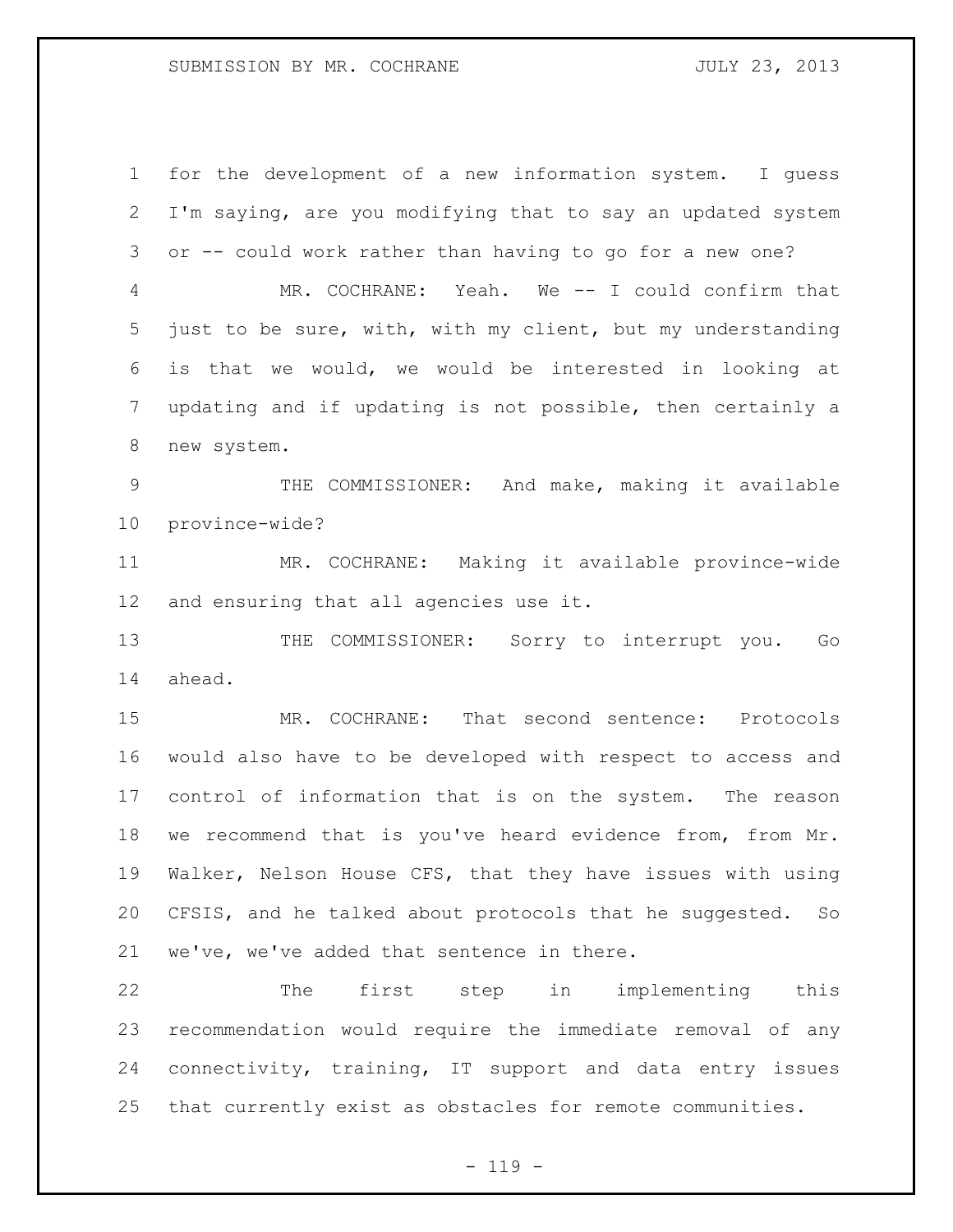## SUBMISSION BY MR. COCHRANE **FOULY 23, 2013**

 for the development of a new information system. I guess I'm saying, are you modifying that to say an updated system or -- could work rather than having to go for a new one? MR. COCHRANE: Yeah. We -- I could confirm that just to be sure, with, with my client, but my understanding is that we would, we would be interested in looking at updating and if updating is not possible, then certainly a new system. THE COMMISSIONER: And make, making it available province-wide? MR. COCHRANE: Making it available province-wide and ensuring that all agencies use it. 13 THE COMMISSIONER: Sorry to interrupt you. Go ahead. MR. COCHRANE: That second sentence: Protocols would also have to be developed with respect to access and control of information that is on the system. The reason we recommend that is you've heard evidence from, from Mr. Walker, Nelson House CFS, that they have issues with using CFSIS, and he talked about protocols that he suggested. So we've, we've added that sentence in there. The first step in implementing this recommendation would require the immediate removal of any

that currently exist as obstacles for remote communities.

connectivity, training, IT support and data entry issues

 $- 119 -$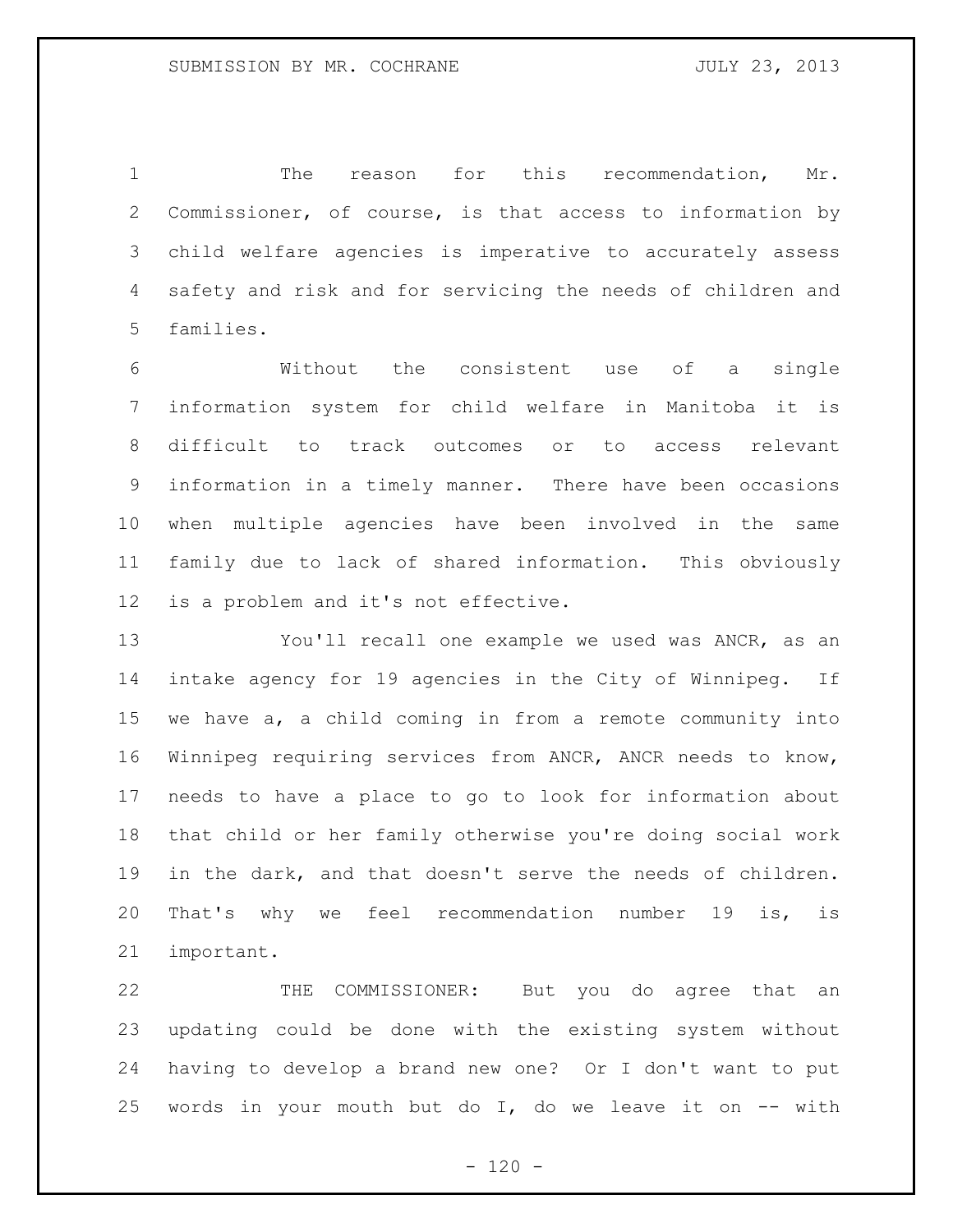The reason for this recommendation, Mr. Commissioner, of course, is that access to information by child welfare agencies is imperative to accurately assess safety and risk and for servicing the needs of children and families.

 Without the consistent use of a single information system for child welfare in Manitoba it is difficult to track outcomes or to access relevant information in a timely manner. There have been occasions when multiple agencies have been involved in the same family due to lack of shared information. This obviously is a problem and it's not effective.

 You'll recall one example we used was ANCR, as an intake agency for 19 agencies in the City of Winnipeg. If we have a, a child coming in from a remote community into Winnipeg requiring services from ANCR, ANCR needs to know, needs to have a place to go to look for information about that child or her family otherwise you're doing social work in the dark, and that doesn't serve the needs of children. That's why we feel recommendation number 19 is, is important.

 THE COMMISSIONER: But you do agree that an updating could be done with the existing system without having to develop a brand new one? Or I don't want to put 25 words in your mouth but do  $I$ , do we leave it on  $-$  with

 $- 120 -$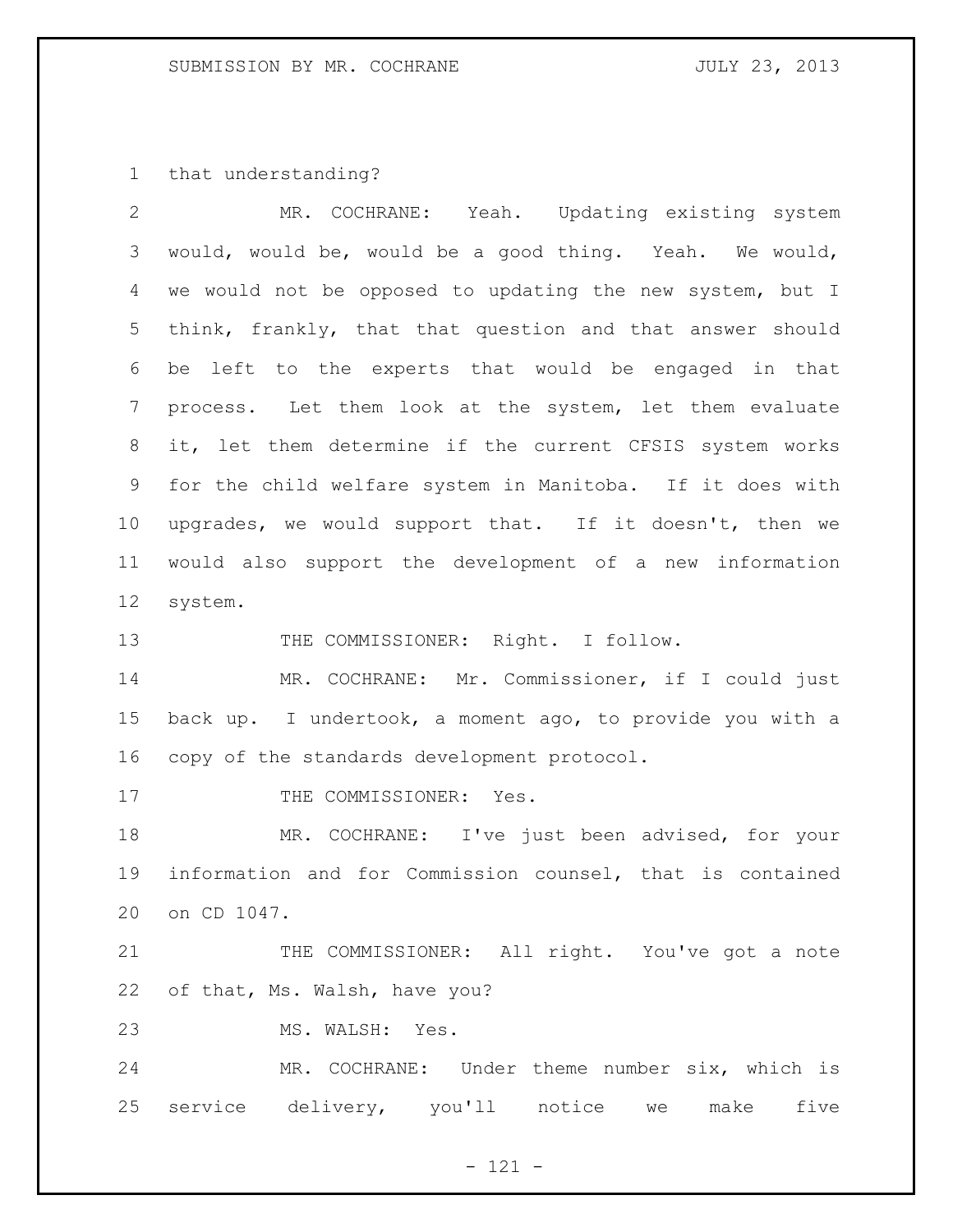that understanding?

| $\overline{2}$ | MR. COCHRANE: Yeah. Updating existing system              |
|----------------|-----------------------------------------------------------|
| 3              | would, would be, would be a good thing. Yeah. We would,   |
| 4              | we would not be opposed to updating the new system, but I |
| 5              | think, frankly, that that question and that answer should |
| 6              | be left to the experts that would be engaged in that      |
| 7              | process. Let them look at the system, let them evaluate   |
| 8              | it, let them determine if the current CFSIS system works  |
| 9              | for the child welfare system in Manitoba. If it does with |
| 10             | upgrades, we would support that. If it doesn't, then we   |
| 11             | would also support the development of a new information   |
| 12             | system.                                                   |
| 13             | THE COMMISSIONER: Right. I follow.                        |
| 14             | MR. COCHRANE: Mr. Commissioner, if I could just           |
| 15             | back up. I undertook, a moment ago, to provide you with a |
| 16             | copy of the standards development protocol.               |
| 17             | THE COMMISSIONER: Yes.                                    |
| 18             | MR. COCHRANE: I've just been advised, for your            |
| 19             | information and for Commission counsel, that is contained |
|                | 20 on CD 1047.                                            |
| 21             | THE COMMISSIONER: All right. You've got a note            |
| 22             | of that, Ms. Walsh, have you?                             |
| 23             | MS. WALSH: Yes.                                           |
| 24             | MR. COCHRANE: Under theme number six, which is            |
| 25             | service delivery, you'll notice<br>we make<br>five        |

- 121 -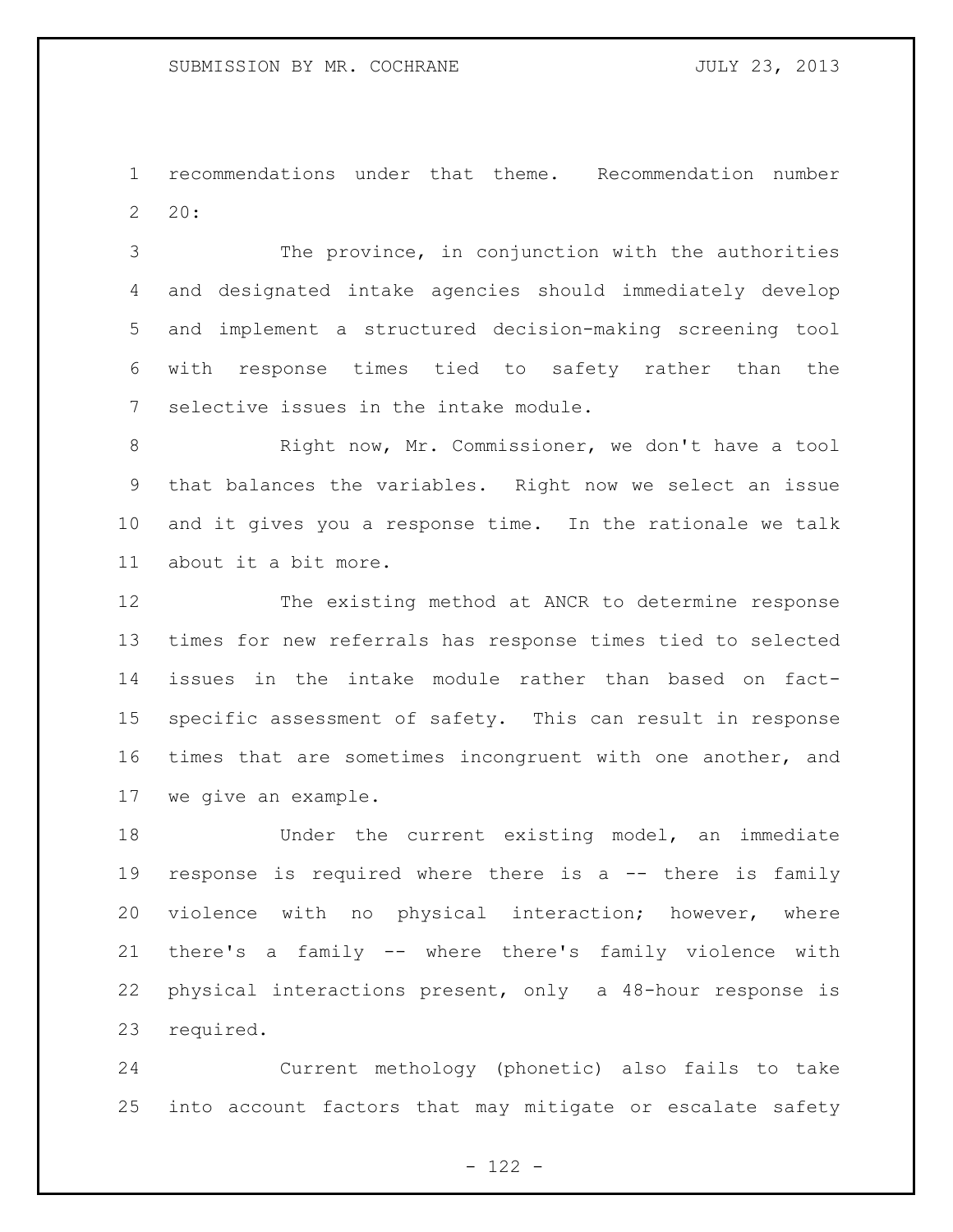recommendations under that theme. Recommendation number 20:

 The province, in conjunction with the authorities and designated intake agencies should immediately develop and implement a structured decision-making screening tool with response times tied to safety rather than the selective issues in the intake module.

 Right now, Mr. Commissioner, we don't have a tool that balances the variables. Right now we select an issue and it gives you a response time. In the rationale we talk about it a bit more.

 The existing method at ANCR to determine response times for new referrals has response times tied to selected issues in the intake module rather than based on fact- specific assessment of safety. This can result in response times that are sometimes incongruent with one another, and we give an example.

18 Under the current existing model, an immediate response is required where there is a -- there is family violence with no physical interaction; however, where there's a family -- where there's family violence with physical interactions present, only a 48-hour response is required.

 Current methology (phonetic) also fails to take into account factors that may mitigate or escalate safety

- 122 -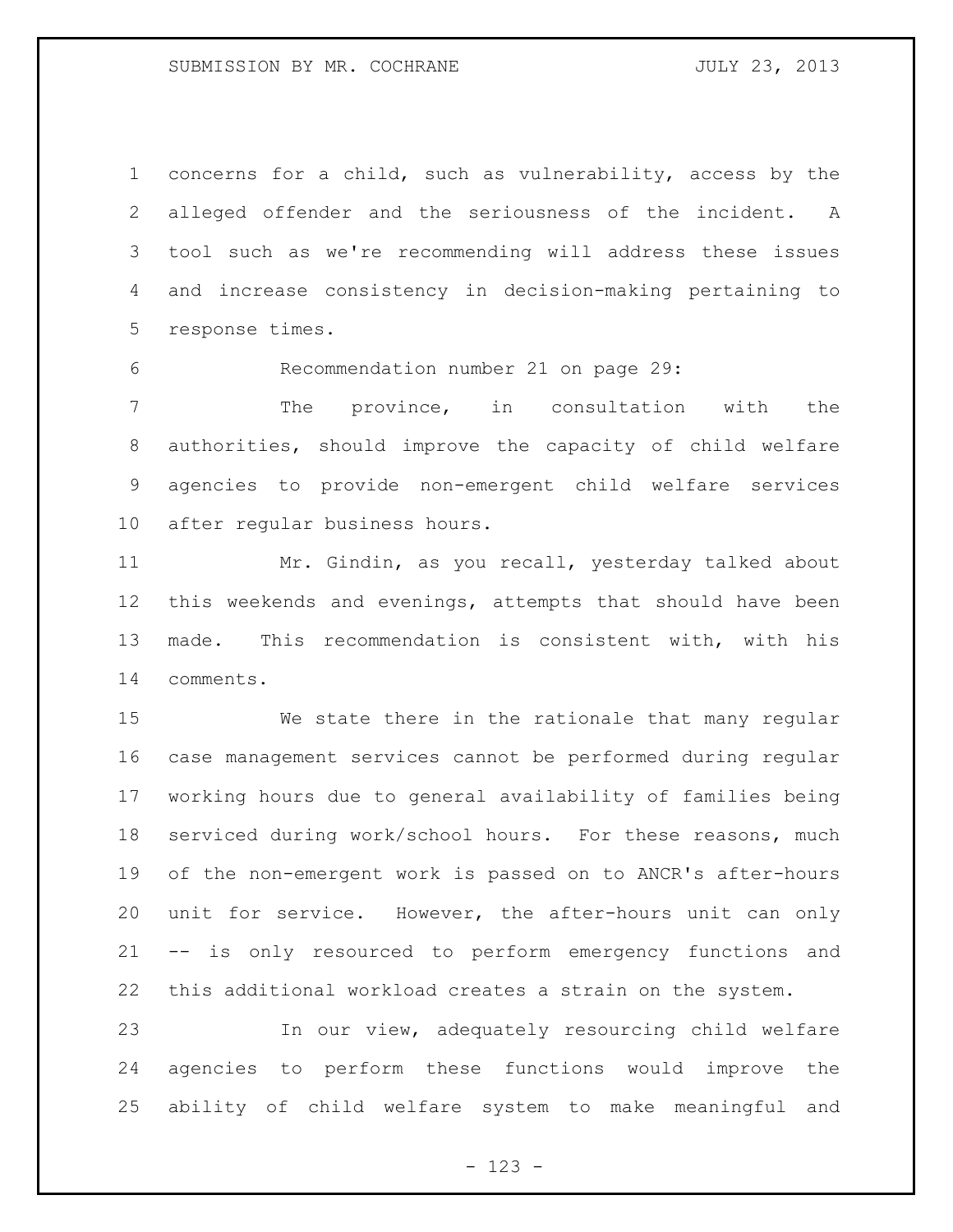concerns for a child, such as vulnerability, access by the alleged offender and the seriousness of the incident. A tool such as we're recommending will address these issues and increase consistency in decision-making pertaining to response times.

Recommendation number 21 on page 29:

 The province, in consultation with the authorities, should improve the capacity of child welfare agencies to provide non-emergent child welfare services after regular business hours.

 Mr. Gindin, as you recall, yesterday talked about this weekends and evenings, attempts that should have been made. This recommendation is consistent with, with his comments.

 We state there in the rationale that many regular case management services cannot be performed during regular working hours due to general availability of families being serviced during work/school hours. For these reasons, much of the non-emergent work is passed on to ANCR's after-hours unit for service. However, the after-hours unit can only -- is only resourced to perform emergency functions and this additional workload creates a strain on the system.

 In our view, adequately resourcing child welfare agencies to perform these functions would improve the ability of child welfare system to make meaningful and

- 123 -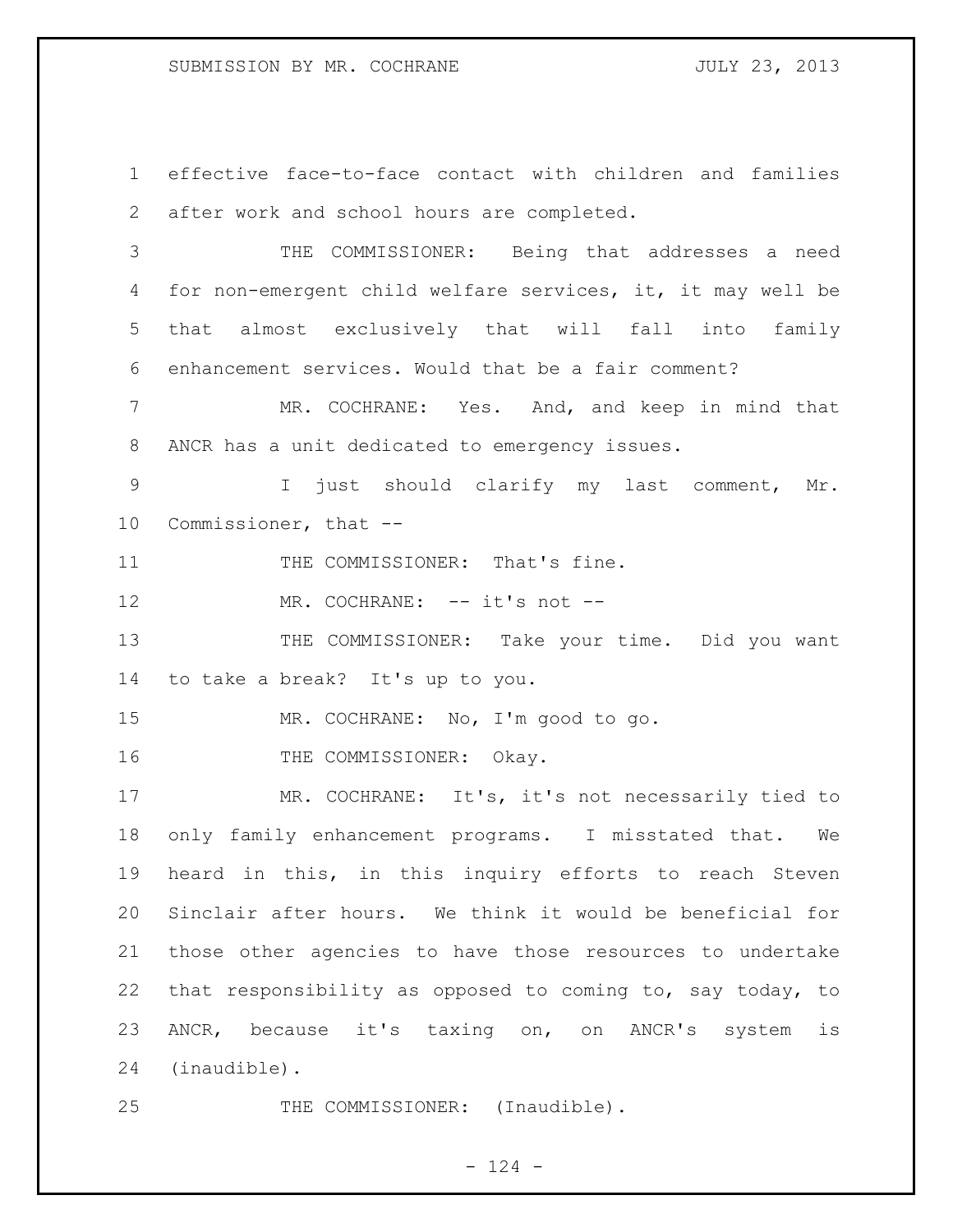effective face-to-face contact with children and families after work and school hours are completed.

 THE COMMISSIONER: Being that addresses a need for non-emergent child welfare services, it, it may well be that almost exclusively that will fall into family enhancement services. Would that be a fair comment?

 MR. COCHRANE: Yes. And, and keep in mind that ANCR has a unit dedicated to emergency issues.

9 1 just should clarify my last comment, Mr. Commissioner, that --

11 THE COMMISSIONER: That's fine.

12 MR. COCHRANE: -- it's not --

13 THE COMMISSIONER: Take your time. Did you want to take a break? It's up to you.

MR. COCHRANE: No, I'm good to go.

16 THE COMMISSIONER: Okay.

 MR. COCHRANE: It's, it's not necessarily tied to only family enhancement programs. I misstated that. We heard in this, in this inquiry efforts to reach Steven Sinclair after hours. We think it would be beneficial for those other agencies to have those resources to undertake that responsibility as opposed to coming to, say today, to ANCR, because it's taxing on, on ANCR's system is (inaudible).

25 THE COMMISSIONER: (Inaudible).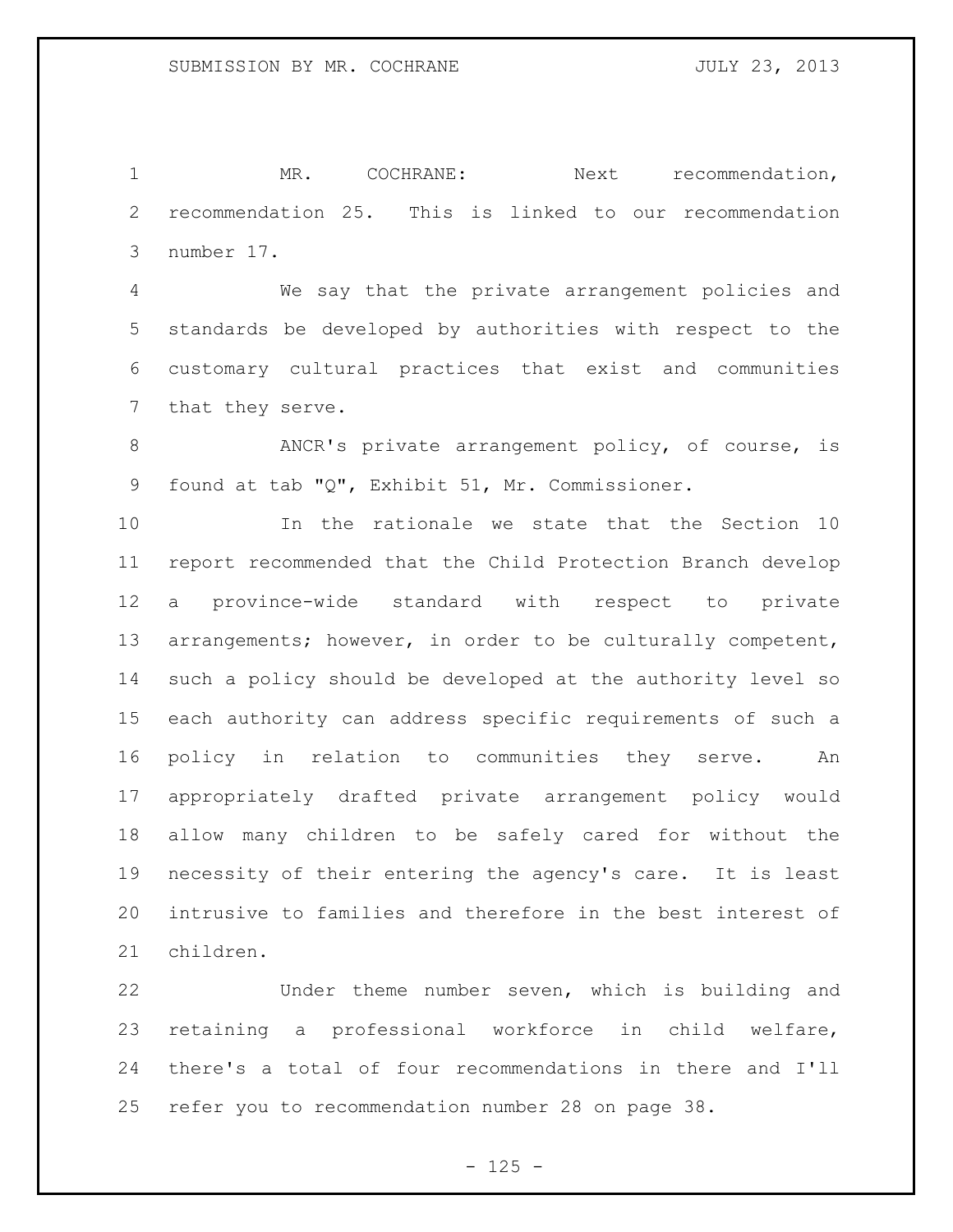1 MR. COCHRANE: Next recommendation, recommendation 25. This is linked to our recommendation number 17.

 We say that the private arrangement policies and standards be developed by authorities with respect to the customary cultural practices that exist and communities that they serve.

8 ANCR's private arrangement policy, of course, is found at tab "Q", Exhibit 51, Mr. Commissioner.

 In the rationale we state that the Section 10 report recommended that the Child Protection Branch develop a province-wide standard with respect to private arrangements; however, in order to be culturally competent, such a policy should be developed at the authority level so each authority can address specific requirements of such a policy in relation to communities they serve. An appropriately drafted private arrangement policy would allow many children to be safely cared for without the necessity of their entering the agency's care. It is least intrusive to families and therefore in the best interest of children.

 Under theme number seven, which is building and retaining a professional workforce in child welfare, there's a total of four recommendations in there and I'll refer you to recommendation number 28 on page 38.

 $- 125 -$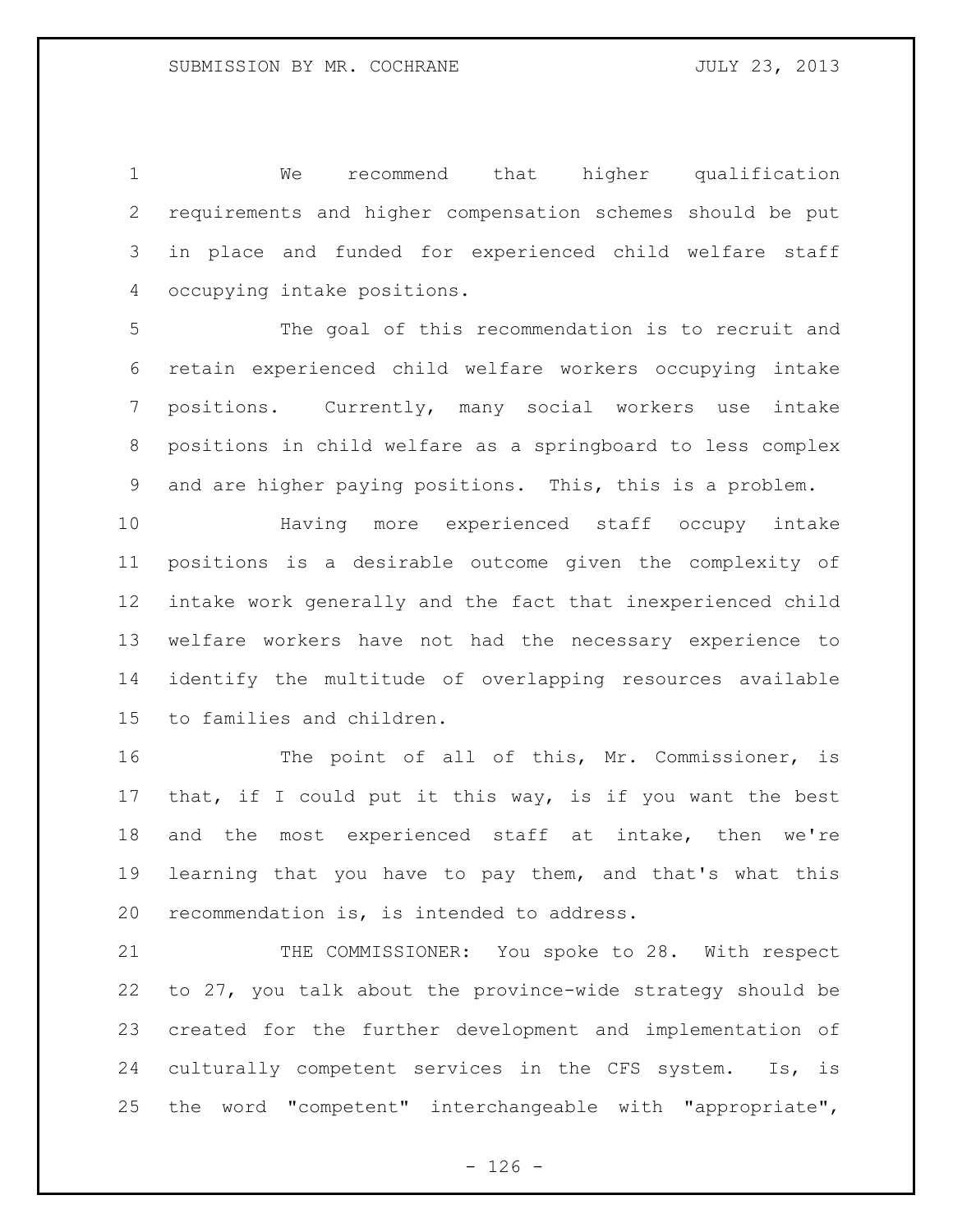We recommend that higher qualification requirements and higher compensation schemes should be put in place and funded for experienced child welfare staff occupying intake positions.

 The goal of this recommendation is to recruit and retain experienced child welfare workers occupying intake positions. Currently, many social workers use intake positions in child welfare as a springboard to less complex and are higher paying positions. This, this is a problem.

 Having more experienced staff occupy intake positions is a desirable outcome given the complexity of intake work generally and the fact that inexperienced child welfare workers have not had the necessary experience to identify the multitude of overlapping resources available to families and children.

16 The point of all of this, Mr. Commissioner, is that, if I could put it this way, is if you want the best and the most experienced staff at intake, then we're learning that you have to pay them, and that's what this recommendation is, is intended to address.

21 THE COMMISSIONER: You spoke to 28. With respect to 27, you talk about the province-wide strategy should be created for the further development and implementation of culturally competent services in the CFS system. Is, is the word "competent" interchangeable with "appropriate",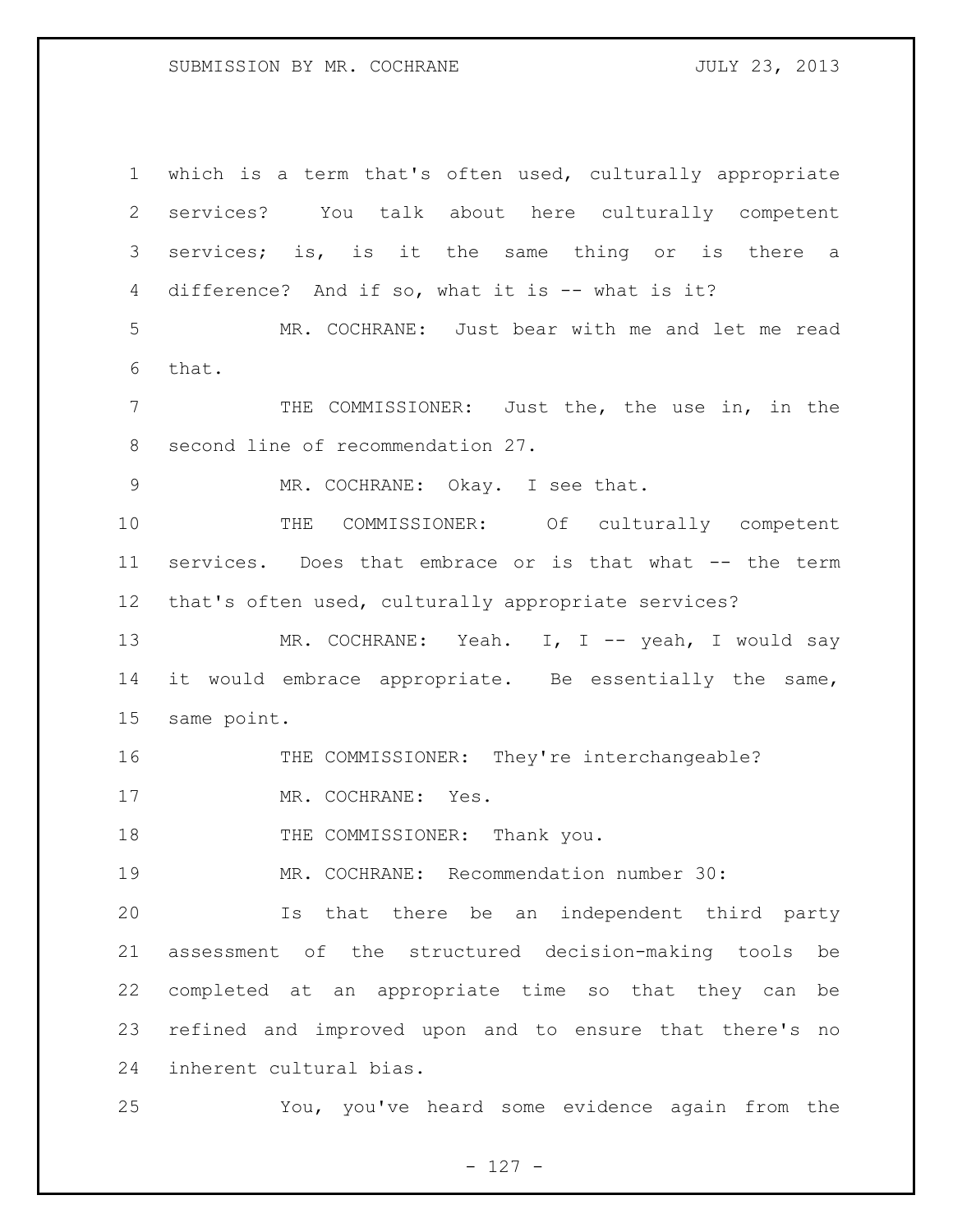## SUBMISSION BY MR. COCHRANE **FOULY 23, 2013**

 which is a term that's often used, culturally appropriate services? You talk about here culturally competent services; is, is it the same thing or is there a difference? And if so, what it is -- what is it? MR. COCHRANE: Just bear with me and let me read that. THE COMMISSIONER: Just the, the use in, in the second line of recommendation 27. MR. COCHRANE: Okay. I see that. THE COMMISSIONER: Of culturally competent services. Does that embrace or is that what -- the term that's often used, culturally appropriate services? 13 MR. COCHRANE: Yeah. I, I -- yeah, I would say it would embrace appropriate. Be essentially the same, same point. 16 THE COMMISSIONER: They're interchangeable? 17 MR. COCHRANE: Yes. 18 THE COMMISSIONER: Thank you. MR. COCHRANE: Recommendation number 30: Is that there be an independent third party assessment of the structured decision-making tools be completed at an appropriate time so that they can be refined and improved upon and to ensure that there's no inherent cultural bias. You, you've heard some evidence again from the

- 127 -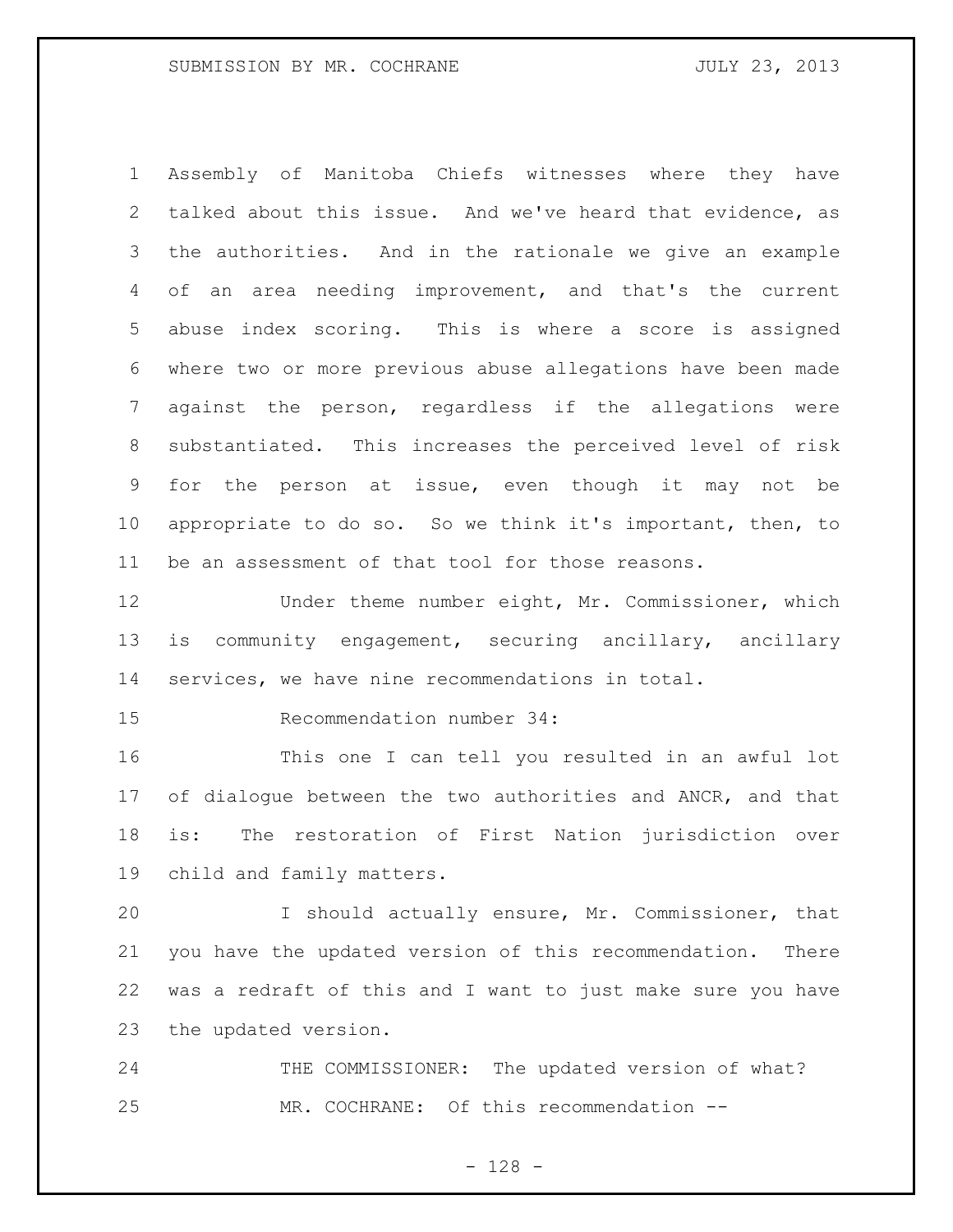Assembly of Manitoba Chiefs witnesses where they have talked about this issue. And we've heard that evidence, as the authorities. And in the rationale we give an example of an area needing improvement, and that's the current abuse index scoring. This is where a score is assigned where two or more previous abuse allegations have been made against the person, regardless if the allegations were substantiated. This increases the perceived level of risk for the person at issue, even though it may not be appropriate to do so. So we think it's important, then, to be an assessment of that tool for those reasons.

12 Under theme number eight, Mr. Commissioner, which is community engagement, securing ancillary, ancillary services, we have nine recommendations in total.

Recommendation number 34:

 This one I can tell you resulted in an awful lot 17 of dialogue between the two authorities and ANCR, and that is: The restoration of First Nation jurisdiction over child and family matters.

 I should actually ensure, Mr. Commissioner, that you have the updated version of this recommendation. There was a redraft of this and I want to just make sure you have the updated version.

24 THE COMMISSIONER: The updated version of what? MR. COCHRANE: Of this recommendation --

- 128 -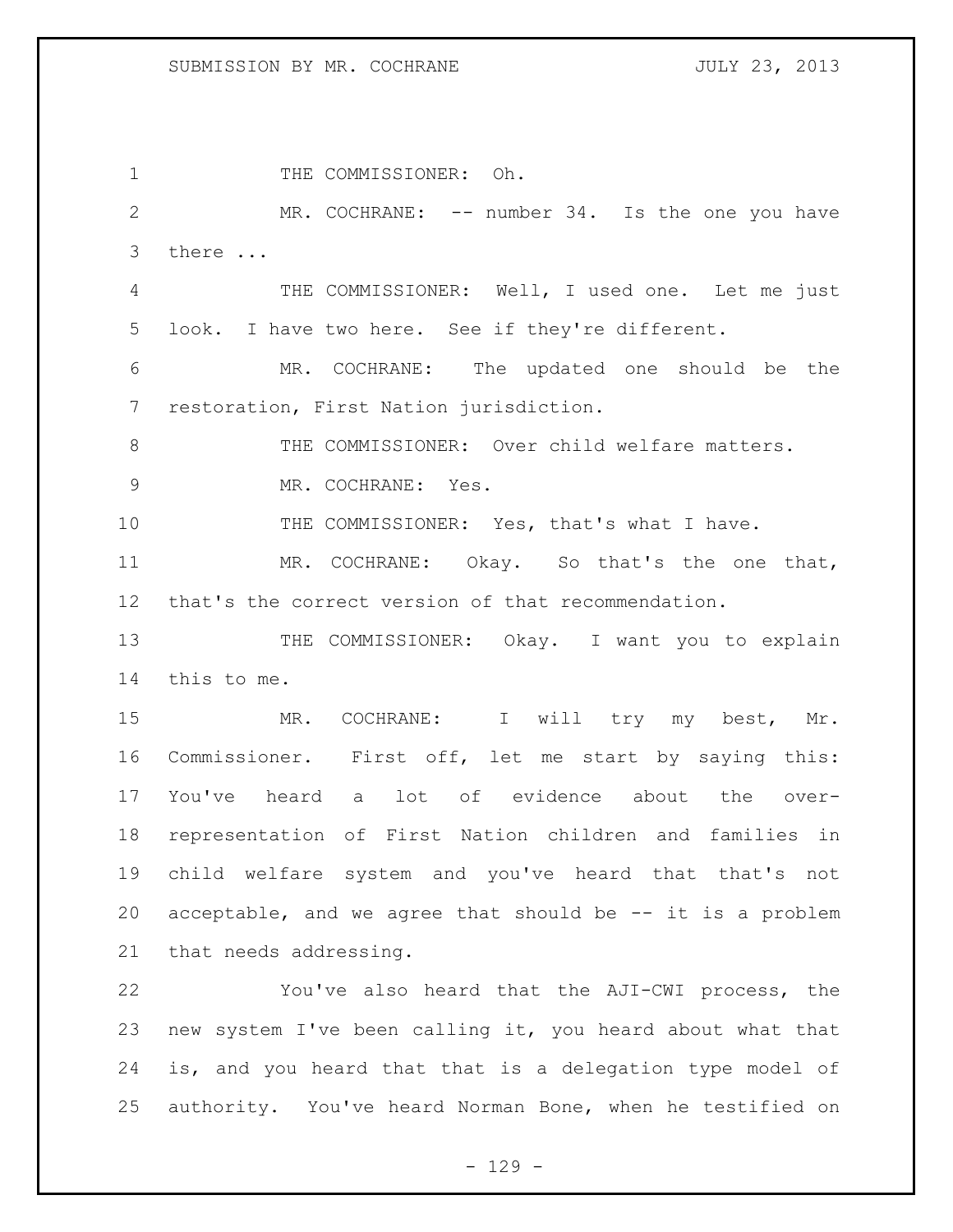1 THE COMMISSIONER: Oh. 2 MR. COCHRANE: -- number 34. Is the one you have there ... THE COMMISSIONER: Well, I used one. Let me just look. I have two here. See if they're different. MR. COCHRANE: The updated one should be the restoration, First Nation jurisdiction. 8 THE COMMISSIONER: Over child welfare matters. MR. COCHRANE: Yes. THE COMMISSIONER: Yes, that's what I have. MR. COCHRANE: Okay. So that's the one that, that's the correct version of that recommendation. 13 THE COMMISSIONER: Okay. I want you to explain this to me. 15 MR. COCHRANE: I will try my best, Mr. Commissioner. First off, let me start by saying this: You've heard a lot of evidence about the over- representation of First Nation children and families in child welfare system and you've heard that that's not acceptable, and we agree that should be -- it is a problem that needs addressing. You've also heard that the AJI-CWI process, the new system I've been calling it, you heard about what that is, and you heard that that is a delegation type model of authority. You've heard Norman Bone, when he testified on

 $- 129 -$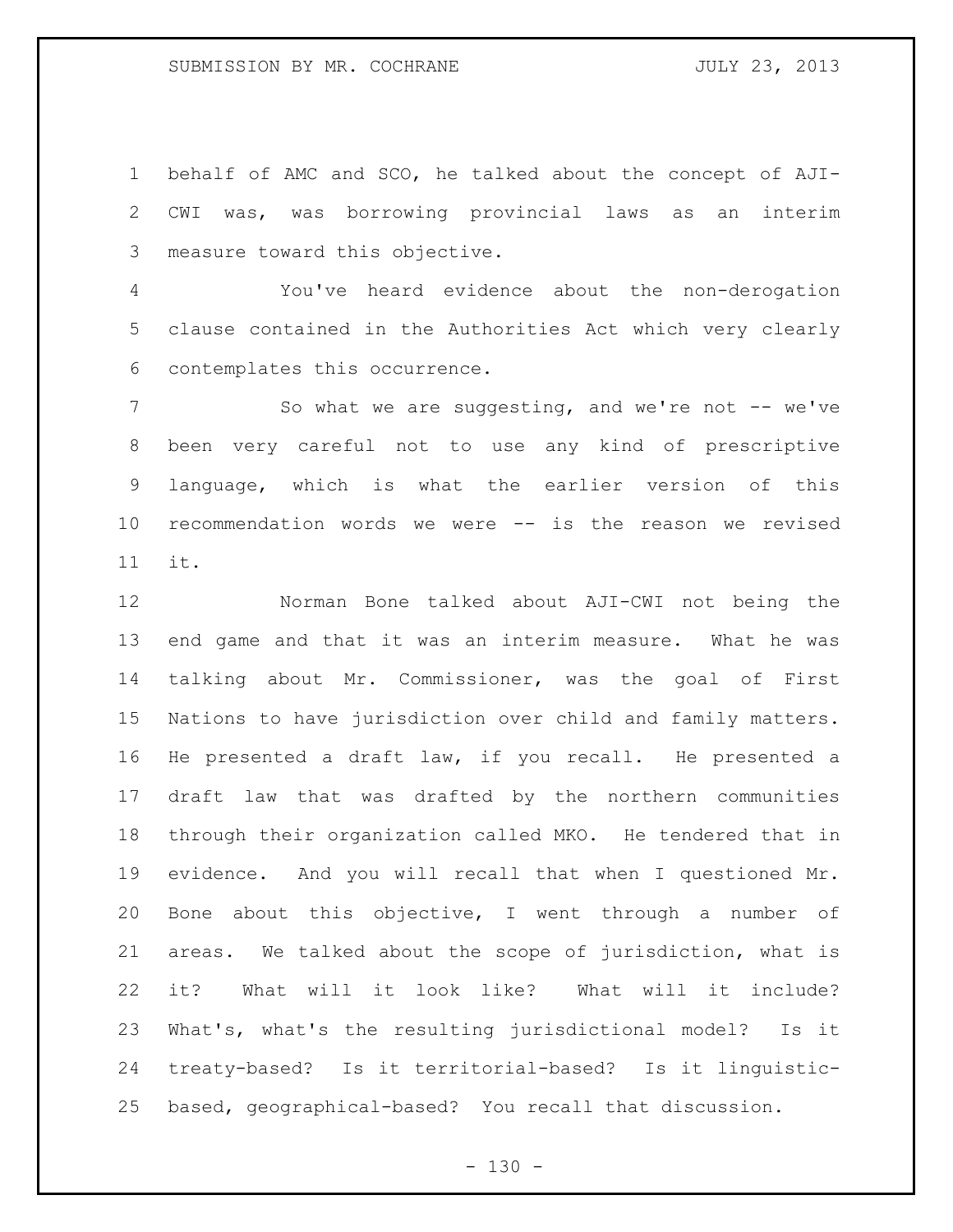behalf of AMC and SCO, he talked about the concept of AJI- CWI was, was borrowing provincial laws as an interim measure toward this objective.

 You've heard evidence about the non-derogation clause contained in the Authorities Act which very clearly contemplates this occurrence.

7 So what we are suggesting, and we're not -- we've been very careful not to use any kind of prescriptive language, which is what the earlier version of this recommendation words we were -- is the reason we revised it.

 Norman Bone talked about AJI-CWI not being the end game and that it was an interim measure. What he was talking about Mr. Commissioner, was the goal of First Nations to have jurisdiction over child and family matters. He presented a draft law, if you recall. He presented a draft law that was drafted by the northern communities through their organization called MKO. He tendered that in evidence. And you will recall that when I questioned Mr. Bone about this objective, I went through a number of areas. We talked about the scope of jurisdiction, what is it? What will it look like? What will it include? What's, what's the resulting jurisdictional model? Is it treaty-based? Is it territorial-based? Is it linguistic-based, geographical-based? You recall that discussion.

 $- 130 -$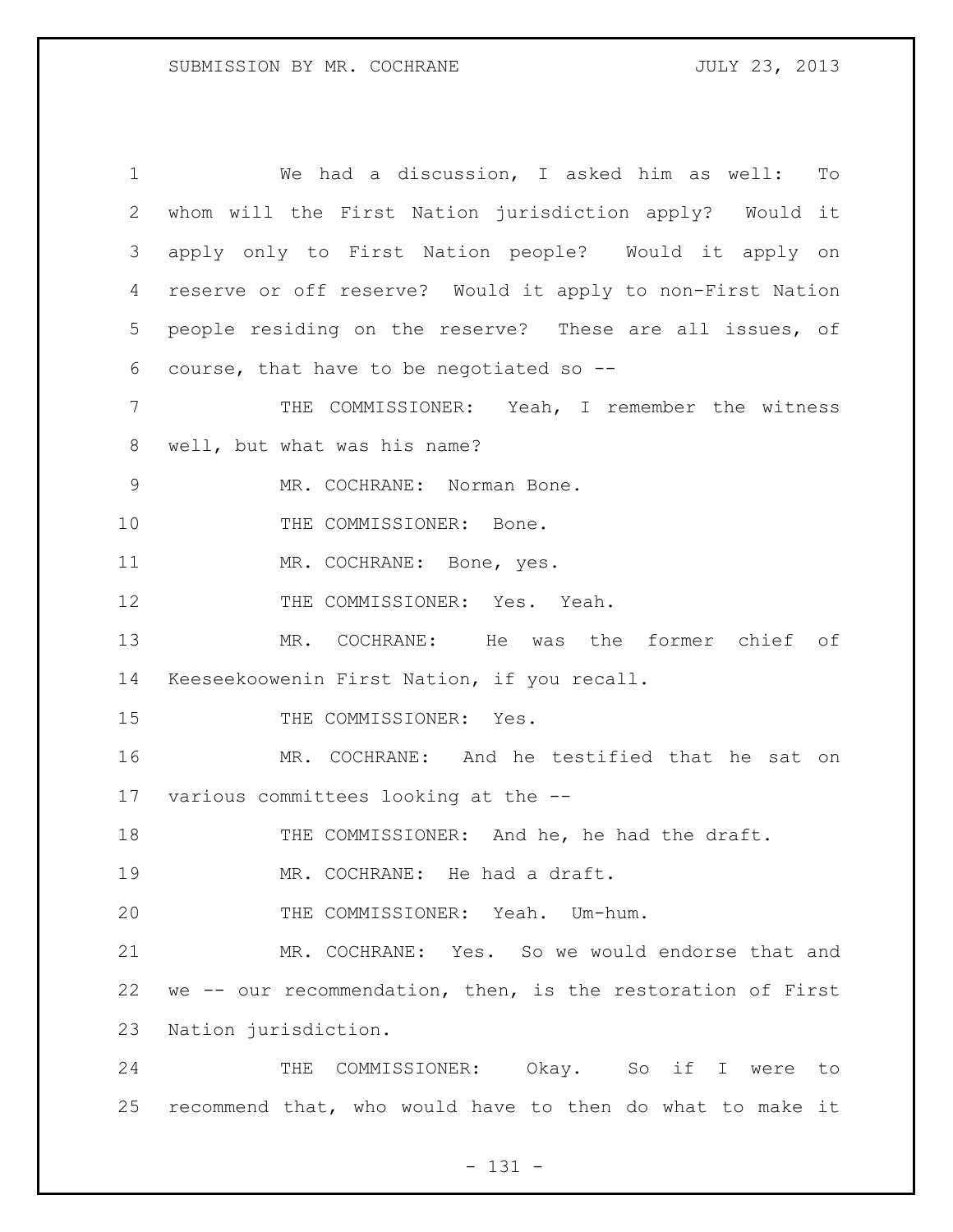| $\mathbf 1$ | We had a discussion, I asked him as well:<br>To             |
|-------------|-------------------------------------------------------------|
| 2           | whom will the First Nation jurisdiction apply? Would it     |
| 3           | apply only to First Nation people? Would it apply on        |
| 4           | reserve or off reserve? Would it apply to non-First Nation  |
| 5           | people residing on the reserve? These are all issues, of    |
| 6           | course, that have to be negotiated so $-$ -                 |
| 7           | THE COMMISSIONER: Yeah, I remember the witness              |
| 8           | well, but what was his name?                                |
| $\mathsf 9$ | MR. COCHRANE: Norman Bone.                                  |
| 10          | THE COMMISSIONER: Bone.                                     |
| 11          | MR. COCHRANE: Bone, yes.                                    |
| 12          | THE COMMISSIONER: Yes. Yeah.                                |
| 13          | MR. COCHRANE: He was the former chief of                    |
| 14          | Keeseekoowenin First Nation, if you recall.                 |
| 15          | THE COMMISSIONER: Yes.                                      |
| 16          | MR. COCHRANE: And he testified that he sat on               |
|             | 17 various committees looking at the --                     |
| 18          | THE COMMISSIONER: And he, he had the draft.                 |
| 19          | MR. COCHRANE: He had a draft.                               |
| 20          | THE COMMISSIONER: Yeah. Um-hum.                             |
| 21          | MR. COCHRANE: Yes. So we would endorse that and             |
| 22          | we -- our recommendation, then, is the restoration of First |
| 23          | Nation jurisdiction.                                        |
| 24          | COMMISSIONER: Okay. So if I were<br>THE<br>to               |
| 25          | recommend that, who would have to then do what to make it   |

## - 131 -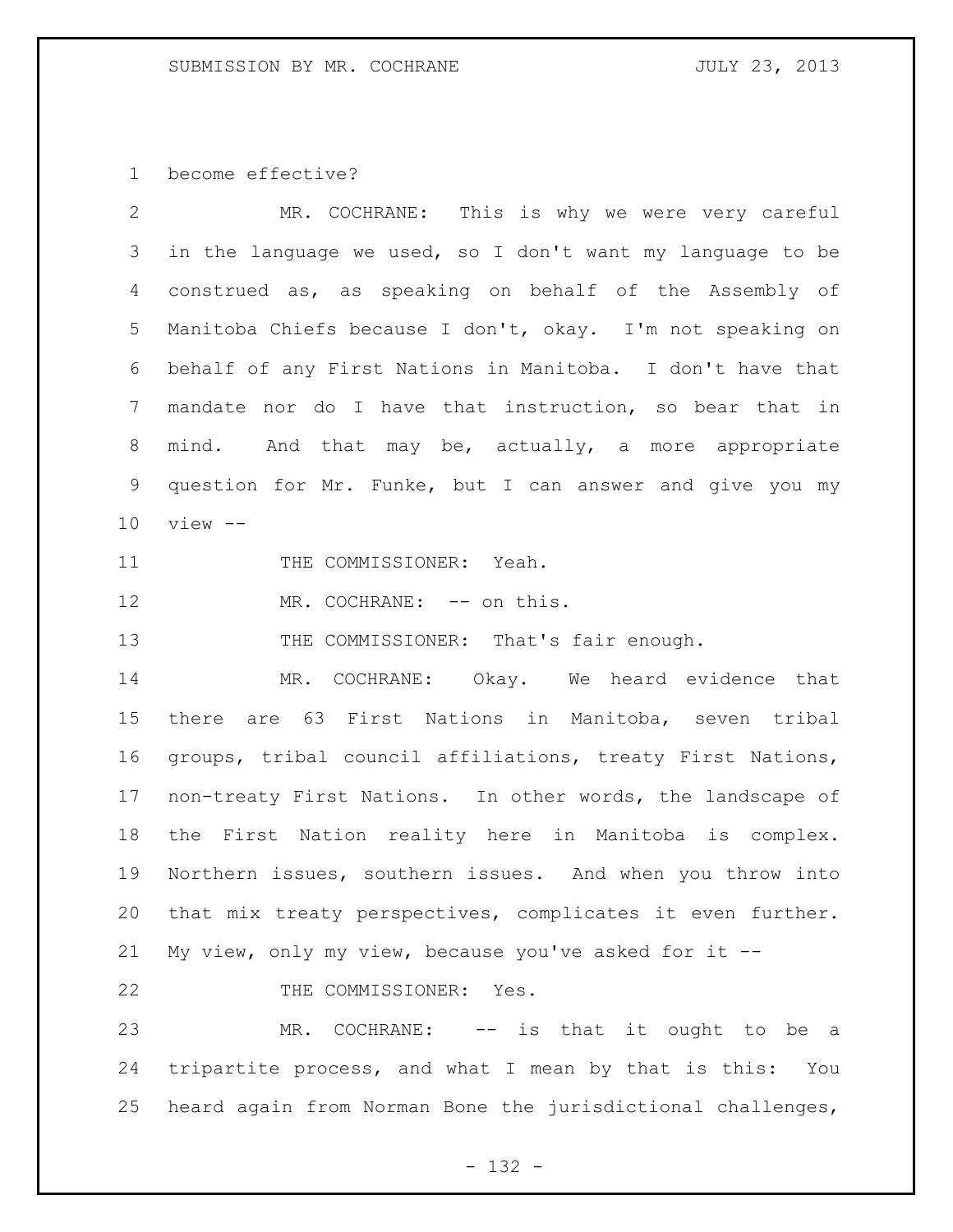become effective?

| $\overline{2}$ | MR. COCHRANE: This is why we were very careful               |
|----------------|--------------------------------------------------------------|
|                | 3 in the language we used, so I don't want my language to be |
|                | 4 construed as, as speaking on behalf of the Assembly of     |
|                | 5 Manitoba Chiefs because I don't, okay. I'm not speaking on |
|                | 6 behalf of any First Nations in Manitoba. I don't have that |
|                | 7 mandate nor do I have that instruction, so bear that in    |
|                | 8 mind. And that may be, actually, a more appropriate        |
| 9              | question for Mr. Funke, but I can answer and give you my     |
|                | $10$ view $-$                                                |
| 11             | THE COMMISSIONER: Yeah.                                      |

12 MR. COCHRANE: -- on this.

13 THE COMMISSIONER: That's fair enough.

 MR. COCHRANE: Okay. We heard evidence that there are 63 First Nations in Manitoba, seven tribal groups, tribal council affiliations, treaty First Nations, non-treaty First Nations. In other words, the landscape of the First Nation reality here in Manitoba is complex. Northern issues, southern issues. And when you throw into that mix treaty perspectives, complicates it even further. My view, only my view, because you've asked for it --

22 THE COMMISSIONER: Yes.

 MR. COCHRANE: -- is that it ought to be a tripartite process, and what I mean by that is this: You heard again from Norman Bone the jurisdictional challenges,

- 132 -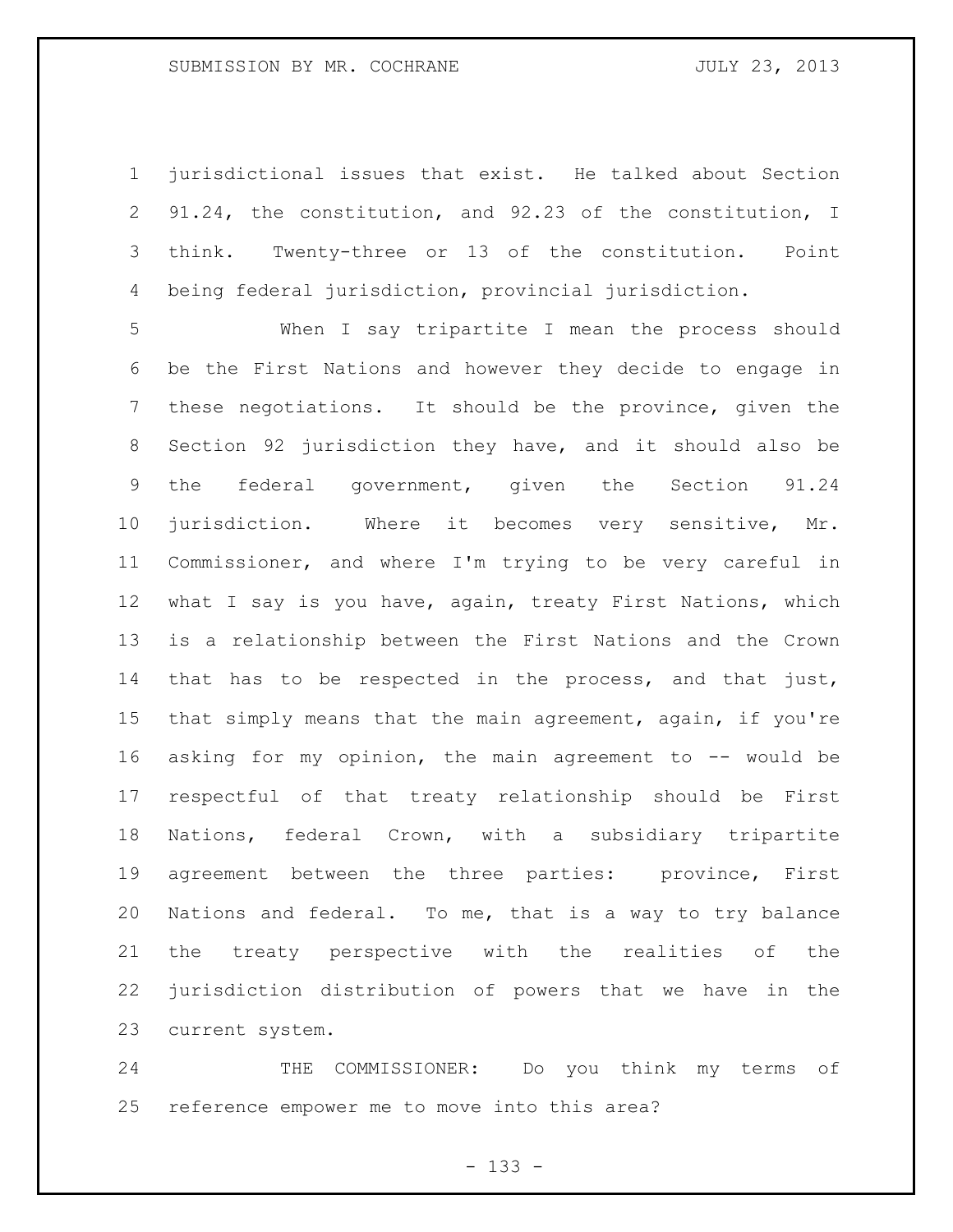jurisdictional issues that exist. He talked about Section 91.24, the constitution, and 92.23 of the constitution, I think. Twenty-three or 13 of the constitution. Point being federal jurisdiction, provincial jurisdiction.

 When I say tripartite I mean the process should be the First Nations and however they decide to engage in these negotiations. It should be the province, given the Section 92 jurisdiction they have, and it should also be the federal government, given the Section 91.24 jurisdiction. Where it becomes very sensitive, Mr. Commissioner, and where I'm trying to be very careful in 12 what I say is you have, again, treaty First Nations, which is a relationship between the First Nations and the Crown that has to be respected in the process, and that just, that simply means that the main agreement, again, if you're 16 asking for my opinion, the main agreement to -- would be respectful of that treaty relationship should be First Nations, federal Crown, with a subsidiary tripartite agreement between the three parties: province, First Nations and federal. To me, that is a way to try balance the treaty perspective with the realities of the jurisdiction distribution of powers that we have in the current system.

 THE COMMISSIONER: Do you think my terms of reference empower me to move into this area?

- 133 -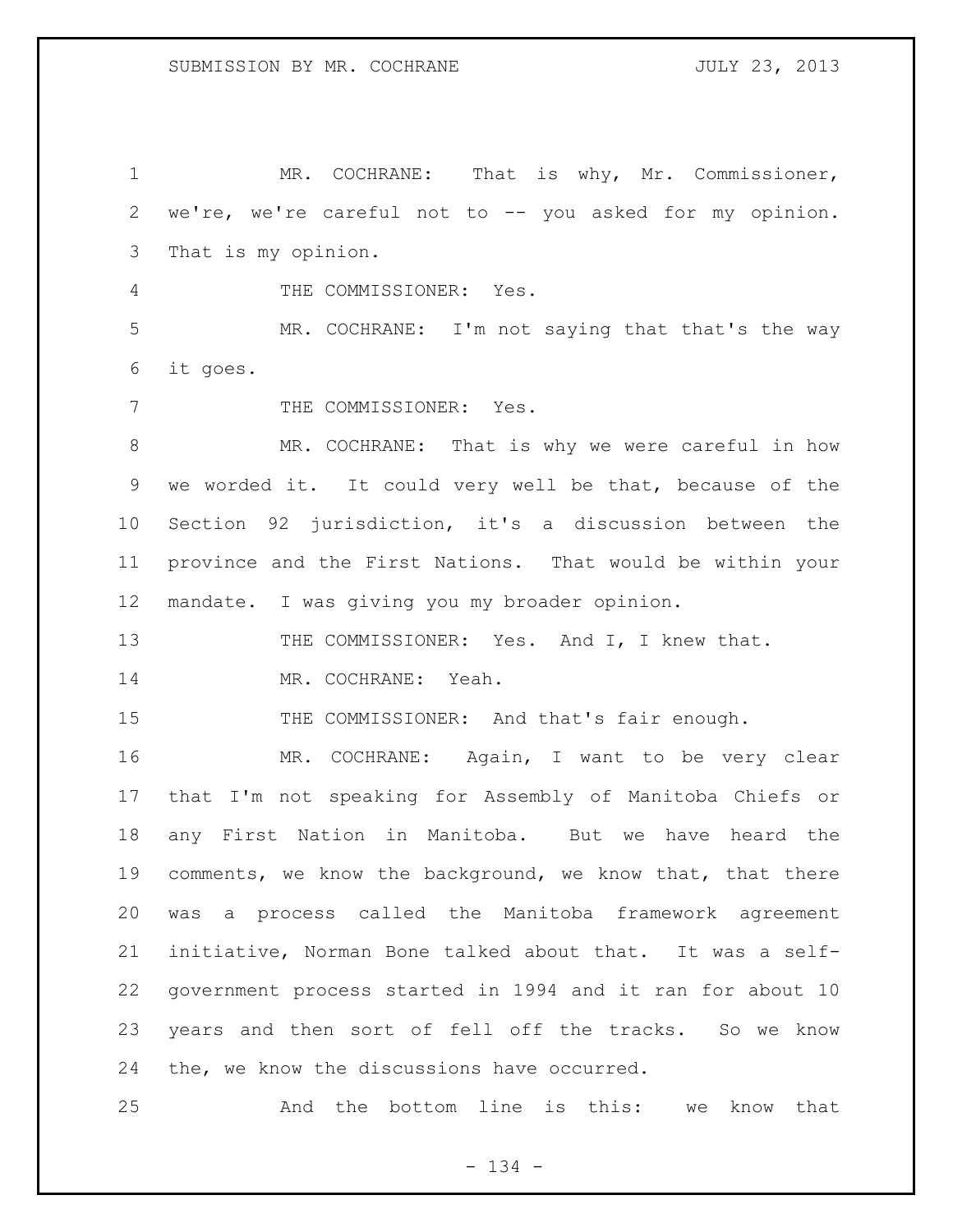MR. COCHRANE: That is why, Mr. Commissioner, we're, we're careful not to -- you asked for my opinion. That is my opinion. THE COMMISSIONER: Yes. MR. COCHRANE: I'm not saying that that's the way it goes. 7 THE COMMISSIONER: Yes. MR. COCHRANE: That is why we were careful in how we worded it. It could very well be that, because of the Section 92 jurisdiction, it's a discussion between the province and the First Nations. That would be within your mandate. I was giving you my broader opinion. 13 THE COMMISSIONER: Yes. And I, I knew that. MR. COCHRANE: Yeah. 15 THE COMMISSIONER: And that's fair enough. MR. COCHRANE: Again, I want to be very clear that I'm not speaking for Assembly of Manitoba Chiefs or any First Nation in Manitoba. But we have heard the comments, we know the background, we know that, that there was a process called the Manitoba framework agreement initiative, Norman Bone talked about that. It was a self- government process started in 1994 and it ran for about 10 years and then sort of fell off the tracks. So we know the, we know the discussions have occurred.

And the bottom line is this: we know that

- 134 -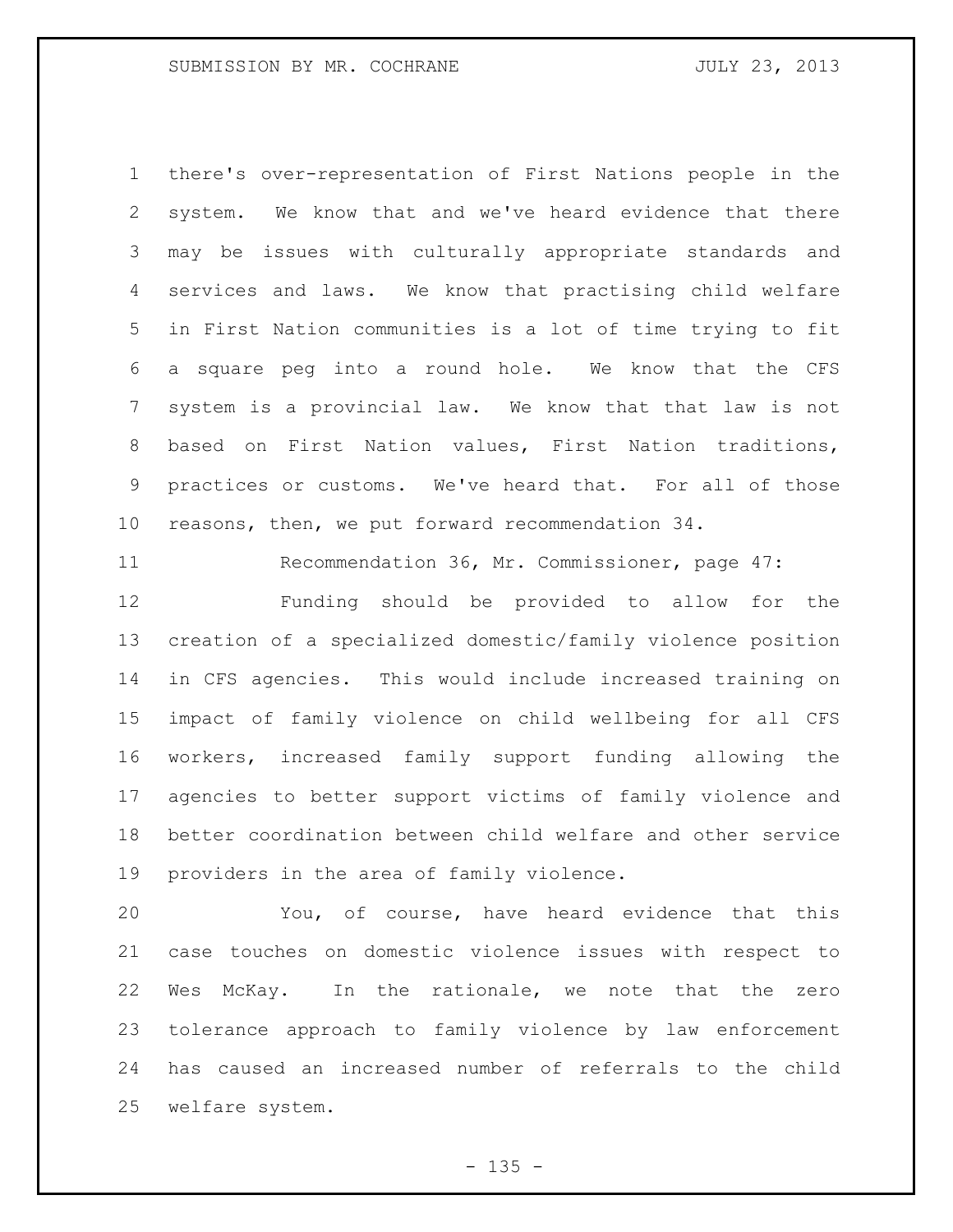there's over-representation of First Nations people in the system. We know that and we've heard evidence that there may be issues with culturally appropriate standards and services and laws. We know that practising child welfare in First Nation communities is a lot of time trying to fit a square peg into a round hole. We know that the CFS system is a provincial law. We know that that law is not based on First Nation values, First Nation traditions, practices or customs. We've heard that. For all of those reasons, then, we put forward recommendation 34.

Recommendation 36, Mr. Commissioner, page 47:

 Funding should be provided to allow for the creation of a specialized domestic/family violence position in CFS agencies. This would include increased training on impact of family violence on child wellbeing for all CFS workers, increased family support funding allowing the agencies to better support victims of family violence and better coordination between child welfare and other service providers in the area of family violence.

 You, of course, have heard evidence that this case touches on domestic violence issues with respect to Wes McKay. In the rationale, we note that the zero tolerance approach to family violence by law enforcement has caused an increased number of referrals to the child welfare system.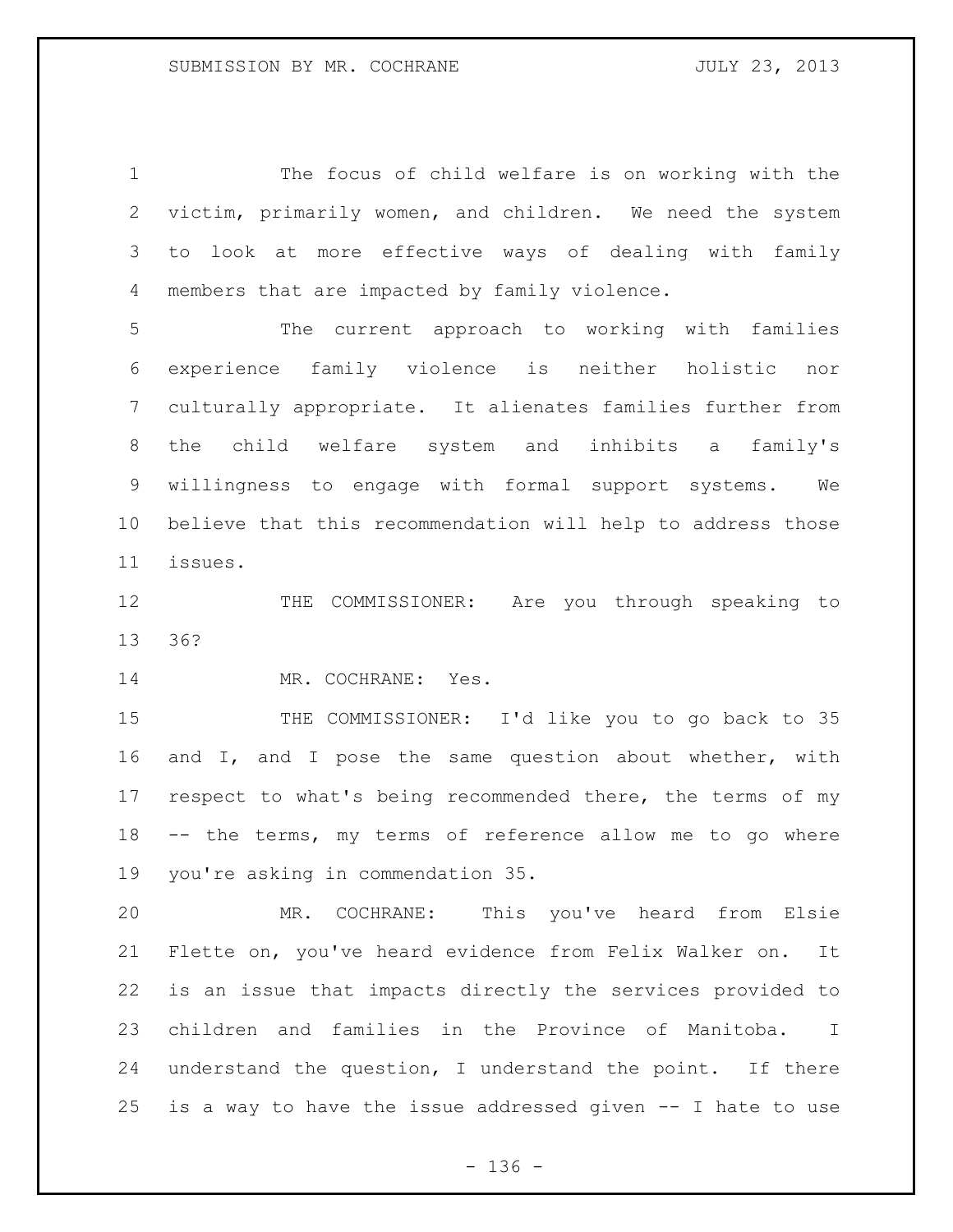The focus of child welfare is on working with the victim, primarily women, and children. We need the system to look at more effective ways of dealing with family members that are impacted by family violence.

 The current approach to working with families experience family violence is neither holistic nor culturally appropriate. It alienates families further from the child welfare system and inhibits a family's willingness to engage with formal support systems. We believe that this recommendation will help to address those issues.

12 THE COMMISSIONER: Are you through speaking to 36?

14 MR. COCHRANE: Yes.

15 THE COMMISSIONER: I'd like you to go back to 35 and I, and I pose the same question about whether, with respect to what's being recommended there, the terms of my -- the terms, my terms of reference allow me to go where you're asking in commendation 35.

 MR. COCHRANE: This you've heard from Elsie Flette on, you've heard evidence from Felix Walker on. It is an issue that impacts directly the services provided to children and families in the Province of Manitoba. I understand the question, I understand the point. If there is a way to have the issue addressed given -- I hate to use

- 136 -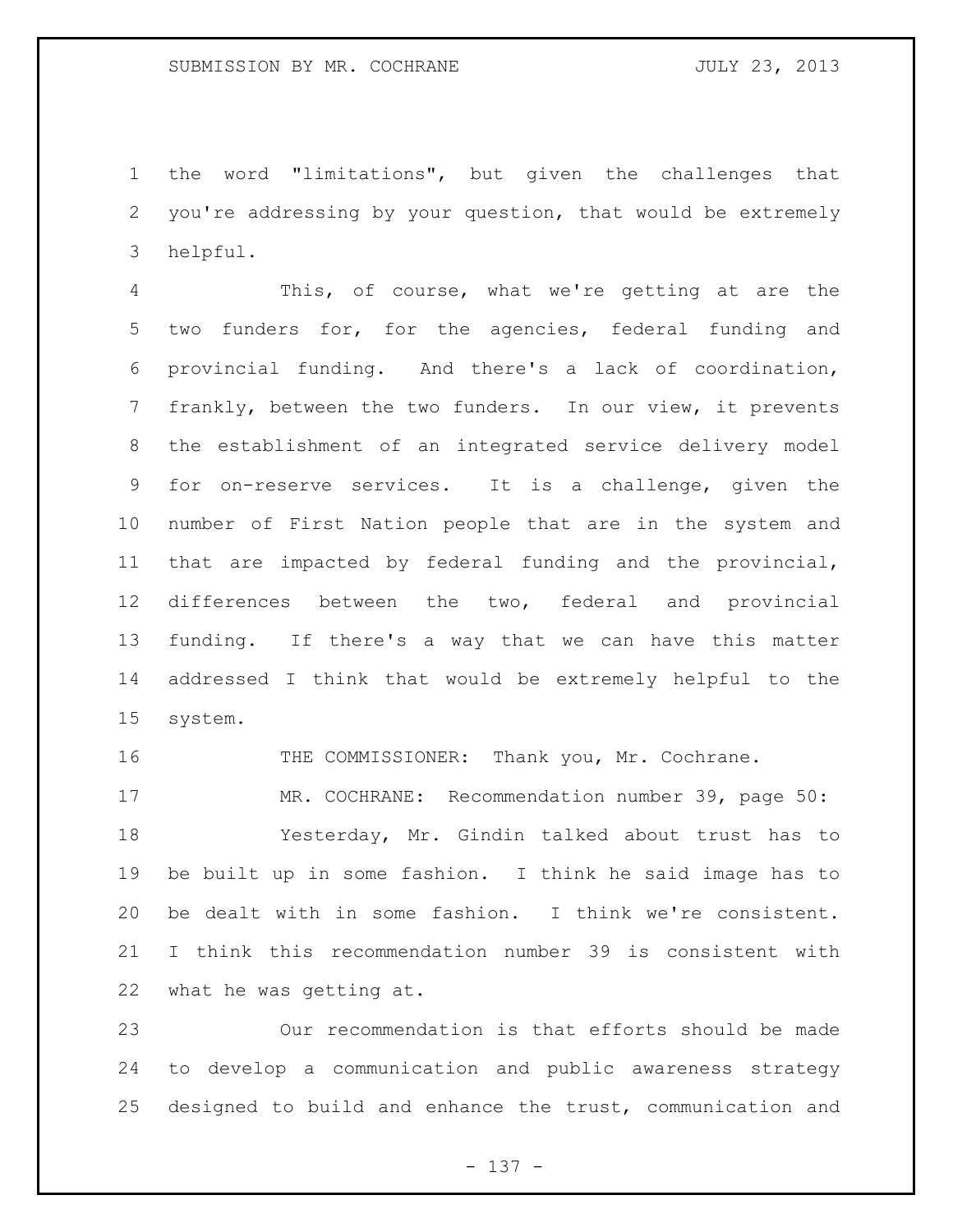the word "limitations", but given the challenges that you're addressing by your question, that would be extremely helpful.

 This, of course, what we're getting at are the two funders for, for the agencies, federal funding and provincial funding. And there's a lack of coordination, frankly, between the two funders. In our view, it prevents the establishment of an integrated service delivery model for on-reserve services. It is a challenge, given the number of First Nation people that are in the system and that are impacted by federal funding and the provincial, differences between the two, federal and provincial funding. If there's a way that we can have this matter addressed I think that would be extremely helpful to the system.

THE COMMISSIONER: Thank you, Mr. Cochrane.

 MR. COCHRANE: Recommendation number 39, page 50: Yesterday, Mr. Gindin talked about trust has to be built up in some fashion. I think he said image has to be dealt with in some fashion. I think we're consistent. I think this recommendation number 39 is consistent with what he was getting at.

 Our recommendation is that efforts should be made to develop a communication and public awareness strategy designed to build and enhance the trust, communication and

- 137 -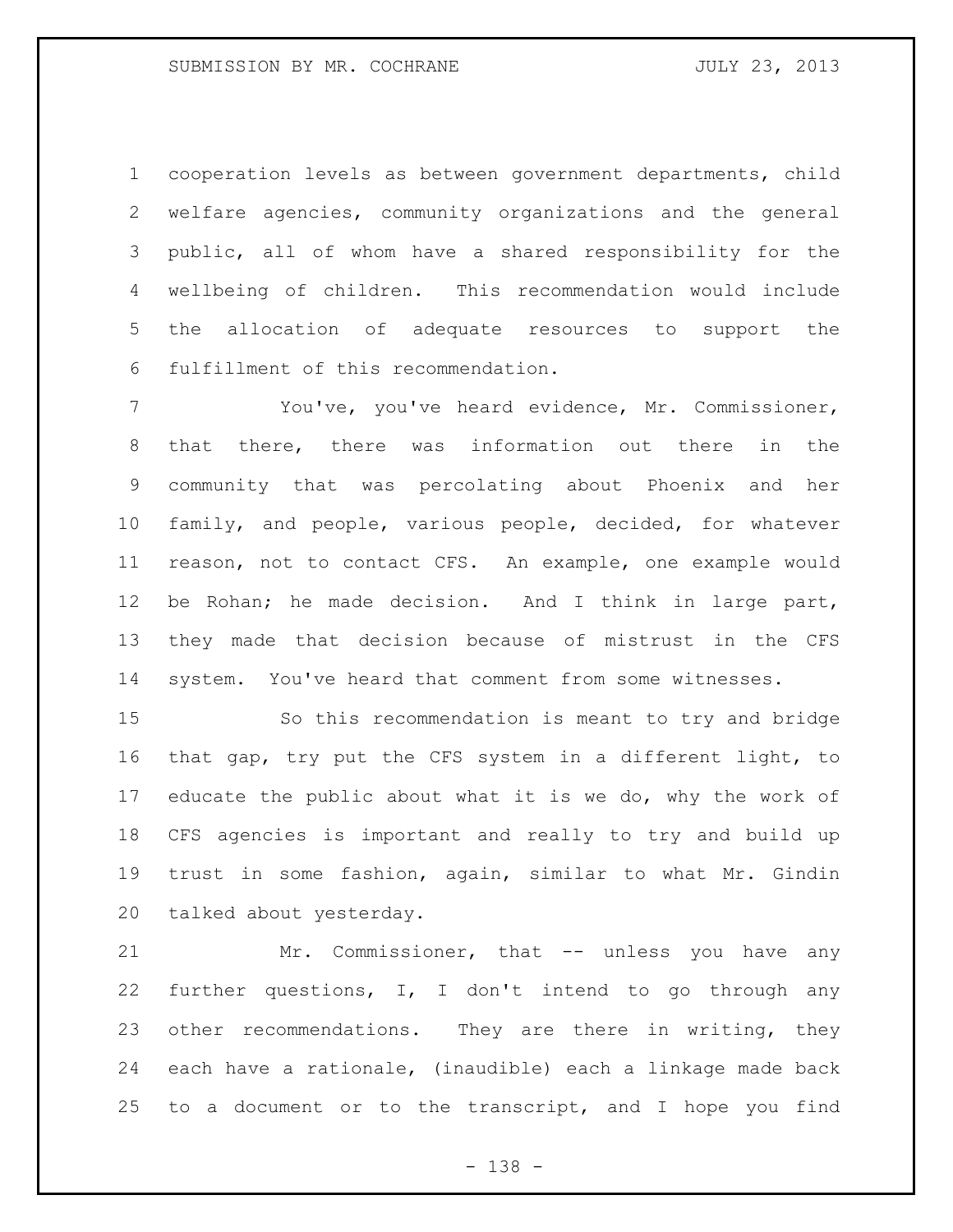cooperation levels as between government departments, child welfare agencies, community organizations and the general public, all of whom have a shared responsibility for the wellbeing of children. This recommendation would include the allocation of adequate resources to support the fulfillment of this recommendation.

 You've, you've heard evidence, Mr. Commissioner, that there, there was information out there in the community that was percolating about Phoenix and her family, and people, various people, decided, for whatever reason, not to contact CFS. An example, one example would be Rohan; he made decision. And I think in large part, they made that decision because of mistrust in the CFS system. You've heard that comment from some witnesses.

 So this recommendation is meant to try and bridge that gap, try put the CFS system in a different light, to 17 educate the public about what it is we do, why the work of CFS agencies is important and really to try and build up trust in some fashion, again, similar to what Mr. Gindin talked about yesterday.

21 Mr. Commissioner, that -- unless you have any further questions, I, I don't intend to go through any other recommendations. They are there in writing, they each have a rationale, (inaudible) each a linkage made back to a document or to the transcript, and I hope you find

- 138 -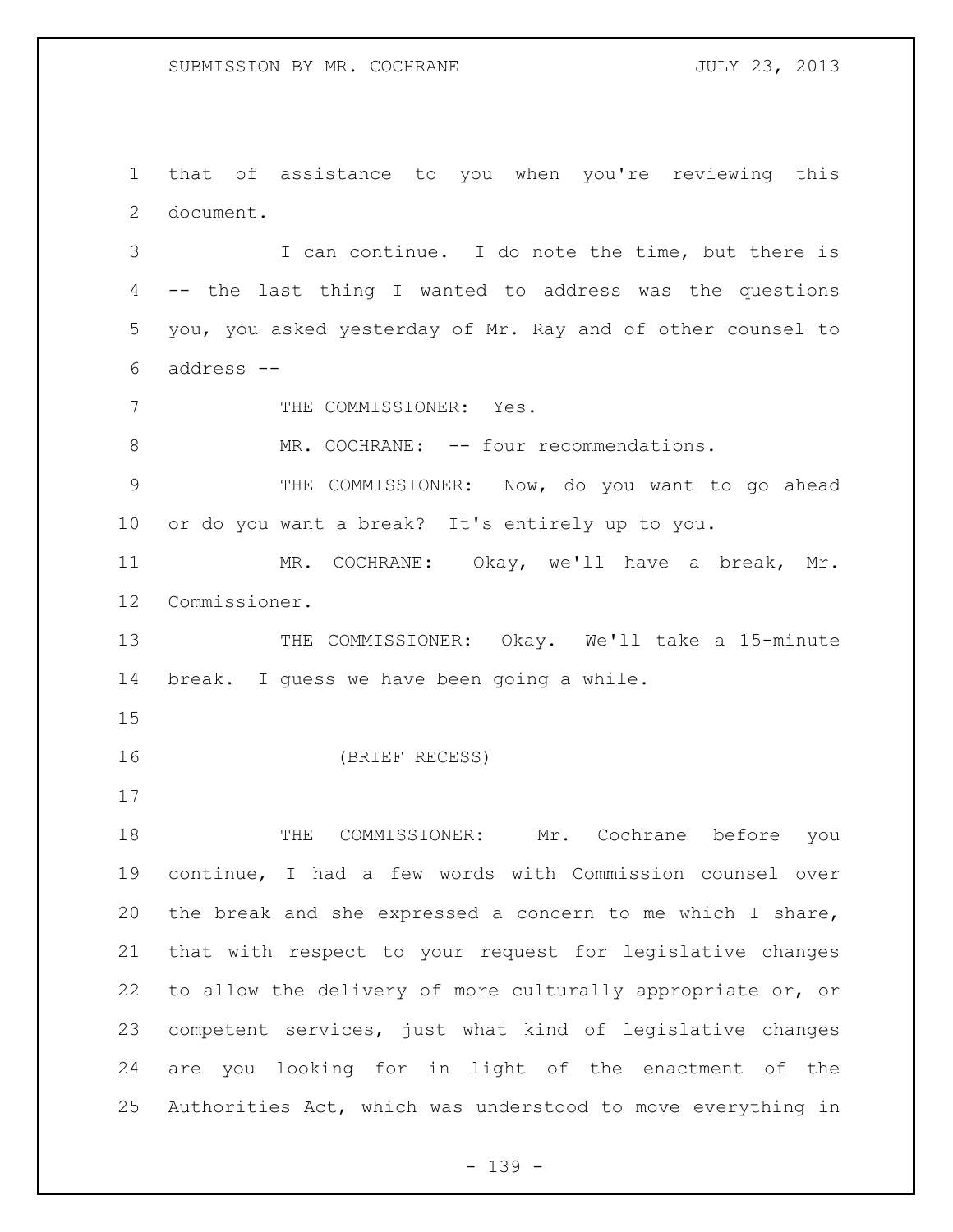that of assistance to you when you're reviewing this document.

 I can continue. I do note the time, but there is -- the last thing I wanted to address was the questions you, you asked yesterday of Mr. Ray and of other counsel to address --

7 THE COMMISSIONER: Yes.

8 MR. COCHRANE: -- four recommendations.

 THE COMMISSIONER: Now, do you want to go ahead or do you want a break? It's entirely up to you.

 MR. COCHRANE: Okay, we'll have a break, Mr. Commissioner.

13 THE COMMISSIONER: Okay. We'll take a 15-minute break. I guess we have been going a while.

(BRIEF RECESS)

 THE COMMISSIONER: Mr. Cochrane before you continue, I had a few words with Commission counsel over the break and she expressed a concern to me which I share, that with respect to your request for legislative changes to allow the delivery of more culturally appropriate or, or competent services, just what kind of legislative changes are you looking for in light of the enactment of the Authorities Act, which was understood to move everything in

- 139 -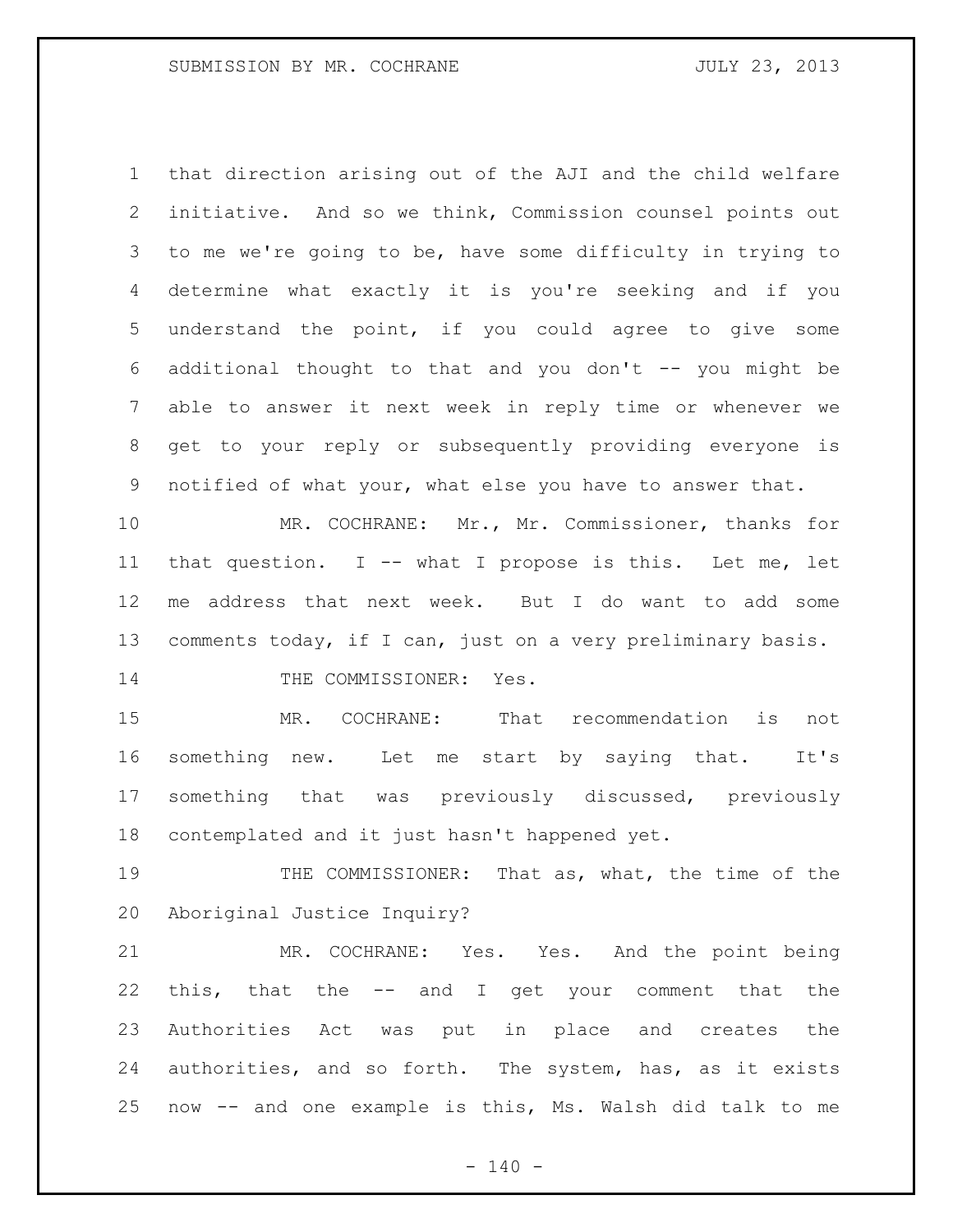that direction arising out of the AJI and the child welfare initiative. And so we think, Commission counsel points out to me we're going to be, have some difficulty in trying to determine what exactly it is you're seeking and if you understand the point, if you could agree to give some 6 additional thought to that and you don't  $-$ - you might be able to answer it next week in reply time or whenever we get to your reply or subsequently providing everyone is notified of what your, what else you have to answer that.

 MR. COCHRANE: Mr., Mr. Commissioner, thanks for that question. I -- what I propose is this. Let me, let me address that next week. But I do want to add some comments today, if I can, just on a very preliminary basis. 14 THE COMMISSIONER: Yes.

 MR. COCHRANE: That recommendation is not something new. Let me start by saying that. It's something that was previously discussed, previously contemplated and it just hasn't happened yet.

 THE COMMISSIONER: That as, what, the time of the Aboriginal Justice Inquiry?

 MR. COCHRANE: Yes. Yes. And the point being this, that the -- and I get your comment that the Authorities Act was put in place and creates the authorities, and so forth. The system, has, as it exists now -- and one example is this, Ms. Walsh did talk to me

 $- 140 -$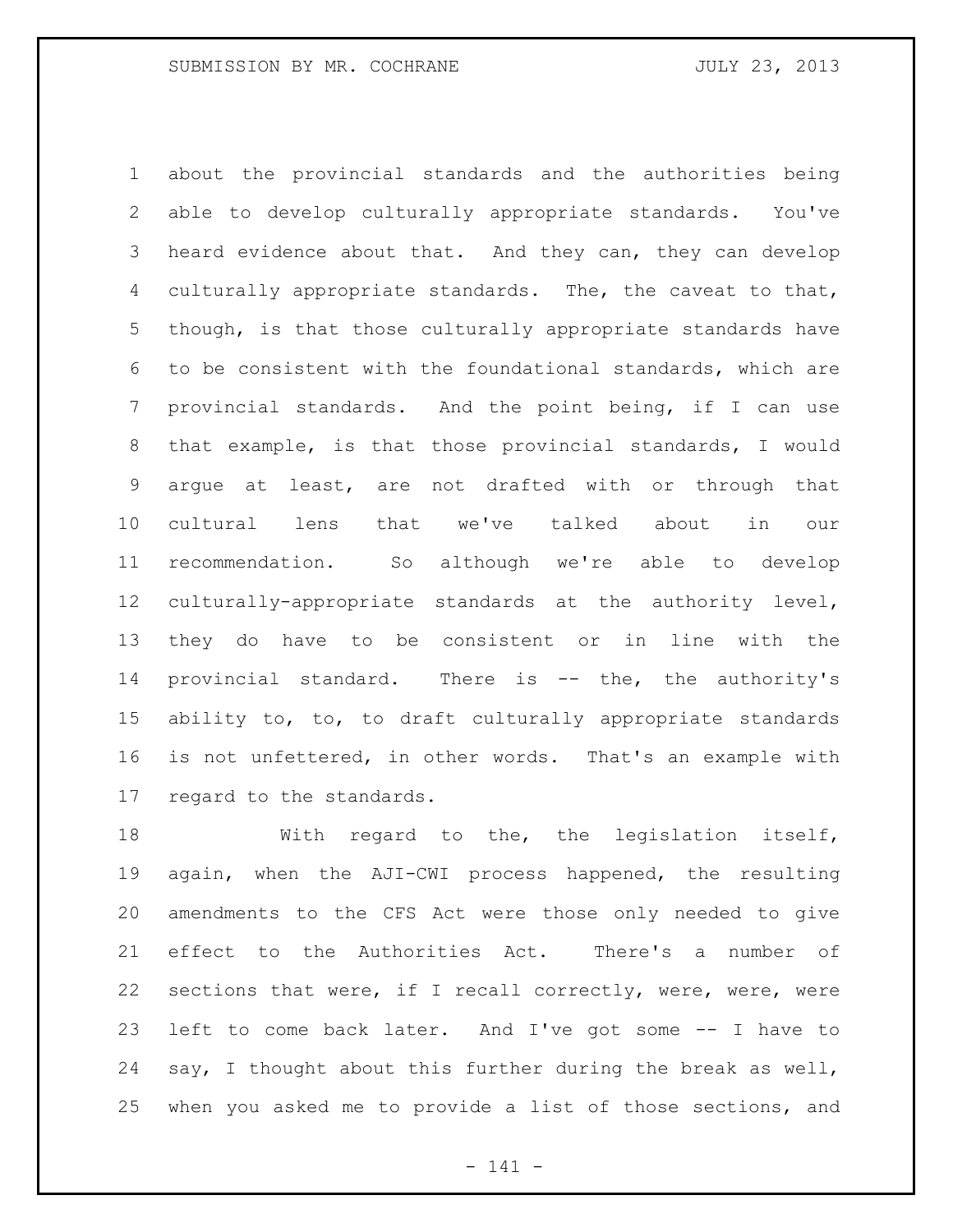about the provincial standards and the authorities being able to develop culturally appropriate standards. You've heard evidence about that. And they can, they can develop culturally appropriate standards. The, the caveat to that, though, is that those culturally appropriate standards have to be consistent with the foundational standards, which are provincial standards. And the point being, if I can use that example, is that those provincial standards, I would argue at least, are not drafted with or through that cultural lens that we've talked about in our recommendation. So although we're able to develop culturally-appropriate standards at the authority level, they do have to be consistent or in line with the 14 provincial standard. There is -- the, the authority's ability to, to, to draft culturally appropriate standards is not unfettered, in other words. That's an example with regard to the standards.

 With regard to the, the legislation itself, again, when the AJI-CWI process happened, the resulting amendments to the CFS Act were those only needed to give effect to the Authorities Act. There's a number of sections that were, if I recall correctly, were, were, were left to come back later. And I've got some -- I have to say, I thought about this further during the break as well, when you asked me to provide a list of those sections, and

- 141 -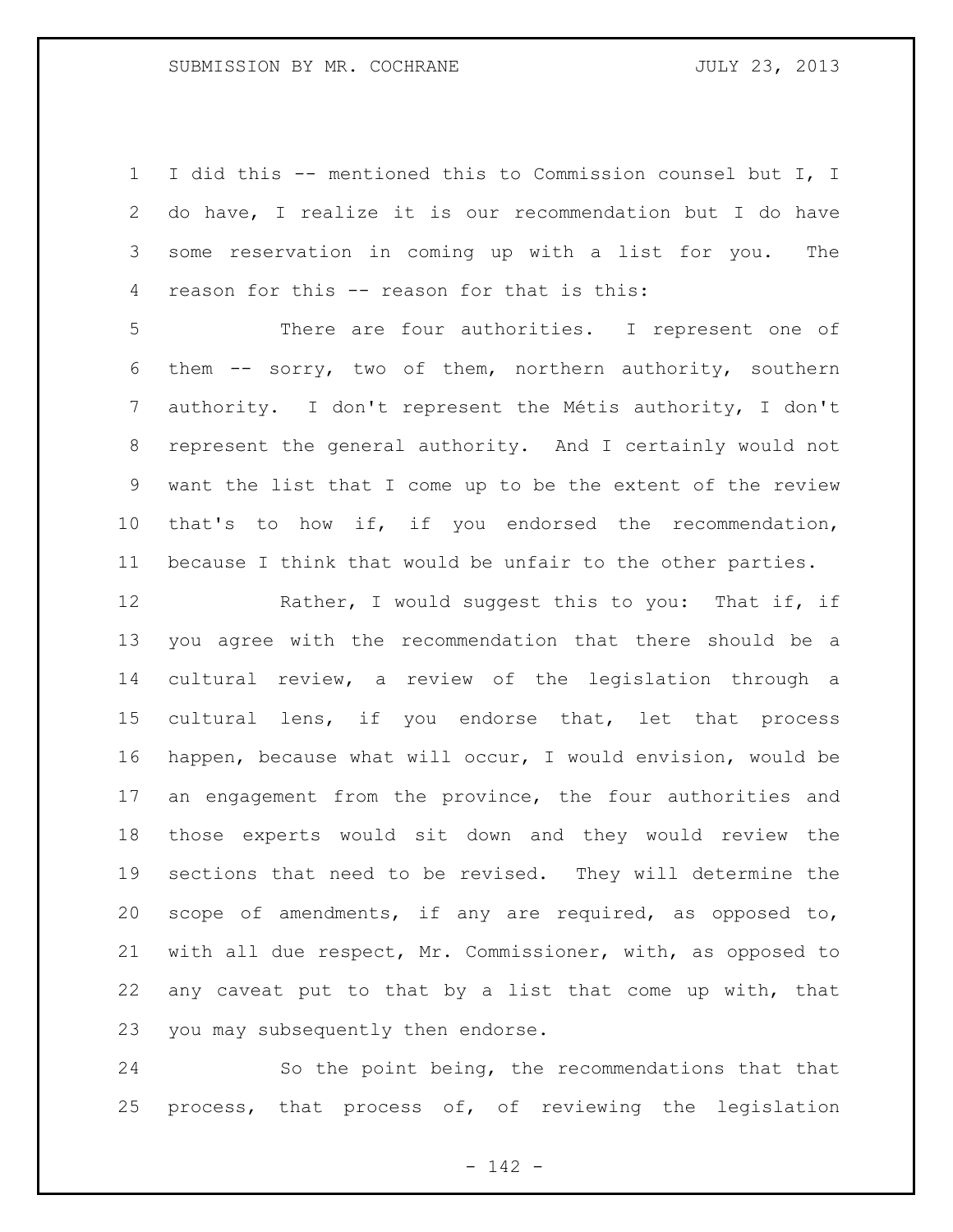I did this -- mentioned this to Commission counsel but I, I do have, I realize it is our recommendation but I do have some reservation in coming up with a list for you. The reason for this -- reason for that is this:

 There are four authorities. I represent one of them -- sorry, two of them, northern authority, southern authority. I don't represent the Métis authority, I don't represent the general authority. And I certainly would not want the list that I come up to be the extent of the review that's to how if, if you endorsed the recommendation, because I think that would be unfair to the other parties.

12 Rather, I would suggest this to you: That if, if you agree with the recommendation that there should be a cultural review, a review of the legislation through a cultural lens, if you endorse that, let that process happen, because what will occur, I would envision, would be an engagement from the province, the four authorities and those experts would sit down and they would review the sections that need to be revised. They will determine the scope of amendments, if any are required, as opposed to, with all due respect, Mr. Commissioner, with, as opposed to any caveat put to that by a list that come up with, that you may subsequently then endorse.

 So the point being, the recommendations that that process, that process of, of reviewing the legislation

- 142 -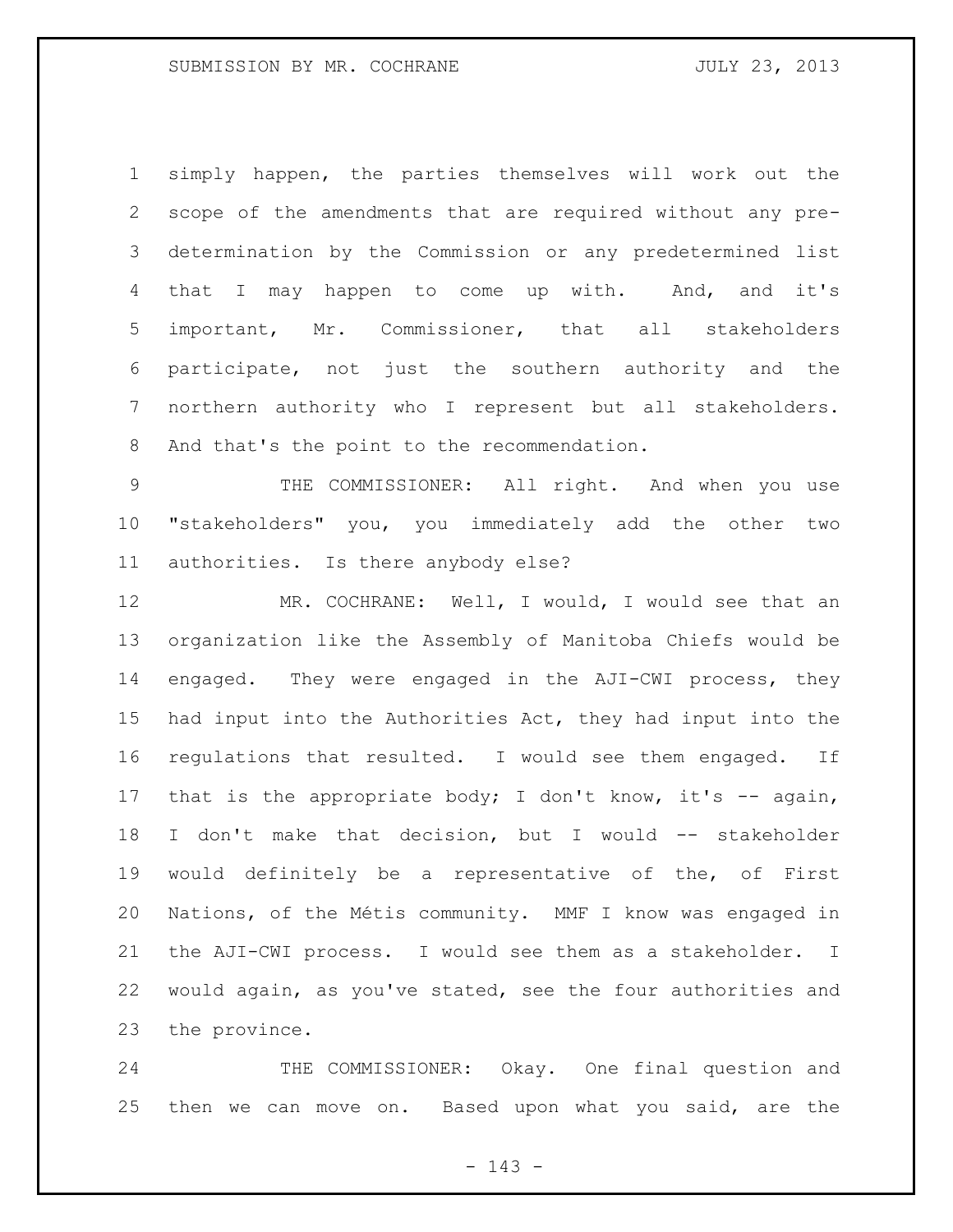simply happen, the parties themselves will work out the scope of the amendments that are required without any pre- determination by the Commission or any predetermined list 4 that I may happen to come up with. And, and it's important, Mr. Commissioner, that all stakeholders participate, not just the southern authority and the northern authority who I represent but all stakeholders. And that's the point to the recommendation.

 THE COMMISSIONER: All right. And when you use "stakeholders" you, you immediately add the other two authorities. Is there anybody else?

 MR. COCHRANE: Well, I would, I would see that an organization like the Assembly of Manitoba Chiefs would be engaged. They were engaged in the AJI-CWI process, they had input into the Authorities Act, they had input into the regulations that resulted. I would see them engaged. If 17 that is the appropriate body; I don't know, it's -- again, I don't make that decision, but I would -- stakeholder would definitely be a representative of the, of First Nations, of the Métis community. MMF I know was engaged in the AJI-CWI process. I would see them as a stakeholder. I would again, as you've stated, see the four authorities and the province.

 THE COMMISSIONER: Okay. One final question and then we can move on. Based upon what you said, are the

- 143 -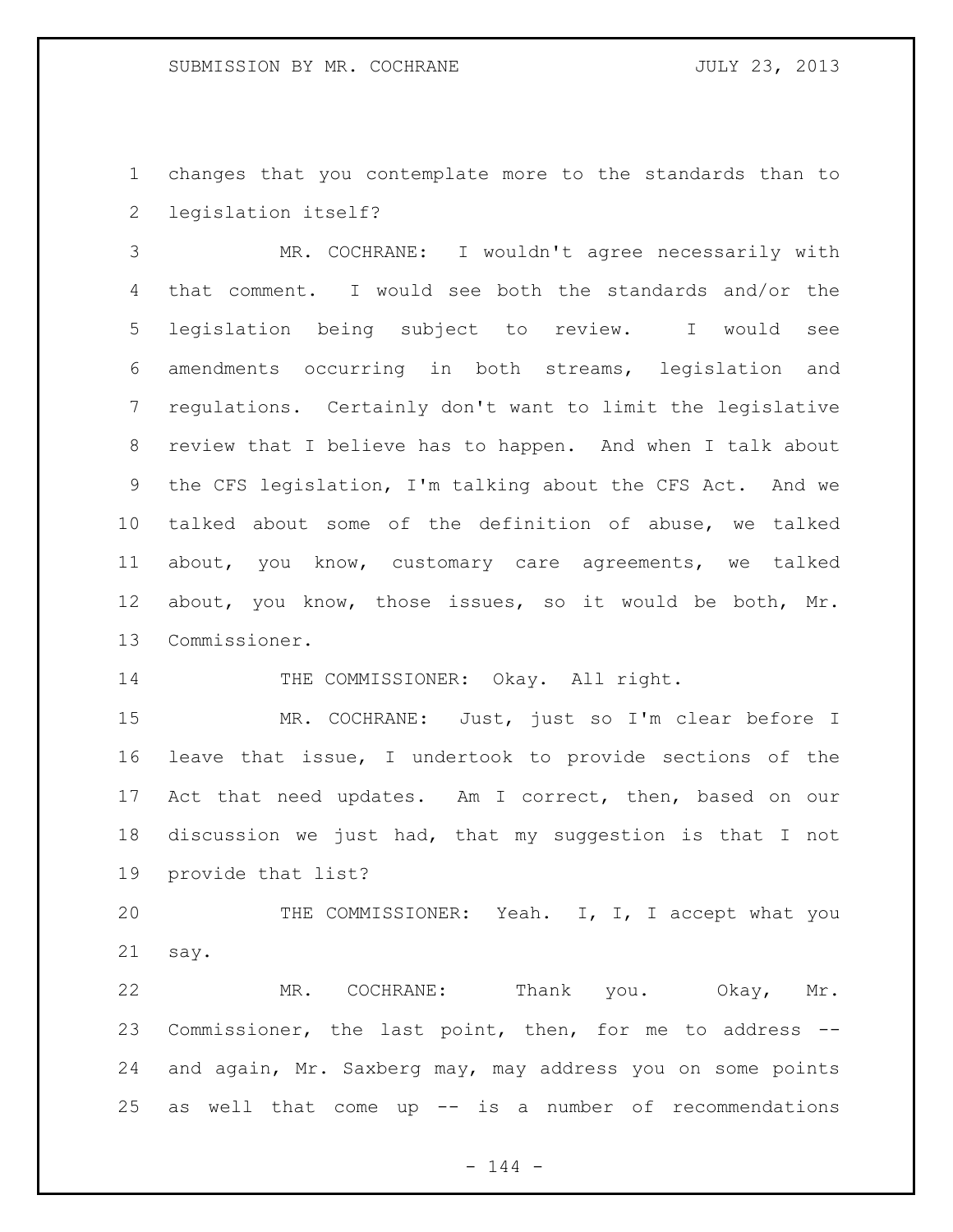changes that you contemplate more to the standards than to legislation itself?

 MR. COCHRANE: I wouldn't agree necessarily with that comment. I would see both the standards and/or the legislation being subject to review. I would see amendments occurring in both streams, legislation and regulations. Certainly don't want to limit the legislative review that I believe has to happen. And when I talk about the CFS legislation, I'm talking about the CFS Act. And we talked about some of the definition of abuse, we talked about, you know, customary care agreements, we talked about, you know, those issues, so it would be both, Mr. Commissioner.

14 THE COMMISSIONER: Okay. All right.

 MR. COCHRANE: Just, just so I'm clear before I leave that issue, I undertook to provide sections of the Act that need updates. Am I correct, then, based on our discussion we just had, that my suggestion is that I not provide that list?

 THE COMMISSIONER: Yeah. I, I, I accept what you say.

22 MR. COCHRANE: Thank you. Okay, Mr. Commissioner, the last point, then, for me to address -- and again, Mr. Saxberg may, may address you on some points as well that come up -- is a number of recommendations

 $- 144 -$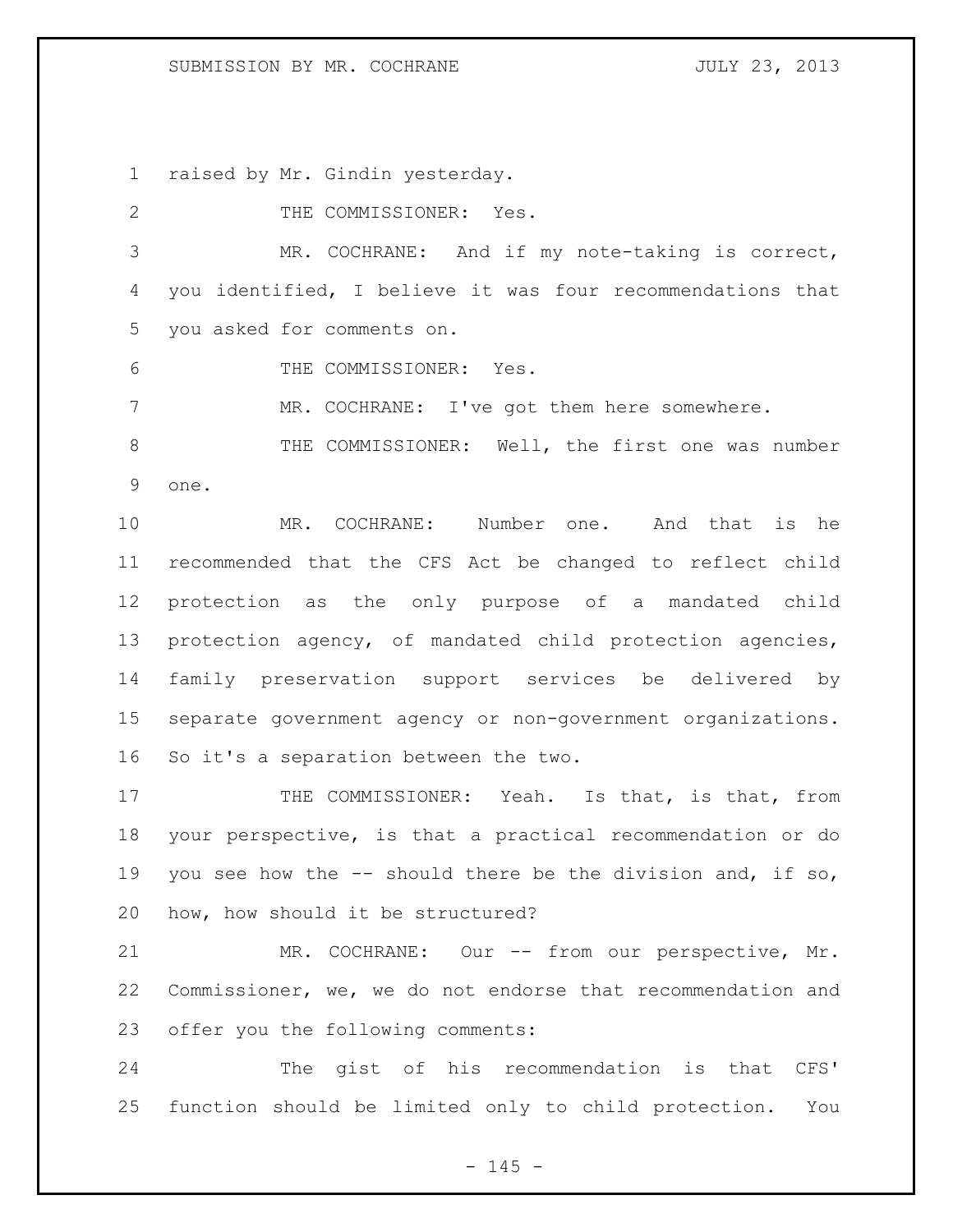## SUBMISSION BY MR. COCHRANE JULY 23, 2013

raised by Mr. Gindin yesterday.

| $\mathbf{2}$ | THE COMMISSIONER: Yes.                                      |
|--------------|-------------------------------------------------------------|
| 3            | MR. COCHRANE: And if my note-taking is correct,             |
| 4            | you identified, I believe it was four recommendations that  |
| 5            | you asked for comments on.                                  |
| 6            | THE COMMISSIONER: Yes.                                      |
| 7            | MR. COCHRANE: I've got them here somewhere.                 |
| 8            | THE COMMISSIONER: Well, the first one was number            |
| $\mathsf 9$  | one.                                                        |
| 10           | MR. COCHRANE: Number one. And that is he                    |
| 11           | recommended that the CFS Act be changed to reflect child    |
| 12           | protection as the only purpose of a mandated child          |
| 13           | protection agency, of mandated child protection agencies,   |
| 14           | family preservation support services be delivered by        |
| 15           | separate government agency or non-government organizations. |
| 16           | So it's a separation between the two.                       |
| 17           | THE COMMISSIONER: Yeah. Is that, is that, from              |
| 18           | your perspective, is that a practical recommendation or do  |
| 19           | you see how the -- should there be the division and, if so, |
| 20           | how, how should it be structured?                           |
| 21           | MR. COCHRANE: Our -- from our perspective, Mr.              |
| 22           | Commissioner, we, we do not endorse that recommendation and |
| 23           | offer you the following comments:                           |
| 24           | The qist of his recommendation is that<br>CFS'              |
| 25           | function should be limited only to child protection.<br>You |

 $- 145 -$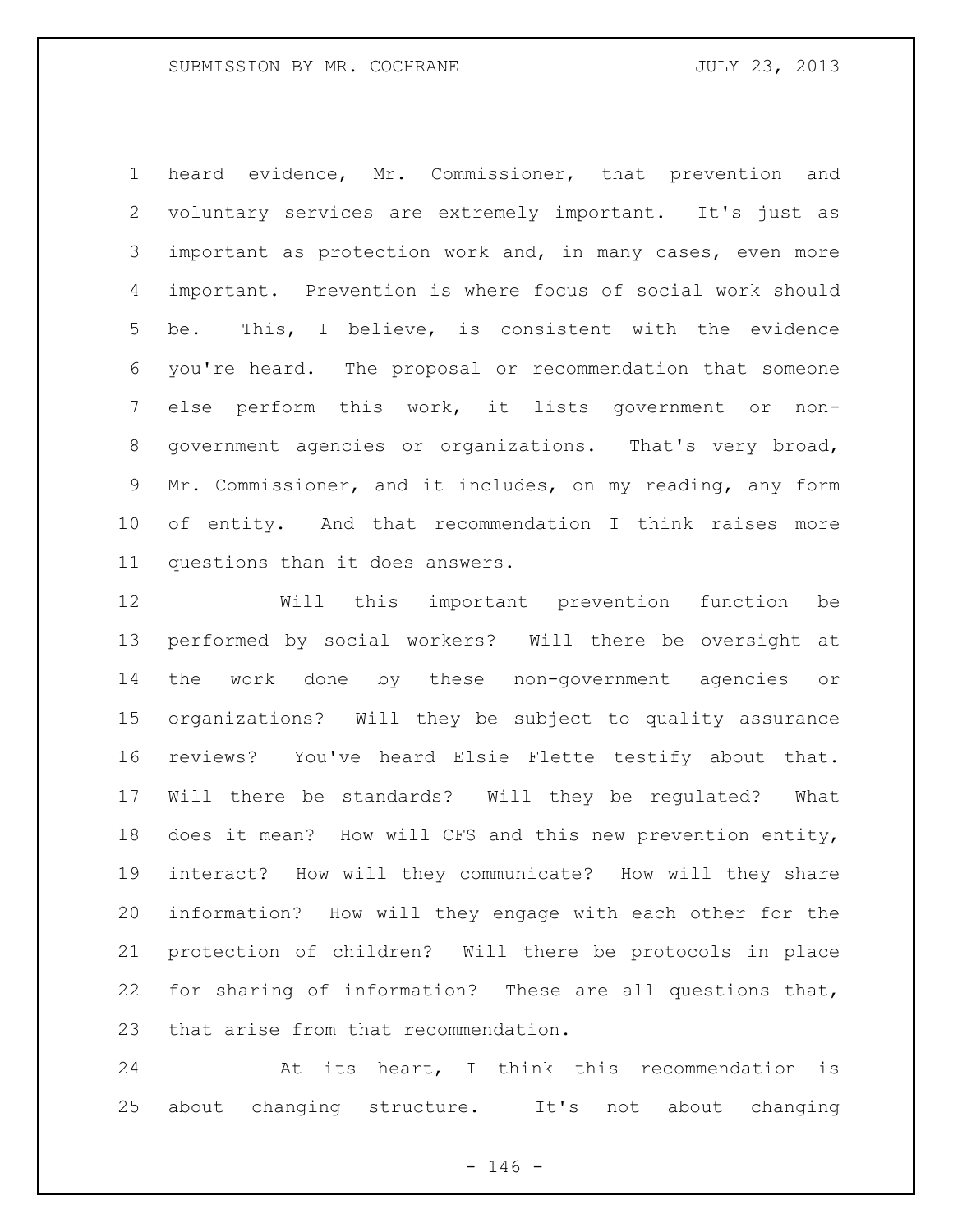## SUBMISSION BY MR. COCHRANE **FOULY 23, 2013**

 heard evidence, Mr. Commissioner, that prevention and voluntary services are extremely important. It's just as important as protection work and, in many cases, even more important. Prevention is where focus of social work should be. This, I believe, is consistent with the evidence you're heard. The proposal or recommendation that someone else perform this work, it lists government or non- government agencies or organizations. That's very broad, Mr. Commissioner, and it includes, on my reading, any form of entity. And that recommendation I think raises more questions than it does answers.

 Will this important prevention function be performed by social workers? Will there be oversight at the work done by these non-government agencies or organizations? Will they be subject to quality assurance reviews? You've heard Elsie Flette testify about that. Will there be standards? Will they be regulated? What does it mean? How will CFS and this new prevention entity, interact? How will they communicate? How will they share information? How will they engage with each other for the protection of children? Will there be protocols in place for sharing of information? These are all questions that, that arise from that recommendation.

 At its heart, I think this recommendation is about changing structure. It's not about changing

 $- 146 -$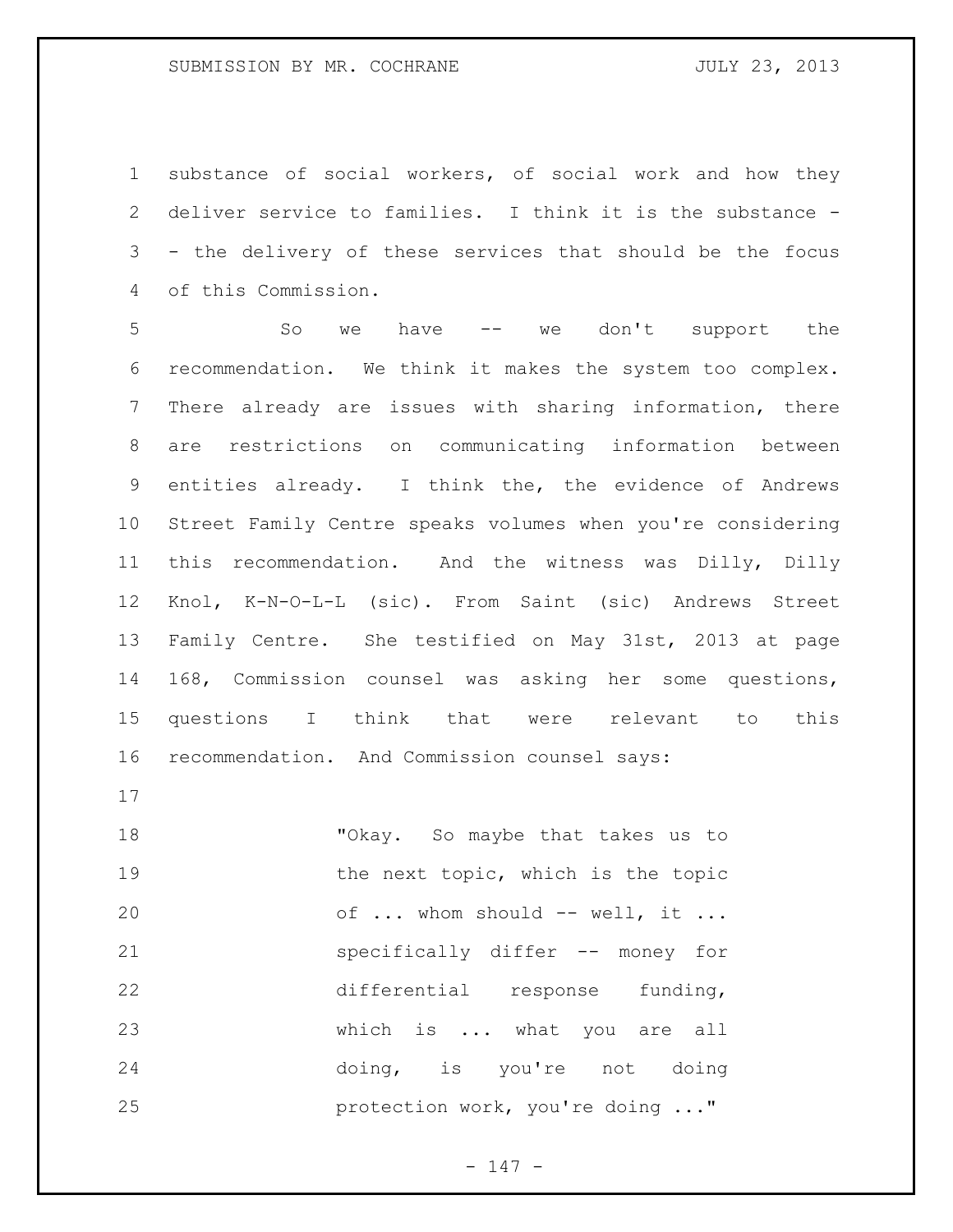substance of social workers, of social work and how they deliver service to families. I think it is the substance - - the delivery of these services that should be the focus of this Commission.

 So we have -- we don't support the recommendation. We think it makes the system too complex. There already are issues with sharing information, there are restrictions on communicating information between entities already. I think the, the evidence of Andrews Street Family Centre speaks volumes when you're considering this recommendation. And the witness was Dilly, Dilly Knol, K-N-O-L-L (sic). From Saint (sic) Andrews Street Family Centre. She testified on May 31st, 2013 at page 168, Commission counsel was asking her some questions, questions I think that were relevant to this recommendation. And Commission counsel says:

 "Okay. So maybe that takes us to 19 the next topic, which is the topic 20 of ... whom should -- well, it ... specifically differ -- money for differential response funding, which is ... what you are all doing, is you're not doing **protection work, you're doing ..."** 

- 147 -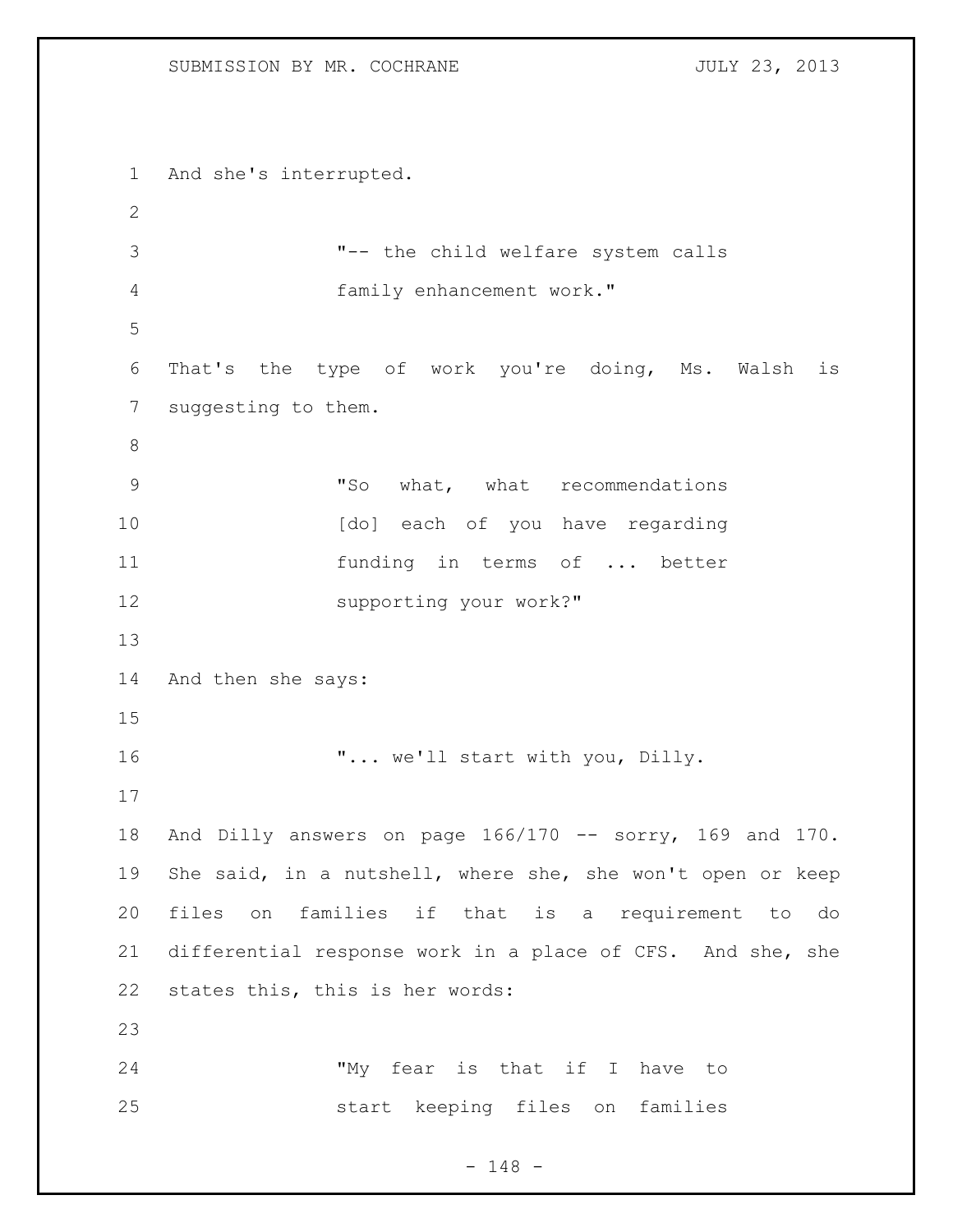## SUBMISSION BY MR. COCHRANE **FOULY 23, 2013**

```
1 And she's interrupted.
2
3 "-- the child welfare system calls 
4 family enhancement work."
5
6 That's the type of work you're doing, Ms. Walsh is 
7 suggesting to them.
8
9 "So what, what recommendations
10 [do] each of you have regarding
11 funding in terms of ... better
12 supporting your work?"
13
14 And then she says:
15
16 \ldots we'll start with you, Dilly.
17
18 And Dilly answers on page 166/170 -- sorry, 169 and 170. 
19 She said, in a nutshell, where she, she won't open or keep 
20 files on families if that is a requirement to do 
21 differential response work in a place of CFS. And she, she 
22 states this, this is her words:
23
24 "My fear is that if I have to 
25 start keeping files on families
```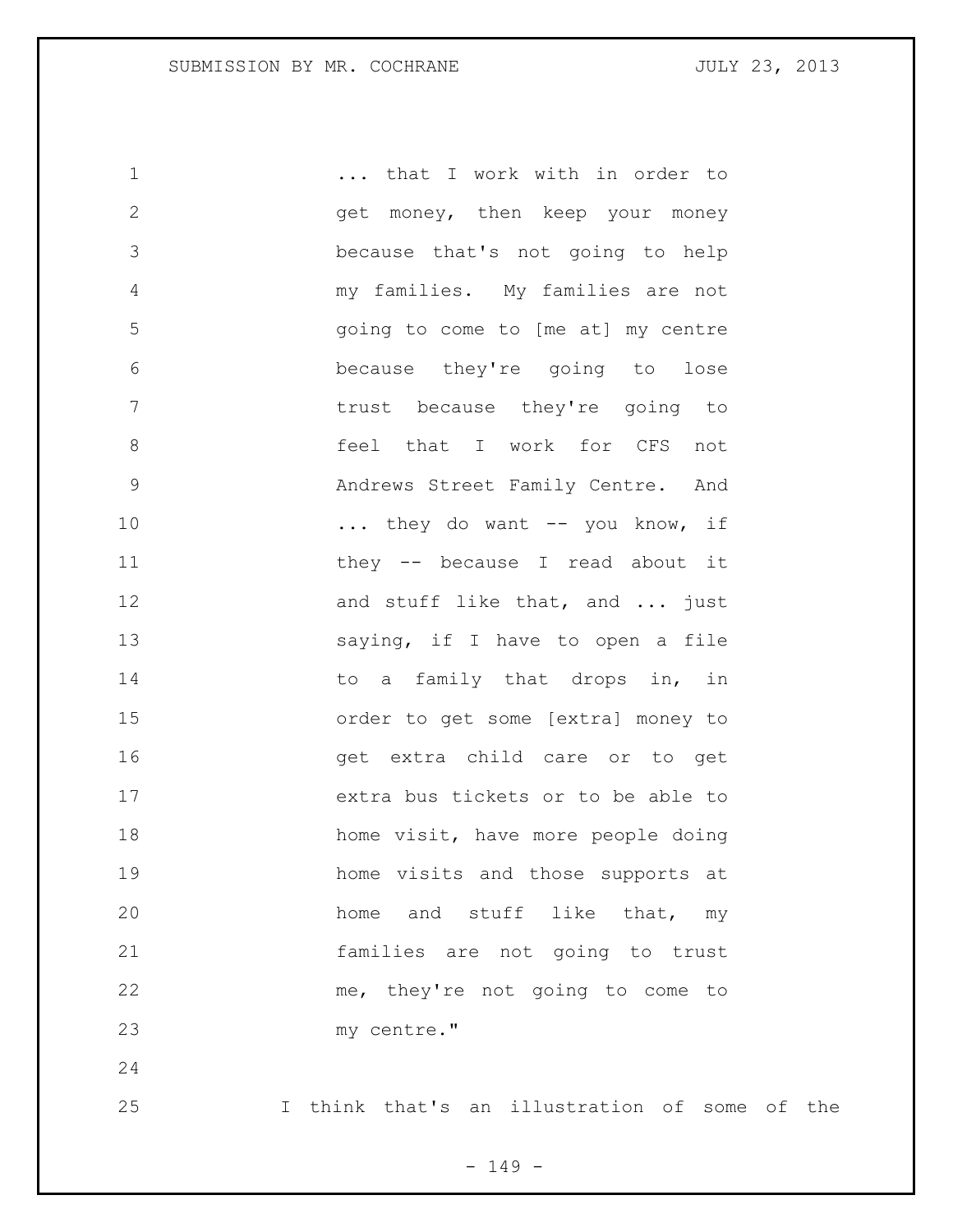... that I work with in order to get money, then keep your money because that's not going to help my families. My families are not going to come to [me at] my centre because they're going to lose **trust** because they're going to **6 Feel that I work for CFS not**  Andrews Street Family Centre. And 10 ... they do want -- you know, if 11 they -- because I read about it 12 and stuff like that, and ... just 13 Saying, if I have to open a file 14 to a family that drops in, in order to get some [extra] money to get extra child care or to get extra bus tickets or to be able to home visit, have more people doing home visits and those supports at 20 home and stuff like that, my families are not going to trust me, they're not going to come to my centre." 

I think that's an illustration of some of the

- 149 -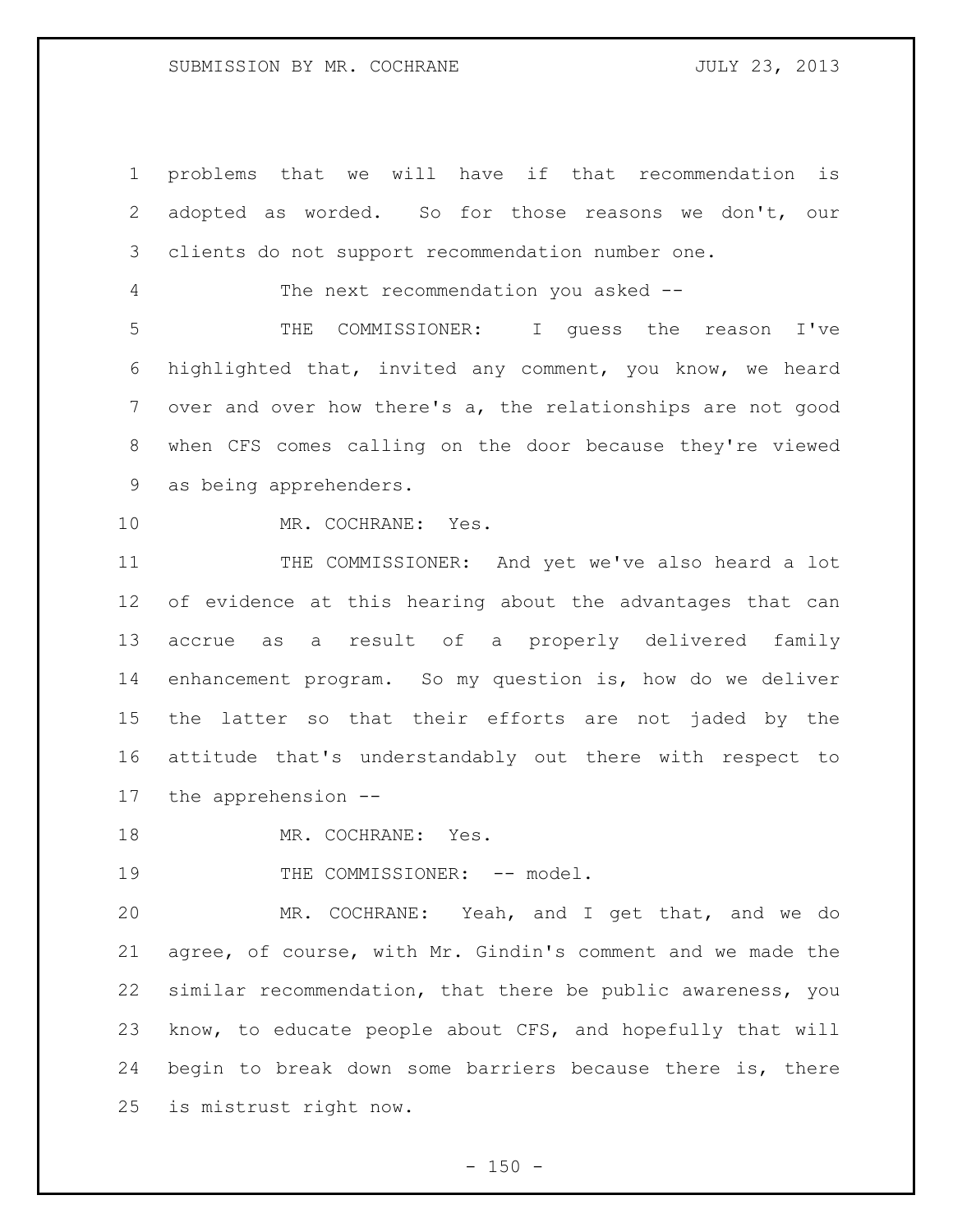problems that we will have if that recommendation is adopted as worded. So for those reasons we don't, our clients do not support recommendation number one. The next recommendation you asked -- THE COMMISSIONER: I guess the reason I've highlighted that, invited any comment, you know, we heard over and over how there's a, the relationships are not good when CFS comes calling on the door because they're viewed as being apprehenders. MR. COCHRANE: Yes. THE COMMISSIONER: And yet we've also heard a lot of evidence at this hearing about the advantages that can accrue as a result of a properly delivered family enhancement program. So my question is, how do we deliver the latter so that their efforts are not jaded by the attitude that's understandably out there with respect to the apprehension -- 18 MR. COCHRANE: Yes.

19 THE COMMISSIONER: -- model.

 MR. COCHRANE: Yeah, and I get that, and we do agree, of course, with Mr. Gindin's comment and we made the similar recommendation, that there be public awareness, you know, to educate people about CFS, and hopefully that will begin to break down some barriers because there is, there is mistrust right now.

 $- 150 -$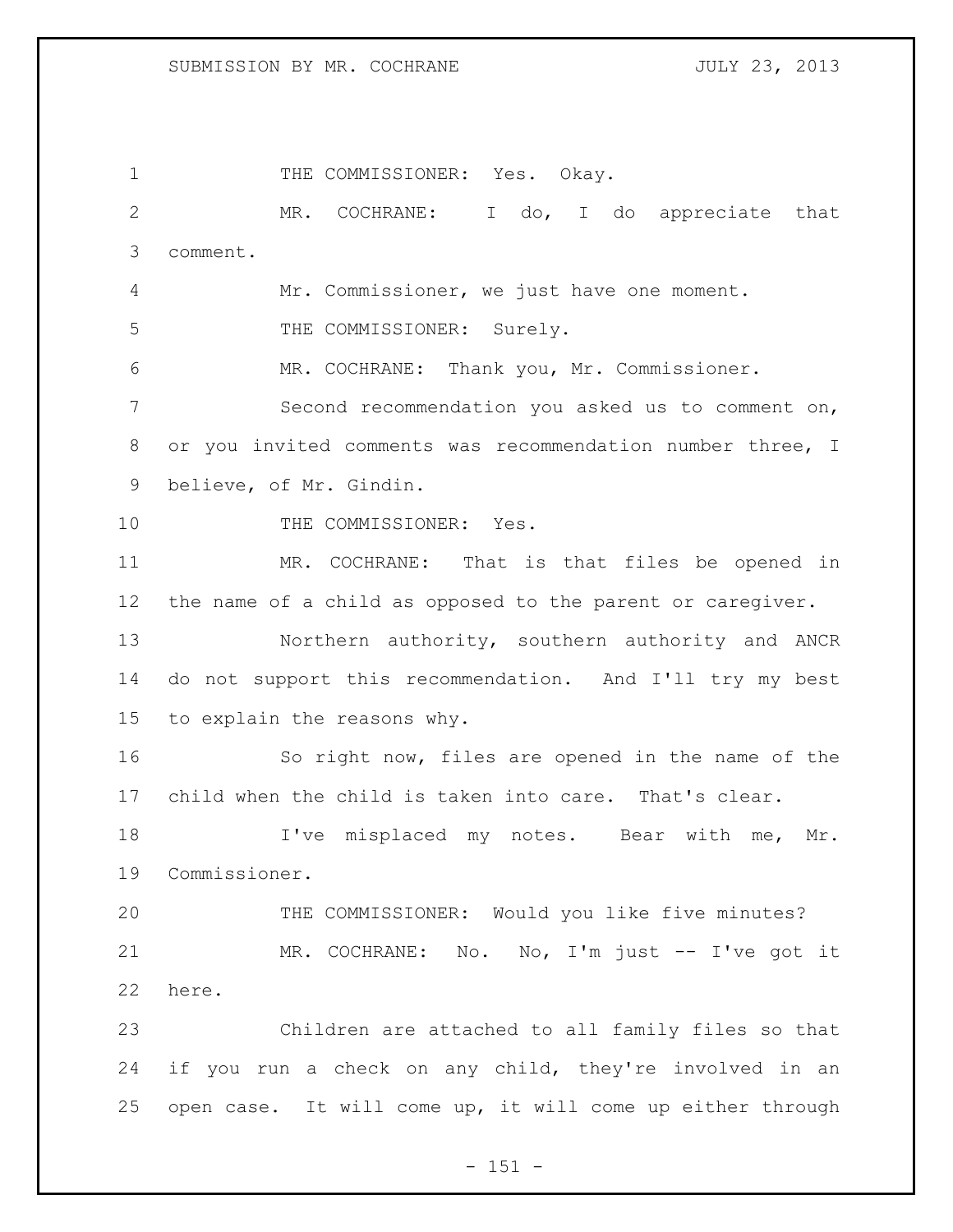SUBMISSION BY MR. COCHRANE **FOULY 23, 2013** 

1 THE COMMISSIONER: Yes. Okay. MR. COCHRANE: I do, I do appreciate that comment. Mr. Commissioner, we just have one moment. 5 THE COMMISSIONER: Surely. MR. COCHRANE: Thank you, Mr. Commissioner. Second recommendation you asked us to comment on, or you invited comments was recommendation number three, I believe, of Mr. Gindin. 10 THE COMMISSIONER: Yes. MR. COCHRANE: That is that files be opened in the name of a child as opposed to the parent or caregiver. Northern authority, southern authority and ANCR do not support this recommendation. And I'll try my best to explain the reasons why. So right now, files are opened in the name of the child when the child is taken into care. That's clear. 18 I've misplaced my notes. Bear with me, Mr. Commissioner. THE COMMISSIONER: Would you like five minutes? MR. COCHRANE: No. No, I'm just -- I've got it here. Children are attached to all family files so that if you run a check on any child, they're involved in an open case. It will come up, it will come up either through

 $- 151 -$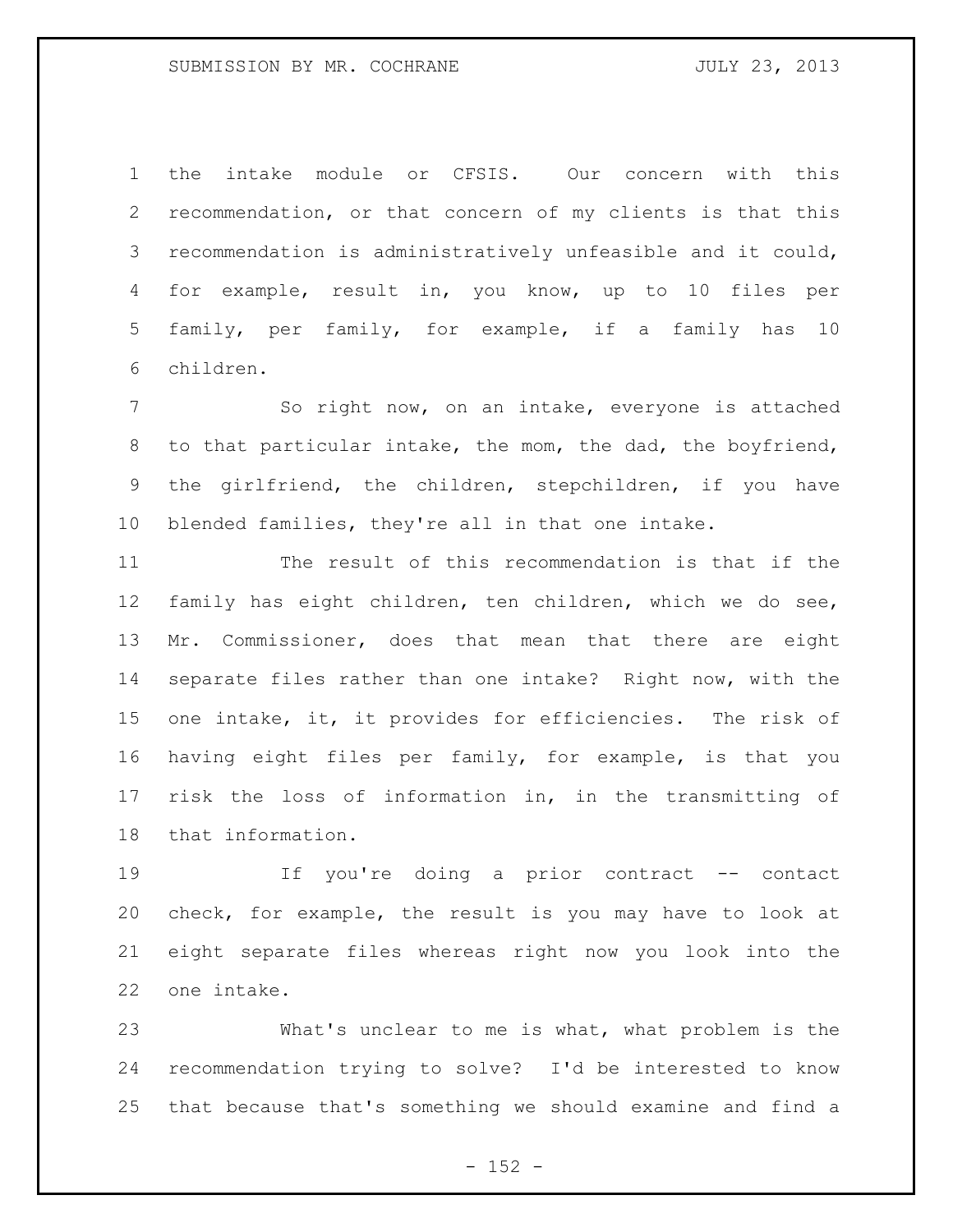the intake module or CFSIS. Our concern with this recommendation, or that concern of my clients is that this recommendation is administratively unfeasible and it could, for example, result in, you know, up to 10 files per family, per family, for example, if a family has 10 children.

 So right now, on an intake, everyone is attached to that particular intake, the mom, the dad, the boyfriend, the girlfriend, the children, stepchildren, if you have blended families, they're all in that one intake.

 The result of this recommendation is that if the family has eight children, ten children, which we do see, Mr. Commissioner, does that mean that there are eight separate files rather than one intake? Right now, with the one intake, it, it provides for efficiencies. The risk of having eight files per family, for example, is that you risk the loss of information in, in the transmitting of that information.

 If you're doing a prior contract -- contact check, for example, the result is you may have to look at eight separate files whereas right now you look into the one intake.

 What's unclear to me is what, what problem is the recommendation trying to solve? I'd be interested to know that because that's something we should examine and find a

 $- 152 -$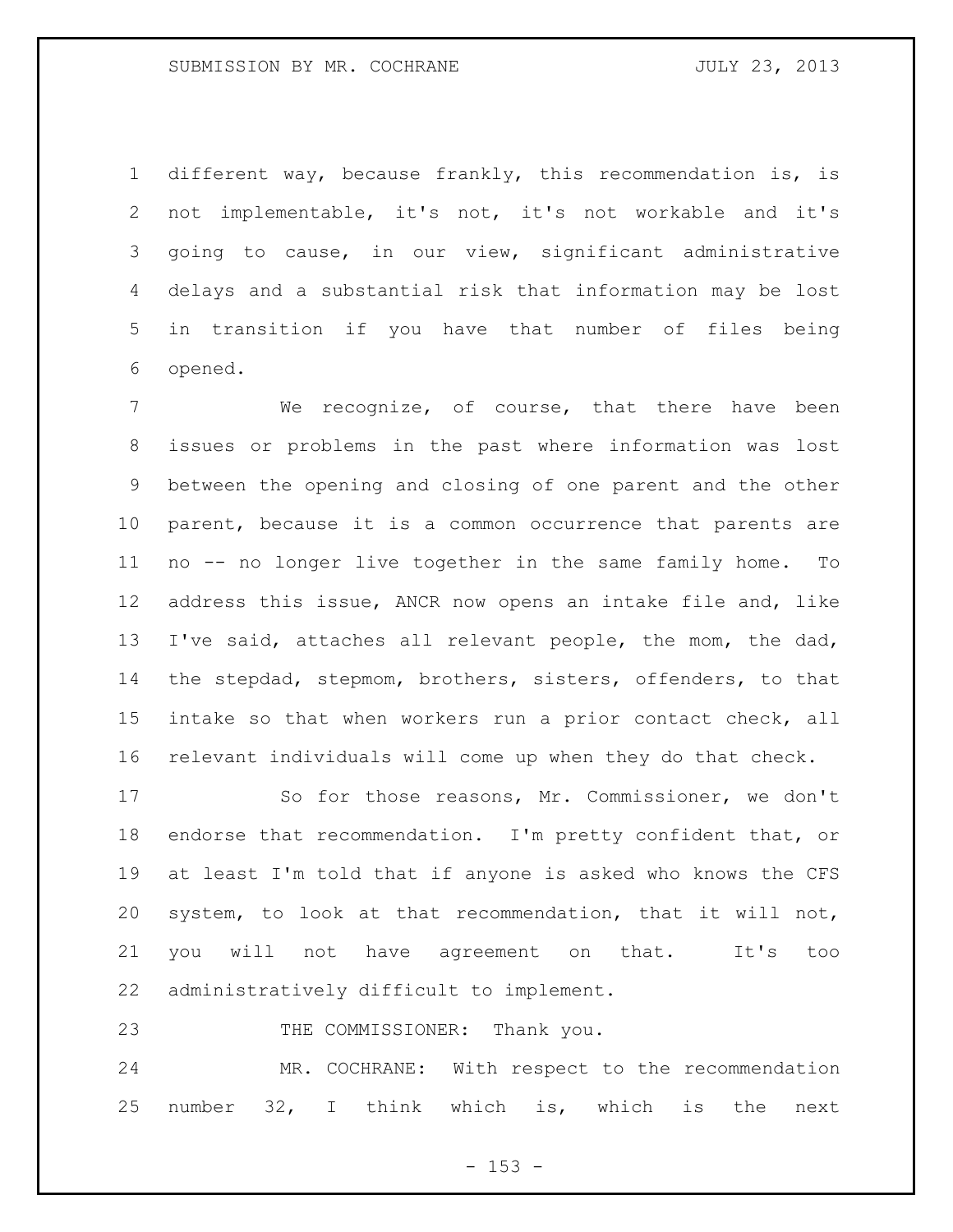different way, because frankly, this recommendation is, is not implementable, it's not, it's not workable and it's going to cause, in our view, significant administrative delays and a substantial risk that information may be lost in transition if you have that number of files being opened.

 We recognize, of course, that there have been issues or problems in the past where information was lost between the opening and closing of one parent and the other parent, because it is a common occurrence that parents are no -- no longer live together in the same family home. To address this issue, ANCR now opens an intake file and, like I've said, attaches all relevant people, the mom, the dad, the stepdad, stepmom, brothers, sisters, offenders, to that intake so that when workers run a prior contact check, all relevant individuals will come up when they do that check.

 So for those reasons, Mr. Commissioner, we don't endorse that recommendation. I'm pretty confident that, or at least I'm told that if anyone is asked who knows the CFS system, to look at that recommendation, that it will not, you will not have agreement on that. It's too administratively difficult to implement.

23 THE COMMISSIONER: Thank you.

 MR. COCHRANE: With respect to the recommendation number 32, I think which is, which is the next

- 153 -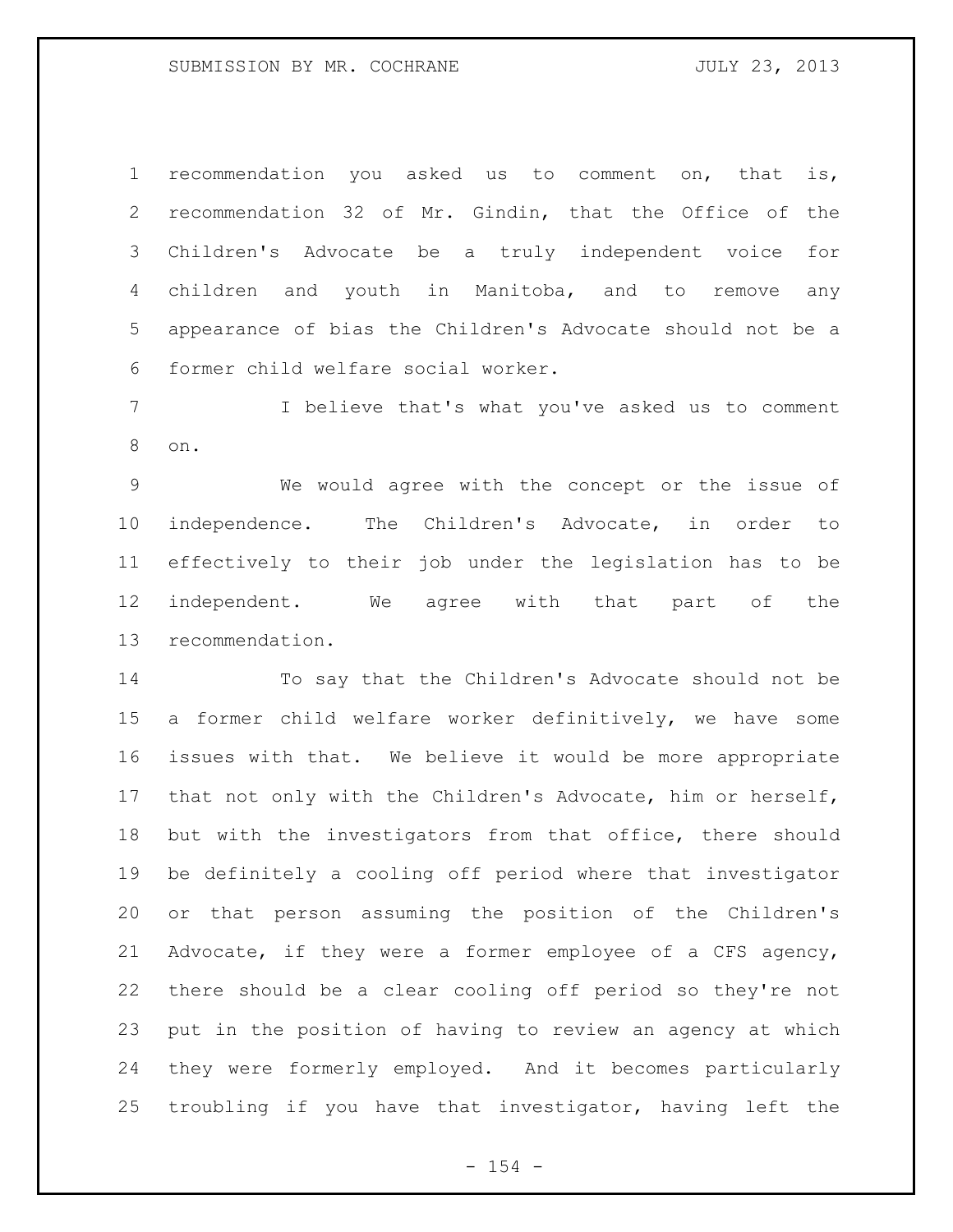recommendation you asked us to comment on, that is, recommendation 32 of Mr. Gindin, that the Office of the Children's Advocate be a truly independent voice for children and youth in Manitoba, and to remove any appearance of bias the Children's Advocate should not be a former child welfare social worker.

 I believe that's what you've asked us to comment on.

 We would agree with the concept or the issue of independence. The Children's Advocate, in order to effectively to their job under the legislation has to be independent. We agree with that part of the recommendation.

 To say that the Children's Advocate should not be a former child welfare worker definitively, we have some issues with that. We believe it would be more appropriate that not only with the Children's Advocate, him or herself, but with the investigators from that office, there should be definitely a cooling off period where that investigator or that person assuming the position of the Children's Advocate, if they were a former employee of a CFS agency, there should be a clear cooling off period so they're not put in the position of having to review an agency at which they were formerly employed. And it becomes particularly troubling if you have that investigator, having left the

 $- 154 -$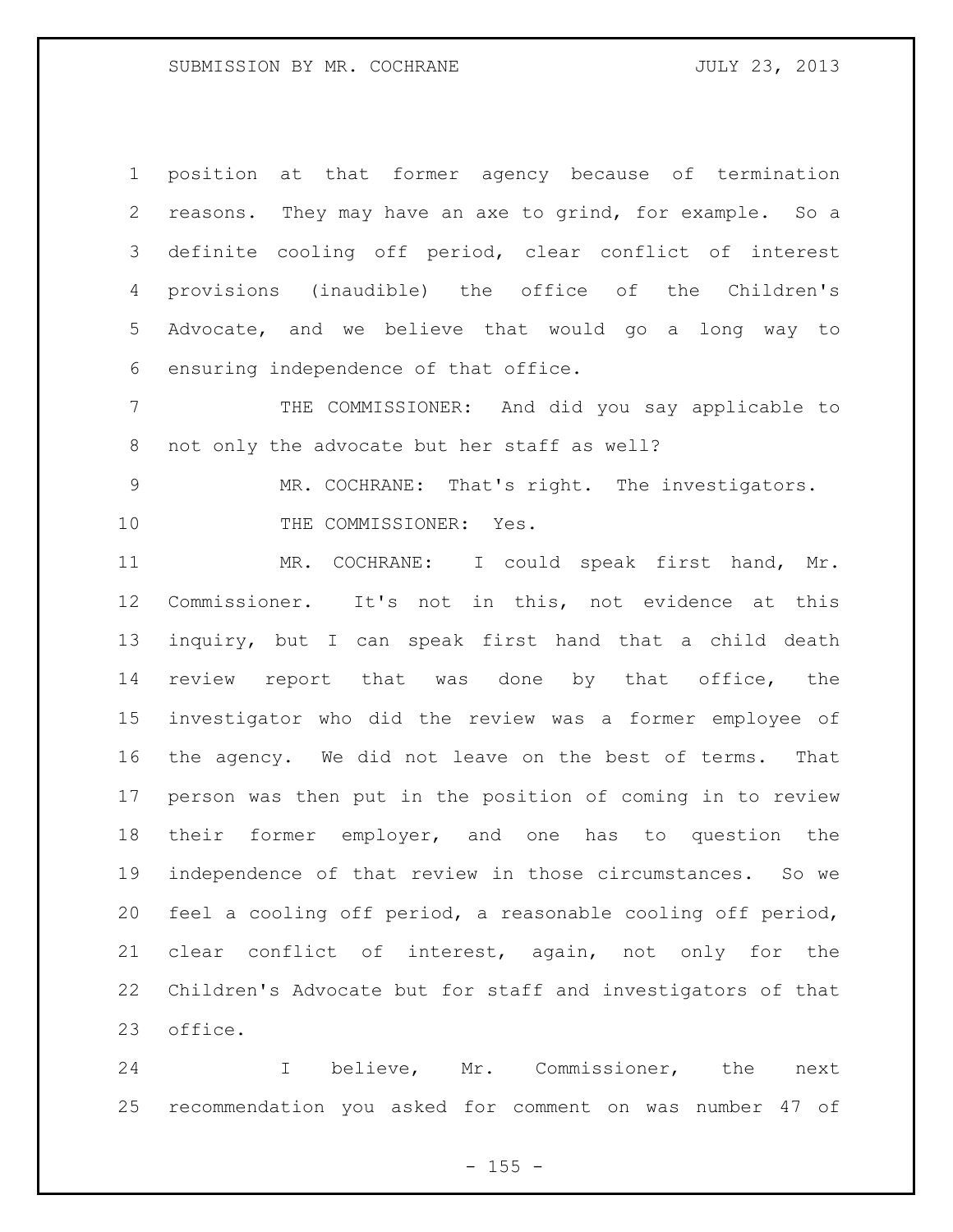position at that former agency because of termination reasons. They may have an axe to grind, for example. So a definite cooling off period, clear conflict of interest provisions (inaudible) the office of the Children's Advocate, and we believe that would go a long way to ensuring independence of that office.

 THE COMMISSIONER: And did you say applicable to not only the advocate but her staff as well?

 MR. COCHRANE: That's right. The investigators. 10 THE COMMISSIONER: Yes.

 MR. COCHRANE: I could speak first hand, Mr. Commissioner. It's not in this, not evidence at this inquiry, but I can speak first hand that a child death review report that was done by that office, the investigator who did the review was a former employee of the agency. We did not leave on the best of terms. That person was then put in the position of coming in to review their former employer, and one has to question the independence of that review in those circumstances. So we feel a cooling off period, a reasonable cooling off period, clear conflict of interest, again, not only for the Children's Advocate but for staff and investigators of that office.

 I believe, Mr. Commissioner, the next recommendation you asked for comment on was number 47 of

 $- 155 -$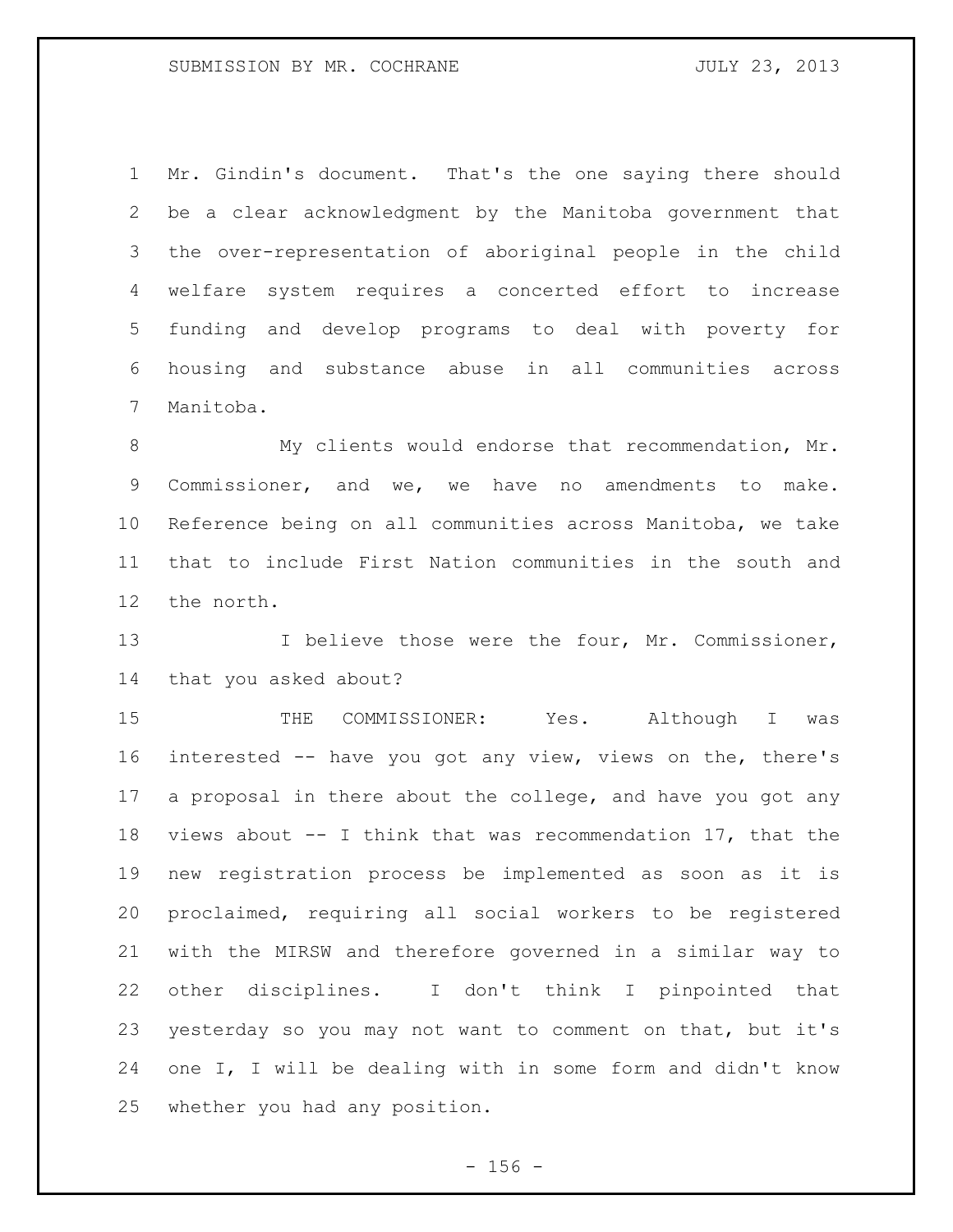Mr. Gindin's document. That's the one saying there should be a clear acknowledgment by the Manitoba government that the over-representation of aboriginal people in the child welfare system requires a concerted effort to increase funding and develop programs to deal with poverty for housing and substance abuse in all communities across Manitoba.

 My clients would endorse that recommendation, Mr. Commissioner, and we, we have no amendments to make. Reference being on all communities across Manitoba, we take that to include First Nation communities in the south and the north.

13 I believe those were the four, Mr. Commissioner, that you asked about?

 THE COMMISSIONER: Yes. Although I was interested -- have you got any view, views on the, there's a proposal in there about the college, and have you got any views about -- I think that was recommendation 17, that the new registration process be implemented as soon as it is proclaimed, requiring all social workers to be registered with the MIRSW and therefore governed in a similar way to other disciplines. I don't think I pinpointed that yesterday so you may not want to comment on that, but it's one I, I will be dealing with in some form and didn't know whether you had any position.

 $- 156 -$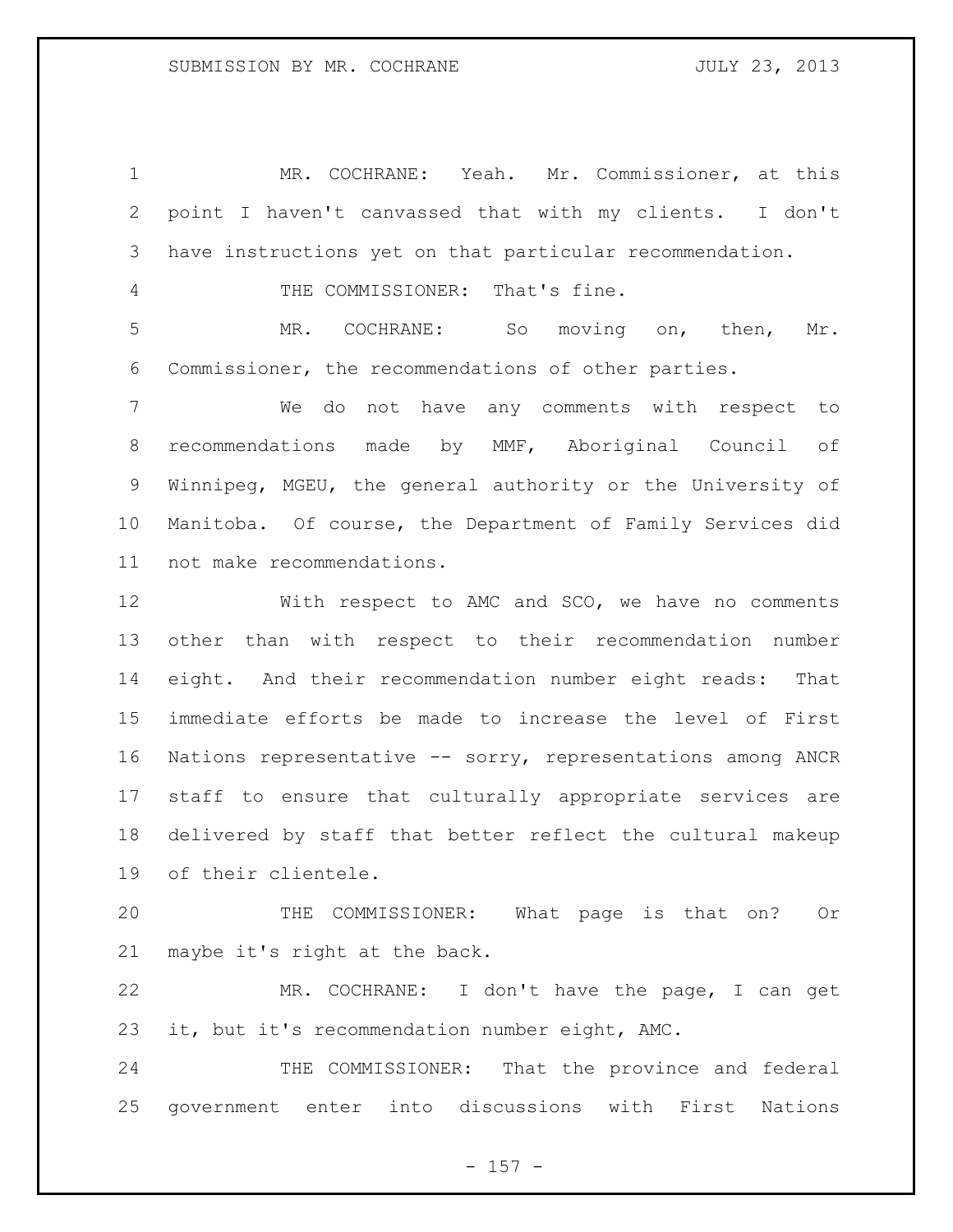MR. COCHRANE: Yeah. Mr. Commissioner, at this point I haven't canvassed that with my clients. I don't have instructions yet on that particular recommendation.

THE COMMISSIONER: That's fine.

 MR. COCHRANE: So moving on, then, Mr. Commissioner, the recommendations of other parties.

 We do not have any comments with respect to recommendations made by MMF, Aboriginal Council of Winnipeg, MGEU, the general authority or the University of Manitoba. Of course, the Department of Family Services did not make recommendations.

 With respect to AMC and SCO, we have no comments other than with respect to their recommendation number eight. And their recommendation number eight reads: That immediate efforts be made to increase the level of First Nations representative -- sorry, representations among ANCR staff to ensure that culturally appropriate services are delivered by staff that better reflect the cultural makeup of their clientele.

 THE COMMISSIONER: What page is that on? Or maybe it's right at the back.

 MR. COCHRANE: I don't have the page, I can get it, but it's recommendation number eight, AMC.

24 THE COMMISSIONER: That the province and federal government enter into discussions with First Nations

 $- 157 -$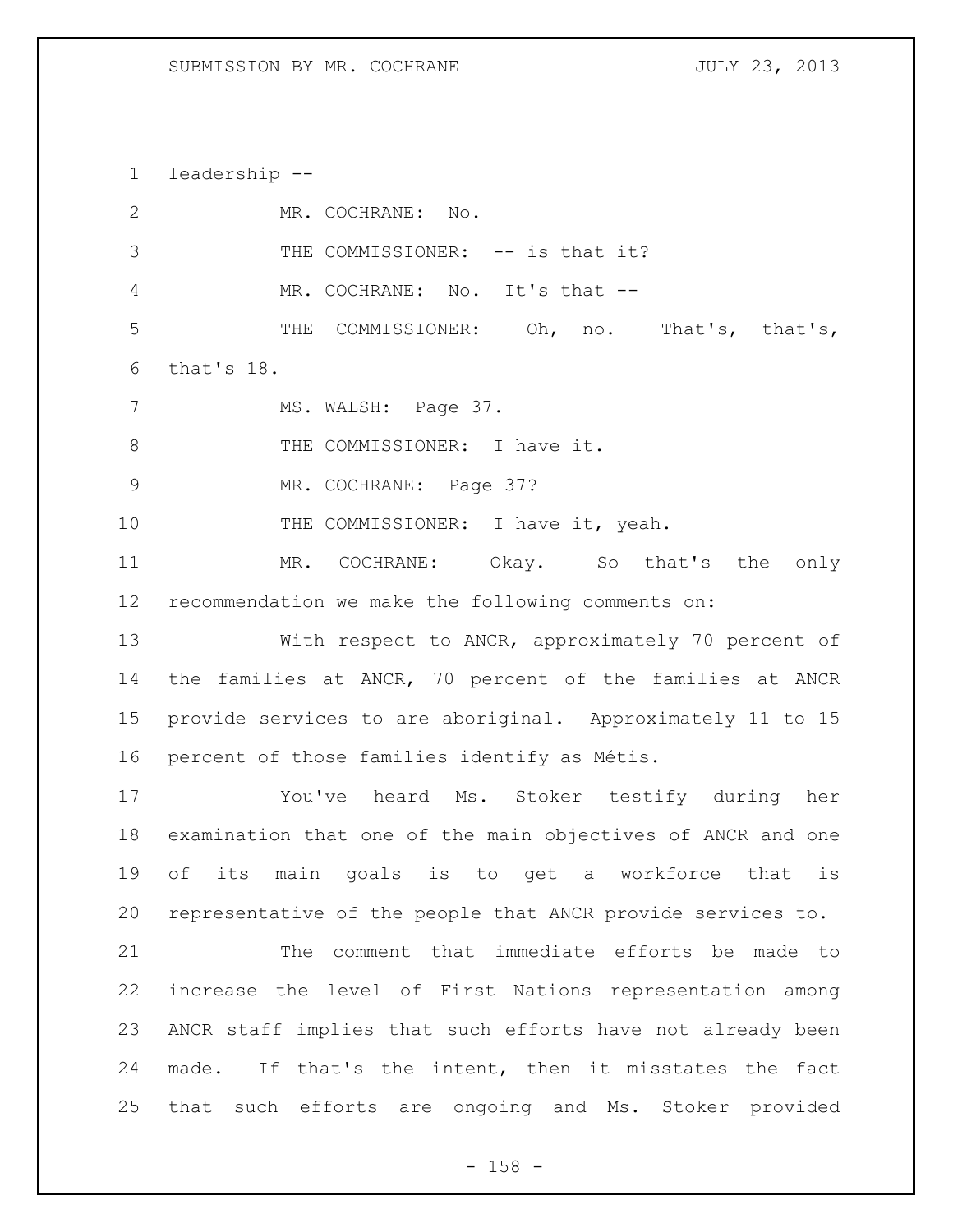leadership -- 2 MR. COCHRANE: No. 3 THE COMMISSIONER: -- is that it? MR. COCHRANE: No. It's that -- THE COMMISSIONER: Oh, no. That's, that's, that's 18. 7 MS. WALSH: Page 37. 8 THE COMMISSIONER: I have it. MR. COCHRANE: Page 37? 10 THE COMMISSIONER: I have it, yeah. MR. COCHRANE: Okay. So that's the only recommendation we make the following comments on: With respect to ANCR, approximately 70 percent of the families at ANCR, 70 percent of the families at ANCR provide services to are aboriginal. Approximately 11 to 15 percent of those families identify as Métis. You've heard Ms. Stoker testify during her examination that one of the main objectives of ANCR and one of its main goals is to get a workforce that is representative of the people that ANCR provide services to. The comment that immediate efforts be made to increase the level of First Nations representation among ANCR staff implies that such efforts have not already been made. If that's the intent, then it misstates the fact that such efforts are ongoing and Ms. Stoker provided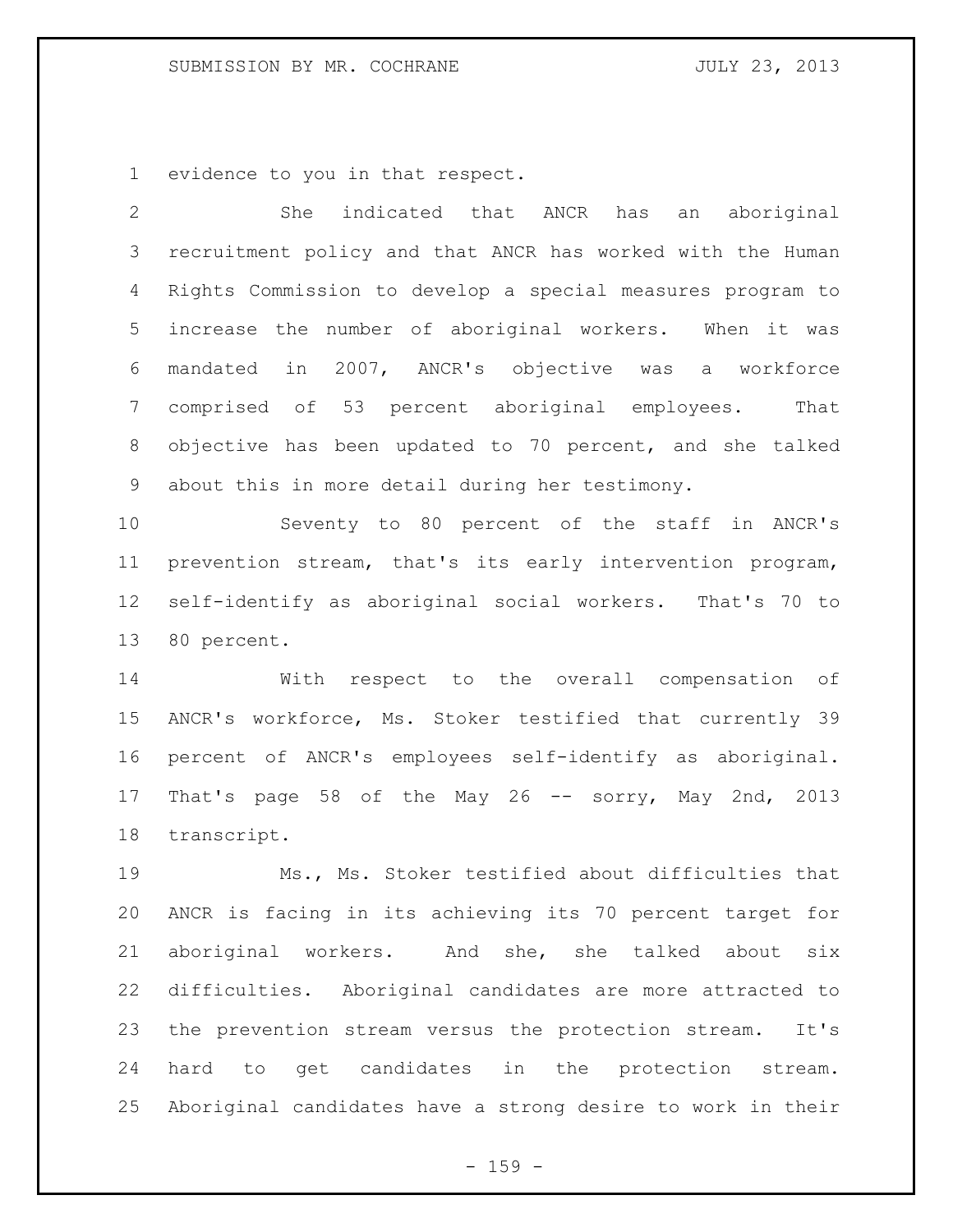## SUBMISSION BY MR. COCHRANE JULY 23, 2013

evidence to you in that respect.

| $\mathbf{2}$    | indicated that ANCR has<br>She<br>aboriginal<br>an          |
|-----------------|-------------------------------------------------------------|
| 3               | recruitment policy and that ANCR has worked with the Human  |
| 4               | Rights Commission to develop a special measures program to  |
| 5               | increase the number of aboriginal workers. When it was      |
| 6               | mandated in 2007, ANCR's objective was a workforce          |
| $7\phantom{.0}$ | comprised of 53 percent aboriginal employees.<br>That       |
| 8               | objective has been updated to 70 percent, and she talked    |
| 9               | about this in more detail during her testimony.             |
| 10              | Seventy to 80 percent of the staff in ANCR's                |
| 11              | prevention stream, that's its early intervention program,   |
| 12              | self-identify as aboriginal social workers. That's 70 to    |
| 13              | 80 percent.                                                 |
| 14              | With respect to the overall compensation of                 |
| 15              | ANCR's workforce, Ms. Stoker testified that currently 39    |
| 16              | percent of ANCR's employees self-identify as aboriginal.    |
| 17              | That's page 58 of the May 26 -- sorry, May 2nd, 2013        |
| 18              | transcript.                                                 |
| 19              | Ms., Ms. Stoker testified about difficulties that           |
| 20              | ANCR is facing in its achieving its 70 percent target for   |
| 21              | aboriginal workers. And she, she talked about six           |
| 22              | difficulties. Aboriginal candidates are more attracted to   |
| 23              | the prevention stream versus the protection stream. It's    |
| 24              | hard to get candidates in the protection stream.            |
| 25              | Aboriginal candidates have a strong desire to work in their |

- 159 -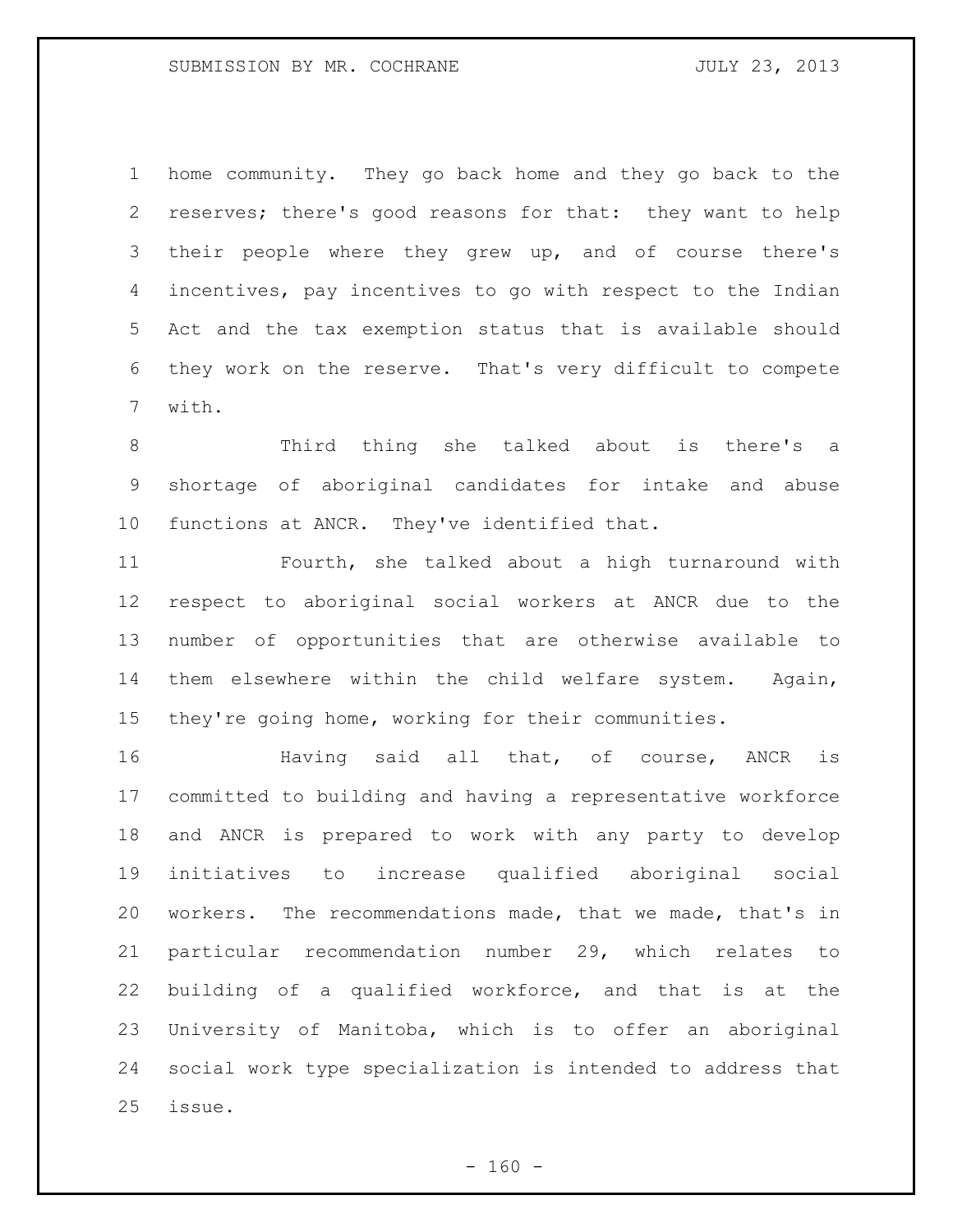home community. They go back home and they go back to the reserves; there's good reasons for that: they want to help 3 their people where they grew up, and of course there's incentives, pay incentives to go with respect to the Indian Act and the tax exemption status that is available should they work on the reserve. That's very difficult to compete with.

 Third thing she talked about is there's a shortage of aboriginal candidates for intake and abuse functions at ANCR. They've identified that.

 Fourth, she talked about a high turnaround with respect to aboriginal social workers at ANCR due to the number of opportunities that are otherwise available to them elsewhere within the child welfare system. Again, they're going home, working for their communities.

**Having said all that, of course, ANCR is**  committed to building and having a representative workforce and ANCR is prepared to work with any party to develop initiatives to increase qualified aboriginal social workers. The recommendations made, that we made, that's in particular recommendation number 29, which relates to building of a qualified workforce, and that is at the University of Manitoba, which is to offer an aboriginal social work type specialization is intended to address that issue.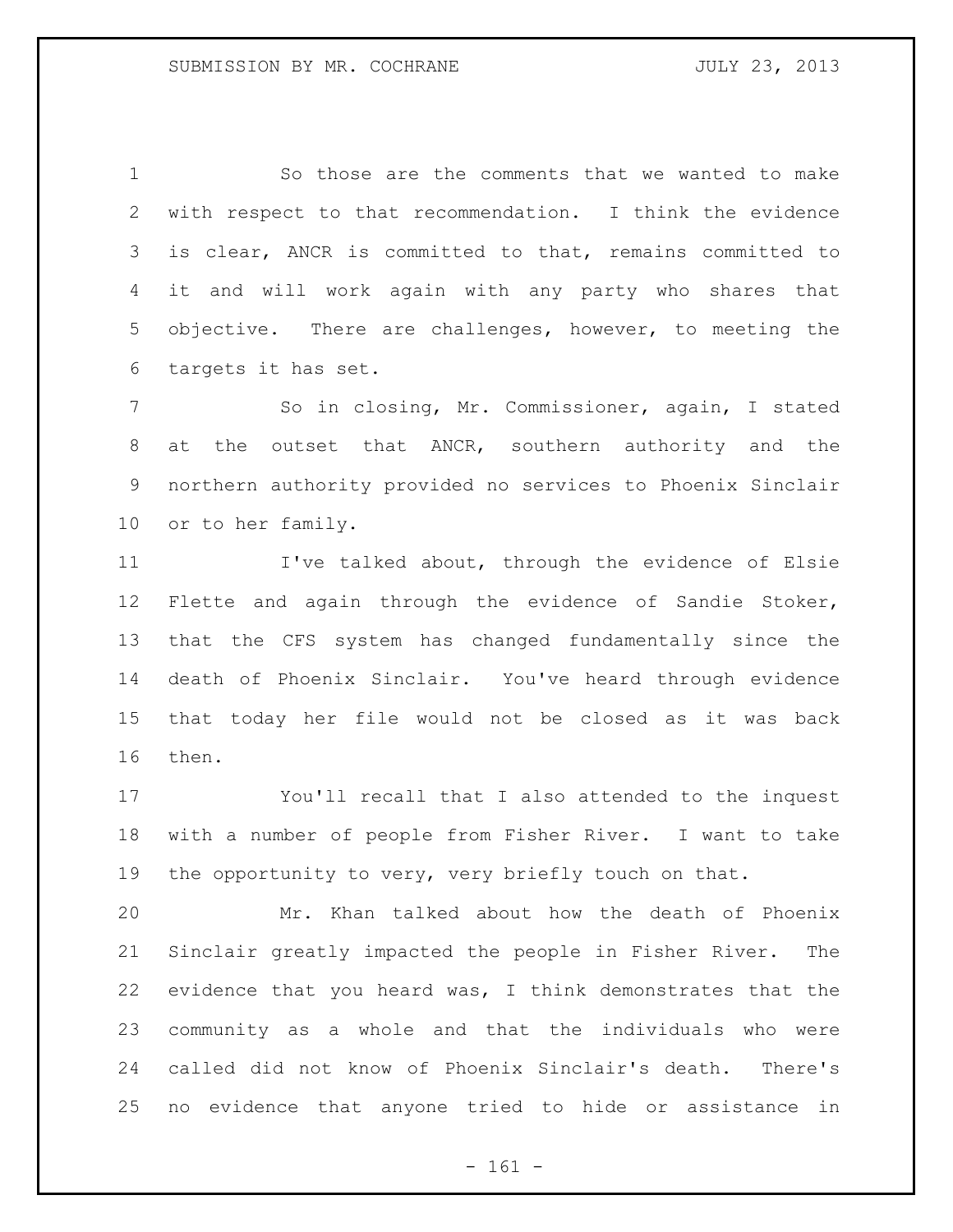So those are the comments that we wanted to make with respect to that recommendation. I think the evidence is clear, ANCR is committed to that, remains committed to it and will work again with any party who shares that objective. There are challenges, however, to meeting the targets it has set.

 So in closing, Mr. Commissioner, again, I stated at the outset that ANCR, southern authority and the northern authority provided no services to Phoenix Sinclair or to her family.

 I've talked about, through the evidence of Elsie Flette and again through the evidence of Sandie Stoker, that the CFS system has changed fundamentally since the death of Phoenix Sinclair. You've heard through evidence that today her file would not be closed as it was back then.

 You'll recall that I also attended to the inquest with a number of people from Fisher River. I want to take the opportunity to very, very briefly touch on that.

 Mr. Khan talked about how the death of Phoenix Sinclair greatly impacted the people in Fisher River. The evidence that you heard was, I think demonstrates that the community as a whole and that the individuals who were called did not know of Phoenix Sinclair's death. There's no evidence that anyone tried to hide or assistance in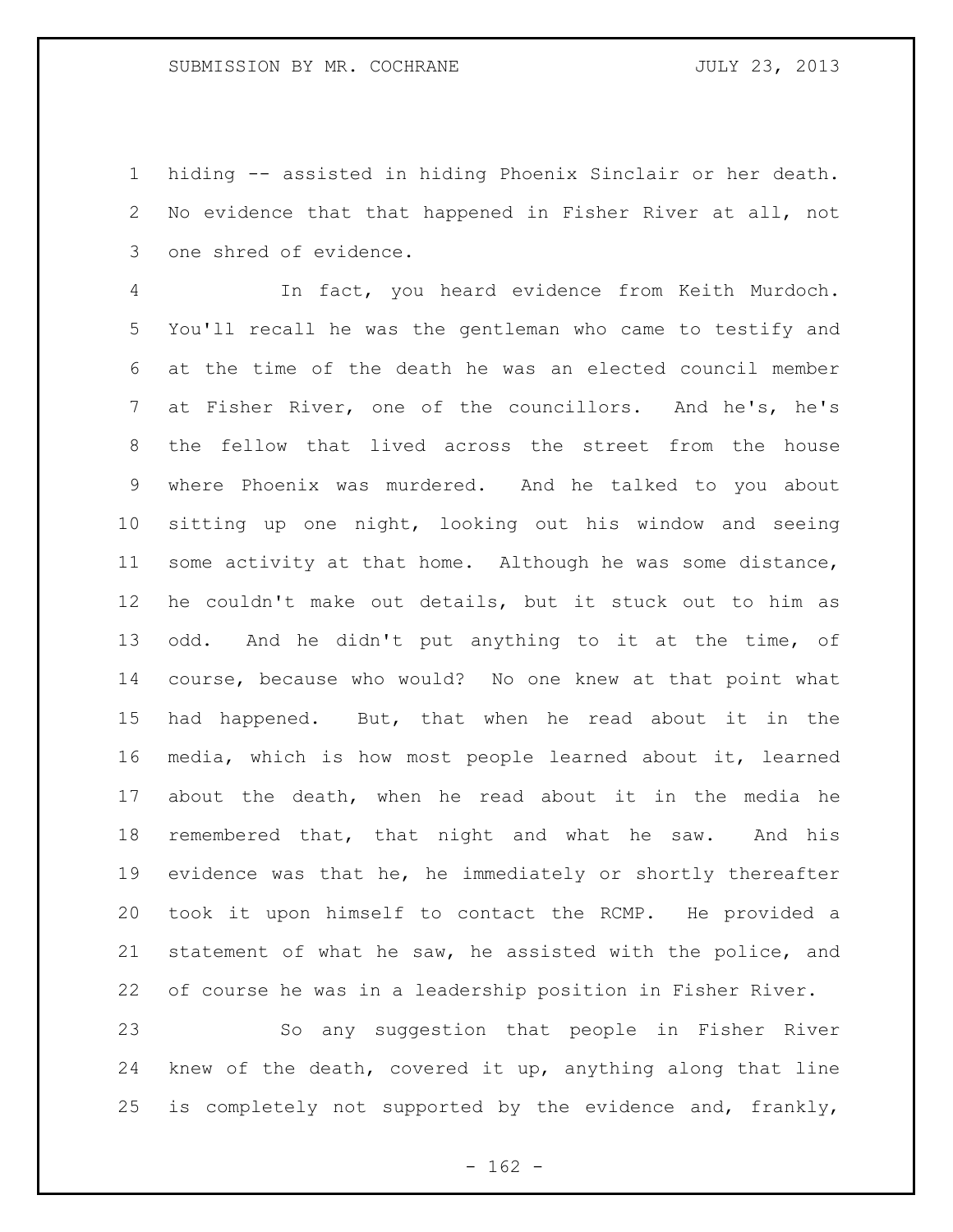hiding -- assisted in hiding Phoenix Sinclair or her death. No evidence that that happened in Fisher River at all, not one shred of evidence.

 In fact, you heard evidence from Keith Murdoch. You'll recall he was the gentleman who came to testify and at the time of the death he was an elected council member at Fisher River, one of the councillors. And he's, he's the fellow that lived across the street from the house where Phoenix was murdered. And he talked to you about sitting up one night, looking out his window and seeing some activity at that home. Although he was some distance, he couldn't make out details, but it stuck out to him as odd. And he didn't put anything to it at the time, of course, because who would? No one knew at that point what had happened. But, that when he read about it in the media, which is how most people learned about it, learned about the death, when he read about it in the media he remembered that, that night and what he saw. And his evidence was that he, he immediately or shortly thereafter took it upon himself to contact the RCMP. He provided a statement of what he saw, he assisted with the police, and of course he was in a leadership position in Fisher River.

 So any suggestion that people in Fisher River knew of the death, covered it up, anything along that line is completely not supported by the evidence and, frankly,

 $- 162 -$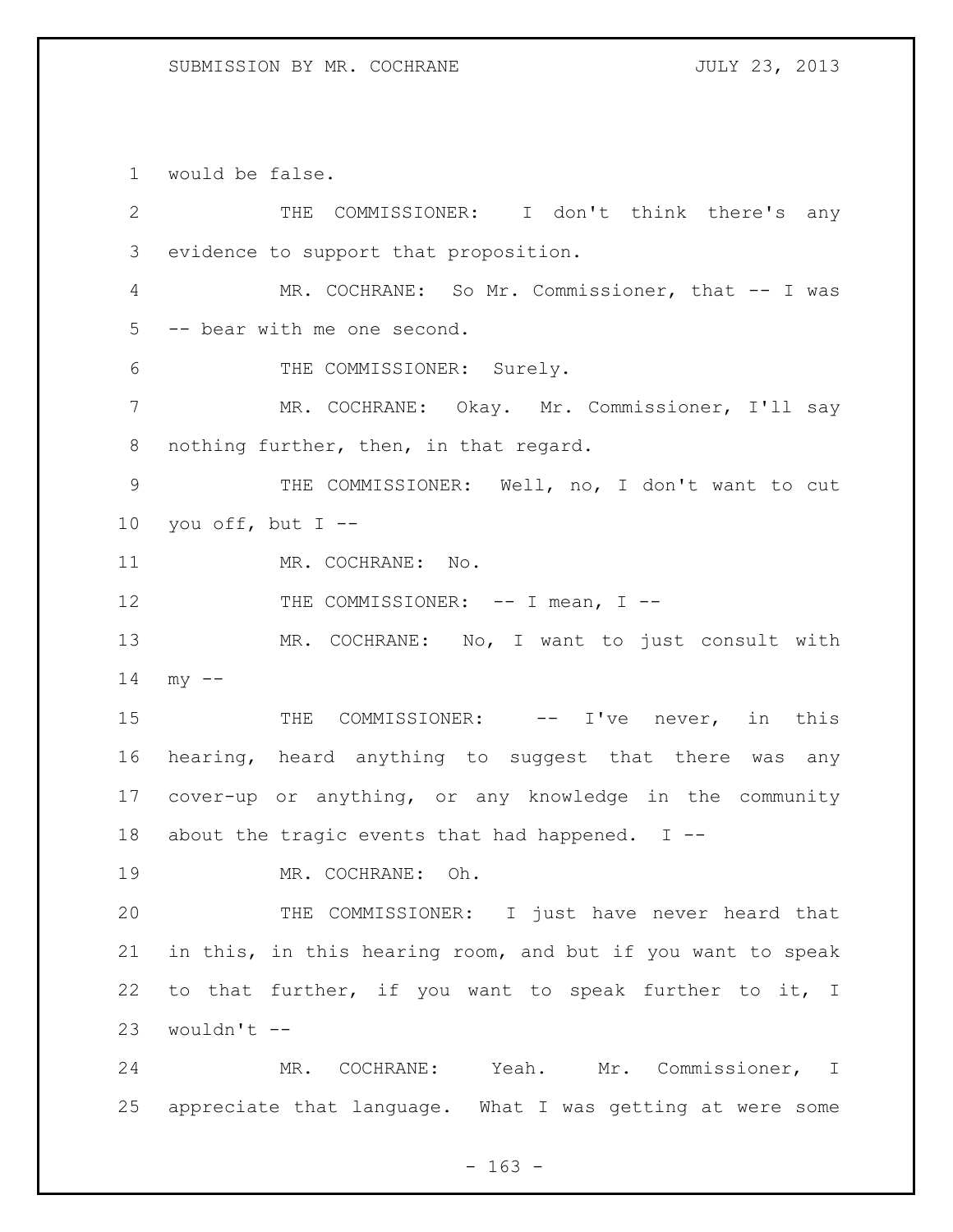would be false.

| $\mathbf{2}$    | THE COMMISSIONER: I don't think there's any                 |
|-----------------|-------------------------------------------------------------|
| 3               | evidence to support that proposition.                       |
| 4               | MR. COCHRANE: So Mr. Commissioner, that -- I was            |
| 5               | -- bear with me one second.                                 |
| 6               | THE COMMISSIONER: Surely.                                   |
| 7               | MR. COCHRANE: Okay. Mr. Commissioner, I'll say              |
| 8               | nothing further, then, in that regard.                      |
| $\mathsf 9$     | THE COMMISSIONER: Well, no, I don't want to cut             |
| 10 <sub>o</sub> | you off, but $I$ --                                         |
| 11              | MR. COCHRANE: No.                                           |
| 12              | THE COMMISSIONER: -- I mean, I --                           |
| 13              | MR. COCHRANE: No, I want to just consult with               |
| 14              | $my$ --                                                     |
| 15              | THE COMMISSIONER: -- I've never, in this                    |
| 16              | hearing, heard anything to suggest that there was any       |
| 17              | cover-up or anything, or any knowledge in the community     |
| 18              | about the tragic events that had happened. $I$ --           |
| 19              | Oh.<br>MR. COCHRANE:                                        |
| 20              | THE COMMISSIONER: I just have never heard that              |
| 21              | in this, in this hearing room, and but if you want to speak |
| 22              | to that further, if you want to speak further to it, I      |
| 23              | wouldn't --                                                 |
| 24              | MR. COCHRANE: Yeah. Mr. Commissioner, I                     |
| 25              | appreciate that language. What I was getting at were some   |

- 163 -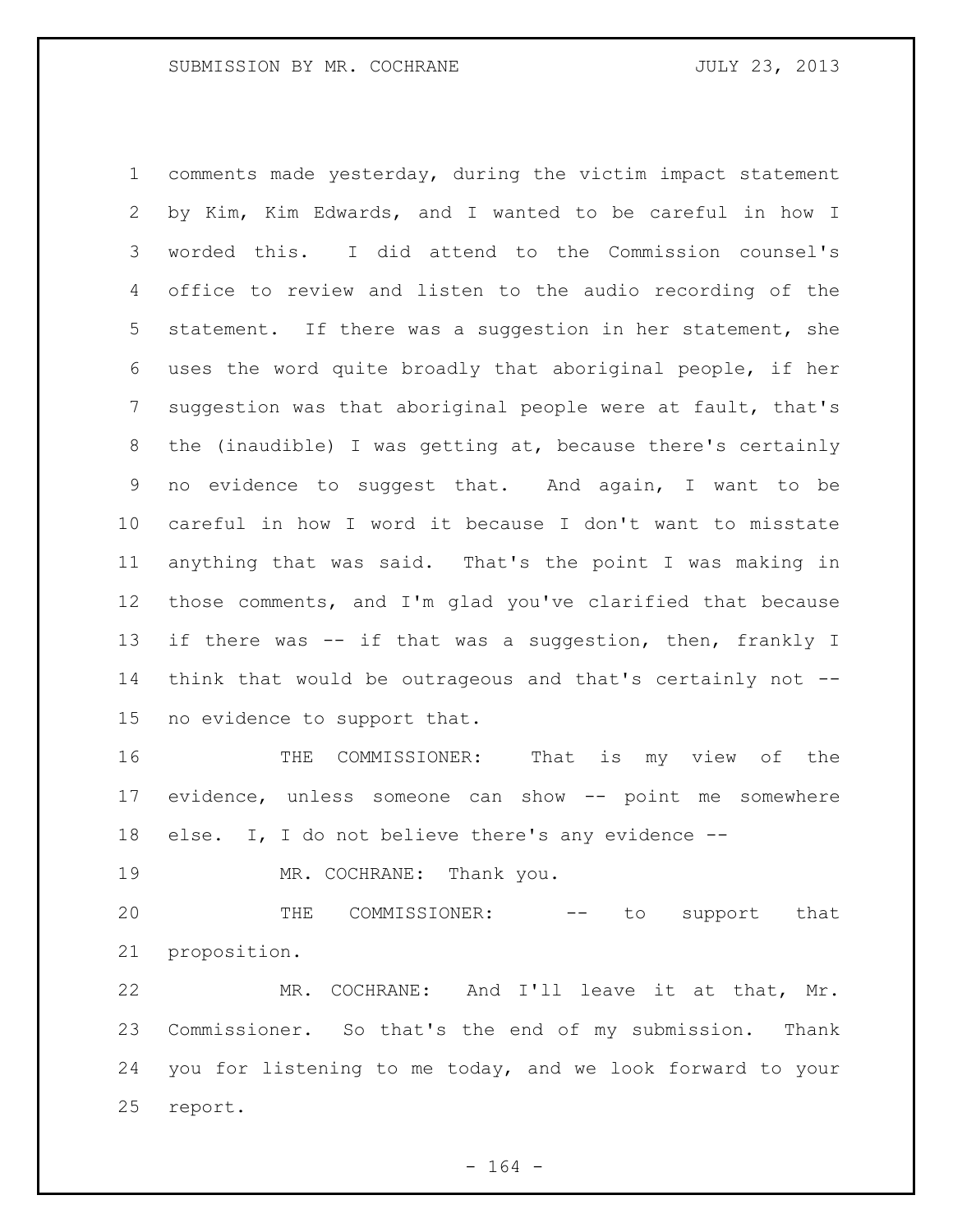comments made yesterday, during the victim impact statement by Kim, Kim Edwards, and I wanted to be careful in how I worded this. I did attend to the Commission counsel's office to review and listen to the audio recording of the statement. If there was a suggestion in her statement, she uses the word quite broadly that aboriginal people, if her suggestion was that aboriginal people were at fault, that's the (inaudible) I was getting at, because there's certainly no evidence to suggest that. And again, I want to be careful in how I word it because I don't want to misstate anything that was said. That's the point I was making in those comments, and I'm glad you've clarified that because 13 if there was -- if that was a suggestion, then, frankly I think that would be outrageous and that's certainly not -- no evidence to support that.

 THE COMMISSIONER: That is my view of the evidence, unless someone can show -- point me somewhere else. I, I do not believe there's any evidence --

19 MR. COCHRANE: Thank you.

20 THE COMMISSIONER: -- to support that proposition.

 MR. COCHRANE: And I'll leave it at that, Mr. Commissioner. So that's the end of my submission. Thank you for listening to me today, and we look forward to your report.

- 164 -